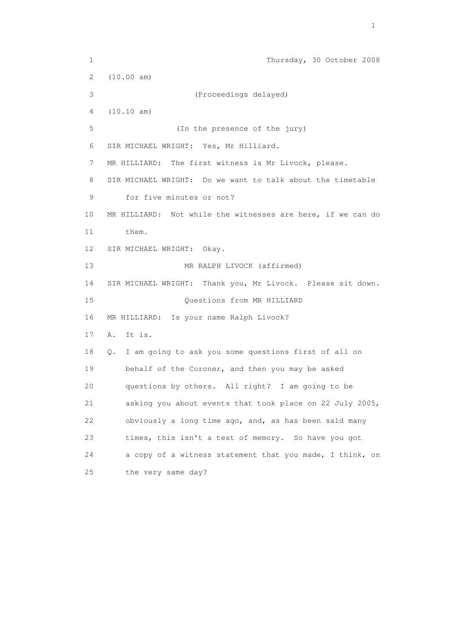1 Thursday, 30 October 2008 2 (10.00 am) 3 (Proceedings delayed) 4 (10.10 am) 5 (In the presence of the jury) 6 SIR MICHAEL WRIGHT: Yes, Mr Hilliard. 7 MR HILLIARD: The first witness is Mr Livock, please. 8 SIR MICHAEL WRIGHT: Do we want to talk about the timetable 9 for five minutes or not? 10 MR HILLIARD: Not while the witnesses are here, if we can do 11 them. 12 SIR MICHAEL WRIGHT: Okay. 13 MR RALPH LIVOCK (affirmed) 14 SIR MICHAEL WRIGHT: Thank you, Mr Livock. Please sit down. 15 Questions from MR HILLIARD 16 MR HILLIARD: Is your name Ralph Livock? 17 A. It is. 18 Q. I am going to ask you some questions first of all on 19 behalf of the Coroner, and then you may be asked 20 questions by others. All right? I am going to be 21 asking you about events that took place on 22 July 2005, 22 obviously a long time ago, and, as has been said many 23 times, this isn't a test of memory. So have you got 24 a copy of a witness statement that you made, I think, on 25 the very same day?

the contract of the contract of the contract of the contract of the contract of the contract of the contract of the contract of the contract of the contract of the contract of the contract of the contract of the contract o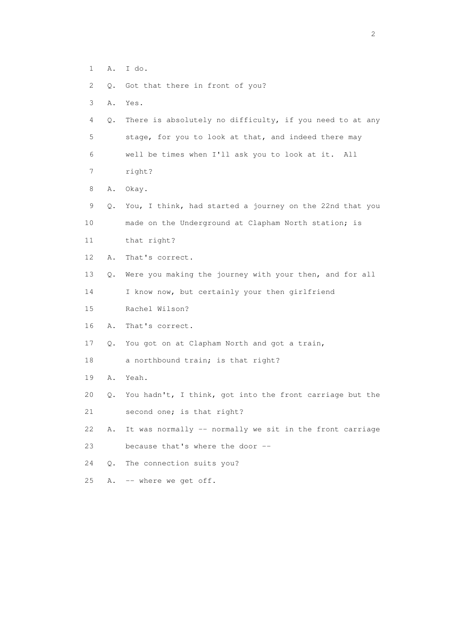- 1 A. I do.
- 2 Q. Got that there in front of you?
- 3 A. Yes.
- 4 Q. There is absolutely no difficulty, if you need to at any 5 stage, for you to look at that, and indeed there may 6 well be times when I'll ask you to look at it. All
- 7 right?
- 8 A. Okay.
- 9 Q. You, I think, had started a journey on the 22nd that you 10 made on the Underground at Clapham North station; is
- 11 that right?
- 12 A. That's correct.
- 13 Q. Were you making the journey with your then, and for all
- 14 I know now, but certainly your then girlfriend
- 15 Rachel Wilson?
- 16 A. That's correct.
- 17 Q. You got on at Clapham North and got a train,
- 18 a northbound train; is that right?
- 19 A. Yeah.
- 20 Q. You hadn't, I think, got into the front carriage but the
- 21 second one; is that right?
- 22 A. It was normally -- normally we sit in the front carriage 23 because that's where the door --
- 24 Q. The connection suits you?
- 25 A. -- where we get off.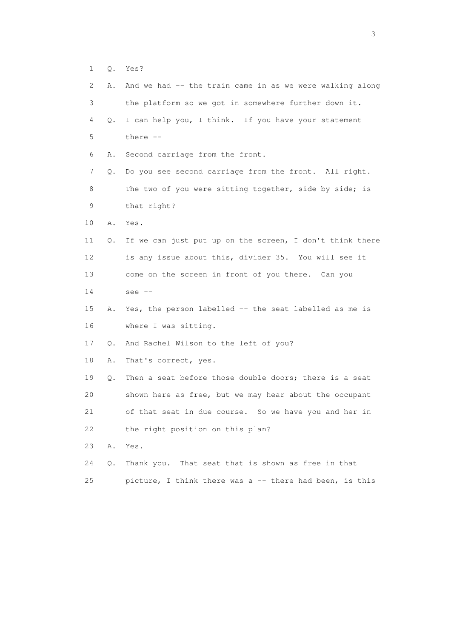1 Q. Yes?

| 2  | Α. | And we had -- the train came in as we were walking along |
|----|----|----------------------------------------------------------|
| 3  |    | the platform so we got in somewhere further down it.     |
| 4  | Q. | I can help you, I think. If you have your statement      |
| 5  |    | there $--$                                               |
| 6  | Α. | Second carriage from the front.                          |
| 7  | Q. | Do you see second carriage from the front. All right.    |
| 8  |    | The two of you were sitting together, side by side; is   |
| 9  |    | that right?                                              |
| 10 | Α. | Yes.                                                     |
| 11 | Q. | If we can just put up on the screen, I don't think there |
| 12 |    | is any issue about this, divider 35. You will see it     |
| 13 |    | come on the screen in front of you there. Can you        |
| 14 |    | see $--$                                                 |
| 15 | Α. | Yes, the person labelled -- the seat labelled as me is   |
| 16 |    | where I was sitting.                                     |
| 17 | Q. | And Rachel Wilson to the left of you?                    |
| 18 | Α. | That's correct, yes.                                     |
| 19 | Q. | Then a seat before those double doors; there is a seat   |
| 20 |    | shown here as free, but we may hear about the occupant   |
| 21 |    | of that seat in due course. So we have you and her in    |
| 22 |    | the right position on this plan?                         |
| 23 | Α. | Yes.                                                     |
| 24 | Q. | That seat that is shown as free in that<br>Thank you.    |
| 25 |    | picture, I think there was a -- there had been, is this  |

 $\sim$  3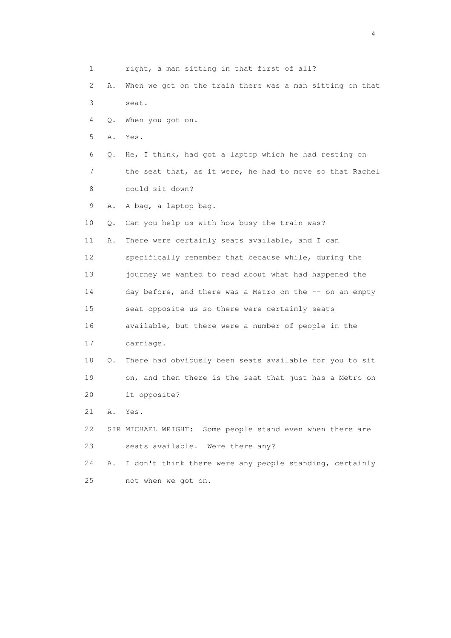1 right, a man sitting in that first of all? 2 A. When we got on the train there was a man sitting on that 3 seat. 4 Q. When you got on. 5 A. Yes. 6 Q. He, I think, had got a laptop which he had resting on 7 the seat that, as it were, he had to move so that Rachel 8 could sit down? 9 A. A bag, a laptop bag. 10 Q. Can you help us with how busy the train was? 11 A. There were certainly seats available, and I can 12 specifically remember that because while, during the 13 journey we wanted to read about what had happened the 14 day before, and there was a Metro on the -- on an empty 15 seat opposite us so there were certainly seats 16 available, but there were a number of people in the 17 carriage. 18 Q. There had obviously been seats available for you to sit 19 on, and then there is the seat that just has a Metro on 20 it opposite? 21 A. Yes. 22 SIR MICHAEL WRIGHT: Some people stand even when there are 23 seats available. Were there any? 24 A. I don't think there were any people standing, certainly 25 not when we got on.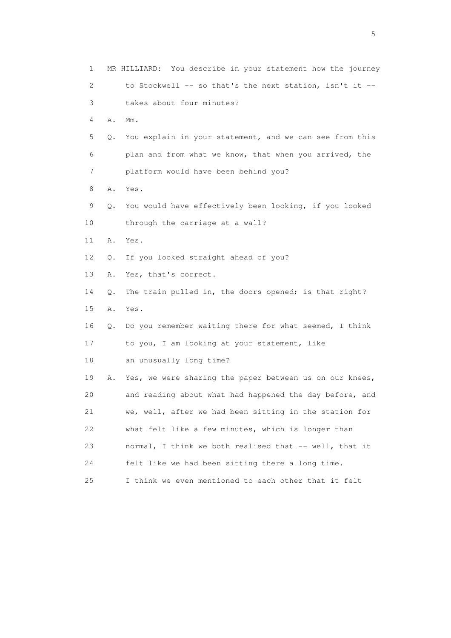| 1  |    | MR HILLIARD: You describe in your statement how the journey |
|----|----|-------------------------------------------------------------|
| 2  |    | to Stockwell -- so that's the next station, isn't it --     |
| 3  |    | takes about four minutes?                                   |
| 4  | Α. | $Mm$ .                                                      |
| 5  | Q. | You explain in your statement, and we can see from this     |
| 6  |    | plan and from what we know, that when you arrived, the      |
| 7  |    | platform would have been behind you?                        |
| 8  | Α. | Yes.                                                        |
| 9  | Q. | You would have effectively been looking, if you looked      |
| 10 |    | through the carriage at a wall?                             |
| 11 | Α. | Yes.                                                        |
| 12 | Q. | If you looked straight ahead of you?                        |
| 13 | Α. | Yes, that's correct.                                        |
| 14 | Q. | The train pulled in, the doors opened; is that right?       |
| 15 | Α. | Yes.                                                        |
| 16 | Q. | Do you remember waiting there for what seemed, I think      |
| 17 |    | to you, I am looking at your statement, like                |
| 18 |    | an unusually long time?                                     |
| 19 | Α. | Yes, we were sharing the paper between us on our knees,     |
| 20 |    | and reading about what had happened the day before, and     |
| 21 |    | we, well, after we had been sitting in the station for      |
| 22 |    | what felt like a few minutes, which is longer than          |
| 23 |    | normal, I think we both realised that -- well, that it      |
| 24 |    | felt like we had been sitting there a long time.            |
| 25 |    | I think we even mentioned to each other that it felt        |

 $\sim$  5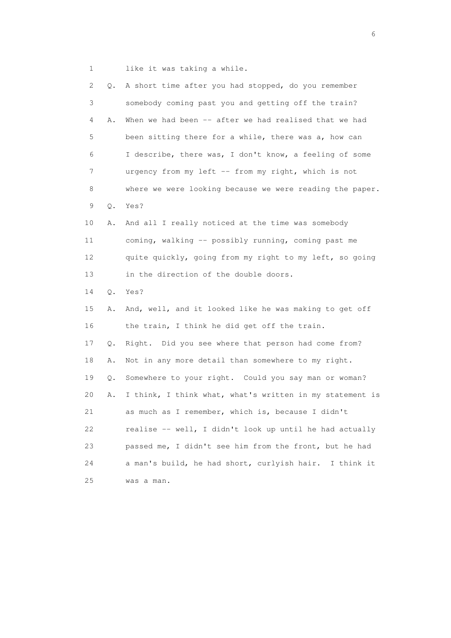1 like it was taking a while.

| 2               | Q.    | A short time after you had stopped, do you remember       |
|-----------------|-------|-----------------------------------------------------------|
| 3               |       | somebody coming past you and getting off the train?       |
| 4               | Α.    | When we had been -- after we had realised that we had     |
| 5               |       | been sitting there for a while, there was a, how can      |
| 6               |       | I describe, there was, I don't know, a feeling of some    |
| 7               |       | urgency from my left -- from my right, which is not       |
| 8               |       | where we were looking because we were reading the paper.  |
| 9               | $Q$ . | Yes?                                                      |
| 10              | Α.    | And all I really noticed at the time was somebody         |
| 11              |       | coming, walking -- possibly running, coming past me       |
| 12 <sup>°</sup> |       | quite quickly, going from my right to my left, so going   |
| 13              |       | in the direction of the double doors.                     |
| 14              | Q.    | Yes?                                                      |
| 15              | Α.    | And, well, and it looked like he was making to get off    |
| 16              |       | the train, I think he did get off the train.              |
| 17              | Q.    | Right. Did you see where that person had come from?       |
| 18              | Α.    | Not in any more detail than somewhere to my right.        |
| 19              | Q.    | Somewhere to your right. Could you say man or woman?      |
| 20              | Α.    | I think, I think what, what's written in my statement is  |
| 21              |       | as much as I remember, which is, because I didn't         |
| 22              |       | realise -- well, I didn't look up until he had actually   |
| 23              |       | passed me, I didn't see him from the front, but he had    |
| 24              |       | a man's build, he had short, curlyish hair.<br>I think it |
| 25              |       | was a man.                                                |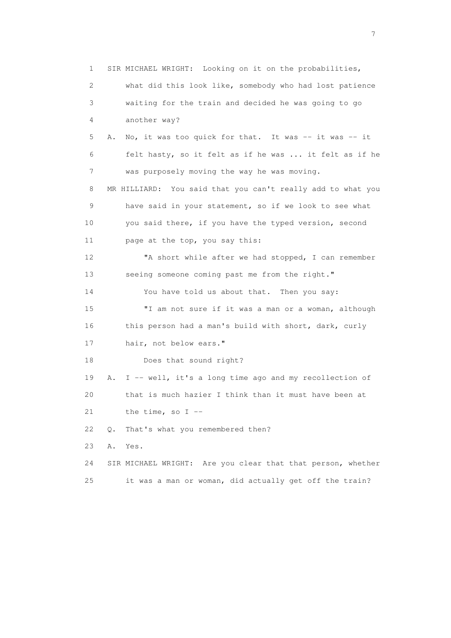1 SIR MICHAEL WRIGHT: Looking on it on the probabilities, 2 what did this look like, somebody who had lost patience 3 waiting for the train and decided he was going to go 4 another way? 5 A. No, it was too quick for that. It was -- it was -- it 6 felt hasty, so it felt as if he was ... it felt as if he 7 was purposely moving the way he was moving. 8 MR HILLIARD: You said that you can't really add to what you 9 have said in your statement, so if we look to see what 10 you said there, if you have the typed version, second 11 page at the top, you say this: 12 "A short while after we had stopped, I can remember 13 seeing someone coming past me from the right." 14 You have told us about that. Then you say: 15 "I am not sure if it was a man or a woman, although 16 this person had a man's build with short, dark, curly 17 hair, not below ears." 18 Does that sound right? 19 A. I -- well, it's a long time ago and my recollection of 20 that is much hazier I think than it must have been at 21 the time, so  $I$  -- 22 Q. That's what you remembered then? 23 A. Yes. 24 SIR MICHAEL WRIGHT: Are you clear that that person, whether 25 it was a man or woman, did actually get off the train?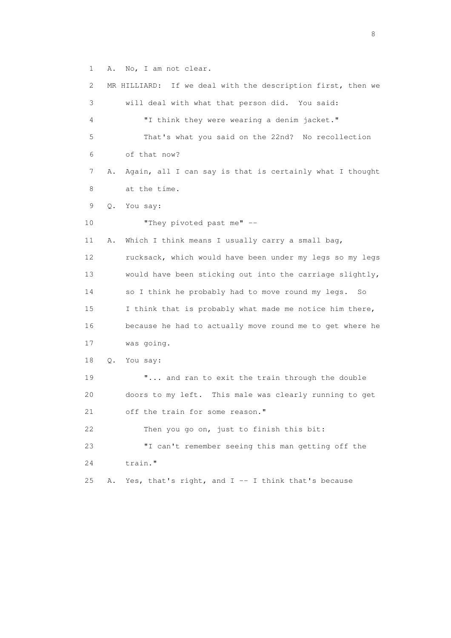1 A. No, I am not clear.

 2 MR HILLIARD: If we deal with the description first, then we 3 will deal with what that person did. You said: 4 "I think they were wearing a denim jacket." 5 That's what you said on the 22nd? No recollection 6 of that now? 7 A. Again, all I can say is that is certainly what I thought 8 at the time. 9 Q. You say: 10 "They pivoted past me" -- 11 A. Which I think means I usually carry a small bag, 12 rucksack, which would have been under my legs so my legs 13 would have been sticking out into the carriage slightly, 14 so I think he probably had to move round my legs. So 15 I think that is probably what made me notice him there, 16 because he had to actually move round me to get where he 17 was going. 18 Q. You say: 19 **"...** and ran to exit the train through the double 20 doors to my left. This male was clearly running to get 21 off the train for some reason." 22 Then you go on, just to finish this bit: 23 "I can't remember seeing this man getting off the 24 train." 25 A. Yes, that's right, and  $I - I$  think that's because

en de la construction de la construction de la construction de la construction de la construction de la constr<br>18 de juny : la construction de la construction de la construction de la construction de la construction de l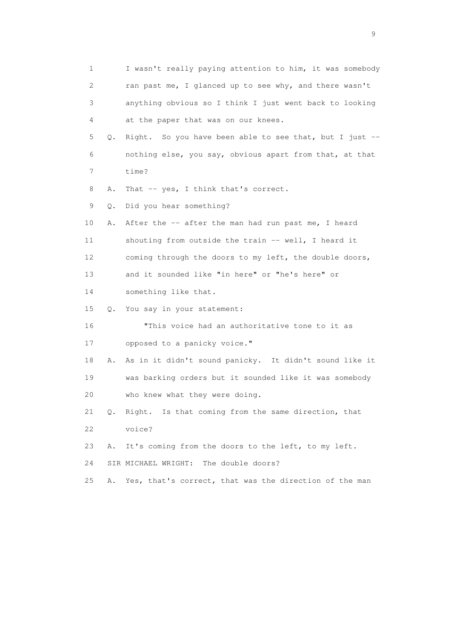1 I wasn't really paying attention to him, it was somebody 2 ran past me, I glanced up to see why, and there wasn't 3 anything obvious so I think I just went back to looking 4 at the paper that was on our knees. 5 Q. Right. So you have been able to see that, but I just -- 6 nothing else, you say, obvious apart from that, at that 7 time? 8 A. That -- yes, I think that's correct. 9 Q. Did you hear something? 10 A. After the -- after the man had run past me, I heard 11 shouting from outside the train -- well, I heard it 12 coming through the doors to my left, the double doors, 13 and it sounded like "in here" or "he's here" or 14 something like that. 15 Q. You say in your statement: 16 "This voice had an authoritative tone to it as 17 opposed to a panicky voice." 18 A. As in it didn't sound panicky. It didn't sound like it 19 was barking orders but it sounded like it was somebody 20 who knew what they were doing. 21 Q. Right. Is that coming from the same direction, that 22 voice? 23 A. It's coming from the doors to the left, to my left. 24 SIR MICHAEL WRIGHT: The double doors? 25 A. Yes, that's correct, that was the direction of the man

en de la construction de la construction de la construction de la construction de la construction de la constr<br>1911 : la construction de la construction de la construction de la construction de la construction de la const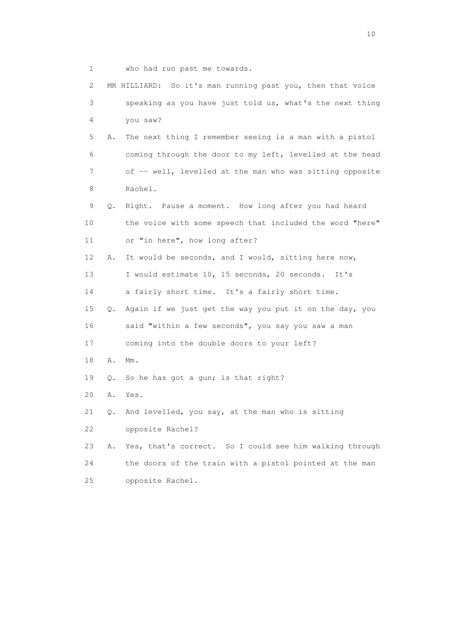1 who had run past me towards. 2 MR HILLIARD: So it's man running past you, then that voice 3 speaking as you have just told us, what's the next thing 4 you saw? 5 A. The next thing I remember seeing is a man with a pistol 6 coming through the door to my left, levelled at the head 7 of -- well, levelled at the man who was sitting opposite 8 Rachel. 9 Q. Right. Pause a moment. How long after you had heard 10 the voice with some speech that included the word "here" 11 or "in here", how long after? 12 A. It would be seconds, and I would, sitting here now, 13 I would estimate 10, 15 seconds, 20 seconds. It's 14 a fairly short time. It's a fairly short time. 15 Q. Again if we just get the way you put it on the day, you 16 said "within a few seconds", you say you saw a man 17 coming into the double doors to your left? 18 A. Mm. 19 Q. So he has got a gun; is that right? 20 A. Yes. 21 Q. And levelled, you say, at the man who is sitting 22 opposite Rachel? 23 A. Yes, that's correct. So I could see him walking through 24 the doors of the train with a pistol pointed at the man 25 opposite Rachel.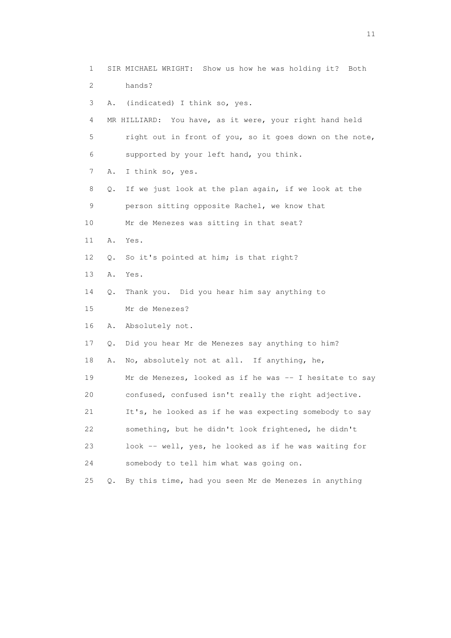| 1  |           | SIR MICHAEL WRIGHT: Show us how he was holding it? Both |
|----|-----------|---------------------------------------------------------|
| 2  |           | hands?                                                  |
| 3  |           | A. (indicated) I think so, yes.                         |
| 4  |           | MR HILLIARD: You have, as it were, your right hand held |
| 5  |           | right out in front of you, so it goes down on the note, |
| 6  |           | supported by your left hand, you think.                 |
| 7  | Α.        | I think so, yes.                                        |
| 8  | Q.        | If we just look at the plan again, if we look at the    |
| 9  |           | person sitting opposite Rachel, we know that            |
| 10 |           | Mr de Menezes was sitting in that seat?                 |
| 11 | Α.        | Yes.                                                    |
| 12 | $\circ$ . | So it's pointed at him; is that right?                  |
| 13 | Α.        | Yes.                                                    |
| 14 | Q.        | Thank you. Did you hear him say anything to             |
| 15 |           | Mr de Menezes?                                          |
| 16 | Α.        | Absolutely not.                                         |
| 17 | Q.        | Did you hear Mr de Menezes say anything to him?         |
| 18 | Α.        | No, absolutely not at all. If anything, he,             |
| 19 |           | Mr de Menezes, looked as if he was -- I hesitate to say |
| 20 |           | confused, confused isn't really the right adjective.    |
| 21 |           | It's, he looked as if he was expecting somebody to say  |
| 22 |           | something, but he didn't look frightened, he didn't     |
| 23 |           | look -- well, yes, he looked as if he was waiting for   |
| 24 |           | somebody to tell him what was going on.                 |
| 25 | $\circ$ . | By this time, had you seen Mr de Menezes in anything    |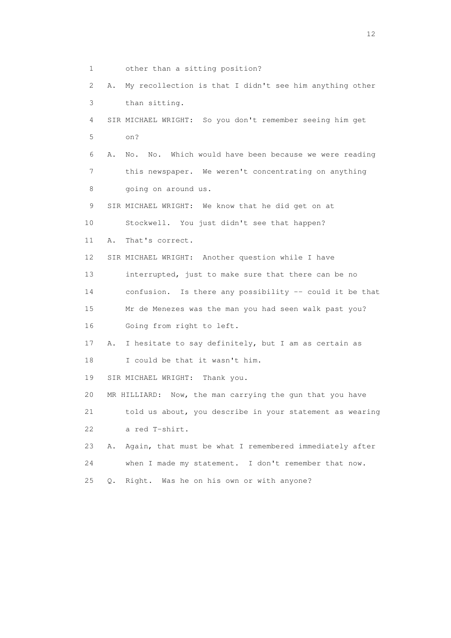1 other than a sitting position? 2 A. My recollection is that I didn't see him anything other 3 than sitting. 4 SIR MICHAEL WRIGHT: So you don't remember seeing him get 5 on? 6 A. No. No. Which would have been because we were reading 7 this newspaper. We weren't concentrating on anything 8 going on around us. 9 SIR MICHAEL WRIGHT: We know that he did get on at 10 Stockwell. You just didn't see that happen? 11 A. That's correct. 12 SIR MICHAEL WRIGHT: Another question while I have 13 interrupted, just to make sure that there can be no 14 confusion. Is there any possibility -- could it be that 15 Mr de Menezes was the man you had seen walk past you? 16 Going from right to left. 17 A. I hesitate to say definitely, but I am as certain as 18 I could be that it wasn't him. 19 SIR MICHAEL WRIGHT: Thank you. 20 MR HILLIARD: Now, the man carrying the gun that you have 21 told us about, you describe in your statement as wearing 22 a red T-shirt. 23 A. Again, that must be what I remembered immediately after 24 when I made my statement. I don't remember that now. 25 Q. Right. Was he on his own or with anyone?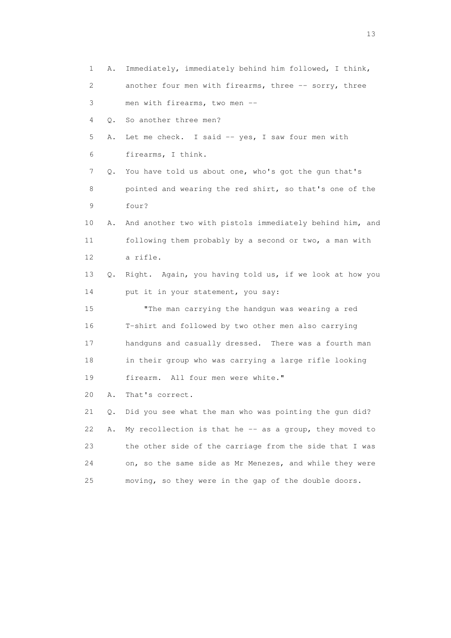1 A. Immediately, immediately behind him followed, I think, 2 another four men with firearms, three -- sorry, three 3 men with firearms, two men -- 4 Q. So another three men? 5 A. Let me check. I said -- yes, I saw four men with 6 firearms, I think. 7 Q. You have told us about one, who's got the gun that's 8 pointed and wearing the red shirt, so that's one of the 9 four? 10 A. And another two with pistols immediately behind him, and 11 following them probably by a second or two, a man with 12 a rifle. 13 Q. Right. Again, you having told us, if we look at how you 14 put it in your statement, you say: 15 "The man carrying the handgun was wearing a red 16 T-shirt and followed by two other men also carrying 17 handguns and casually dressed. There was a fourth man 18 in their group who was carrying a large rifle looking 19 firearm. All four men were white." 20 A. That's correct. 21 Q. Did you see what the man who was pointing the gun did? 22 A. My recollection is that he -- as a group, they moved to 23 the other side of the carriage from the side that I was 24 on, so the same side as Mr Menezes, and while they were 25 moving, so they were in the gap of the double doors.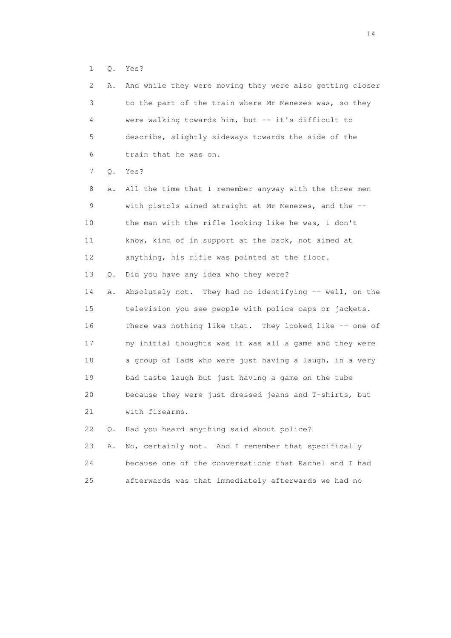1 Q. Yes?

| $\mathbf{2}^{\mathsf{I}}$ | Α. | And while they were moving they were also getting closer |
|---------------------------|----|----------------------------------------------------------|
| 3                         |    | to the part of the train where Mr Menezes was, so they   |
| 4                         |    | were walking towards him, but -- it's difficult to       |
| 5                         |    | describe, slightly sideways towards the side of the      |
| 6                         |    | train that he was on.                                    |
| 7                         | Q. | Yes?                                                     |
| 8                         | Α. | All the time that I remember anyway with the three men   |
| 9                         |    | with pistols aimed straight at Mr Menezes, and the --    |
| 10                        |    | the man with the rifle looking like he was, I don't      |
| 11                        |    | know, kind of in support at the back, not aimed at       |
| 12                        |    | anything, his rifle was pointed at the floor.            |
| 13                        | Q. | Did you have any idea who they were?                     |
| 14                        | Α. | Absolutely not. They had no identifying -- well, on the  |
| 15                        |    | television you see people with police caps or jackets.   |
| 16                        |    | There was nothing like that. They looked like -- one of  |
| 17                        |    | my initial thoughts was it was all a game and they were  |
| 18                        |    | a group of lads who were just having a laugh, in a very  |
| 19                        |    | bad taste laugh but just having a game on the tube       |
| 20                        |    | because they were just dressed jeans and T-shirts, but   |
| 21                        |    | with firearms.                                           |
| 22                        | Q. | Had you heard anything said about police?                |
| 23                        | Α. | No, certainly not. And I remember that specifically      |
| 24                        |    | because one of the conversations that Rachel and I had   |
| 25                        |    | afterwards was that immediately afterwards we had no     |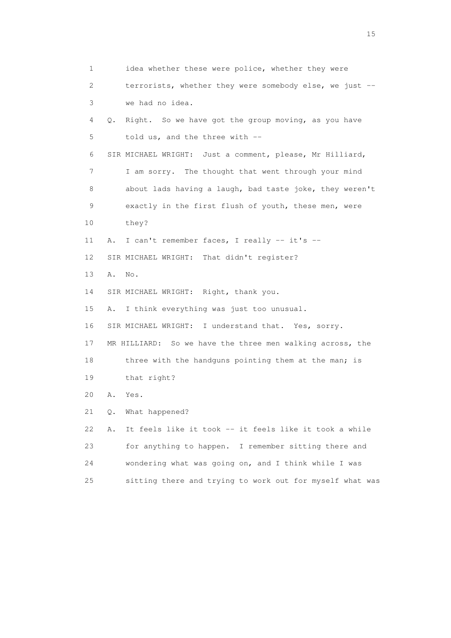1 idea whether these were police, whether they were 2 terrorists, whether they were somebody else, we just -- 3 we had no idea. 4 Q. Right. So we have got the group moving, as you have 5 told us, and the three with -- 6 SIR MICHAEL WRIGHT: Just a comment, please, Mr Hilliard, 7 I am sorry. The thought that went through your mind 8 about lads having a laugh, bad taste joke, they weren't 9 exactly in the first flush of youth, these men, were 10 they? 11 A. I can't remember faces, I really -- it's -- 12 SIR MICHAEL WRIGHT: That didn't register? 13 A. No. 14 SIR MICHAEL WRIGHT: Right, thank you. 15 A. I think everything was just too unusual. 16 SIR MICHAEL WRIGHT: I understand that. Yes, sorry. 17 MR HILLIARD: So we have the three men walking across, the 18 three with the handguns pointing them at the man; is 19 that right? 20 A. Yes. 21 Q. What happened? 22 A. It feels like it took -- it feels like it took a while 23 for anything to happen. I remember sitting there and 24 wondering what was going on, and I think while I was 25 sitting there and trying to work out for myself what was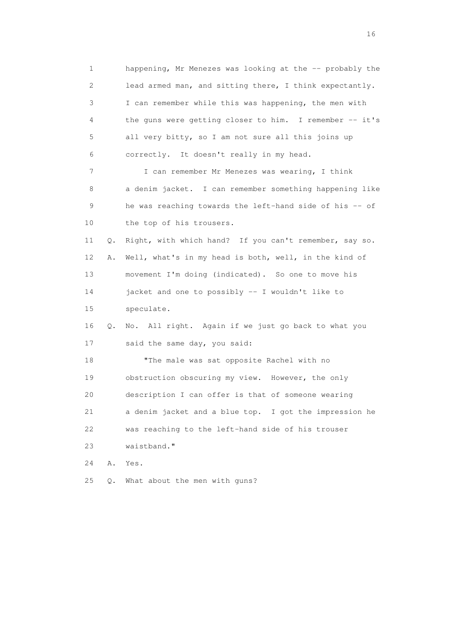1 happening, Mr Menezes was looking at the -- probably the 2 lead armed man, and sitting there, I think expectantly. 3 I can remember while this was happening, the men with 4 the guns were getting closer to him. I remember -- it's 5 all very bitty, so I am not sure all this joins up 6 correctly. It doesn't really in my head. 7 I can remember Mr Menezes was wearing, I think 8 a denim jacket. I can remember something happening like 9 he was reaching towards the left-hand side of his -- of 10 the top of his trousers. 11 Q. Right, with which hand? If you can't remember, say so. 12 A. Well, what's in my head is both, well, in the kind of 13 movement I'm doing (indicated). So one to move his 14 jacket and one to possibly -- I wouldn't like to 15 speculate. 16 Q. No. All right. Again if we just go back to what you 17 said the same day, you said: 18 "The male was sat opposite Rachel with no 19 obstruction obscuring my view. However, the only 20 description I can offer is that of someone wearing 21 a denim jacket and a blue top. I got the impression he 22 was reaching to the left-hand side of his trouser 23 waistband." 24 A. Yes. 25 Q. What about the men with guns?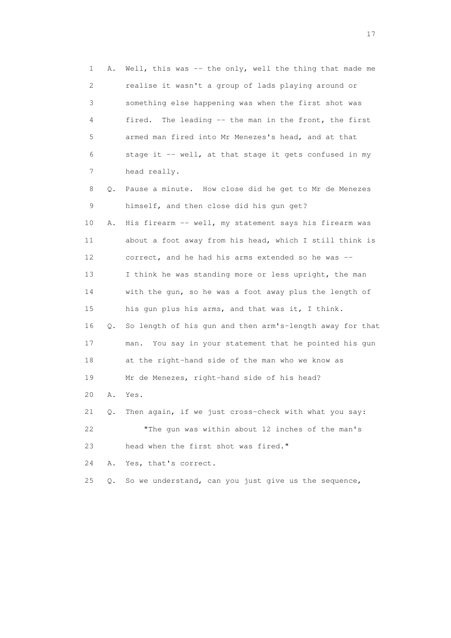1 A. Well, this was -- the only, well the thing that made me 2 realise it wasn't a group of lads playing around or 3 something else happening was when the first shot was 4 fired. The leading -- the man in the front, the first 5 armed man fired into Mr Menezes's head, and at that 6 stage it -- well, at that stage it gets confused in my 7 head really. 8 Q. Pause a minute. How close did he get to Mr de Menezes 9 himself, and then close did his gun get? 10 A. His firearm -- well, my statement says his firearm was 11 about a foot away from his head, which I still think is 12 correct, and he had his arms extended so he was -- 13 I think he was standing more or less upright, the man 14 with the gun, so he was a foot away plus the length of 15 his gun plus his arms, and that was it, I think. 16 Q. So length of his gun and then arm's-length away for that 17 man. You say in your statement that he pointed his gun 18 at the right-hand side of the man who we know as 19 Mr de Menezes, right-hand side of his head? 20 A. Yes. 21 Q. Then again, if we just cross-check with what you say: 22 "The gun was within about 12 inches of the man's 23 head when the first shot was fired." 24 A. Yes, that's correct. 25 Q. So we understand, can you just give us the sequence,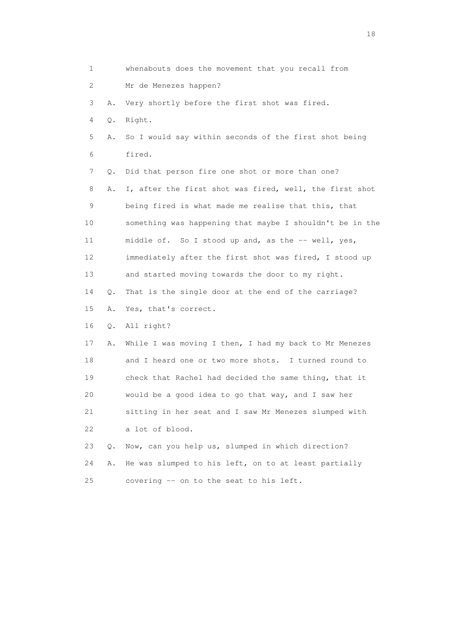1 whenabouts does the movement that you recall from 2 Mr de Menezes happen? 3 A. Very shortly before the first shot was fired. 4 Q. Right. 5 A. So I would say within seconds of the first shot being 6 fired. 7 Q. Did that person fire one shot or more than one? 8 A. I, after the first shot was fired, well, the first shot 9 being fired is what made me realise that this, that 10 something was happening that maybe I shouldn't be in the 11 middle of. So I stood up and, as the -- well, yes, 12 immediately after the first shot was fired, I stood up 13 and started moving towards the door to my right. 14 Q. That is the single door at the end of the carriage? 15 A. Yes, that's correct. 16 Q. All right? 17 A. While I was moving I then, I had my back to Mr Menezes 18 and I heard one or two more shots. I turned round to 19 check that Rachel had decided the same thing, that it 20 would be a good idea to go that way, and I saw her 21 sitting in her seat and I saw Mr Menezes slumped with 22 a lot of blood. 23 Q. Now, can you help us, slumped in which direction? 24 A. He was slumped to his left, on to at least partially 25 covering -- on to the seat to his left.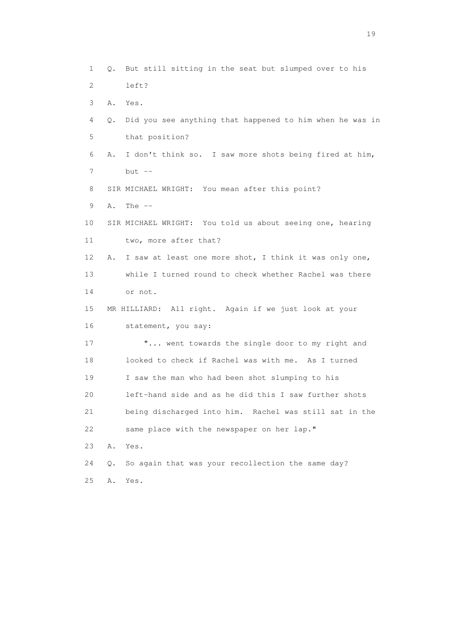1 Q. But still sitting in the seat but slumped over to his 2 left? 3 A. Yes. 4 Q. Did you see anything that happened to him when he was in 5 that position? 6 A. I don't think so. I saw more shots being fired at him,  $7$  but  $-$  8 SIR MICHAEL WRIGHT: You mean after this point? 9 A. The -- 10 SIR MICHAEL WRIGHT: You told us about seeing one, hearing 11 two, more after that? 12 A. I saw at least one more shot, I think it was only one, 13 while I turned round to check whether Rachel was there 14 or not. 15 MR HILLIARD: All right. Again if we just look at your 16 statement, you say: 17 "... went towards the single door to my right and 18 looked to check if Rachel was with me. As I turned 19 I saw the man who had been shot slumping to his 20 left-hand side and as he did this I saw further shots 21 being discharged into him. Rachel was still sat in the 22 same place with the newspaper on her lap." 23 A. Yes. 24 Q. So again that was your recollection the same day? 25 A. Yes.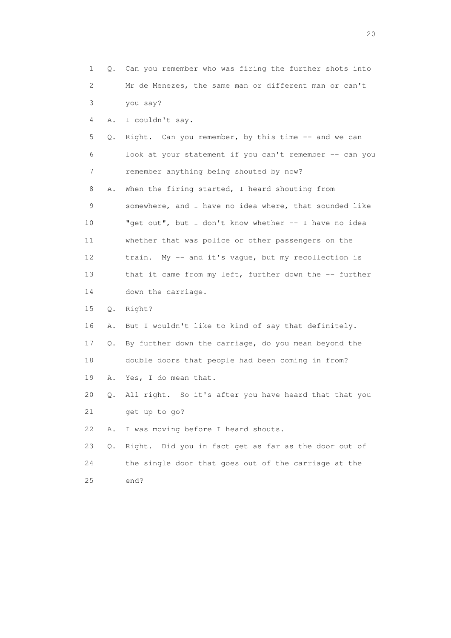| $\mathbf{1}$ |       | Q. Can you remember who was firing the further shots into |
|--------------|-------|-----------------------------------------------------------|
| 2            |       | Mr de Menezes, the same man or different man or can't     |
| 3            |       | you say?                                                  |
| 4            | Α.    | I couldn't say.                                           |
| 5            | Q.    | Right. Can you remember, by this time -- and we can       |
| 6            |       | look at your statement if you can't remember -- can you   |
| 7            |       | remember anything being shouted by now?                   |
| 8            | Α.    | When the firing started, I heard shouting from            |
| 9            |       | somewhere, and I have no idea where, that sounded like    |
| 10           |       | "get out", but I don't know whether -- I have no idea     |
| 11           |       | whether that was police or other passengers on the        |
| 12           |       | My -- and it's vague, but my recollection is<br>train.    |
| 13           |       | that it came from my left, further down the -- further    |
| 14           |       | down the carriage.                                        |
| 15           | $Q$ . | Right?                                                    |
| 16           | Α.    | But I wouldn't like to kind of say that definitely.       |
| 17           | Q.    | By further down the carriage, do you mean beyond the      |
| 18           |       | double doors that people had been coming in from?         |
| 19           | Α.    | Yes, I do mean that.                                      |
| 20           | Q.    | All right. So it's after you have heard that that you     |
| 21           |       | get up to go?                                             |
| 22           | Α.    | I was moving before I heard shouts.                       |
| 23           | Q.    | Right. Did you in fact get as far as the door out of      |
| 24           |       | the single door that goes out of the carriage at the      |
| 25           |       | end?                                                      |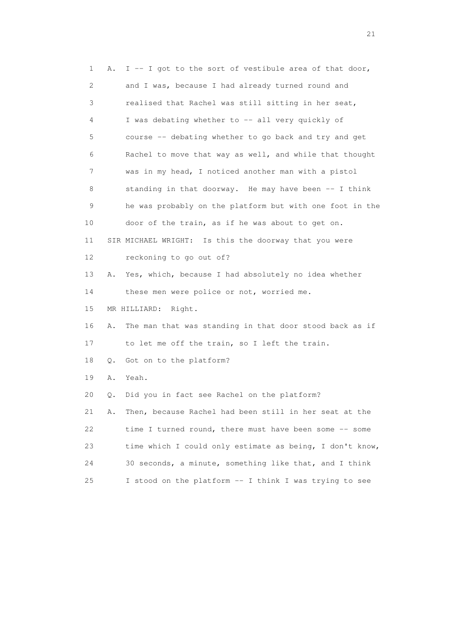| 1  | Α. | I -- I got to the sort of vestibule area of that door,   |
|----|----|----------------------------------------------------------|
| 2  |    | and I was, because I had already turned round and        |
| 3  |    | realised that Rachel was still sitting in her seat,      |
| 4  |    | I was debating whether to -- all very quickly of         |
| 5  |    | course -- debating whether to go back and try and get    |
| 6  |    | Rachel to move that way as well, and while that thought  |
| 7  |    | was in my head, I noticed another man with a pistol      |
| 8  |    | standing in that doorway. He may have been -- I think    |
| 9  |    | he was probably on the platform but with one foot in the |
| 10 |    | door of the train, as if he was about to get on.         |
| 11 |    | SIR MICHAEL WRIGHT: Is this the doorway that you were    |
| 12 |    | reckoning to go out of?                                  |
| 13 | Α. | Yes, which, because I had absolutely no idea whether     |
| 14 |    | these men were police or not, worried me.                |
| 15 |    | MR HILLIARD: Right.                                      |
| 16 | Α. | The man that was standing in that door stood back as if  |
| 17 |    | to let me off the train, so I left the train.            |
| 18 | Q. | Got on to the platform?                                  |
| 19 | Α. | Yeah.                                                    |
| 20 | Q. | Did you in fact see Rachel on the platform?              |
| 21 | Α. | Then, because Rachel had been still in her seat at the   |
| 22 |    | time I turned round, there must have been some -- some   |
| 23 |    | time which I could only estimate as being, I don't know, |
| 24 |    | 30 seconds, a minute, something like that, and I think   |
| 25 |    | I stood on the platform -- I think I was trying to see   |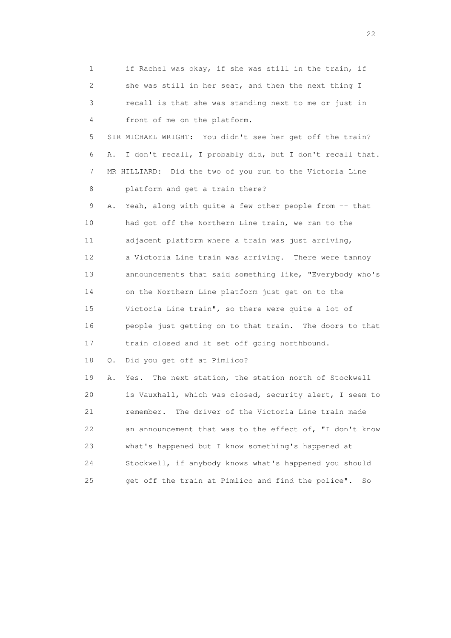| 1                         | if Rachel was okay, if she was still in the train, if          |
|---------------------------|----------------------------------------------------------------|
| $\mathbf{2}^{\mathsf{I}}$ | she was still in her seat, and then the next thing I           |
| 3                         | recall is that she was standing next to me or just in          |
| 4                         | front of me on the platform.                                   |
| 5                         | SIR MICHAEL WRIGHT: You didn't see her get off the train?      |
| 6                         | I don't recall, I probably did, but I don't recall that.<br>Α. |
| 7                         | MR HILLIARD: Did the two of you run to the Victoria Line       |
| 8                         | platform and get a train there?                                |
| 9                         | Yeah, along with quite a few other people from -- that<br>Α.   |
| 10                        | had got off the Northern Line train, we ran to the             |
| 11                        | adjacent platform where a train was just arriving,             |
| 12                        | a Victoria Line train was arriving. There were tannoy          |
| 13                        | announcements that said something like, "Everybody who's       |
| 14                        | on the Northern Line platform just get on to the               |
| 15                        | Victoria Line train", so there were quite a lot of             |
| 16                        | people just getting on to that train. The doors to that        |
| 17                        | train closed and it set off going northbound.                  |
| 18                        | Did you get off at Pimlico?<br>Q.                              |
| 19                        | The next station, the station north of Stockwell<br>Α.<br>Yes. |
| 20                        | is Vauxhall, which was closed, security alert, I seem to       |
| 21                        | The driver of the Victoria Line train made<br>remember.        |
| 22                        | an announcement that was to the effect of, "I don't know       |
| 23                        | what's happened but I know something's happened at             |
| 24                        | Stockwell, if anybody knows what's happened you should         |
| 25                        | get off the train at Pimlico and find the police".<br>So       |

22 and 22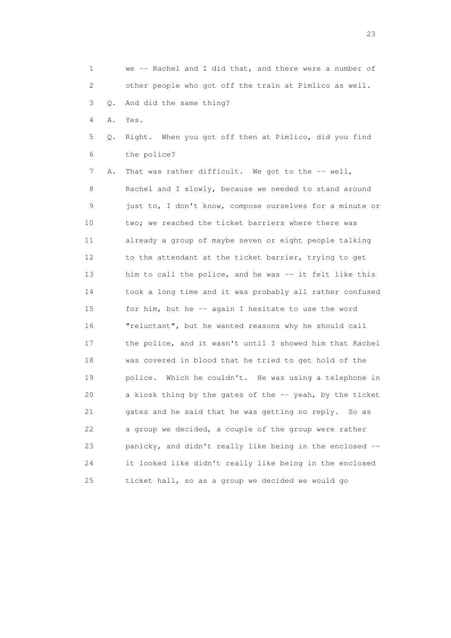1 we -- Rachel and I did that, and there were a number of 2 other people who got off the train at Pimlico as well. 3 Q. And did the same thing? 4 A. Yes. 5 Q. Right. When you got off then at Pimlico, did you find 6 the police? 7 A. That was rather difficult. We got to the -- well, 8 Rachel and I slowly, because we needed to stand around 9 just to, I don't know, compose ourselves for a minute or 10 two; we reached the ticket barriers where there was 11 already a group of maybe seven or eight people talking 12 to the attendant at the ticket barrier, trying to get 13 him to call the police, and he was -- it felt like this 14 took a long time and it was probably all rather confused 15 for him, but he -- again I hesitate to use the word 16 "reluctant", but he wanted reasons why he should call 17 the police, and it wasn't until I showed him that Rachel 18 was covered in blood that he tried to get hold of the 19 police. Which he couldn't. He was using a telephone in 20 a kiosk thing by the gates of the -- yeah, by the ticket

21 gates and he said that he was getting no reply. So as

22 a group we decided, a couple of the group were rather

23 panicky, and didn't really like being in the enclosed --

24 it looked like didn't really like being in the enclosed

25 ticket hall, so as a group we decided we would go

23 and 23 and 23 and 23 and 23 and 23 and 23 and 23 and 23 and 23 and 23 and 23 and 23 and 23 and 23 and 23 and 24 and 25 and 25 and 25 and 26 and 26 and 26 and 26 and 26 and 26 and 26 and 26 and 26 and 26 and 26 and 26 an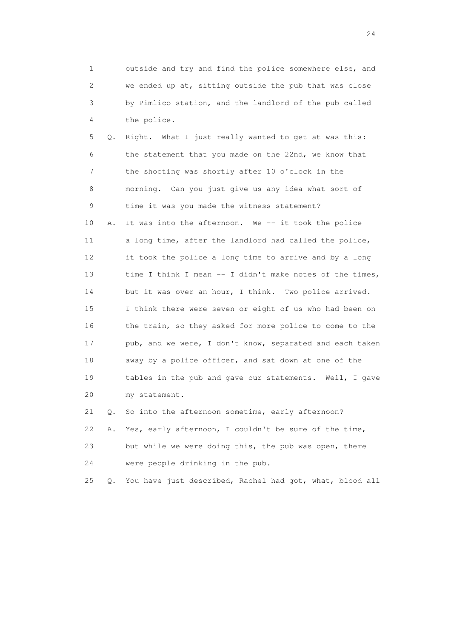1 outside and try and find the police somewhere else, and 2 we ended up at, sitting outside the pub that was close 3 by Pimlico station, and the landlord of the pub called 4 the police.

 5 Q. Right. What I just really wanted to get at was this: 6 the statement that you made on the 22nd, we know that 7 the shooting was shortly after 10 o'clock in the 8 morning. Can you just give us any idea what sort of 9 time it was you made the witness statement? 10 A. It was into the afternoon. We -- it took the police 11 a long time, after the landlord had called the police, 12 it took the police a long time to arrive and by a long 13 time I think I mean -- I didn't make notes of the times, 14 but it was over an hour, I think. Two police arrived. 15 I think there were seven or eight of us who had been on 16 the train, so they asked for more police to come to the 17 pub, and we were, I don't know, separated and each taken 18 away by a police officer, and sat down at one of the 19 tables in the pub and gave our statements. Well, I gave 20 my statement.

 21 Q. So into the afternoon sometime, early afternoon? 22 A. Yes, early afternoon, I couldn't be sure of the time, 23 but while we were doing this, the pub was open, there 24 were people drinking in the pub.

25 Q. You have just described, Rachel had got, what, blood all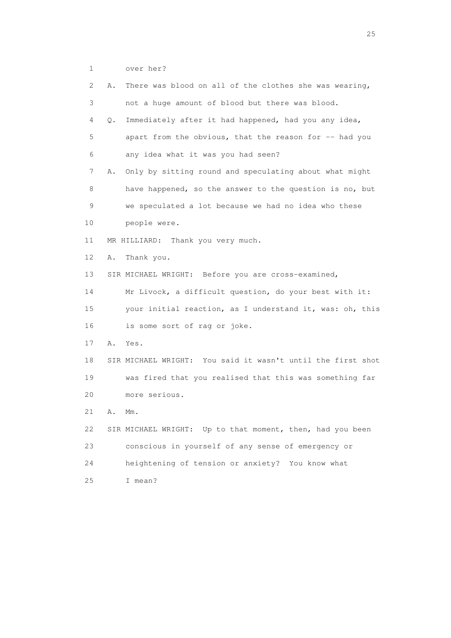1 over her?

| 2           | Α. | There was blood on all of the clothes she was wearing,      |
|-------------|----|-------------------------------------------------------------|
| 3           |    | not a huge amount of blood but there was blood.             |
| 4           | Q. | Immediately after it had happened, had you any idea,        |
| 5           |    | apart from the obvious, that the reason for -- had you      |
| 6           |    | any idea what it was you had seen?                          |
| 7           | Α. | Only by sitting round and speculating about what might      |
| 8           |    | have happened, so the answer to the question is no, but     |
| $\mathsf 9$ |    | we speculated a lot because we had no idea who these        |
| 10          |    | people were.                                                |
| 11          |    | MR HILLIARD: Thank you very much.                           |
| 12          | Α. | Thank you.                                                  |
| 13          |    | SIR MICHAEL WRIGHT: Before you are cross-examined,          |
| 14          |    | Mr Livock, a difficult question, do your best with it:      |
| 15          |    | your initial reaction, as I understand it, was: oh, this    |
| 16          |    | is some sort of rag or joke.                                |
| 17          | Α. | Yes.                                                        |
| 18          |    | SIR MICHAEL WRIGHT: You said it wasn't until the first shot |
| 19          |    | was fired that you realised that this was something far     |
| 20          |    | more serious.                                               |
| 21          | Α. | $Mm$ .                                                      |
| 22          |    | SIR MICHAEL WRIGHT: Up to that moment, then, had you been   |
| 23          |    | conscious in yourself of any sense of emergency or          |
| 24          |    | heightening of tension or anxiety? You know what            |
| 25          |    | I mean?                                                     |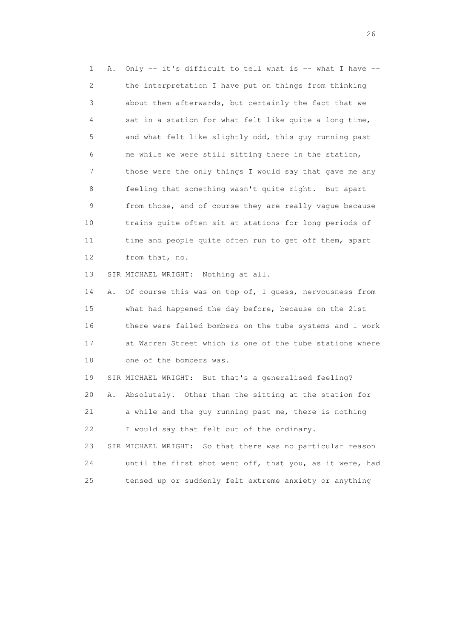1 A. Only -- it's difficult to tell what is -- what I have -- 2 the interpretation I have put on things from thinking 3 about them afterwards, but certainly the fact that we 4 sat in a station for what felt like quite a long time, 5 and what felt like slightly odd, this guy running past 6 me while we were still sitting there in the station, 7 those were the only things I would say that gave me any 8 feeling that something wasn't quite right. But apart 9 from those, and of course they are really vague because 10 trains quite often sit at stations for long periods of 11 time and people quite often run to get off them, apart 12 from that, no.

13 SIR MICHAEL WRIGHT: Nothing at all.

 14 A. Of course this was on top of, I guess, nervousness from 15 what had happened the day before, because on the 21st 16 there were failed bombers on the tube systems and I work 17 at Warren Street which is one of the tube stations where 18 one of the bombers was.

 19 SIR MICHAEL WRIGHT: But that's a generalised feeling? 20 A. Absolutely. Other than the sitting at the station for 21 a while and the guy running past me, there is nothing 22 I would say that felt out of the ordinary. 23 SIR MICHAEL WRIGHT: So that there was no particular reason

 24 until the first shot went off, that you, as it were, had 25 tensed up or suddenly felt extreme anxiety or anything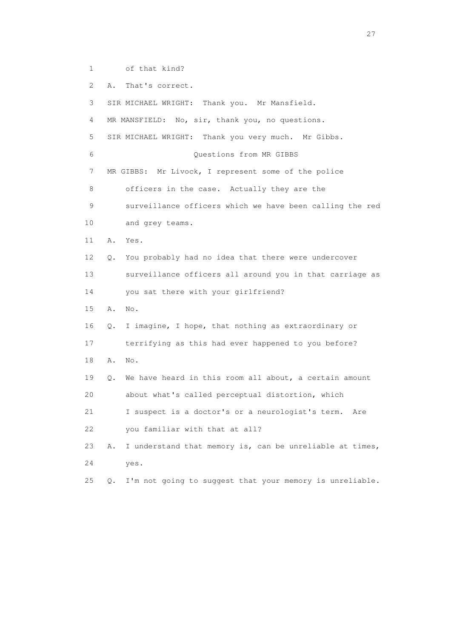1 of that kind?

2 A. That's correct.

 3 SIR MICHAEL WRIGHT: Thank you. Mr Mansfield. 4 MR MANSFIELD: No, sir, thank you, no questions. 5 SIR MICHAEL WRIGHT: Thank you very much. Mr Gibbs. 6 Questions from MR GIBBS 7 MR GIBBS: Mr Livock, I represent some of the police

8 officers in the case. Actually they are the

 9 surveillance officers which we have been calling the red 10 and grey teams.

11 A. Yes.

12 Q. You probably had no idea that there were undercover

13 surveillance officers all around you in that carriage as

14 you sat there with your girlfriend?

15 A. No.

16 Q. I imagine, I hope, that nothing as extraordinary or

17 terrifying as this had ever happened to you before?

18 A. No.

 19 Q. We have heard in this room all about, a certain amount 20 about what's called perceptual distortion, which

21 I suspect is a doctor's or a neurologist's term. Are

22 you familiar with that at all?

 23 A. I understand that memory is, can be unreliable at times, 24 yes.

25 Q. I'm not going to suggest that your memory is unreliable.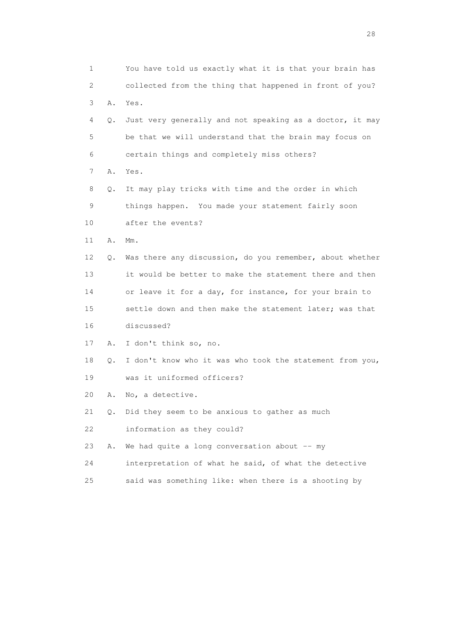| 1  |    | You have told us exactly what it is that your brain has  |
|----|----|----------------------------------------------------------|
| 2  |    | collected from the thing that happened in front of you?  |
| 3  | Α. | Yes.                                                     |
| 4  | Q. | Just very generally and not speaking as a doctor, it may |
| 5  |    | be that we will understand that the brain may focus on   |
| 6  |    | certain things and completely miss others?               |
| 7  | Α. | Yes.                                                     |
| 8  | Q. | It may play tricks with time and the order in which      |
| 9  |    | things happen. You made your statement fairly soon       |
| 10 |    | after the events?                                        |
| 11 | Α. | $Mm$ .                                                   |
| 12 | Q. | Was there any discussion, do you remember, about whether |
| 13 |    | it would be better to make the statement there and then  |
| 14 |    | or leave it for a day, for instance, for your brain to   |
| 15 |    | settle down and then make the statement later; was that  |
| 16 |    | discussed?                                               |
| 17 | Α. | I don't think so, no.                                    |
| 18 | Q. | I don't know who it was who took the statement from you, |
| 19 |    | was it uniformed officers?                               |
| 20 | Α. | No, a detective.                                         |
| 21 | Q. | Did they seem to be anxious to gather as much            |
| 22 |    | information as they could?                               |
| 23 | Α. | We had quite a long conversation about $--$ my           |
| 24 |    | interpretation of what he said, of what the detective    |
| 25 |    | said was something like: when there is a shooting by     |

28 and 28 and 28 and 28 and 28 and 28 and 28 and 28 and 28 and 28 and 28 and 28 and 28 and 28 and 28 and 28 and 28 and 28 and 28 and 28 and 28 and 28 and 28 and 28 and 28 and 28 and 28 and 28 and 28 and 28 and 28 and 28 an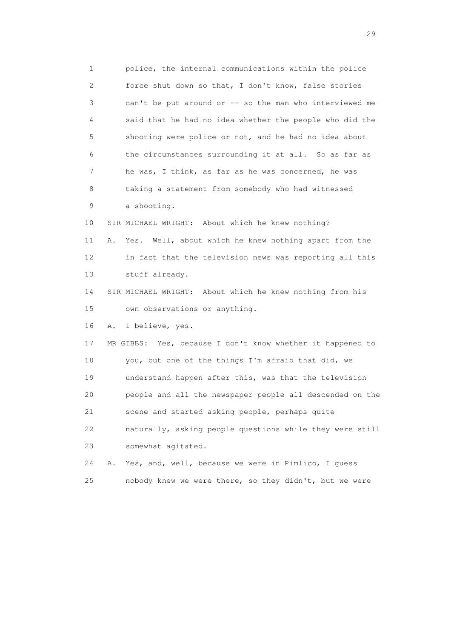1 police, the internal communications within the police 2 force shut down so that, I don't know, false stories 3 can't be put around or -- so the man who interviewed me 4 said that he had no idea whether the people who did the 5 shooting were police or not, and he had no idea about 6 the circumstances surrounding it at all. So as far as 7 he was, I think, as far as he was concerned, he was 8 taking a statement from somebody who had witnessed 9 a shooting. 10 SIR MICHAEL WRIGHT: About which he knew nothing? 11 A. Yes. Well, about which he knew nothing apart from the 12 in fact that the television news was reporting all this 13 stuff already. 14 SIR MICHAEL WRIGHT: About which he knew nothing from his 15 own observations or anything. 16 A. I believe, yes. 17 MR GIBBS: Yes, because I don't know whether it happened to 18 you, but one of the things I'm afraid that did, we 19 understand happen after this, was that the television 20 people and all the newspaper people all descended on the 21 scene and started asking people, perhaps quite 22 naturally, asking people questions while they were still 23 somewhat agitated. 24 A. Yes, and, well, because we were in Pimlico, I guess 25 nobody knew we were there, so they didn't, but we were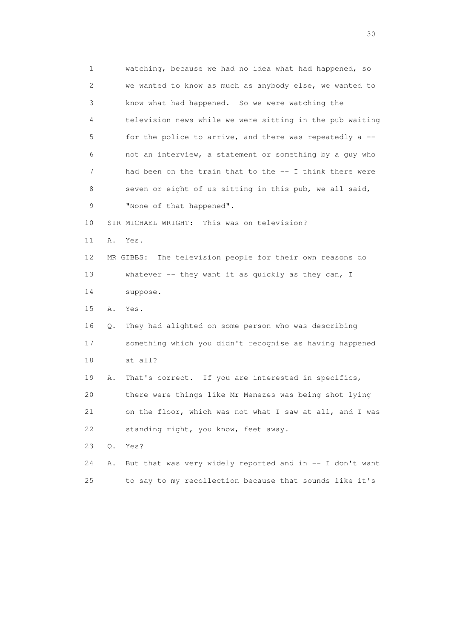1 watching, because we had no idea what had happened, so 2 we wanted to know as much as anybody else, we wanted to 3 know what had happened. So we were watching the 4 television news while we were sitting in the pub waiting 5 for the police to arrive, and there was repeatedly a -- 6 not an interview, a statement or something by a guy who 7 had been on the train that to the -- I think there were 8 seven or eight of us sitting in this pub, we all said, 9 "None of that happened". 10 SIR MICHAEL WRIGHT: This was on television? 11 A. Yes. 12 MR GIBBS: The television people for their own reasons do 13 whatever -- they want it as quickly as they can, I 14 suppose. 15 A. Yes. 16 Q. They had alighted on some person who was describing 17 something which you didn't recognise as having happened 18 at all? 19 A. That's correct. If you are interested in specifics, 20 there were things like Mr Menezes was being shot lying 21 on the floor, which was not what I saw at all, and I was 22 standing right, you know, feet away. 23 Q. Yes? 24 A. But that was very widely reported and in -- I don't want 25 to say to my recollection because that sounds like it's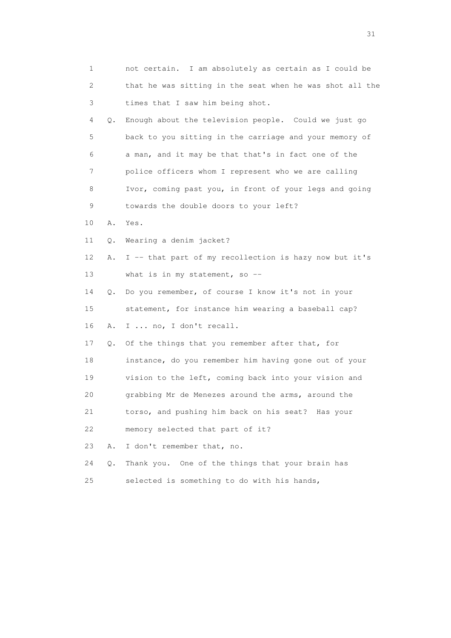| 1  |           | not certain. I am absolutely as certain as I could be    |
|----|-----------|----------------------------------------------------------|
| 2  |           | that he was sitting in the seat when he was shot all the |
| 3  |           | times that I saw him being shot.                         |
| 4  | Q.        | Enough about the television people. Could we just go     |
| 5  |           | back to you sitting in the carriage and your memory of   |
| 6  |           | a man, and it may be that that's in fact one of the      |
| 7  |           | police officers whom I represent who we are calling      |
| 8  |           | Ivor, coming past you, in front of your legs and going   |
| 9  |           | towards the double doors to your left?                   |
| 10 | Α.        | Yes.                                                     |
| 11 | Q.        | Wearing a denim jacket?                                  |
| 12 | Α.        | I -- that part of my recollection is hazy now but it's   |
| 13 |           | what is in my statement, so $-$                          |
| 14 | $\circ$ . | Do you remember, of course I know it's not in your       |
| 15 |           | statement, for instance him wearing a baseball cap?      |
| 16 | Α.        | I  no, I don't recall.                                   |
| 17 | Q.        | Of the things that you remember after that, for          |
| 18 |           | instance, do you remember him having gone out of your    |
| 19 |           | vision to the left, coming back into your vision and     |
| 20 |           | grabbing Mr de Menezes around the arms, around the       |
| 21 |           | torso, and pushing him back on his seat? Has your        |
| 22 |           | memory selected that part of it?                         |
| 23 | Α.        | I don't remember that, no.                               |
| 24 | $Q$ .     | One of the things that your brain has<br>Thank you.      |
| 25 |           | selected is something to do with his hands,              |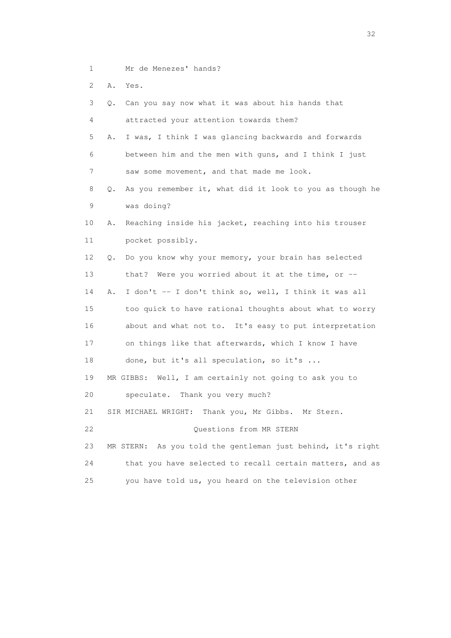- 1 Mr de Menezes' hands?
- 2 A. Yes.

| 3               | Q.        | Can you say now what it was about his hands that            |
|-----------------|-----------|-------------------------------------------------------------|
| 4               |           | attracted your attention towards them?                      |
| 5               | Α.        | I was, I think I was glancing backwards and forwards        |
| 6               |           | between him and the men with guns, and I think I just       |
| 7               |           | saw some movement, and that made me look.                   |
| 8               | $\circ$ . | As you remember it, what did it look to you as though he    |
| 9               |           | was doing?                                                  |
| 10              | Α.        | Reaching inside his jacket, reaching into his trouser       |
| 11              |           | pocket possibly.                                            |
| 12 <sup>°</sup> | Q.        | Do you know why your memory, your brain has selected        |
| 13              |           | that? Were you worried about it at the time, or $-$         |
| 14              | Α.        | I don't -- I don't think so, well, I think it was all       |
| 15              |           | too quick to have rational thoughts about what to worry     |
| 16              |           | about and what not to. It's easy to put interpretation      |
| 17              |           | on things like that afterwards, which I know I have         |
| 18              |           | done, but it's all speculation, so it's                     |
| 19              |           | MR GIBBS: Well, I am certainly not going to ask you to      |
| 20              |           | speculate. Thank you very much?                             |
| 21              |           | SIR MICHAEL WRIGHT: Thank you, Mr Gibbs. Mr Stern.          |
| 22              |           | Questions from MR STERN                                     |
| 23              |           | MR STERN: As you told the gentleman just behind, it's right |
| 24              |           | that you have selected to recall certain matters, and as    |
| 25              |           | you have told us, you heard on the television other         |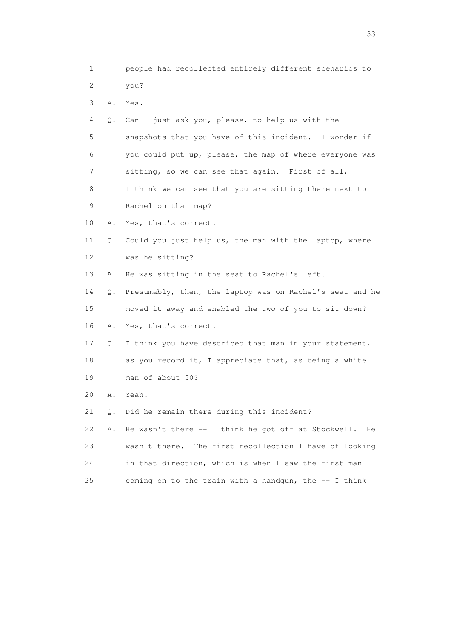- 1 people had recollected entirely different scenarios to 2 you? 3 A. Yes. 4 Q. Can I just ask you, please, to help us with the
- 5 snapshots that you have of this incident. I wonder if 6 you could put up, please, the map of where everyone was 7 sitting, so we can see that again. First of all, 8 I think we can see that you are sitting there next to
- 9 Rachel on that map?
- 10 A. Yes, that's correct.
- 11 Q. Could you just help us, the man with the laptop, where 12 was he sitting?
- 13 A. He was sitting in the seat to Rachel's left.

 14 Q. Presumably, then, the laptop was on Rachel's seat and he 15 moved it away and enabled the two of you to sit down? 16 A. Yes, that's correct.

- 17 Q. I think you have described that man in your statement, 18 as you record it, I appreciate that, as being a white 19 man of about 50?
- 20 A. Yeah.
- 21 Q. Did he remain there during this incident?
- 22 A. He wasn't there -- I think he got off at Stockwell. He 23 wasn't there. The first recollection I have of looking 24 in that direction, which is when I saw the first man 25 coming on to the train with a handgun, the  $-$ - I think

<u>33</u> and the state of the state of the state of the state of the state of the state of the state of the state of the state of the state of the state of the state of the state of the state of the state of the state of the s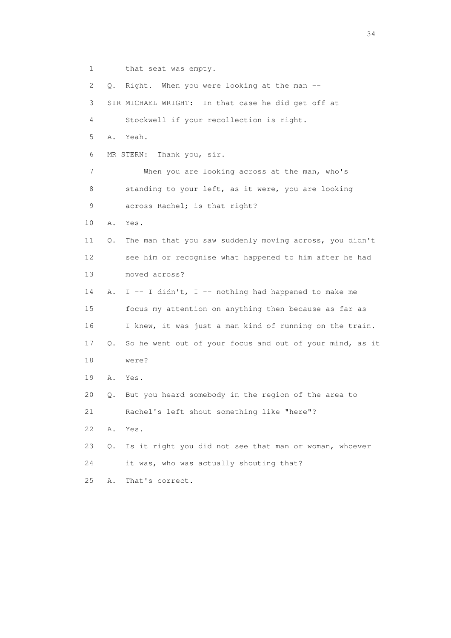1 that seat was empty.

 2 Q. Right. When you were looking at the man -- 3 SIR MICHAEL WRIGHT: In that case he did get off at 4 Stockwell if your recollection is right. 5 A. Yeah. 6 MR STERN: Thank you, sir. 7 When you are looking across at the man, who's 8 standing to your left, as it were, you are looking 9 across Rachel; is that right? 10 A. Yes. 11 Q. The man that you saw suddenly moving across, you didn't 12 see him or recognise what happened to him after he had 13 moved across? 14 A. I -- I didn't, I -- nothing had happened to make me 15 focus my attention on anything then because as far as 16 I knew, it was just a man kind of running on the train. 17 Q. So he went out of your focus and out of your mind, as it 18 were? 19 A. Yes. 20 Q. But you heard somebody in the region of the area to 21 Rachel's left shout something like "here"? 22 A. Yes. 23 Q. Is it right you did not see that man or woman, whoever 24 it was, who was actually shouting that? 25 A. That's correct.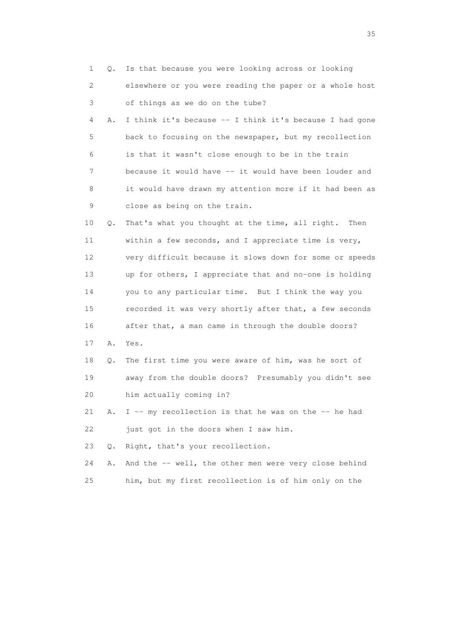| $\mathbf{1}$    | Q. | Is that because you were looking across or looking      |
|-----------------|----|---------------------------------------------------------|
| 2               |    | elsewhere or you were reading the paper or a whole host |
| 3               |    | of things as we do on the tube?                         |
| 4               | Α. | I think it's because -- I think it's because I had gone |
| 5               |    | back to focusing on the newspaper, but my recollection  |
| 6               |    | is that it wasn't close enough to be in the train       |
| 7               |    | because it would have -- it would have been louder and  |
| 8               |    | it would have drawn my attention more if it had been as |
| 9               |    | close as being on the train.                            |
| 10              | Q. | That's what you thought at the time, all right.<br>Then |
| 11              |    | within a few seconds, and I appreciate time is very,    |
| 12 <sup>°</sup> |    | very difficult because it slows down for some or speeds |
| 13              |    | up for others, I appreciate that and no-one is holding  |
| 14              |    | you to any particular time. But I think the way you     |
| 15              |    | recorded it was very shortly after that, a few seconds  |
| 16              |    | after that, a man came in through the double doors?     |
| 17              | Α. | Yes.                                                    |
| 18              | Q. | The first time you were aware of him, was he sort of    |
| 19              |    | away from the double doors? Presumably you didn't see   |
| 20              |    | him actually coming in?                                 |
| 21              | Α. | I -- my recollection is that he was on the -- he had    |
| 22              |    | just got in the doors when I saw him.                   |
| 23              | Q. | Right, that's your recollection.                        |
| 24              | Α. | And the -- well, the other men were very close behind   |
| 25              |    | him, but my first recollection is of him only on the    |

<u>35</u> and the state of the state of the state of the state of the state of the state of the state of the state of the state of the state of the state of the state of the state of the state of the state of the state of the s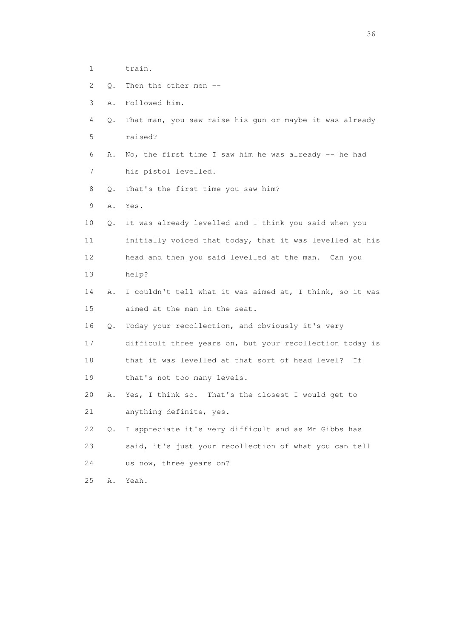- 1 train.
- 2 Q. Then the other men --
- 3 A. Followed him.
- 4 Q. That man, you saw raise his gun or maybe it was already 5 raised?
- 6 A. No, the first time I saw him he was already -- he had 7 his pistol levelled.
- 8 Q. That's the first time you saw him?
- 9 A. Yes.
- 10 Q. It was already levelled and I think you said when you 11 initially voiced that today, that it was levelled at his 12 head and then you said levelled at the man. Can you
- 13 help?
- 14 A. I couldn't tell what it was aimed at, I think, so it was 15 aimed at the man in the seat.
- 16 Q. Today your recollection, and obviously it's very
- 17 difficult three years on, but your recollection today is
- 18 that it was levelled at that sort of head level? If
- 19 that's not too many levels.
- 20 A. Yes, I think so. That's the closest I would get to 21 anything definite, yes.
- 22 Q. I appreciate it's very difficult and as Mr Gibbs has 23 said, it's just your recollection of what you can tell 24 us now, three years on?
- 
- 25 A. Yeah.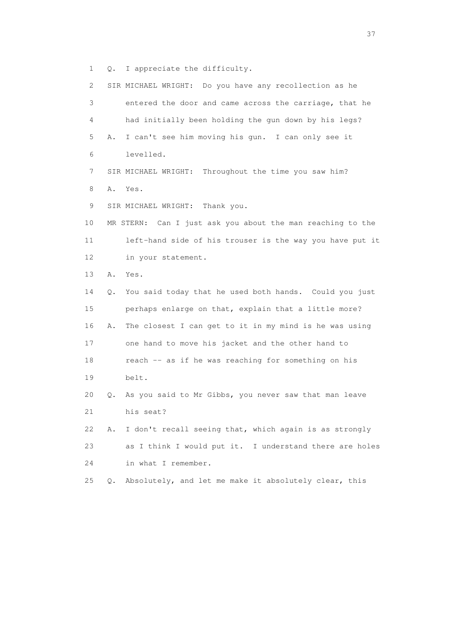1 Q. I appreciate the difficulty.

| 2  |    | SIR MICHAEL WRIGHT: Do you have any recollection as he     |
|----|----|------------------------------------------------------------|
| 3  |    | entered the door and came across the carriage, that he     |
| 4  |    | had initially been holding the gun down by his legs?       |
| 5  | Α. | I can't see him moving his gun. I can only see it          |
| 6  |    | levelled.                                                  |
| 7  |    | SIR MICHAEL WRIGHT: Throughout the time you saw him?       |
| 8  | Α. | Yes.                                                       |
| 9  |    | SIR MICHAEL WRIGHT:<br>Thank you.                          |
| 10 |    | MR STERN: Can I just ask you about the man reaching to the |
| 11 |    | left-hand side of his trouser is the way you have put it   |
| 12 |    | in your statement.                                         |
| 13 | Α. | Yes.                                                       |
| 14 | Q. | You said today that he used both hands. Could you just     |
| 15 |    | perhaps enlarge on that, explain that a little more?       |
| 16 | Α. | The closest I can get to it in my mind is he was using     |
| 17 |    | one hand to move his jacket and the other hand to          |
| 18 |    | reach -- as if he was reaching for something on his        |
| 19 |    | belt.                                                      |
| 20 | Q. | As you said to Mr Gibbs, you never saw that man leave      |
| 21 |    | his seat?                                                  |
| 22 | Α. | I don't recall seeing that, which again is as strongly     |
| 23 |    | as I think I would put it. I understand there are holes    |
| 24 |    | in what I remember.                                        |
| 25 | Q. | Absolutely, and let me make it absolutely clear, this      |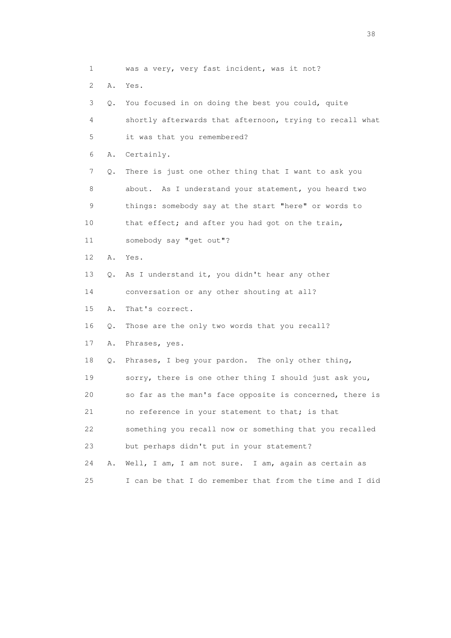1 was a very, very fast incident, was it not? 2 A. Yes. 3 Q. You focused in on doing the best you could, quite 4 shortly afterwards that afternoon, trying to recall what 5 it was that you remembered? 6 A. Certainly. 7 Q. There is just one other thing that I want to ask you 8 about. As I understand your statement, you heard two 9 things: somebody say at the start "here" or words to 10 that effect; and after you had got on the train, 11 somebody say "get out"? 12 A. Yes. 13 Q. As I understand it, you didn't hear any other 14 conversation or any other shouting at all? 15 A. That's correct. 16 Q. Those are the only two words that you recall? 17 A. Phrases, yes. 18 Q. Phrases, I beg your pardon. The only other thing, 19 sorry, there is one other thing I should just ask you, 20 so far as the man's face opposite is concerned, there is 21 no reference in your statement to that; is that 22 something you recall now or something that you recalled 23 but perhaps didn't put in your statement? 24 A. Well, I am, I am not sure. I am, again as certain as 25 I can be that I do remember that from the time and I did

and the state of the state of the state of the state of the state of the state of the state of the state of the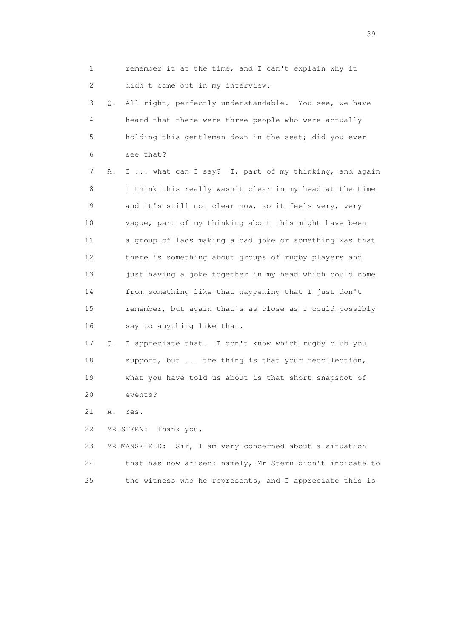1 remember it at the time, and I can't explain why it 2 didn't come out in my interview. 3 Q. All right, perfectly understandable. You see, we have 4 heard that there were three people who were actually 5 holding this gentleman down in the seat; did you ever 6 see that? 7 A. I ... what can I say? I, part of my thinking, and again 8 I think this really wasn't clear in my head at the time 9 and it's still not clear now, so it feels very, very 10 vague, part of my thinking about this might have been 11 a group of lads making a bad joke or something was that 12 there is something about groups of rugby players and 13 just having a joke together in my head which could come 14 from something like that happening that I just don't 15 remember, but again that's as close as I could possibly 16 say to anything like that. 17 Q. I appreciate that. I don't know which rugby club you 18 support, but ... the thing is that your recollection,

20 events?

21 A. Yes.

22 MR STERN: Thank you.

| 23 | MR MANSFIELD: Sir, I am very concerned about a situation |
|----|----------------------------------------------------------|
| 24 | that has now arisen: namely, Mr Stern didn't indicate to |
| 25 | the witness who he represents, and I appreciate this is  |

19 what you have told us about is that short snapshot of

 $39<sup>2</sup>$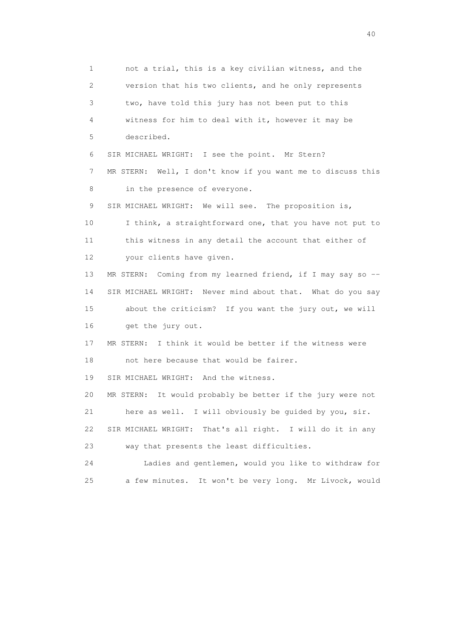1 not a trial, this is a key civilian witness, and the 2 version that his two clients, and he only represents 3 two, have told this jury has not been put to this 4 witness for him to deal with it, however it may be 5 described. 6 SIR MICHAEL WRIGHT: I see the point. Mr Stern? 7 MR STERN: Well, I don't know if you want me to discuss this 8 in the presence of everyone. 9 SIR MICHAEL WRIGHT: We will see. The proposition is, 10 I think, a straightforward one, that you have not put to 11 this witness in any detail the account that either of 12 your clients have given. 13 MR STERN: Coming from my learned friend, if I may say so -- 14 SIR MICHAEL WRIGHT: Never mind about that. What do you say 15 about the criticism? If you want the jury out, we will 16 get the jury out. 17 MR STERN: I think it would be better if the witness were 18 not here because that would be fairer. 19 SIR MICHAEL WRIGHT: And the witness. 20 MR STERN: It would probably be better if the jury were not 21 here as well. I will obviously be guided by you, sir. 22 SIR MICHAEL WRIGHT: That's all right. I will do it in any 23 way that presents the least difficulties. 24 Ladies and gentlemen, would you like to withdraw for 25 a few minutes. It won't be very long. Mr Livock, would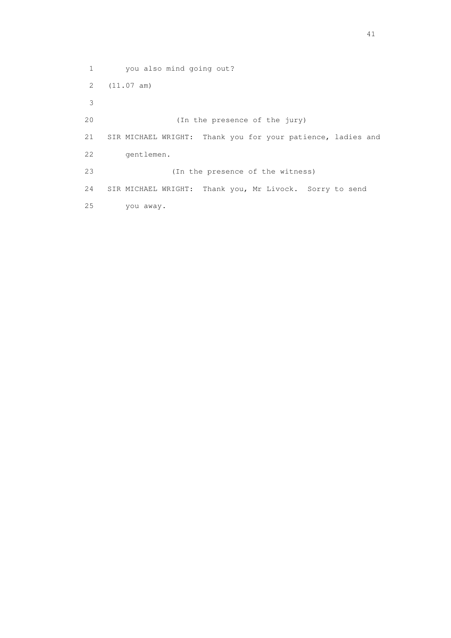1 you also mind going out? 2 (11.07 am) 3 20 (In the presence of the jury) 21 SIR MICHAEL WRIGHT: Thank you for your patience, ladies and 22 gentlemen. 23 (In the presence of the witness) 24 SIR MICHAEL WRIGHT: Thank you, Mr Livock. Sorry to send 25 you away.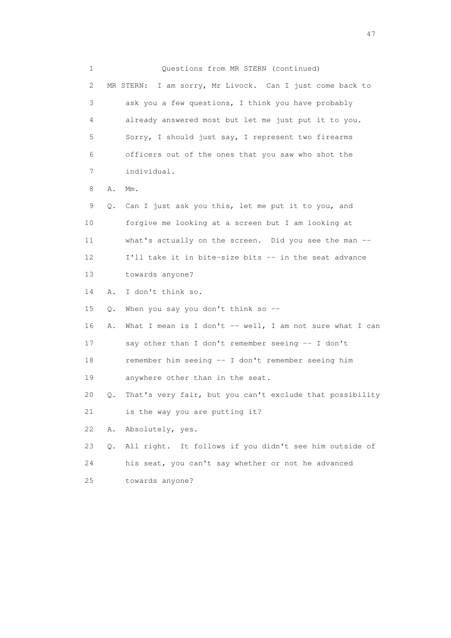1 Questions from MR STERN (continued) 2 MR STERN: I am sorry, Mr Livock. Can I just come back to 3 ask you a few questions, I think you have probably 4 already answered most but let me just put it to you. 5 Sorry, I should just say, I represent two firearms 6 officers out of the ones that you saw who shot the 7 individual. 8 A. Mm. 9 Q. Can I just ask you this, let me put it to you, and 10 forgive me looking at a screen but I am looking at 11 what's actually on the screen. Did you see the man -- 12 I'll take it in bite-size bits -- in the seat advance 13 towards anyone? 14 A. I don't think so. 15 Q. When you say you don't think so -- 16 A. What I mean is I don't -- well, I am not sure what I can 17 say other than I don't remember seeing -- I don't 18 remember him seeing -- I don't remember seeing him 19 anywhere other than in the seat. 20 Q. That's very fair, but you can't exclude that possibility 21 is the way you are putting it? 22 A. Absolutely, yes. 23 Q. All right. It follows if you didn't see him outside of 24 his seat, you can't say whether or not he advanced 25 towards anyone?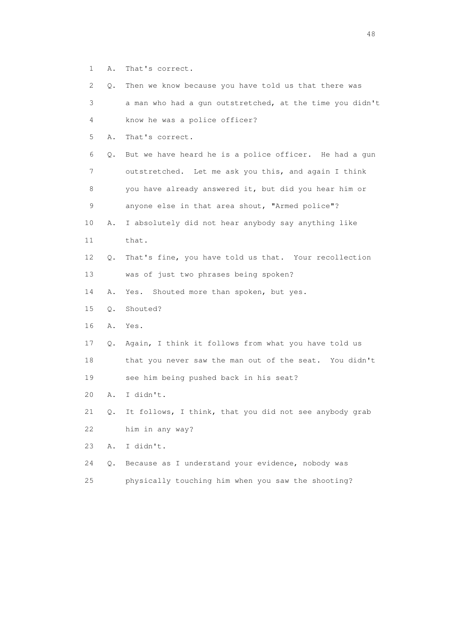1 A. That's correct.

| $\mathbf{2}^{\mathsf{I}}$ | $\circ$ . | Then we know because you have told us that there was     |
|---------------------------|-----------|----------------------------------------------------------|
| 3                         |           | a man who had a gun outstretched, at the time you didn't |
| 4                         |           | know he was a police officer?                            |
| 5                         | Α.        | That's correct.                                          |
| 6                         | Q.        | But we have heard he is a police officer. He had a gun   |
| 7                         |           | outstretched. Let me ask you this, and again I think     |
| 8                         |           | you have already answered it, but did you hear him or    |
| 9                         |           | anyone else in that area shout, "Armed police"?          |
| 10                        | Α.        | I absolutely did not hear anybody say anything like      |
| 11                        |           | that.                                                    |
| 12                        | Q.        | That's fine, you have told us that. Your recollection    |
| 13                        |           | was of just two phrases being spoken?                    |
| 14                        | Α.        | Shouted more than spoken, but yes.<br>Yes.               |
| 15                        | $Q$ .     | Shouted?                                                 |
| 16                        | Α.        | Yes.                                                     |
| 17                        | Q.        | Again, I think it follows from what you have told us     |
| 18                        |           | that you never saw the man out of the seat. You didn't   |
| 19                        |           | see him being pushed back in his seat?                   |
| 20                        | Α.        | I didn't.                                                |
| 21                        | Q.        | It follows, I think, that you did not see anybody grab   |
| 22                        |           | him in any way?                                          |
| 23                        | Α.        | I didn't.                                                |
| 24                        | Q.        | Because as I understand your evidence, nobody was        |
| 25                        |           | physically touching him when you saw the shooting?       |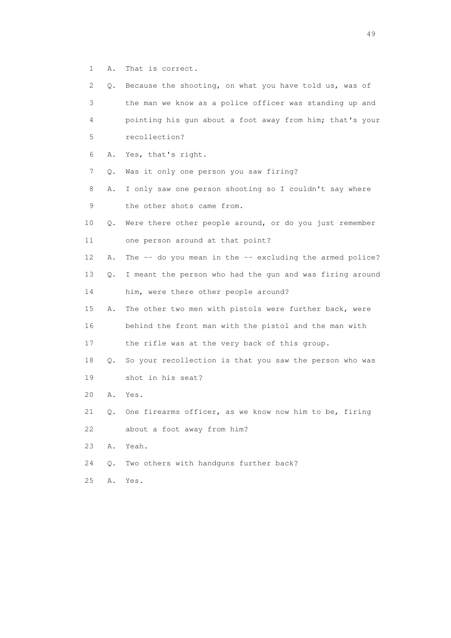1 A. That is correct.

| 2. | Q.    | Because the shooting, on what you have told us, was of       |
|----|-------|--------------------------------------------------------------|
| 3  |       | the man we know as a police officer was standing up and      |
| 4  |       | pointing his qun about a foot away from him; that's your     |
| 5  |       | recollection?                                                |
| 6  | Α.    | Yes, that's right.                                           |
| 7  | Q.    | Was it only one person you saw firing?                       |
| 8  | Α.    | I only saw one person shooting so I couldn't say where       |
| 9  |       | the other shots came from.                                   |
| 10 | Q.    | Were there other people around, or do you just remember      |
| 11 |       | one person around at that point?                             |
| 12 | Α.    | The $--$ do you mean in the $--$ excluding the armed police? |
| 13 | Q.    | I meant the person who had the gun and was firing around     |
| 14 |       | him, were there other people around?                         |
| 15 | Α.    | The other two men with pistols were further back, were       |
| 16 |       | behind the front man with the pistol and the man with        |
| 17 |       | the rifle was at the very back of this group.                |
| 18 | Q.    | So your recollection is that you saw the person who was      |
| 19 |       | shot in his seat?                                            |
| 20 | Α.    | Yes.                                                         |
| 21 | Q.    | One firearms officer, as we know now him to be, firing       |
| 22 |       | about a foot away from him?                                  |
| 23 | Α.    | Yeah.                                                        |
| 24 | $Q$ . | Two others with handguns further back?                       |
| 25 | Α.    | Yes.                                                         |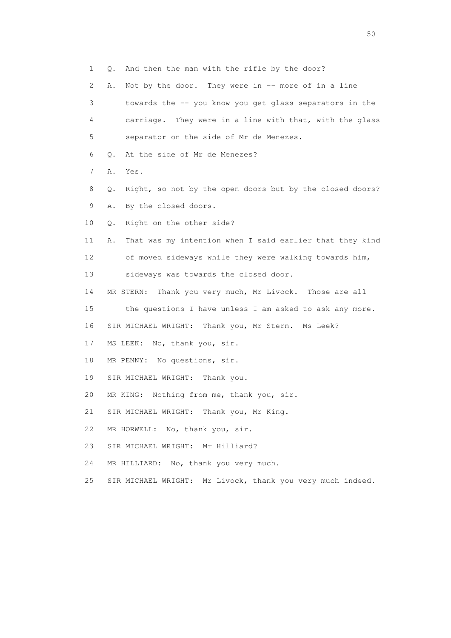1 Q. And then the man with the rifle by the door? 2 A. Not by the door. They were in -- more of in a line 3 towards the -- you know you get glass separators in the 4 carriage. They were in a line with that, with the glass 5 separator on the side of Mr de Menezes. 6 Q. At the side of Mr de Menezes? 7 A. Yes. 8 Q. Right, so not by the open doors but by the closed doors? 9 A. By the closed doors. 10 Q. Right on the other side? 11 A. That was my intention when I said earlier that they kind 12 of moved sideways while they were walking towards him, 13 sideways was towards the closed door. 14 MR STERN: Thank you very much, Mr Livock. Those are all 15 the questions I have unless I am asked to ask any more. 16 SIR MICHAEL WRIGHT: Thank you, Mr Stern. Ms Leek? 17 MS LEEK: No, thank you, sir. 18 MR PENNY: No questions, sir. 19 SIR MICHAEL WRIGHT: Thank you. 20 MR KING: Nothing from me, thank you, sir. 21 SIR MICHAEL WRIGHT: Thank you, Mr King. 22 MR HORWELL: No, thank you, sir. 23 SIR MICHAEL WRIGHT: Mr Hilliard? 24 MR HILLIARD: No, thank you very much. 25 SIR MICHAEL WRIGHT: Mr Livock, thank you very much indeed.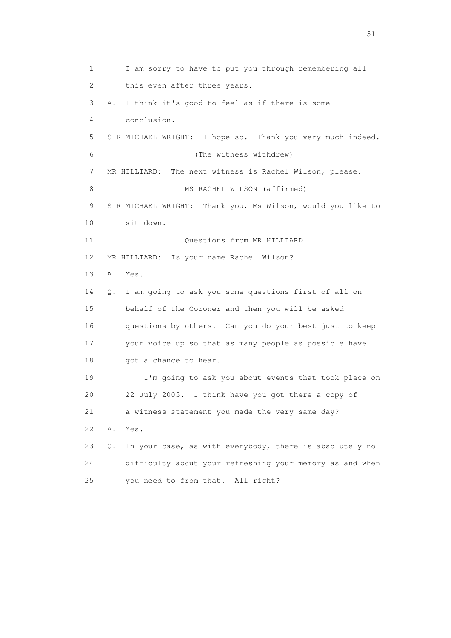1 I am sorry to have to put you through remembering all 2 this even after three years. 3 A. I think it's good to feel as if there is some 4 conclusion. 5 SIR MICHAEL WRIGHT: I hope so. Thank you very much indeed. 6 (The witness withdrew) 7 MR HILLIARD: The next witness is Rachel Wilson, please. 8 MS RACHEL WILSON (affirmed) 9 SIR MICHAEL WRIGHT: Thank you, Ms Wilson, would you like to 10 sit down. 11 Ouestions from MR HILLIARD 12 MR HILLIARD: Is your name Rachel Wilson? 13 A. Yes. 14 Q. I am going to ask you some questions first of all on 15 behalf of the Coroner and then you will be asked 16 questions by others. Can you do your best just to keep 17 your voice up so that as many people as possible have 18 got a chance to hear. 19 I'm going to ask you about events that took place on 20 22 July 2005. I think have you got there a copy of 21 a witness statement you made the very same day? 22 A. Yes. 23 Q. In your case, as with everybody, there is absolutely no 24 difficulty about your refreshing your memory as and when 25 you need to from that. All right?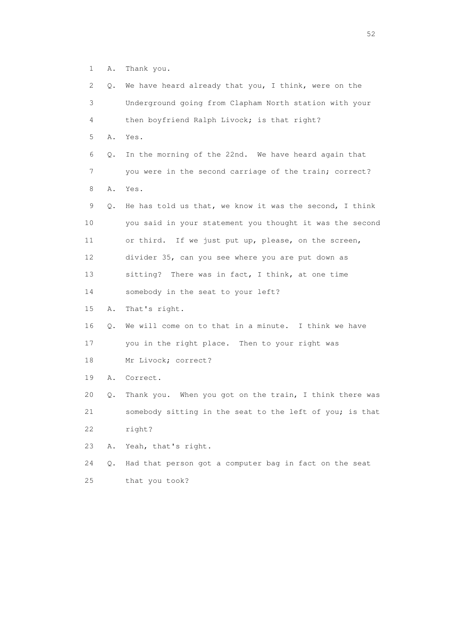1 A. Thank you.

| 2.              | Q. | We have heard already that you, I think, were on the     |
|-----------------|----|----------------------------------------------------------|
| 3               |    | Underground going from Clapham North station with your   |
| 4               |    | then boyfriend Ralph Livock; is that right?              |
| 5               | Α. | Yes.                                                     |
| 6               | Q. | In the morning of the 22nd. We have heard again that     |
| 7               |    | you were in the second carriage of the train; correct?   |
| 8               | Α. | Yes.                                                     |
| 9               | Q. | He has told us that, we know it was the second, I think  |
| 10              |    | you said in your statement you thought it was the second |
| 11              |    | or third. If we just put up, please, on the screen,      |
| 12 <sup>°</sup> |    | divider 35, can you see where you are put down as        |
| 13              |    | sitting? There was in fact, I think, at one time         |
| 14              |    | somebody in the seat to your left?                       |
| 15              | Α. | That's right.                                            |
| 16              | Q. | We will come on to that in a minute. I think we have     |
| 17              |    | you in the right place. Then to your right was           |
| 18              |    | Mr Livock; correct?                                      |
| 19              | Α. | Correct.                                                 |
| 20              | Q. | Thank you. When you got on the train, I think there was  |
| 21              |    | somebody sitting in the seat to the left of you; is that |
| 22              |    | right?                                                   |
| 23              | Α. | Yeah, that's right.                                      |
| 24              | Q. | Had that person got a computer bag in fact on the seat   |
| 25              |    | that you took?                                           |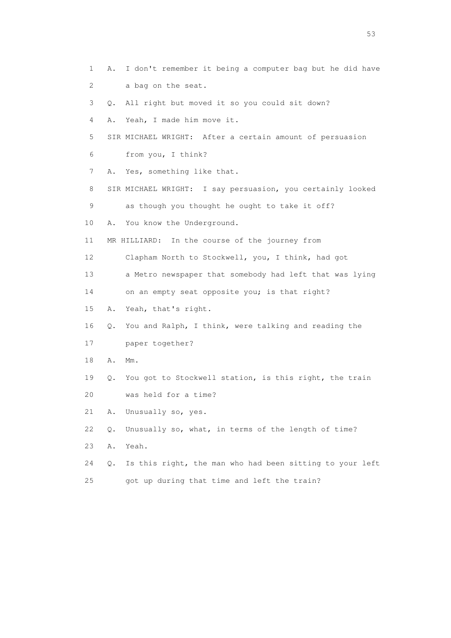1 A. I don't remember it being a computer bag but he did have 2 a bag on the seat. 3 Q. All right but moved it so you could sit down? 4 A. Yeah, I made him move it. 5 SIR MICHAEL WRIGHT: After a certain amount of persuasion 6 from you, I think? 7 A. Yes, something like that. 8 SIR MICHAEL WRIGHT: I say persuasion, you certainly looked 9 as though you thought he ought to take it off? 10 A. You know the Underground. 11 MR HILLIARD: In the course of the journey from 12 Clapham North to Stockwell, you, I think, had got 13 a Metro newspaper that somebody had left that was lying 14 on an empty seat opposite you; is that right? 15 A. Yeah, that's right. 16 Q. You and Ralph, I think, were talking and reading the 17 paper together? 18 A. Mm. 19 Q. You got to Stockwell station, is this right, the train 20 was held for a time? 21 A. Unusually so, yes. 22 Q. Unusually so, what, in terms of the length of time? 23 A. Yeah. 24 Q. Is this right, the man who had been sitting to your left 25 got up during that time and left the train?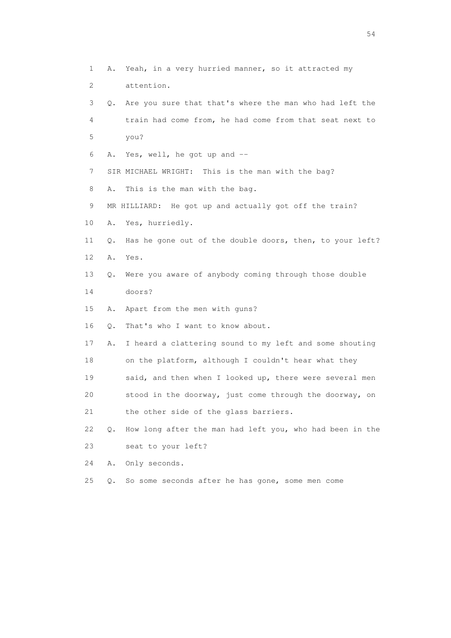1 A. Yeah, in a very hurried manner, so it attracted my 2 attention. 3 Q. Are you sure that that's where the man who had left the 4 train had come from, he had come from that seat next to 5 you? 6 A. Yes, well, he got up and -- 7 SIR MICHAEL WRIGHT: This is the man with the bag? 8 A. This is the man with the bag. 9 MR HILLIARD: He got up and actually got off the train? 10 A. Yes, hurriedly. 11 Q. Has he gone out of the double doors, then, to your left? 12 A. Yes. 13 Q. Were you aware of anybody coming through those double 14 doors? 15 A. Apart from the men with guns? 16 Q. That's who I want to know about. 17 A. I heard a clattering sound to my left and some shouting 18 on the platform, although I couldn't hear what they 19 said, and then when I looked up, there were several men 20 stood in the doorway, just come through the doorway, on 21 the other side of the glass barriers. 22 Q. How long after the man had left you, who had been in the 23 seat to your left? 24 A. Only seconds. 25 Q. So some seconds after he has gone, some men come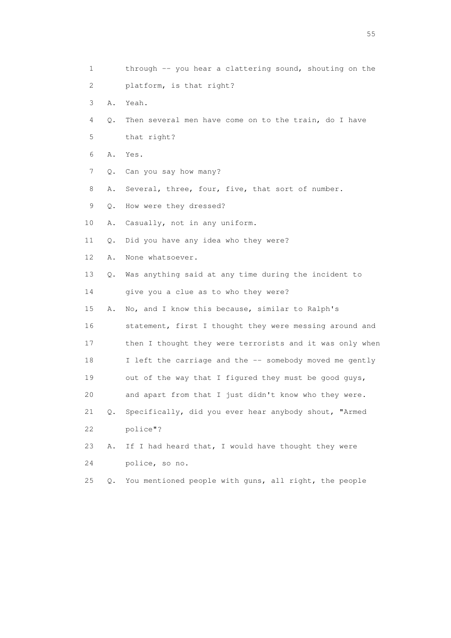1 through -- you hear a clattering sound, shouting on the 2 platform, is that right? 3 A. Yeah. 4 Q. Then several men have come on to the train, do I have 5 that right? 6 A. Yes. 7 Q. Can you say how many? 8 A. Several, three, four, five, that sort of number. 9 Q. How were they dressed? 10 A. Casually, not in any uniform. 11 Q. Did you have any idea who they were? 12 A. None whatsoever. 13 Q. Was anything said at any time during the incident to 14 give you a clue as to who they were? 15 A. No, and I know this because, similar to Ralph's 16 statement, first I thought they were messing around and 17 then I thought they were terrorists and it was only when 18 I left the carriage and the -- somebody moved me gently 19 out of the way that I figured they must be good guys, 20 and apart from that I just didn't know who they were. 21 Q. Specifically, did you ever hear anybody shout, "Armed 22 police"? 23 A. If I had heard that, I would have thought they were 24 police, so no. 25 Q. You mentioned people with guns, all right, the people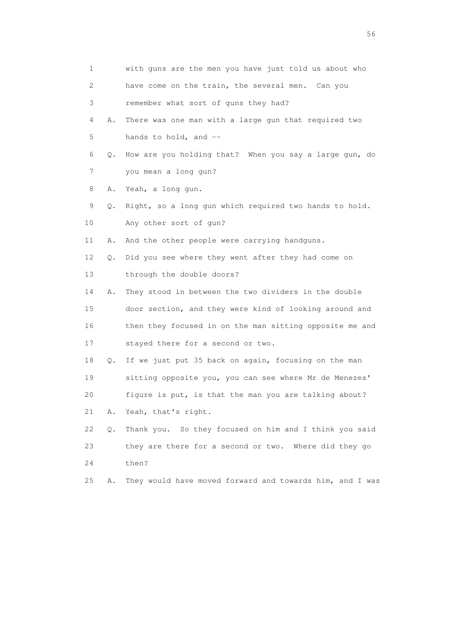| 1               |    | with guns are the men you have just told us about who    |
|-----------------|----|----------------------------------------------------------|
| 2               |    | have come on the train, the several men. Can you         |
| 3               |    | remember what sort of guns they had?                     |
| 4               | Α. | There was one man with a large gun that required two     |
| 5               |    | hands to hold, and --                                    |
| 6               | Q. | How are you holding that? When you say a large gun, do   |
| 7               |    | you mean a long gun?                                     |
| 8               | Α. | Yeah, a long gun.                                        |
| 9               | Q. | Right, so a long gun which required two hands to hold.   |
| 10 <sub>o</sub> |    | Any other sort of gun?                                   |
| 11              | Α. | And the other people were carrying handguns.             |
| 12 <sup>°</sup> | Q. | Did you see where they went after they had come on       |
| 13              |    | through the double doors?                                |
| 14              | Α. | They stood in between the two dividers in the double     |
| 15              |    | door section, and they were kind of looking around and   |
| 16              |    | then they focused in on the man sitting opposite me and  |
| 17              |    | stayed there for a second or two.                        |
| 18              | Q. | If we just put 35 back on again, focusing on the man     |
| 19              |    | sitting opposite you, you can see where Mr de Menezes'   |
| 20              |    | figure is put, is that the man you are talking about?    |
| 21              | Α. | Yeah, that's right.                                      |
| 22              | Q. | Thank you. So they focused on him and I think you said   |
| 23              |    | they are there for a second or two. Where did they go    |
| 24              |    | then?                                                    |
| 25              | Α. | They would have moved forward and towards him, and I was |

 $56<sup>o</sup>$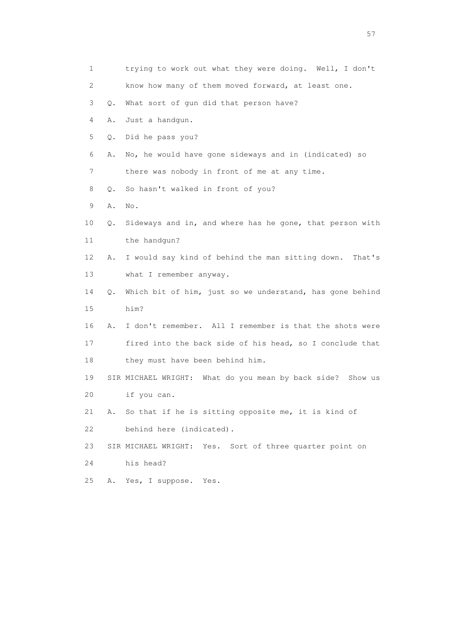1 trying to work out what they were doing. Well, I don't 2 know how many of them moved forward, at least one. 3 Q. What sort of gun did that person have? 4 A. Just a handgun. 5 Q. Did he pass you? 6 A. No, he would have gone sideways and in (indicated) so 7 there was nobody in front of me at any time. 8 Q. So hasn't walked in front of you? 9 A. No. 10 Q. Sideways and in, and where has he gone, that person with 11 the handgun? 12 A. I would say kind of behind the man sitting down. That's 13 what I remember anyway. 14 Q. Which bit of him, just so we understand, has gone behind 15 him? 16 A. I don't remember. All I remember is that the shots were 17 fired into the back side of his head, so I conclude that 18 they must have been behind him. 19 SIR MICHAEL WRIGHT: What do you mean by back side? Show us 20 if you can. 21 A. So that if he is sitting opposite me, it is kind of 22 behind here (indicated). 23 SIR MICHAEL WRIGHT: Yes. Sort of three quarter point on 24 his head? 25 A. Yes, I suppose. Yes.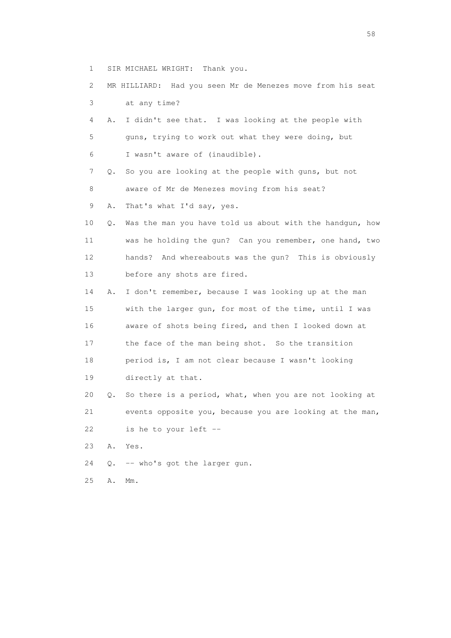- 1 SIR MICHAEL WRIGHT: Thank you.
- 2 MR HILLIARD: Had you seen Mr de Menezes move from his seat 3 at any time?
- 4 A. I didn't see that. I was looking at the people with 5 guns, trying to work out what they were doing, but 6 I wasn't aware of (inaudible).
- 7 Q. So you are looking at the people with guns, but not 8 aware of Mr de Menezes moving from his seat?
- 9 A. That's what I'd say, yes.
- 10 Q. Was the man you have told us about with the handgun, how 11 was he holding the gun? Can you remember, one hand, two 12 hands? And whereabouts was the gun? This is obviously 13 before any shots are fired.
- 14 A. I don't remember, because I was looking up at the man 15 with the larger gun, for most of the time, until I was 16 aware of shots being fired, and then I looked down at 17 the face of the man being shot. So the transition 18 period is, I am not clear because I wasn't looking 19 directly at that.
- 20 Q. So there is a period, what, when you are not looking at 21 events opposite you, because you are looking at the man, 22 is he to your left --
- 23 A. Yes.
- 24 Q. -- who's got the larger gun.
- 25 A. Mm.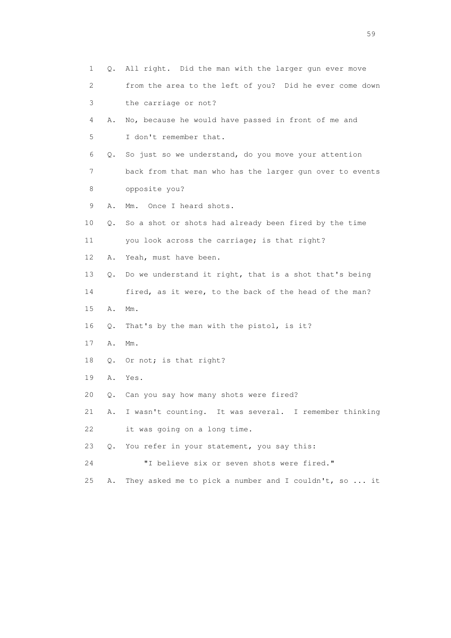| 1<br>0.  | All right. Did the man with the larger gun ever move     |
|----------|----------------------------------------------------------|
| 2        | from the area to the left of you? Did he ever come down  |
| 3        | the carriage or not?                                     |
| 4<br>Α.  | No, because he would have passed in front of me and      |
| 5        | I don't remember that.                                   |
| 6<br>Q.  | So just so we understand, do you move your attention     |
| 7        | back from that man who has the larger gun over to events |
| 8        | opposite you?                                            |
| 9<br>Α.  | Once I heard shots.<br>$Mm$ .                            |
| 10<br>Q. | So a shot or shots had already been fired by the time    |
| 11       | you look across the carriage; is that right?             |
| 12<br>Α. | Yeah, must have been.                                    |
| 13<br>О. | Do we understand it right, that is a shot that's being   |
| 14       | fired, as it were, to the back of the head of the man?   |
| 15<br>Α. | $Mm$ .                                                   |
| 16<br>Q. | That's by the man with the pistol, is it?                |
| 17<br>Α. | $Mm$ .                                                   |
| 18<br>Q. | Or not; is that right?                                   |
| 19<br>Α. | Yes.                                                     |
| 20<br>Q. | Can you say how many shots were fired?                   |
| 21<br>Α. | I wasn't counting. It was several. I remember thinking   |
| 22       | it was going on a long time.                             |
| 23<br>Q. | You refer in your statement, you say this:               |
| 24       | "I believe six or seven shots were fired."               |
| 25<br>Α. | They asked me to pick a number and I couldn't, so  it    |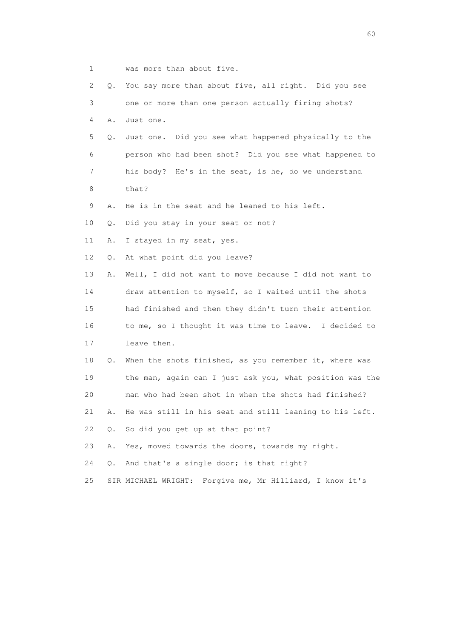1 was more than about five.

| 2  | Q.    | You say more than about five, all right. Did you see        |
|----|-------|-------------------------------------------------------------|
| 3  |       | one or more than one person actually firing shots?          |
| 4  | Α.    | Just one.                                                   |
| 5  | Q.    | Just one. Did you see what happened physically to the       |
| 6  |       | person who had been shot? Did you see what happened to      |
| 7  |       | his body? He's in the seat, is he, do we understand         |
| 8  |       | that?                                                       |
| 9  | Α.    | He is in the seat and he leaned to his left.                |
| 10 | Q.    | Did you stay in your seat or not?                           |
| 11 | Α.    | I stayed in my seat, yes.                                   |
| 12 | Q.    | At what point did you leave?                                |
| 13 | Α.    | Well, I did not want to move because I did not want to      |
| 14 |       | draw attention to myself, so I waited until the shots       |
| 15 |       | had finished and then they didn't turn their attention      |
| 16 |       | to me, so I thought it was time to leave. I decided to      |
| 17 |       | leave then.                                                 |
| 18 | Q.    | When the shots finished, as you remember it, where was      |
| 19 |       | the man, again can I just ask you, what position was the    |
| 20 |       | man who had been shot in when the shots had finished?       |
| 21 | Α.    | He was still in his seat and still leaning to his left.     |
| 22 | $Q$ . | So did you get up at that point?                            |
| 23 | Α.    | Yes, moved towards the doors, towards my right.             |
| 24 | Q.    | And that's a single door; is that right?                    |
| 25 |       | Forgive me, Mr Hilliard, I know it's<br>SIR MICHAEL WRIGHT: |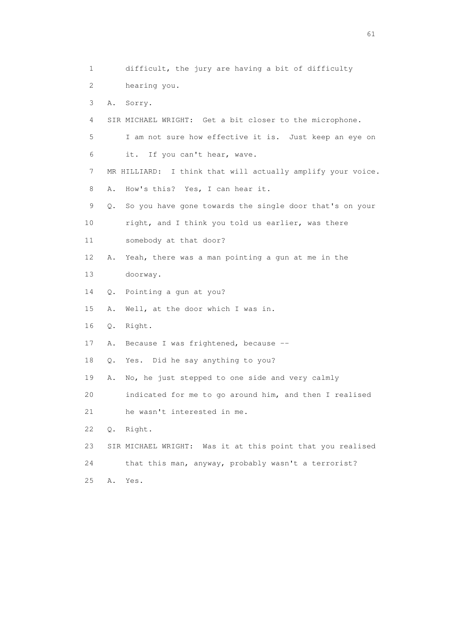1 difficult, the jury are having a bit of difficulty 2 hearing you. 3 A. Sorry. 4 SIR MICHAEL WRIGHT: Get a bit closer to the microphone. 5 I am not sure how effective it is. Just keep an eye on 6 it. If you can't hear, wave. 7 MR HILLIARD: I think that will actually amplify your voice. 8 A. How's this? Yes, I can hear it. 9 Q. So you have gone towards the single door that's on your 10 right, and I think you told us earlier, was there 11 somebody at that door? 12 A. Yeah, there was a man pointing a gun at me in the 13 doorway. 14 Q. Pointing a gun at you? 15 A. Well, at the door which I was in. 16 Q. Right. 17 A. Because I was frightened, because -- 18 Q. Yes. Did he say anything to you? 19 A. No, he just stepped to one side and very calmly 20 indicated for me to go around him, and then I realised 21 he wasn't interested in me. 22 Q. Right. 23 SIR MICHAEL WRIGHT: Was it at this point that you realised 24 that this man, anyway, probably wasn't a terrorist? 25 A. Yes.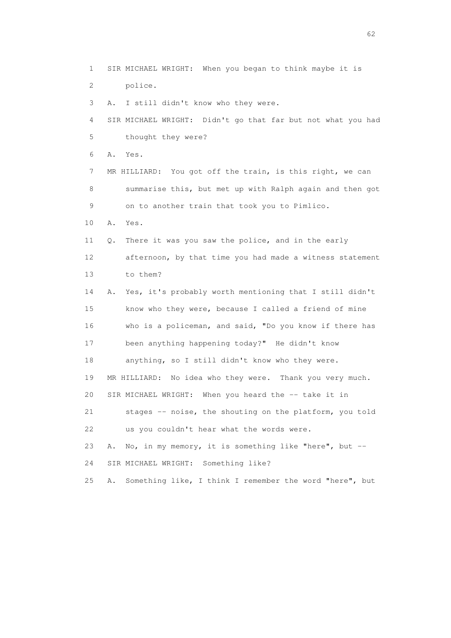1 SIR MICHAEL WRIGHT: When you began to think maybe it is 2 police. 3 A. I still didn't know who they were. 4 SIR MICHAEL WRIGHT: Didn't go that far but not what you had 5 thought they were? 6 A. Yes. 7 MR HILLIARD: You got off the train, is this right, we can 8 summarise this, but met up with Ralph again and then got 9 on to another train that took you to Pimlico. 10 A. Yes. 11 Q. There it was you saw the police, and in the early 12 afternoon, by that time you had made a witness statement 13 to them? 14 A. Yes, it's probably worth mentioning that I still didn't 15 know who they were, because I called a friend of mine 16 who is a policeman, and said, "Do you know if there has 17 been anything happening today?" He didn't know 18 anything, so I still didn't know who they were. 19 MR HILLIARD: No idea who they were. Thank you very much. 20 SIR MICHAEL WRIGHT: When you heard the -- take it in 21 stages -- noise, the shouting on the platform, you told 22 us you couldn't hear what the words were. 23 A. No, in my memory, it is something like "here", but -- 24 SIR MICHAEL WRIGHT: Something like? 25 A. Something like, I think I remember the word "here", but

 $\sim$  62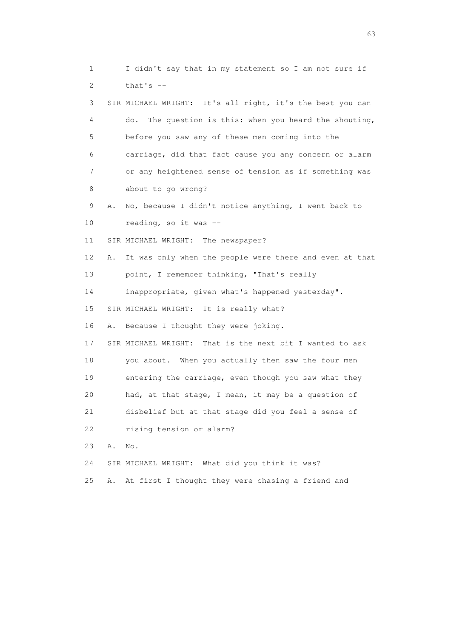1 I didn't say that in my statement so I am not sure if 2 that's -- 3 SIR MICHAEL WRIGHT: It's all right, it's the best you can 4 do. The question is this: when you heard the shouting, 5 before you saw any of these men coming into the 6 carriage, did that fact cause you any concern or alarm 7 or any heightened sense of tension as if something was 8 about to go wrong? 9 A. No, because I didn't notice anything, I went back to 10 reading, so it was -- 11 SIR MICHAEL WRIGHT: The newspaper? 12 A. It was only when the people were there and even at that 13 point, I remember thinking, "That's really 14 inappropriate, given what's happened yesterday". 15 SIR MICHAEL WRIGHT: It is really what? 16 A. Because I thought they were joking. 17 SIR MICHAEL WRIGHT: That is the next bit I wanted to ask 18 you about. When you actually then saw the four men 19 entering the carriage, even though you saw what they 20 had, at that stage, I mean, it may be a question of 21 disbelief but at that stage did you feel a sense of 22 rising tension or alarm? 23 A. No. 24 SIR MICHAEL WRIGHT: What did you think it was? 25 A. At first I thought they were chasing a friend and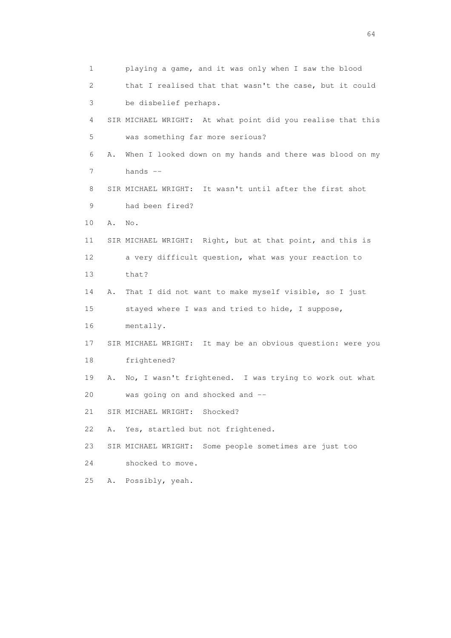1 playing a game, and it was only when I saw the blood 2 that I realised that that wasn't the case, but it could 3 be disbelief perhaps. 4 SIR MICHAEL WRIGHT: At what point did you realise that this 5 was something far more serious? 6 A. When I looked down on my hands and there was blood on my 7 hands -- 8 SIR MICHAEL WRIGHT: It wasn't until after the first shot 9 had been fired? 10 A. No. 11 SIR MICHAEL WRIGHT: Right, but at that point, and this is 12 a very difficult question, what was your reaction to 13 that? 14 A. That I did not want to make myself visible, so I just 15 stayed where I was and tried to hide, I suppose, 16 mentally. 17 SIR MICHAEL WRIGHT: It may be an obvious question: were you 18 frightened? 19 A. No, I wasn't frightened. I was trying to work out what 20 was going on and shocked and -- 21 SIR MICHAEL WRIGHT: Shocked? 22 A. Yes, startled but not frightened. 23 SIR MICHAEL WRIGHT: Some people sometimes are just too 24 shocked to move. 25 A. Possibly, yeah.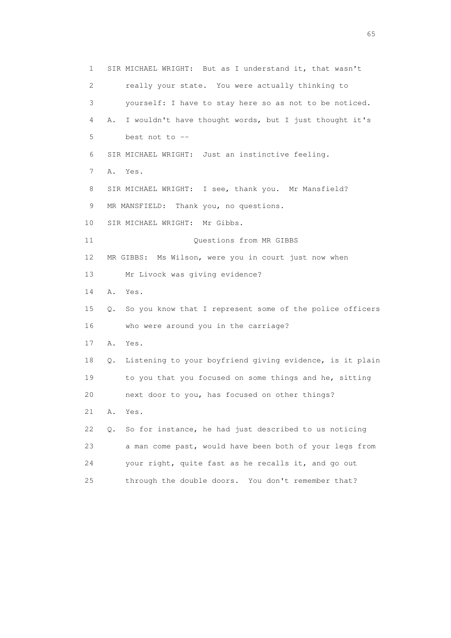1 SIR MICHAEL WRIGHT: But as I understand it, that wasn't 2 really your state. You were actually thinking to 3 yourself: I have to stay here so as not to be noticed. 4 A. I wouldn't have thought words, but I just thought it's 5 best not to -- 6 SIR MICHAEL WRIGHT: Just an instinctive feeling. 7 A. Yes. 8 SIR MICHAEL WRIGHT: I see, thank you. Mr Mansfield? 9 MR MANSFIELD: Thank you, no questions. 10 SIR MICHAEL WRIGHT: Mr Gibbs. 11 Ouestions from MR GIBBS 12 MR GIBBS: Ms Wilson, were you in court just now when 13 Mr Livock was giving evidence? 14 A. Yes. 15 Q. So you know that I represent some of the police officers 16 who were around you in the carriage? 17 A. Yes. 18 Q. Listening to your boyfriend giving evidence, is it plain 19 to you that you focused on some things and he, sitting 20 next door to you, has focused on other things? 21 A. Yes. 22 Q. So for instance, he had just described to us noticing 23 a man come past, would have been both of your legs from 24 your right, quite fast as he recalls it, and go out 25 through the double doors. You don't remember that?

 $\sim$  65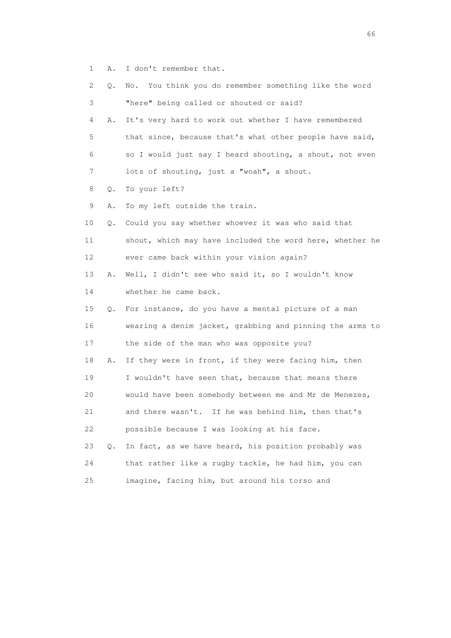1 A. I don't remember that.

| 2  | Q. | No. You think you do remember something like the word    |
|----|----|----------------------------------------------------------|
| 3  |    | "here" being called or shouted or said?                  |
| 4  | Α. | It's very hard to work out whether I have remembered     |
| 5  |    | that since, because that's what other people have said,  |
| 6  |    | so I would just say I heard shouting, a shout, not even  |
| 7  |    | lots of shouting, just a "woah", a shout.                |
| 8  | Q. | To your left?                                            |
| 9  | Α. | To my left outside the train.                            |
| 10 | Q. | Could you say whether whoever it was who said that       |
| 11 |    | shout, which may have included the word here, whether he |
| 12 |    | ever came back within your vision again?                 |
| 13 | Α. | Well, I didn't see who said it, so I wouldn't know       |
| 14 |    | whether he came back.                                    |
| 15 | Q. | For instance, do you have a mental picture of a man      |
| 16 |    | wearing a denim jacket, grabbing and pinning the arms to |
| 17 |    | the side of the man who was opposite you?                |
| 18 | Α. | If they were in front, if they were facing him, then     |
| 19 |    | I wouldn't have seen that, because that means there      |
| 20 |    | would have been somebody between me and Mr de Menezes,   |
| 21 |    | and there wasn't. If he was behind him, then that's      |
| 22 |    | possible because I was looking at his face.              |
| 23 | Q. | In fact, as we have heard, his position probably was     |
| 24 |    | that rather like a rugby tackle, he had him, you can     |
| 25 |    | imagine, facing him, but around his torso and            |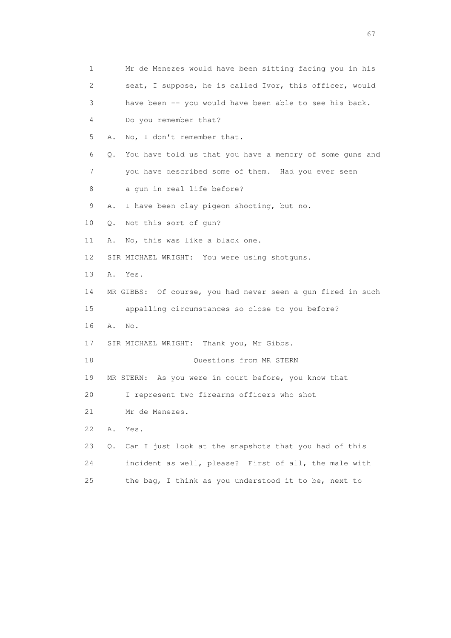| 1  | Mr de Menezes would have been sitting facing you in his        |
|----|----------------------------------------------------------------|
| 2  | seat, I suppose, he is called Ivor, this officer, would        |
| 3  | have been -- you would have been able to see his back.         |
| 4  | Do you remember that?                                          |
| 5  | No, I don't remember that.<br>Α.                               |
| 6  | You have told us that you have a memory of some guns and<br>Q. |
| 7  | you have described some of them. Had you ever seen             |
| 8  | a gun in real life before?                                     |
| 9  | I have been clay pigeon shooting, but no.<br>Α.                |
| 10 | Not this sort of gun?<br>Q.                                    |
| 11 | No, this was like a black one.<br>Α.                           |
| 12 | SIR MICHAEL WRIGHT: You were using shotquns.                   |
| 13 | Yes.<br>Α.                                                     |
| 14 | MR GIBBS: Of course, you had never seen a gun fired in such    |
| 15 | appalling circumstances so close to you before?                |
| 16 | Α.<br>No.                                                      |
| 17 | SIR MICHAEL WRIGHT: Thank you, Mr Gibbs.                       |
| 18 | Questions from MR STERN                                        |
| 19 | MR STERN: As you were in court before, you know that           |
| 20 | I represent two firearms officers who shot                     |
| 21 | Mr de Menezes.                                                 |
| 22 | Α.<br>Yes.                                                     |
| 23 | Can I just look at the snapshots that you had of this<br>Q.    |
| 24 | incident as well, please? First of all, the male with          |
| 25 | the bag, I think as you understood it to be, next to           |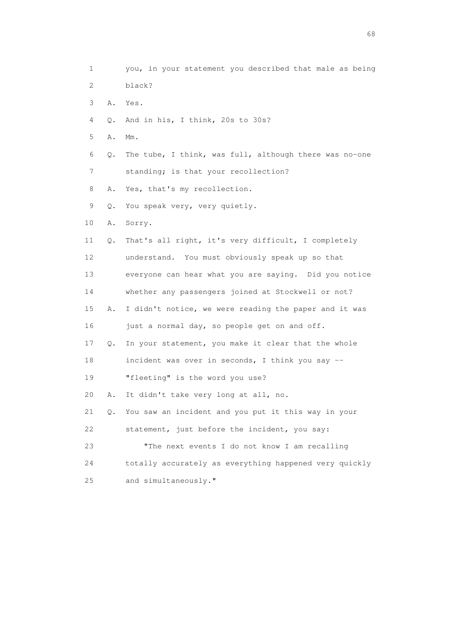1 you, in your statement you described that male as being 2 black? 3 A. Yes. 4 Q. And in his, I think, 20s to 30s? 5 A. Mm. 6 Q. The tube, I think, was full, although there was no-one 7 standing; is that your recollection? 8 A. Yes, that's my recollection. 9 Q. You speak very, very quietly. 10 A. Sorry. 11 Q. That's all right, it's very difficult, I completely 12 understand. You must obviously speak up so that 13 everyone can hear what you are saying. Did you notice 14 whether any passengers joined at Stockwell or not? 15 A. I didn't notice, we were reading the paper and it was 16 just a normal day, so people get on and off. 17 Q. In your statement, you make it clear that the whole 18 incident was over in seconds, I think you say -- 19 "fleeting" is the word you use? 20 A. It didn't take very long at all, no. 21 Q. You saw an incident and you put it this way in your 22 statement, just before the incident, you say: 23 "The next events I do not know I am recalling 24 totally accurately as everything happened very quickly 25 and simultaneously."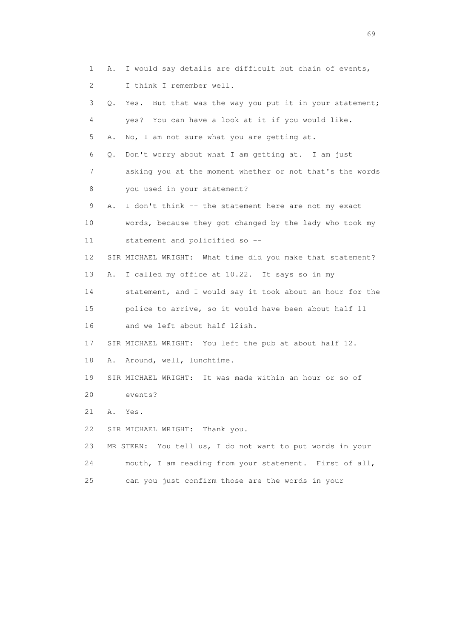|    | 1  | Α. | I would say details are difficult but chain of events,       |
|----|----|----|--------------------------------------------------------------|
|    | 2  |    | I think I remember well.                                     |
|    | 3  | Q. | But that was the way you put it in your statement;<br>Yes.   |
|    | 4  |    | yes? You can have a look at it if you would like.            |
|    | 5  | Α. | No, I am not sure what you are getting at.                   |
|    | 6  | Q. | Don't worry about what I am getting at. I am just            |
|    | 7  |    | asking you at the moment whether or not that's the words     |
|    | 8  |    | you used in your statement?                                  |
|    | 9  | Α. | I don't think -- the statement here are not my exact         |
|    | 10 |    | words, because they got changed by the lady who took my      |
|    | 11 |    | statement and policified so --                               |
| 12 |    |    | SIR MICHAEL WRIGHT: What time did you make that statement?   |
|    | 13 | Α. | I called my office at 10.22. It says so in my                |
|    | 14 |    | statement, and I would say it took about an hour for the     |
|    | 15 |    | police to arrive, so it would have been about half 11        |
|    | 16 |    | and we left about half 12ish.                                |
|    | 17 |    | SIR MICHAEL WRIGHT: You left the pub at about half 12.       |
|    | 18 | Α. | Around, well, lunchtime.                                     |
|    | 19 |    | SIR MICHAEL WRIGHT: It was made within an hour or so of      |
|    | 20 |    | events?                                                      |
|    | 21 | Α. | Yes.                                                         |
|    | 22 |    | SIR MICHAEL WRIGHT: Thank you.                               |
|    | 23 |    | You tell us, I do not want to put words in your<br>MR STERN: |
|    | 24 |    | mouth, I am reading from your statement. First of all,       |
| 25 |    |    | can you just confirm those are the words in your             |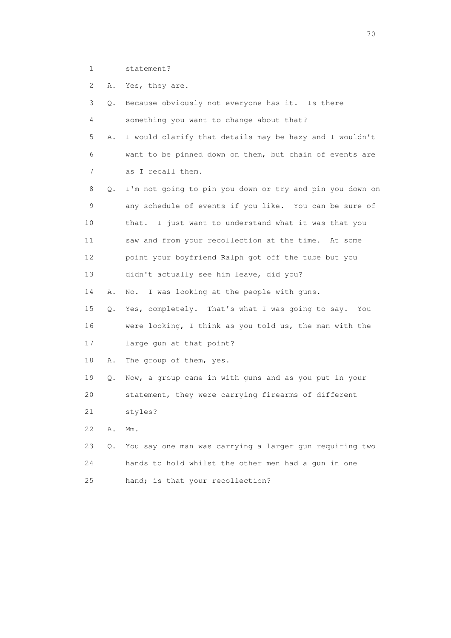- 1 statement?
- 2 A. Yes, they are.

| 3  | Q. | Because obviously not everyone has it. Is there          |
|----|----|----------------------------------------------------------|
| 4  |    | something you want to change about that?                 |
| 5  | Α. | I would clarify that details may be hazy and I wouldn't  |
| 6  |    | want to be pinned down on them, but chain of events are  |
| 7  |    | as I recall them.                                        |
| 8  | Q. | I'm not going to pin you down or try and pin you down on |
| 9  |    | any schedule of events if you like. You can be sure of   |
| 10 |    | that. I just want to understand what it was that you     |
| 11 |    | saw and from your recollection at the time. At some      |
| 12 |    | point your boyfriend Ralph got off the tube but you      |
| 13 |    | didn't actually see him leave, did you?                  |
| 14 | Α. | I was looking at the people with guns.<br>No.            |
| 15 | Q. | Yes, completely. That's what I was going to say. You     |
| 16 |    | were looking, I think as you told us, the man with the   |
| 17 |    | large gun at that point?                                 |
| 18 | Α. | The group of them, yes.                                  |
| 19 | Q. | Now, a group came in with guns and as you put in your    |
| 20 |    | statement, they were carrying firearms of different      |
| 21 |    | styles?                                                  |
| 22 | Α. | $Mm$ .                                                   |
| 23 | Q. | You say one man was carrying a larger gun requiring two  |
| 24 |    | hands to hold whilst the other men had a qun in one      |
| 25 |    | hand; is that your recollection?                         |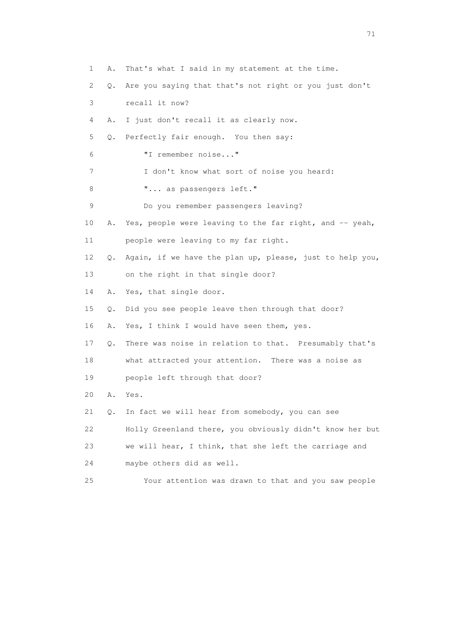1 A. That's what I said in my statement at the time. 2 Q. Are you saying that that's not right or you just don't 3 recall it now? 4 A. I just don't recall it as clearly now. 5 Q. Perfectly fair enough. You then say: 6 "I remember noise..." 7 I don't know what sort of noise you heard: 8 **"...** as passengers left." 9 Do you remember passengers leaving? 10 A. Yes, people were leaving to the far right, and -- yeah, 11 people were leaving to my far right. 12 Q. Again, if we have the plan up, please, just to help you, 13 on the right in that single door? 14 A. Yes, that single door. 15 Q. Did you see people leave then through that door? 16 A. Yes, I think I would have seen them, yes. 17 Q. There was noise in relation to that. Presumably that's 18 what attracted your attention. There was a noise as 19 people left through that door? 20 A. Yes. 21 Q. In fact we will hear from somebody, you can see 22 Holly Greenland there, you obviously didn't know her but 23 we will hear, I think, that she left the carriage and 24 maybe others did as well. 25 Your attention was drawn to that and you saw people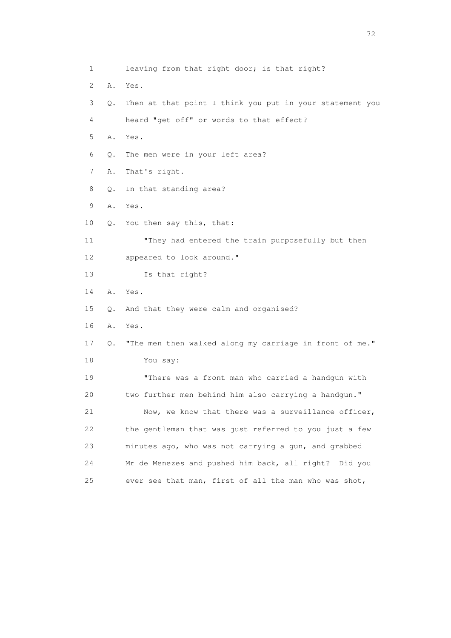1 leaving from that right door; is that right? 2 A. Yes. 3 Q. Then at that point I think you put in your statement you 4 heard "get off" or words to that effect? 5 A. Yes. 6 Q. The men were in your left area? 7 A. That's right. 8 Q. In that standing area? 9 A. Yes. 10 Q. You then say this, that: 11 "They had entered the train purposefully but then 12 appeared to look around." 13 Is that right? 14 A. Yes. 15 Q. And that they were calm and organised? 16 A. Yes. 17 Q. "The men then walked along my carriage in front of me." 18 You say: 19 "There was a front man who carried a handgun with 20 two further men behind him also carrying a handgun." 21 Now, we know that there was a surveillance officer, 22 the gentleman that was just referred to you just a few 23 minutes ago, who was not carrying a gun, and grabbed 24 Mr de Menezes and pushed him back, all right? Did you 25 ever see that man, first of all the man who was shot,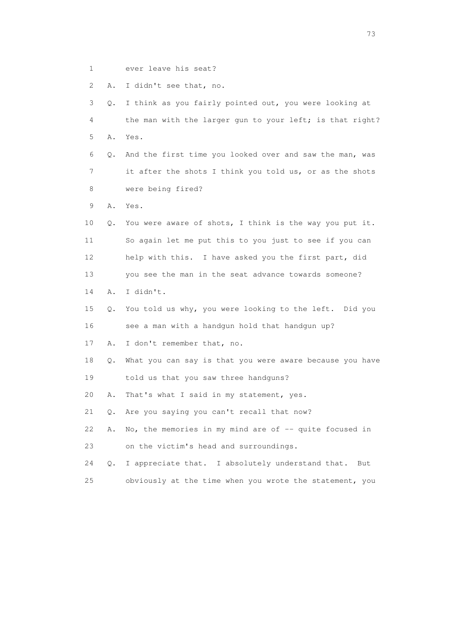1 ever leave his seat?

2 A. I didn't see that, no.

 3 Q. I think as you fairly pointed out, you were looking at 4 the man with the larger gun to your left; is that right? 5 A. Yes. 6 Q. And the first time you looked over and saw the man, was 7 it after the shots I think you told us, or as the shots 8 were being fired? 9 A. Yes. 10 Q. You were aware of shots, I think is the way you put it. 11 So again let me put this to you just to see if you can 12 help with this. I have asked you the first part, did 13 you see the man in the seat advance towards someone? 14 A. I didn't. 15 Q. You told us why, you were looking to the left. Did you 16 see a man with a handgun hold that handgun up? 17 A. I don't remember that, no. 18 Q. What you can say is that you were aware because you have 19 told us that you saw three handguns? 20 A. That's what I said in my statement, yes. 21 Q. Are you saying you can't recall that now? 22 A. No, the memories in my mind are of -- quite focused in 23 on the victim's head and surroundings. 24 Q. I appreciate that. I absolutely understand that. But 25 obviously at the time when you wrote the statement, you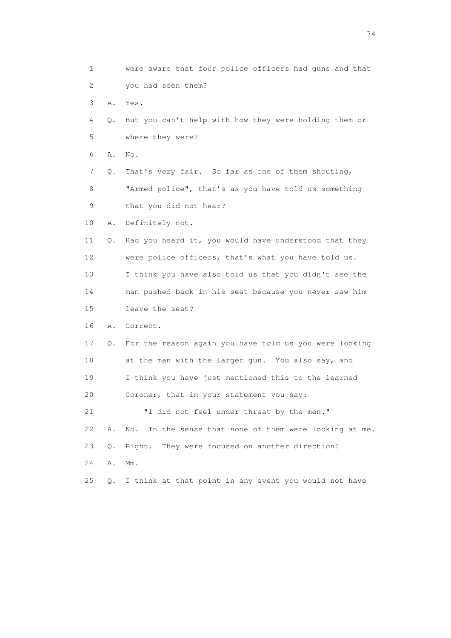1 were aware that four police officers had guns and that 2 you had seen them? 3 A. Yes. 4 Q. But you can't help with how they were holding them or 5 where they were? 6 A. No. 7 Q. That's very fair. So far as one of them shouting, 8 "Armed police", that's as you have told us something 9 that you did not hear? 10 A. Definitely not. 11 Q. Had you heard it, you would have understood that they 12 were police officers, that's what you have told us. 13 I think you have also told us that you didn't see the 14 man pushed back in his seat because you never saw him 15 leave the seat? 16 A. Correct. 17 Q. For the reason again you have told us you were looking 18 at the man with the larger gun. You also say, and 19 I think you have just mentioned this to the learned 20 Coroner, that in your statement you say: 21 "I did not feel under threat by the men." 22 A. No. In the sense that none of them were looking at me. 23 Q. Right. They were focused on another direction? 24 A. Mm. 25 Q. I think at that point in any event you would not have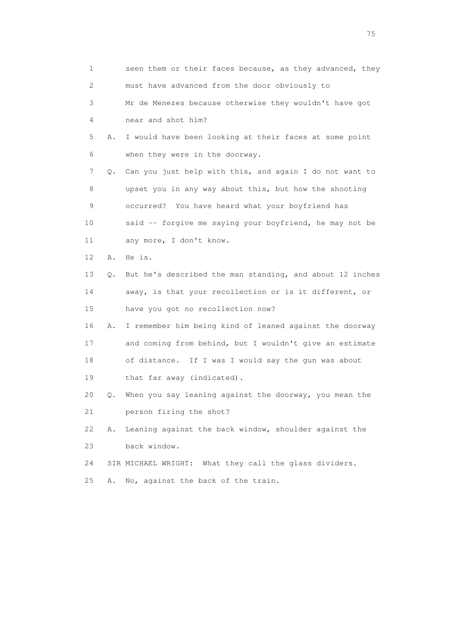| 1  |    | seen them or their faces because, as they advanced, they |
|----|----|----------------------------------------------------------|
| 2  |    | must have advanced from the door obviously to            |
| 3  |    | Mr de Menezes because otherwise they wouldn't have got   |
| 4  |    | near and shot him?                                       |
| 5  | Α. | I would have been looking at their faces at some point   |
| 6  |    | when they were in the doorway.                           |
| 7  | Q. | Can you just help with this, and again I do not want to  |
| 8  |    | upset you in any way about this, but how the shooting    |
| 9  |    | occurred? You have heard what your boyfriend has         |
| 10 |    | said -- forgive me saying your boyfriend, he may not be  |
| 11 |    | any more, I don't know.                                  |
| 12 | Α. | He is.                                                   |
| 13 | Q. | But he's described the man standing, and about 12 inches |
| 14 |    | away, is that your recollection or is it different, or   |
| 15 |    | have you got no recollection now?                        |
| 16 | Α. | I remember him being kind of leaned against the doorway  |
| 17 |    | and coming from behind, but I wouldn't give an estimate  |
| 18 |    | of distance. If I was I would say the gun was about      |
| 19 |    | that far away (indicated).                               |
| 20 | Q. | When you say leaning against the doorway, you mean the   |
| 21 |    | person firing the shot?                                  |
| 22 | Α. | Leaning against the back window, shoulder against the    |
| 23 |    | back window.                                             |
| 24 |    | SIR MICHAEL WRIGHT: What they call the glass dividers.   |
| 25 | Α. | No, against the back of the train.                       |

na matsay na katalog as na kasang na mga 175 may 2008. Ang isang isang nagsang nagsang nagsang nagsang nagsang<br>Tagapang nagsang nagsang nagsang nagsang nagsang nagsang nagsang nagsang nagsang nagsang nagsang nagsang nagsa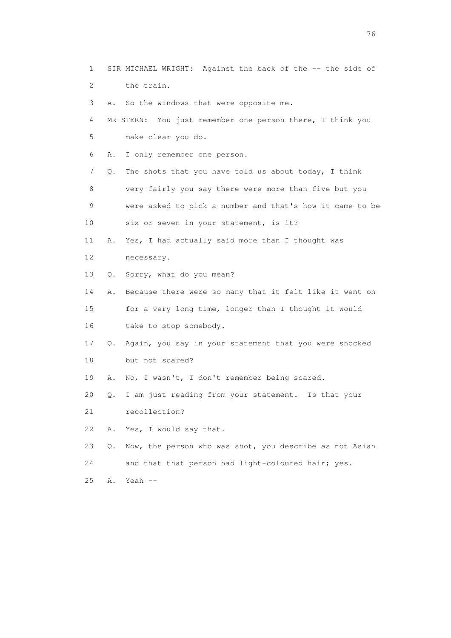2 the train. 3 A. So the windows that were opposite me. 4 MR STERN: You just remember one person there, I think you 5 make clear you do. 6 A. I only remember one person. 7 Q. The shots that you have told us about today, I think 8 very fairly you say there were more than five but you 9 were asked to pick a number and that's how it came to be 10 six or seven in your statement, is it? 11 A. Yes, I had actually said more than I thought was 12 necessary. 13 Q. Sorry, what do you mean? 14 A. Because there were so many that it felt like it went on 15 for a very long time, longer than I thought it would 16 take to stop somebody. 17 Q. Again, you say in your statement that you were shocked 18 but not scared? 19 A. No, I wasn't, I don't remember being scared. 20 Q. I am just reading from your statement. Is that your 21 recollection? 22 A. Yes, I would say that. 23 Q. Now, the person who was shot, you describe as not Asian 24 and that that person had light-coloured hair; yes. 25 A. Yeah --

1 SIR MICHAEL WRIGHT: Against the back of the -- the side of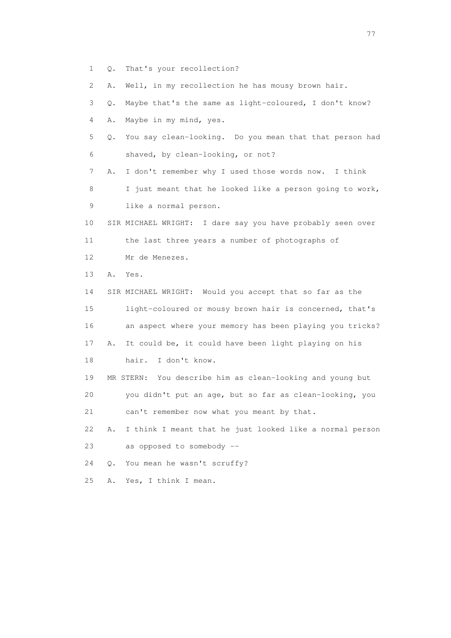1 Q. That's your recollection?

2 A. Well, in my recollection he has mousy brown hair.

 3 Q. Maybe that's the same as light-coloured, I don't know? 4 A. Maybe in my mind, yes.

 5 Q. You say clean-looking. Do you mean that that person had 6 shaved, by clean-looking, or not?

 7 A. I don't remember why I used those words now. I think 8 I just meant that he looked like a person going to work, 9 like a normal person.

 10 SIR MICHAEL WRIGHT: I dare say you have probably seen over 11 the last three years a number of photographs of

12 Mr de Menezes.

13 A. Yes.

 14 SIR MICHAEL WRIGHT: Would you accept that so far as the 15 light-coloured or mousy brown hair is concerned, that's 16 an aspect where your memory has been playing you tricks? 17 A. It could be, it could have been light playing on his 18 hair. I don't know.

 19 MR STERN: You describe him as clean-looking and young but 20 you didn't put an age, but so far as clean-looking, you 21 can't remember now what you meant by that.

 22 A. I think I meant that he just looked like a normal person 23 as opposed to somebody --

24 Q. You mean he wasn't scruffy?

25 A. Yes, I think I mean.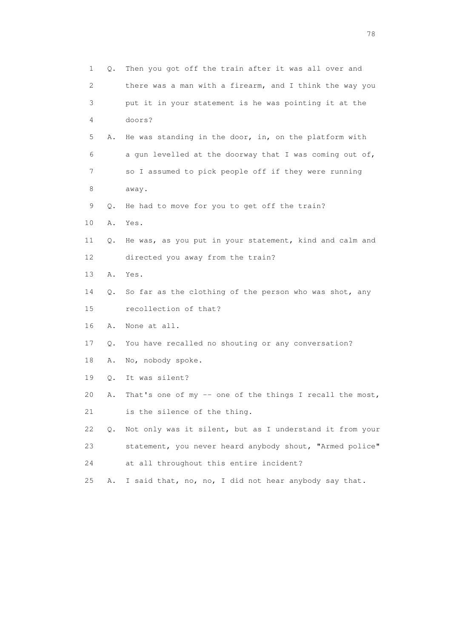| $\mathbf 1$ | Q.    | Then you got off the train after it was all over and     |
|-------------|-------|----------------------------------------------------------|
| 2           |       | there was a man with a firearm, and I think the way you  |
| 3           |       | put it in your statement is he was pointing it at the    |
| 4           |       | doors?                                                   |
| 5           | Α.    | He was standing in the door, in, on the platform with    |
| 6           |       | a gun levelled at the doorway that I was coming out of,  |
| 7           |       | so I assumed to pick people off if they were running     |
| 8           |       | away.                                                    |
| 9           | Q.    | He had to move for you to get off the train?             |
| 10          | Α.    | Yes.                                                     |
| 11          | Q.    | He was, as you put in your statement, kind and calm and  |
| 12          |       | directed you away from the train?                        |
| 13          | Α.    | Yes.                                                     |
| 14          | Q.    | So far as the clothing of the person who was shot, any   |
| 15          |       | recollection of that?                                    |
| 16          | Α.    | None at all.                                             |
| 17          | Q.    | You have recalled no shouting or any conversation?       |
| 18          | Α.    | No, nobody spoke.                                        |
| 19          | Q.    | It was silent?                                           |
| 20          | Α.    | That's one of my -- one of the things I recall the most, |
| 21          |       | is the silence of the thing.                             |
| 22          | $Q$ . | Not only was it silent, but as I understand it from your |
| 23          |       | statement, you never heard anybody shout, "Armed police" |
| 24          |       | at all throughout this entire incident?                  |
| 25          | Α.    | I said that, no, no, I did not hear anybody say that.    |

n and the state of the state of the state of the state of the state of the state of the state of the state of the state of the state of the state of the state of the state of the state of the state of the state of the stat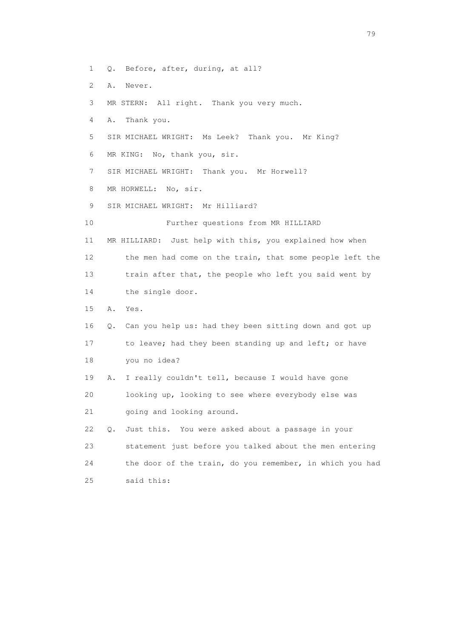- 1 Q. Before, after, during, at all?
- 2 A. Never.
- 3 MR STERN: All right. Thank you very much.
- 4 A. Thank you.
- 5 SIR MICHAEL WRIGHT: Ms Leek? Thank you. Mr King?
- 6 MR KING: No, thank you, sir.
- 7 SIR MICHAEL WRIGHT: Thank you. Mr Horwell?
- 8 MR HORWELL: No, sir.
- 9 SIR MICHAEL WRIGHT: Mr Hilliard?
- 10 Further questions from MR HILLIARD
- 11 MR HILLIARD: Just help with this, you explained how when 12 the men had come on the train, that some people left the 13 train after that, the people who left you said went by 14 the single door.
- 15 A. Yes.
- 16 Q. Can you help us: had they been sitting down and got up 17 to leave; had they been standing up and left; or have 18 you no idea?
- 19 A. I really couldn't tell, because I would have gone 20 looking up, looking to see where everybody else was 21 going and looking around.
- 22 Q. Just this. You were asked about a passage in your 23 statement just before you talked about the men entering 24 the door of the train, do you remember, in which you had 25 said this: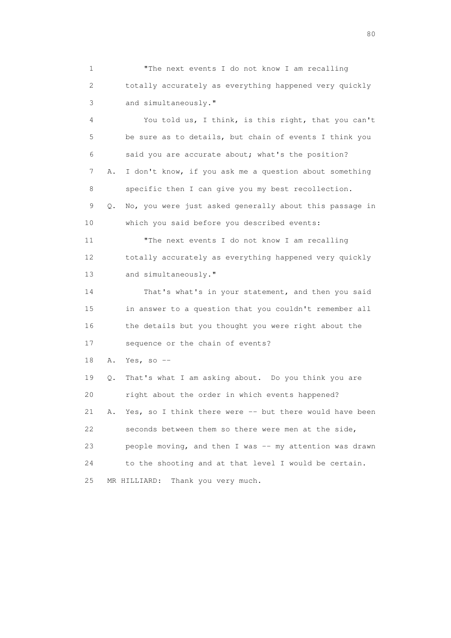1 "The next events I do not know I am recalling 2 totally accurately as everything happened very quickly 3 and simultaneously."

 4 You told us, I think, is this right, that you can't 5 be sure as to details, but chain of events I think you 6 said you are accurate about; what's the position? 7 A. I don't know, if you ask me a question about something 8 specific then I can give you my best recollection. 9 Q. No, you were just asked generally about this passage in 10 which you said before you described events: 11 "The next events I do not know I am recalling 12 totally accurately as everything happened very quickly 13 and simultaneously." 14 That's what's in your statement, and then you said

 15 in answer to a question that you couldn't remember all 16 the details but you thought you were right about the 17 sequence or the chain of events?

18 A. Yes, so --

 19 Q. That's what I am asking about. Do you think you are 20 right about the order in which events happened? 21 A. Yes, so I think there were -- but there would have been 22 seconds between them so there were men at the side, 23 people moving, and then I was -- my attention was drawn 24 to the shooting and at that level I would be certain. 25 MR HILLIARD: Thank you very much.

entration of the state of the state of the state of the state of the state of the state of the state of the state of the state of the state of the state of the state of the state of the state of the state of the state of t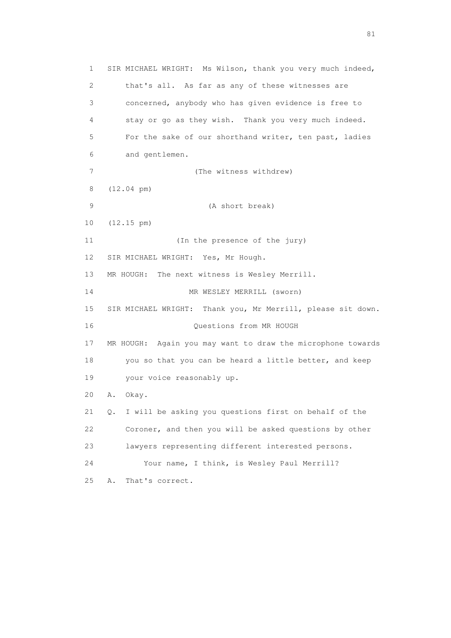1 SIR MICHAEL WRIGHT: Ms Wilson, thank you very much indeed, 2 that's all. As far as any of these witnesses are 3 concerned, anybody who has given evidence is free to 4 stay or go as they wish. Thank you very much indeed. 5 For the sake of our shorthand writer, ten past, ladies 6 and gentlemen. 7 (The witness withdrew) 8 (12.04 pm) 9 (A short break) 10 (12.15 pm) 11 (In the presence of the jury) 12 SIR MICHAEL WRIGHT: Yes, Mr Hough. 13 MR HOUGH: The next witness is Wesley Merrill. 14 MR WESLEY MERRILL (sworn) 15 SIR MICHAEL WRIGHT: Thank you, Mr Merrill, please sit down. 16 Questions from MR HOUGH 17 MR HOUGH: Again you may want to draw the microphone towards 18 you so that you can be heard a little better, and keep 19 your voice reasonably up. 20 A. Okay. 21 Q. I will be asking you questions first on behalf of the 22 Coroner, and then you will be asked questions by other 23 lawyers representing different interested persons. 24 Your name, I think, is Wesley Paul Merrill? 25 A. That's correct.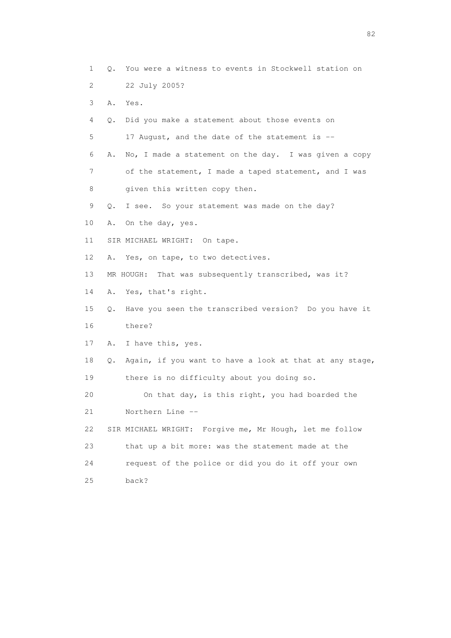1 Q. You were a witness to events in Stockwell station on 2 22 July 2005? 3 A. Yes. 4 Q. Did you make a statement about those events on 5 17 August, and the date of the statement is -- 6 A. No, I made a statement on the day. I was given a copy 7 of the statement, I made a taped statement, and I was 8 given this written copy then. 9 Q. I see. So your statement was made on the day? 10 A. On the day, yes. 11 SIR MICHAEL WRIGHT: On tape. 12 A. Yes, on tape, to two detectives. 13 MR HOUGH: That was subsequently transcribed, was it? 14 A. Yes, that's right. 15 Q. Have you seen the transcribed version? Do you have it 16 there? 17 A. I have this, yes. 18 Q. Again, if you want to have a look at that at any stage, 19 there is no difficulty about you doing so. 20 On that day, is this right, you had boarded the 21 Northern Line -- 22 SIR MICHAEL WRIGHT: Forgive me, Mr Hough, let me follow 23 that up a bit more: was the statement made at the 24 request of the police or did you do it off your own 25 back?

experience of the state of the state of the state of the state of the state of the state of the state of the s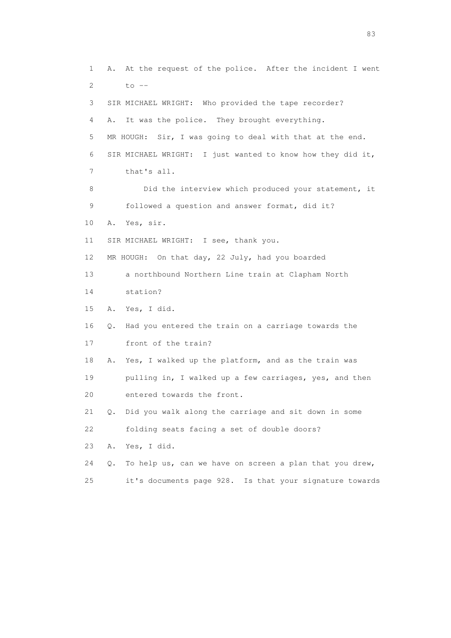1 A. At the request of the police. After the incident I went 2 to  $-$  3 SIR MICHAEL WRIGHT: Who provided the tape recorder? 4 A. It was the police. They brought everything. 5 MR HOUGH: Sir, I was going to deal with that at the end. 6 SIR MICHAEL WRIGHT: I just wanted to know how they did it, 7 that's all. 8 Did the interview which produced your statement, it 9 followed a question and answer format, did it? 10 A. Yes, sir. 11 SIR MICHAEL WRIGHT: I see, thank you. 12 MR HOUGH: On that day, 22 July, had you boarded 13 a northbound Northern Line train at Clapham North 14 station? 15 A. Yes, I did. 16 Q. Had you entered the train on a carriage towards the 17 front of the train? 18 A. Yes, I walked up the platform, and as the train was 19 pulling in, I walked up a few carriages, yes, and then 20 entered towards the front. 21 Q. Did you walk along the carriage and sit down in some 22 folding seats facing a set of double doors? 23 A. Yes, I did. 24 Q. To help us, can we have on screen a plan that you drew, 25 it's documents page 928. Is that your signature towards

experience and the contract of the contract of the contract of the contract of the contract of the contract of the contract of the contract of the contract of the contract of the contract of the contract of the contract of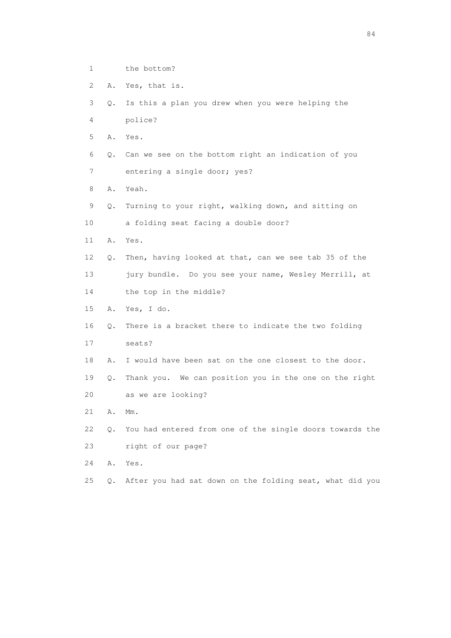- 1 the bottom?
- 2 A. Yes, that is.
- 3 Q. Is this a plan you drew when you were helping the
- 4 police?
- 5 A. Yes.
- 6 Q. Can we see on the bottom right an indication of you
- 7 entering a single door; yes?
- 8 A. Yeah.
- 9 Q. Turning to your right, walking down, and sitting on
- 10 a folding seat facing a double door?
- 11 A. Yes.
- 12 Q. Then, having looked at that, can we see tab 35 of the 13 jury bundle. Do you see your name, Wesley Merrill, at
- 14 the top in the middle?
- 15 A. Yes, I do.
- 16 Q. There is a bracket there to indicate the two folding
- 17 seats?
- 18 A. I would have been sat on the one closest to the door.
- 19 Q. Thank you. We can position you in the one on the right 20 as we are looking?
- 21 A. Mm.
- 22 Q. You had entered from one of the single doors towards the 23 right of our page?
- 24 A. Yes.
- 25 Q. After you had sat down on the folding seat, what did you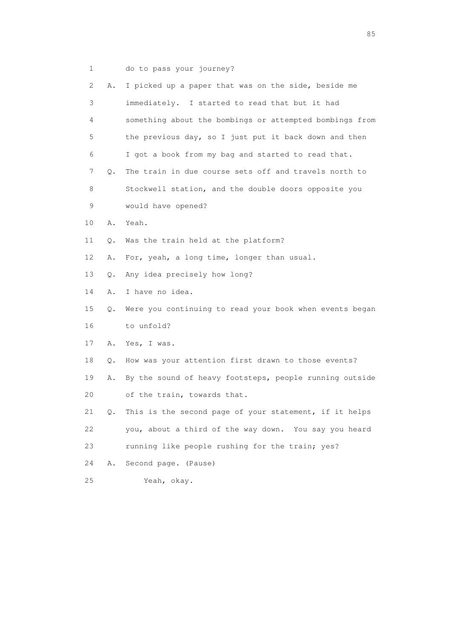1 do to pass your journey?

| 2  | Α. | I picked up a paper that was on the side, beside me     |
|----|----|---------------------------------------------------------|
| 3  |    | immediately. I started to read that but it had          |
| 4  |    | something about the bombings or attempted bombings from |
| 5  |    | the previous day, so I just put it back down and then   |
| 6  |    | I got a book from my bag and started to read that.      |
| 7  | Q. | The train in due course sets off and travels north to   |
| 8  |    | Stockwell station, and the double doors opposite you    |
| 9  |    | would have opened?                                      |
| 10 | Α. | Yeah.                                                   |
| 11 | Q. | Was the train held at the platform?                     |
| 12 | Α. | For, yeah, a long time, longer than usual.              |
| 13 | О. | Any idea precisely how long?                            |
| 14 | Α. | I have no idea.                                         |
| 15 | Q. | Were you continuing to read your book when events began |
| 16 |    | to unfold?                                              |
| 17 | Α. | Yes, I was.                                             |
| 18 | Q. | How was your attention first drawn to those events?     |
| 19 | Α. | By the sound of heavy footsteps, people running outside |
| 20 |    | of the train, towards that.                             |
| 21 | Q. | This is the second page of your statement, if it helps  |
| 22 |    | you, about a third of the way down. You say you heard   |
| 23 |    | running like people rushing for the train; yes?         |
| 24 | Α. | Second page. (Pause)                                    |
| 25 |    | Yeah, okay.                                             |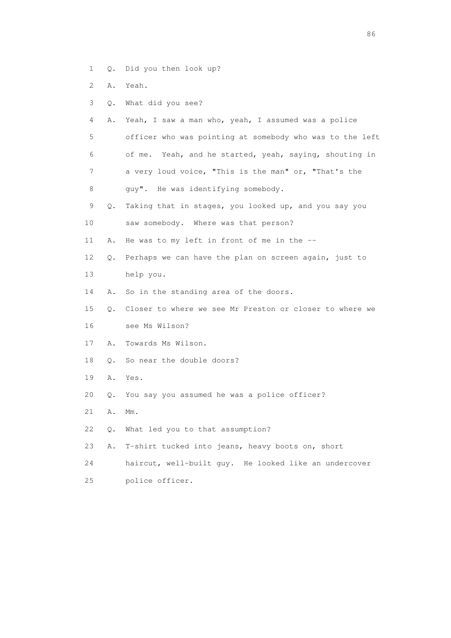- 1 Q. Did you then look up?
- 2 A. Yeah.
- 3 Q. What did you see?
- 4 A. Yeah, I saw a man who, yeah, I assumed was a police 5 officer who was pointing at somebody who was to the left 6 of me. Yeah, and he started, yeah, saying, shouting in 7 a very loud voice, "This is the man" or, "That's the
- 8 guy". He was identifying somebody.
- 9 Q. Taking that in stages, you looked up, and you say you
- 10 saw somebody. Where was that person?
- 11 A. He was to my left in front of me in the --
- 12 Q. Perhaps we can have the plan on screen again, just to
- 13 help you.
- 14 A. So in the standing area of the doors.
- 15 Q. Closer to where we see Mr Preston or closer to where we 16 see Ms Wilson?
- 17 A. Towards Ms Wilson.
- 18 Q. So near the double doors?
- 19 A. Yes.
- 20 Q. You say you assumed he was a police officer?
- 21 A. Mm.
- 22 Q. What led you to that assumption?
- 23 A. T-shirt tucked into jeans, heavy boots on, short
- 24 haircut, well-built guy. He looked like an undercover
- 25 police officer.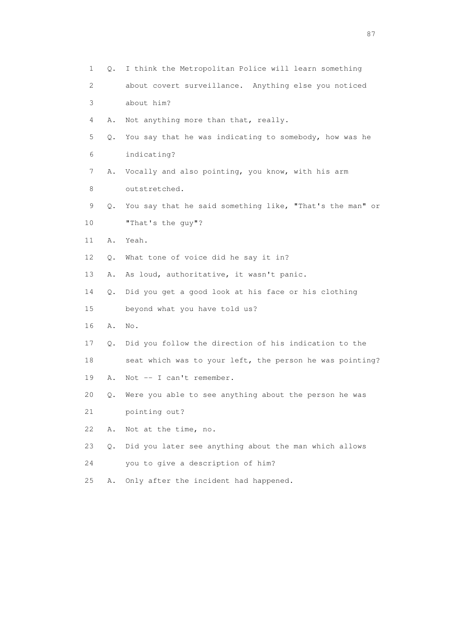| 1           | I think the Metropolitan Police will learn something<br>0. |
|-------------|------------------------------------------------------------|
| 2           | about covert surveillance. Anything else you noticed       |
| 3           | about him?                                                 |
| 4<br>Α.     | Not anything more than that, really.                       |
| 5<br>Q.     | You say that he was indicating to somebody, how was he     |
| 6           | indicating?                                                |
| 7<br>Α.     | Vocally and also pointing, you know, with his arm          |
| 8           | outstretched.                                              |
| 9<br>Q.     | You say that he said something like, "That's the man" or   |
| 10          | "That's the guy"?                                          |
| 11<br>Α.    | Yeah.                                                      |
| 12<br>О.    | What tone of voice did he say it in?                       |
| 13<br>Α.    | As loud, authoritative, it wasn't panic.                   |
| 14<br>Q.    | Did you get a good look at his face or his clothing        |
| 15          | beyond what you have told us?                              |
| 16<br>Α.    | No.                                                        |
| 17<br>Q.    | Did you follow the direction of his indication to the      |
| 18          | seat which was to your left, the person he was pointing?   |
| 19<br>Α.    | Not -- I can't remember.                                   |
| 20<br>Q.    | Were you able to see anything about the person he was      |
| 21          | pointing out?                                              |
| 22<br>Α.    | Not at the time, no.                                       |
| 23<br>$Q$ . | Did you later see anything about the man which allows      |
| 24          | you to give a description of him?                          |
| 25<br>Α.    | Only after the incident had happened.                      |

experience of the state of the state of the state of the state of the state of the state of the state of the state of the state of the state of the state of the state of the state of the state of the state of the state of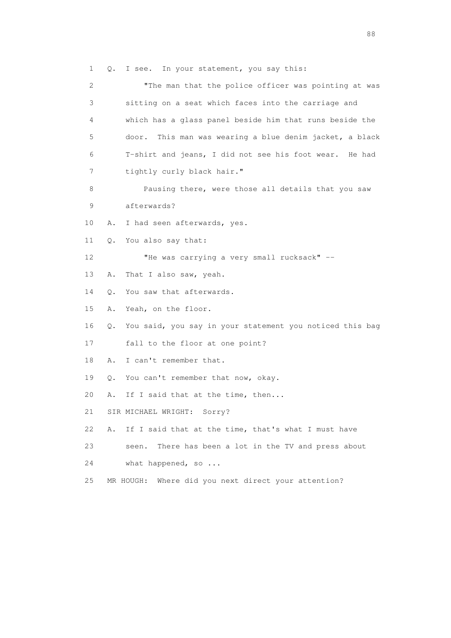1 Q. I see. In your statement, you say this:

 2 "The man that the police officer was pointing at was 3 sitting on a seat which faces into the carriage and 4 which has a glass panel beside him that runs beside the 5 door. This man was wearing a blue denim jacket, a black 6 T-shirt and jeans, I did not see his foot wear. He had 7 tightly curly black hair." 8 Pausing there, were those all details that you saw 9 afterwards? 10 A. I had seen afterwards, yes. 11 Q. You also say that: 12 "He was carrying a very small rucksack" -- 13 A. That I also saw, yeah. 14 Q. You saw that afterwards. 15 A. Yeah, on the floor. 16 Q. You said, you say in your statement you noticed this bag 17 fall to the floor at one point? 18 A. I can't remember that. 19 Q. You can't remember that now, okay. 20 A. If I said that at the time, then... 21 SIR MICHAEL WRIGHT: Sorry? 22 A. If I said that at the time, that's what I must have 23 seen. There has been a lot in the TV and press about 24 what happened, so ... 25 MR HOUGH: Where did you next direct your attention?

en de la construction de la construction de la construction de la construction de la construction de la constr<br>1880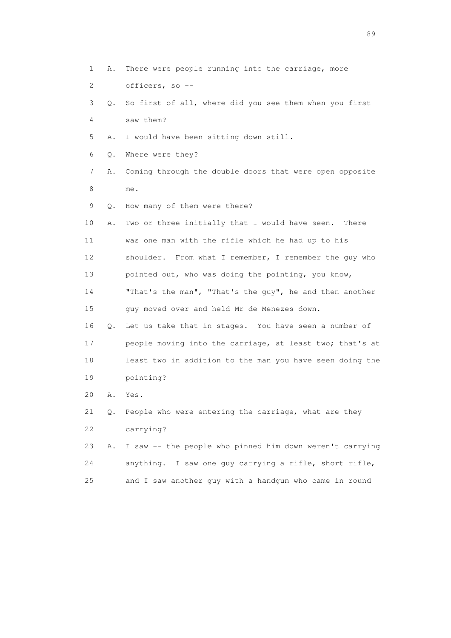- 1 A. There were people running into the carriage, more 2 officers, so -- 3 Q. So first of all, where did you see them when you first 4 saw them? 5 A. I would have been sitting down still. 6 Q. Where were they? 7 A. Coming through the double doors that were open opposite 8 me. 9 Q. How many of them were there? 10 A. Two or three initially that I would have seen. There 11 was one man with the rifle which he had up to his 12 shoulder. From what I remember, I remember the guy who 13 pointed out, who was doing the pointing, you know, 14 "That's the man", "That's the guy", he and then another 15 guy moved over and held Mr de Menezes down. 16 Q. Let us take that in stages. You have seen a number of 17 people moving into the carriage, at least two; that's at 18 least two in addition to the man you have seen doing the 19 pointing? 20 A. Yes. 21 Q. People who were entering the carriage, what are they 22 carrying? 23 A. I saw -- the people who pinned him down weren't carrying 24 anything. I saw one guy carrying a rifle, short rifle,
- 25 and I saw another guy with a handgun who came in round

en andere en de la seule de la constantin de la constantin de la constantin de la constantin de la constantin<br>189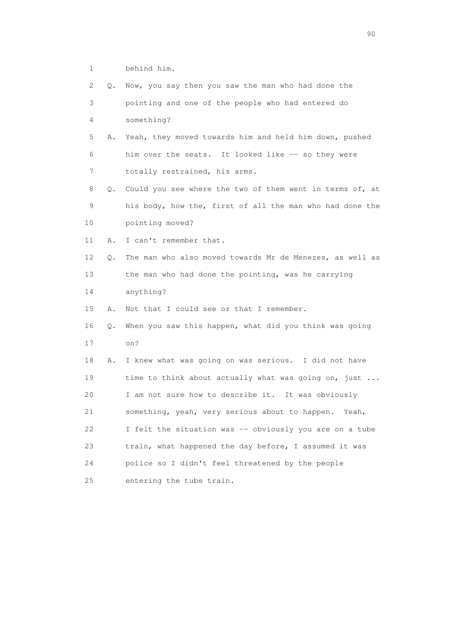1 behind him.

| 2  | Q. | Now, you say then you saw the man who had done the       |
|----|----|----------------------------------------------------------|
| 3  |    | pointing and one of the people who had entered do        |
| 4  |    | something?                                               |
| 5  | Α. | Yeah, they moved towards him and held him down, pushed   |
| 6  |    | him over the seats. It looked like -- so they were       |
| 7  |    | totally restrained, his arms.                            |
| 8  | Q. | Could you see where the two of them went in terms of, at |
| 9  |    | his body, how the, first of all the man who had done the |
| 10 |    | pointing moved?                                          |
| 11 | Α. | I can't remember that.                                   |
| 12 | Q. | The man who also moved towards Mr de Menezes, as well as |
| 13 |    | the man who had done the pointing, was he carrying       |
| 14 |    | anything?                                                |
| 15 | Α. | Not that I could see or that I remember.                 |
| 16 | Q. | When you saw this happen, what did you think was going   |
| 17 |    | on?                                                      |
| 18 | Α. | I knew what was going on was serious. I did not have     |
| 19 |    | time to think about actually what was going on, just     |
| 20 |    | I am not sure how to describe it. It was obviously       |
| 21 |    | something, yeah, very serious about to happen.<br>Yeah,  |
| 22 |    | I felt the situation was -- obviously you are on a tube  |
| 23 |    | train, what happened the day before, I assumed it was    |
| 24 |    | police so I didn't feel threatened by the people         |
| 25 |    | entering the tube train.                                 |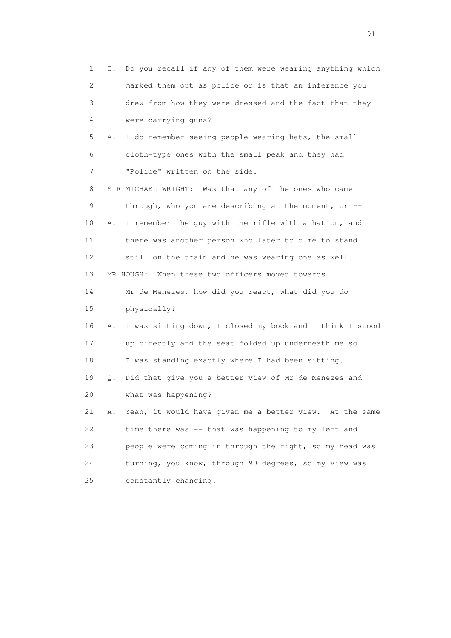| 1              | Q. | Do you recall if any of them were wearing anything which |
|----------------|----|----------------------------------------------------------|
| 2              |    | marked them out as police or is that an inference you    |
| 3              |    | drew from how they were dressed and the fact that they   |
| 4              |    | were carrying guns?                                      |
| 5              | Α. | I do remember seeing people wearing hats, the small      |
| 6              |    | cloth-type ones with the small peak and they had         |
| $\overline{7}$ |    | "Police" written on the side.                            |
| 8              |    | SIR MICHAEL WRIGHT: Was that any of the ones who came    |
| 9              |    | through, who you are describing at the moment, or $-$    |
| 10             | Α. | I remember the guy with the rifle with a hat on, and     |
| 11             |    | there was another person who later told me to stand      |
| 12             |    | still on the train and he was wearing one as well.       |
| 13             |    | When these two officers moved towards<br>MR HOUGH:       |
| 14             |    | Mr de Menezes, how did you react, what did you do        |
| 15             |    | physically?                                              |
| 16             | Α. | I was sitting down, I closed my book and I think I stood |
| 17             |    | up directly and the seat folded up underneath me so      |
| 18             |    | I was standing exactly where I had been sitting.         |
| 19             | Q. | Did that give you a better view of Mr de Menezes and     |
| 20             |    | what was happening?                                      |
| 21             | Α. | Yeah, it would have given me a better view. At the same  |
| 22             |    | time there was -- that was happening to my left and      |
| 23             |    | people were coming in through the right, so my head was  |
| 24             |    | turning, you know, through 90 degrees, so my view was    |
| 25             |    | constantly changing.                                     |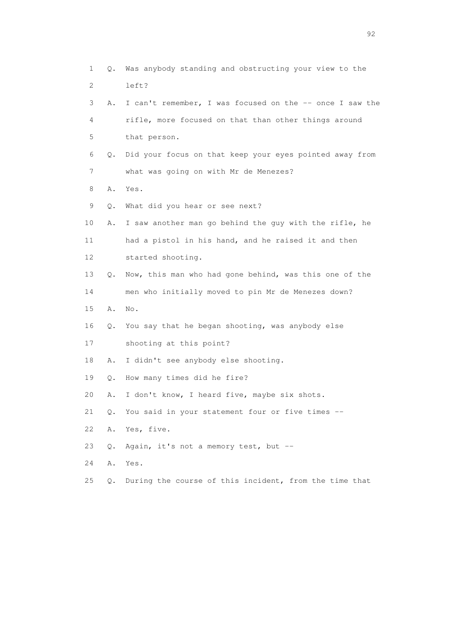| 1  | Q. | Was anybody standing and obstructing your view to the    |
|----|----|----------------------------------------------------------|
| 2  |    | left?                                                    |
| 3  | Α. | I can't remember, I was focused on the -- once I saw the |
| 4  |    | rifle, more focused on that than other things around     |
| 5  |    | that person.                                             |
| 6  | Q. | Did your focus on that keep your eyes pointed away from  |
| 7  |    | what was going on with Mr de Menezes?                    |
| 8  | Α. | Yes.                                                     |
| 9  | Q. | What did you hear or see next?                           |
| 10 | Α. | I saw another man go behind the guy with the rifle, he   |
| 11 |    | had a pistol in his hand, and he raised it and then      |
| 12 |    | started shooting.                                        |
| 13 | Q. | Now, this man who had gone behind, was this one of the   |
| 14 |    | men who initially moved to pin Mr de Menezes down?       |
| 15 | Α. | No.                                                      |
| 16 | Q. | You say that he began shooting, was anybody else         |
| 17 |    | shooting at this point?                                  |
| 18 | Α. | I didn't see anybody else shooting.                      |
| 19 | Q. | How many times did he fire?                              |
| 20 | Α. | I don't know, I heard five, maybe six shots.             |
| 21 |    | Q. You said in your statement four or five times --      |
| 22 | Α. | Yes, five.                                               |
| 23 | О. | Again, it's not a memory test, but --                    |
| 24 | Α. | Yes.                                                     |
| 25 | Q. | During the course of this incident, from the time that   |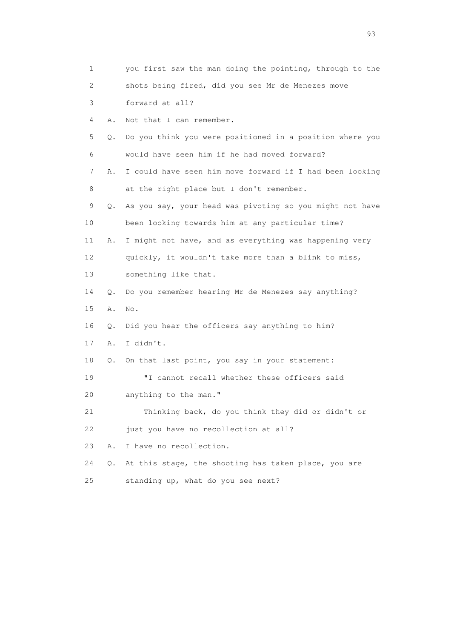| 1  |           | you first saw the man doing the pointing, through to the |
|----|-----------|----------------------------------------------------------|
| 2  |           | shots being fired, did you see Mr de Menezes move        |
| 3  |           | forward at all?                                          |
| 4  | Α.        | Not that I can remember.                                 |
| 5  | Q.        | Do you think you were positioned in a position where you |
| 6  |           | would have seen him if he had moved forward?             |
| 7  | Α.        | I could have seen him move forward if I had been looking |
| 8  |           | at the right place but I don't remember.                 |
| 9  | Q.        | As you say, your head was pivoting so you might not have |
| 10 |           | been looking towards him at any particular time?         |
| 11 | Α.        | I might not have, and as everything was happening very   |
| 12 |           | quickly, it wouldn't take more than a blink to miss,     |
| 13 |           | something like that.                                     |
| 14 | О.        | Do you remember hearing Mr de Menezes say anything?      |
| 15 | Α.        | No.                                                      |
| 16 | Q.        | Did you hear the officers say anything to him?           |
| 17 | Α.        | I didn't.                                                |
| 18 | $\circ$ . | On that last point, you say in your statement:           |
| 19 |           | "I cannot recall whether these officers said             |
| 20 |           | anything to the man."                                    |
| 21 |           | Thinking back, do you think they did or didn't or        |
| 22 |           | just you have no recollection at all?                    |
| 23 | Α.        | I have no recollection.                                  |
| 24 | Q.        | At this stage, the shooting has taken place, you are     |
| 25 |           | standing up, what do you see next?                       |

experience of the contract of the contract of the contract of the contract of the contract of the contract of the contract of the contract of the contract of the contract of the contract of the contract of the contract of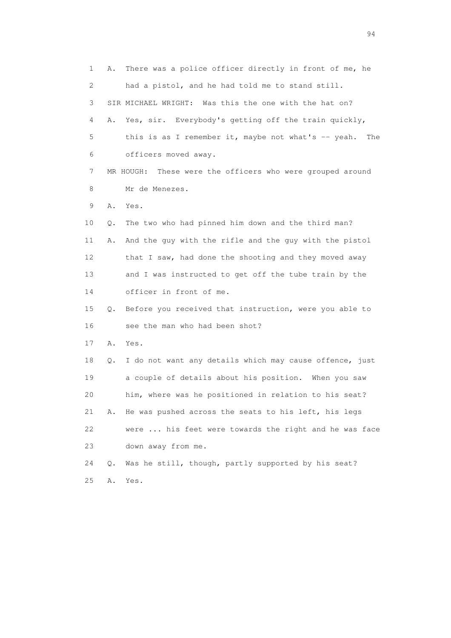1 A. There was a police officer directly in front of me, he 2 had a pistol, and he had told me to stand still. 3 SIR MICHAEL WRIGHT: Was this the one with the hat on? 4 A. Yes, sir. Everybody's getting off the train quickly, 5 this is as I remember it, maybe not what's -- yeah. The 6 officers moved away. 7 MR HOUGH: These were the officers who were grouped around 8 Mr de Menezes. 9 A. Yes. 10 Q. The two who had pinned him down and the third man? 11 A. And the guy with the rifle and the guy with the pistol 12 that I saw, had done the shooting and they moved away 13 and I was instructed to get off the tube train by the 14 officer in front of me. 15 Q. Before you received that instruction, were you able to 16 see the man who had been shot? 17 A. Yes. 18 Q. I do not want any details which may cause offence, just 19 a couple of details about his position. When you saw 20 him, where was he positioned in relation to his seat? 21 A. He was pushed across the seats to his left, his legs 22 were ... his feet were towards the right and he was face 23 down away from me. 24 Q. Was he still, though, partly supported by his seat? 25 A. Yes.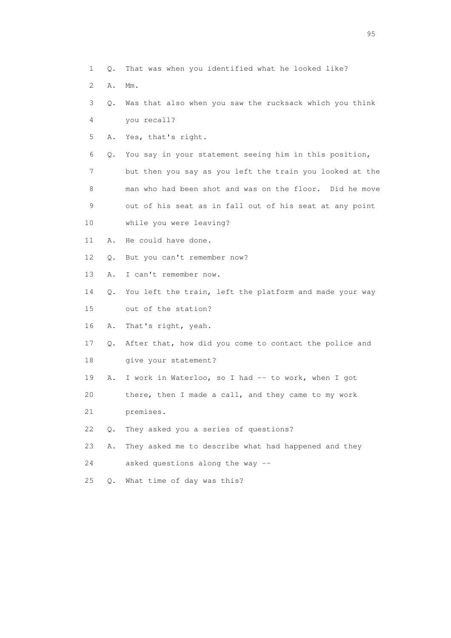- 1 Q. That was when you identified what he looked like?
- 2 A. Mm.
- 3 Q. Was that also when you saw the rucksack which you think 4 you recall?
- 5 A. Yes, that's right.
- 6 Q. You say in your statement seeing him in this position,
- 7 but then you say as you left the train you looked at the 8 man who had been shot and was on the floor. Did he move 9 out of his seat as in fall out of his seat at any point
- 10 while you were leaving?
- 11 A. He could have done.
- 12 Q. But you can't remember now?
- 13 A. I can't remember now.
- 14 Q. You left the train, left the platform and made your way 15 out of the station?
- 16 A. That's right, yeah.
- 17 Q. After that, how did you come to contact the police and 18 give your statement?
- 19 A. I work in Waterloo, so I had -- to work, when I got
- 20 there, then I made a call, and they came to my work
- 21 premises.
- 22 Q. They asked you a series of questions?
- 23 A. They asked me to describe what had happened and they
- 24 asked questions along the way --
- 25 Q. What time of day was this?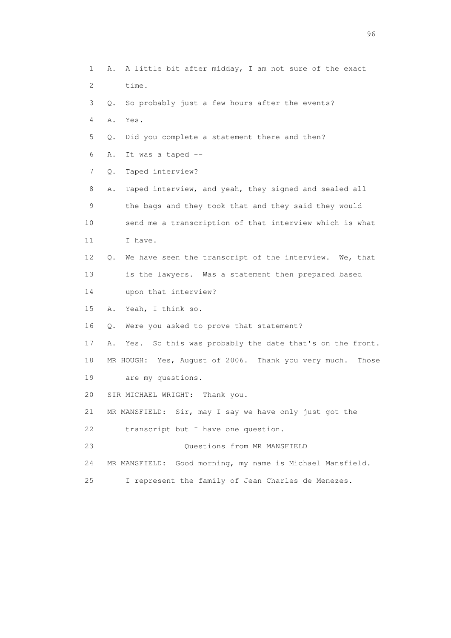1 A. A little bit after midday, I am not sure of the exact 2 time. 3 Q. So probably just a few hours after the events? 4 A. Yes. 5 Q. Did you complete a statement there and then? 6 A. It was a taped -- 7 Q. Taped interview? 8 A. Taped interview, and yeah, they signed and sealed all 9 the bags and they took that and they said they would 10 send me a transcription of that interview which is what 11 I have. 12 Q. We have seen the transcript of the interview. We, that 13 is the lawyers. Was a statement then prepared based 14 upon that interview? 15 A. Yeah, I think so. 16 Q. Were you asked to prove that statement? 17 A. Yes. So this was probably the date that's on the front. 18 MR HOUGH: Yes, August of 2006. Thank you very much. Those 19 are my questions. 20 SIR MICHAEL WRIGHT: Thank you. 21 MR MANSFIELD: Sir, may I say we have only just got the 22 transcript but I have one question. 23 Questions from MR MANSFIELD 24 MR MANSFIELD: Good morning, my name is Michael Mansfield. 25 I represent the family of Jean Charles de Menezes.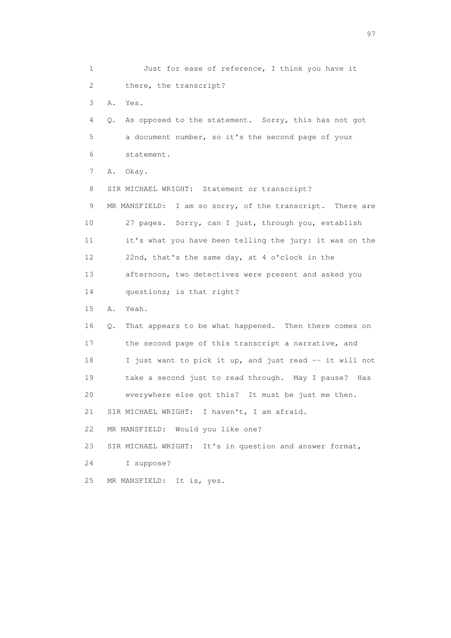1 Just for ease of reference, I think you have it 2 there, the transcript? 3 A. Yes. 4 Q. As opposed to the statement. Sorry, this has not got 5 a document number, so it's the second page of your 6 statement. 7 A. Okay. 8 SIR MICHAEL WRIGHT: Statement or transcript? 9 MR MANSFIELD: I am so sorry, of the transcript. There are 10 27 pages. Sorry, can I just, through you, establish 11 it's what you have been telling the jury: it was on the 12 22nd, that's the same day, at 4 o'clock in the 13 afternoon, two detectives were present and asked you 14 questions; is that right? 15 A. Yeah. 16 Q. That appears to be what happened. Then there comes on 17 the second page of this transcript a narrative, and 18 I just want to pick it up, and just read -- it will not 19 take a second just to read through. May I pause? Has 20 everywhere else got this? It must be just me then. 21 SIR MICHAEL WRIGHT: I haven't, I am afraid. 22 MR MANSFIELD: Would you like one? 23 SIR MICHAEL WRIGHT: It's in question and answer format, 24 I suppose? 25 MR MANSFIELD: It is, yes.

experience of the contract of the contract of the contract of the contract of the contract of the contract of the contract of the contract of the contract of the contract of the contract of the contract of the contract of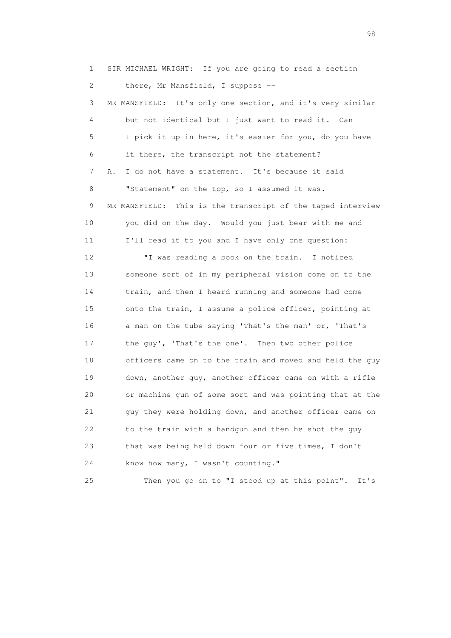1 SIR MICHAEL WRIGHT: If you are going to read a section 2 there, Mr Mansfield, I suppose -- 3 MR MANSFIELD: It's only one section, and it's very similar 4 but not identical but I just want to read it. Can 5 I pick it up in here, it's easier for you, do you have 6 it there, the transcript not the statement? 7 A. I do not have a statement. It's because it said 8 "Statement" on the top, so I assumed it was. 9 MR MANSFIELD: This is the transcript of the taped interview 10 you did on the day. Would you just bear with me and 11 I'll read it to you and I have only one question: 12 "I was reading a book on the train. I noticed 13 someone sort of in my peripheral vision come on to the 14 train, and then I heard running and someone had come 15 onto the train, I assume a police officer, pointing at 16 a man on the tube saying 'That's the man' or, 'That's 17 the guy', 'That's the one'. Then two other police 18 officers came on to the train and moved and held the guy 19 down, another guy, another officer came on with a rifle 20 or machine gun of some sort and was pointing that at the 21 guy they were holding down, and another officer came on 22 to the train with a handgun and then he shot the guy 23 that was being held down four or five times, I don't 24 know how many, I wasn't counting." 25 Then you go on to "I stood up at this point". It's

en 1988 en 1989 en 1989 en 1989 en 1989 en 1989 en 1989 en 1989 en 1989 en 1989 en 1989 en 1989 en 1989 en 19<br>De grote en 1989 en 1989 en 1989 en 1989 en 1989 en 1989 en 1989 en 1989 en 1989 en 1989 en 1989 en 1989 en 19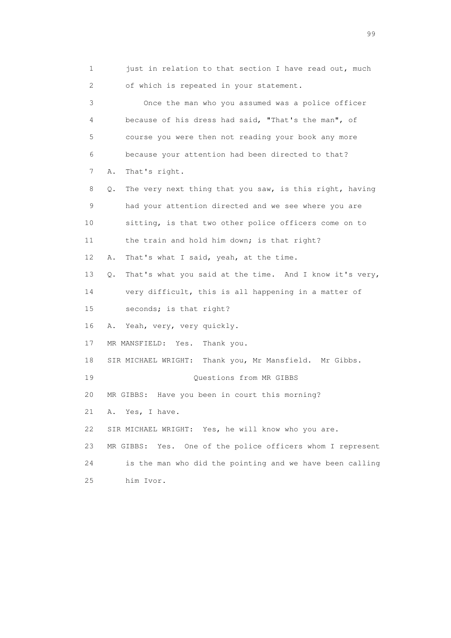1 just in relation to that section I have read out, much 2 of which is repeated in your statement. 3 Once the man who you assumed was a police officer 4 because of his dress had said, "That's the man", of 5 course you were then not reading your book any more 6 because your attention had been directed to that? 7 A. That's right. 8 Q. The very next thing that you saw, is this right, having 9 had your attention directed and we see where you are 10 sitting, is that two other police officers come on to 11 the train and hold him down; is that right? 12 A. That's what I said, yeah, at the time. 13 Q. That's what you said at the time. And I know it's very, 14 very difficult, this is all happening in a matter of 15 seconds; is that right? 16 A. Yeah, very, very quickly. 17 MR MANSFIELD: Yes. Thank you. 18 SIR MICHAEL WRIGHT: Thank you, Mr Mansfield. Mr Gibbs. 19 Questions from MR GIBBS 20 MR GIBBS: Have you been in court this morning? 21 A. Yes, I have. 22 SIR MICHAEL WRIGHT: Yes, he will know who you are. 23 MR GIBBS: Yes. One of the police officers whom I represent 24 is the man who did the pointing and we have been calling 25 him Ivor.

en de la construction de la construction de la construction de la construction de la construction de la constr<br>1990 : le construction de la construction de la construction de la construction de la construction de la const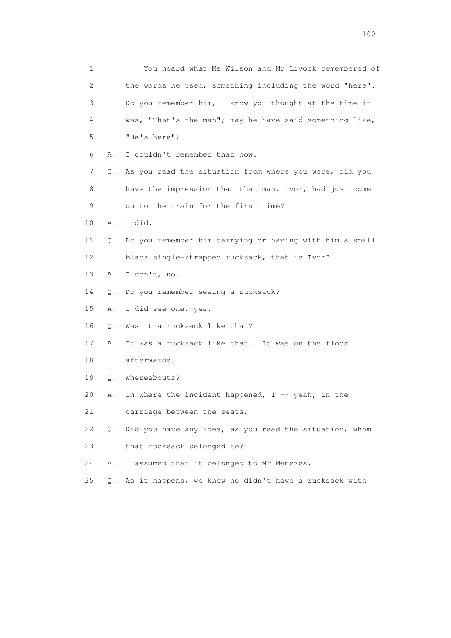| 1               |       | You heard what Ms Wilson and Mr Livock remembered of    |
|-----------------|-------|---------------------------------------------------------|
| 2               |       | the words he used, something including the word "here". |
| 3               |       | Do you remember him, I know you thought at the time it  |
| 4               |       | was, "That's the man"; may he have said something like, |
| 5               |       | "He's here"?                                            |
| 6               | Α.    | I couldn't remember that now.                           |
| 7               | Q.    | As you read the situation from where you were, did you  |
| 8               |       | have the impression that that man, Ivor, had just come  |
| 9               |       | on to the train for the first time?                     |
| 10              | Α.    | I did.                                                  |
| 11              | Q.    | Do you remember him carrying or having with him a small |
| 12 <sup>°</sup> |       | black single-strapped rucksack, that is Ivor?           |
| 13              | Α.    | I don't, no.                                            |
| 14              | Q.    | Do you remember seeing a rucksack?                      |
| 15              | Α.    | I did see one, yes.                                     |
| 16              | Q.    | Was it a rucksack like that?                            |
| 17              | Α.    | It was a rucksack like that. It was on the floor        |
| 18              |       | afterwards.                                             |
| 19              | Q.    | Whereabouts?                                            |
| 20              | Α.    | In where the incident happened, $I$ -- yeah, in the     |
| 21              |       | carriage between the seats.                             |
| 22              | Q.    | Did you have any idea, as you read the situation, whom  |
| 23              |       | that rucksack belonged to?                              |
| 24              | Α.    | I assumed that it belonged to Mr Menezes.               |
| 25              | $Q$ . | As it happens, we know he didn't have a rucksack with   |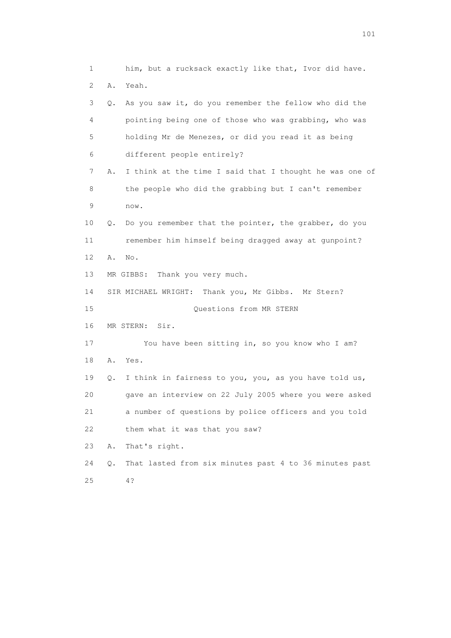1 him, but a rucksack exactly like that, Ivor did have. 2 A. Yeah. 3 Q. As you saw it, do you remember the fellow who did the 4 pointing being one of those who was grabbing, who was 5 holding Mr de Menezes, or did you read it as being 6 different people entirely? 7 A. I think at the time I said that I thought he was one of 8 the people who did the grabbing but I can't remember 9 now. 10 Q. Do you remember that the pointer, the grabber, do you 11 remember him himself being dragged away at gunpoint? 12 A. No. 13 MR GIBBS: Thank you very much. 14 SIR MICHAEL WRIGHT: Thank you, Mr Gibbs. Mr Stern? 15 Questions from MR STERN 16 MR STERN: Sir. 17 You have been sitting in, so you know who I am? 18 A. Yes. 19 Q. I think in fairness to you, you, as you have told us, 20 gave an interview on 22 July 2005 where you were asked 21 a number of questions by police officers and you told 22 them what it was that you saw? 23 A. That's right. 24 Q. That lasted from six minutes past 4 to 36 minutes past 25 4?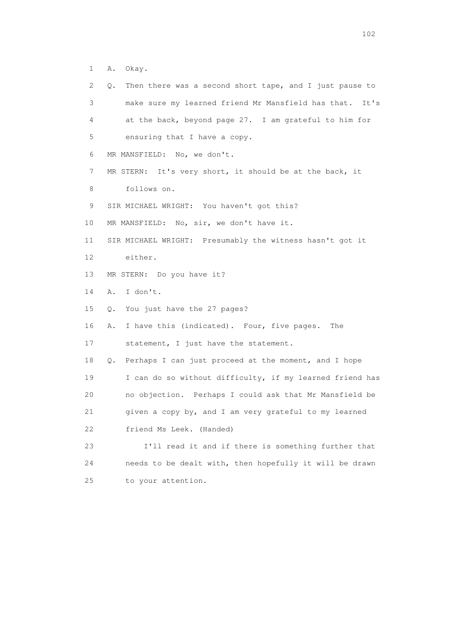1 A. Okay.

| 2               | Then there was a second short tape, and I just pause to<br>Q. |
|-----------------|---------------------------------------------------------------|
| 3               | make sure my learned friend Mr Mansfield has that. It's       |
| 4               | at the back, beyond page 27. I am grateful to him for         |
| 5               | ensuring that I have a copy.                                  |
| 6               | MR MANSFIELD: No, we don't.                                   |
| 7               | MR STERN: It's very short, it should be at the back, it       |
| 8               | follows on.                                                   |
| 9               | SIR MICHAEL WRIGHT: You haven't got this?                     |
| 10              | MR MANSFIELD: No, sir, we don't have it.                      |
| 11              | SIR MICHAEL WRIGHT: Presumably the witness hasn't got it      |
| 12 <sup>°</sup> | either.                                                       |
| 13              | MR STERN: Do you have it?                                     |
| 14              | I don't.<br>Α.                                                |
| 15              | You just have the 27 pages?<br>Q.                             |
| 16              | I have this (indicated). Four, five pages. The<br>Α.          |
| 17              | statement, I just have the statement.                         |
| 18              | Perhaps I can just proceed at the moment, and I hope<br>Q.    |
| 19              | I can do so without difficulty, if my learned friend has      |
| 20              | no objection. Perhaps I could ask that Mr Mansfield be        |
| 21              | given a copy by, and I am very grateful to my learned         |
| 22              | friend Ms Leek. (Handed)                                      |
| 23              | I'll read it and if there is something further that           |
| 24              | needs to be dealt with, then hopefully it will be drawn       |
| 25              | to your attention.                                            |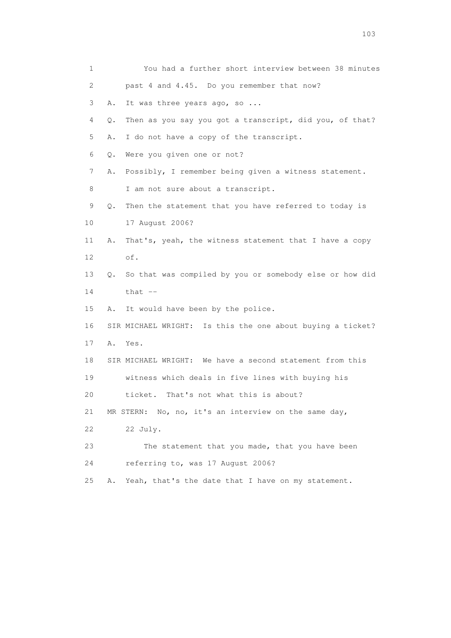| 1                         | You had a further short interview between 38 minutes          |
|---------------------------|---------------------------------------------------------------|
| $\mathbf{2}^{\mathsf{I}}$ | past 4 and 4.45. Do you remember that now?                    |
| 3                         | It was three years ago, so<br>Α.                              |
| 4                         | Then as you say you got a transcript, did you, of that?<br>Q. |
| 5                         | I do not have a copy of the transcript.<br>Α.                 |
| 6                         | Were you given one or not?<br>Q.                              |
| 7                         | Possibly, I remember being given a witness statement.<br>Α.   |
| 8                         | I am not sure about a transcript.                             |
| 9                         | Then the statement that you have referred to today is<br>Q.   |
| 10                        | 17 August 2006?                                               |
| 11                        | That's, yeah, the witness statement that I have a copy<br>Α.  |
| 12                        | of.                                                           |
| 13                        | So that was compiled by you or somebody else or how did<br>0. |
| 14                        | that $--$                                                     |
| 15                        | It would have been by the police.<br>Α.                       |
| 16                        | SIR MICHAEL WRIGHT: Is this the one about buying a ticket?    |
| 17                        | A. Yes.                                                       |
| 18                        | SIR MICHAEL WRIGHT: We have a second statement from this      |
| 19                        | witness which deals in five lines with buying his             |
| 20                        | That's not what this is about?<br>ticket.                     |
| 21                        | MR STERN: No, no, it's an interview on the same day,          |
| 22                        | 22 July.                                                      |
| 23                        | The statement that you made, that you have been               |
| 24                        | referring to, was 17 August 2006?                             |
| 25                        | Yeah, that's the date that I have on my statement.<br>Α.      |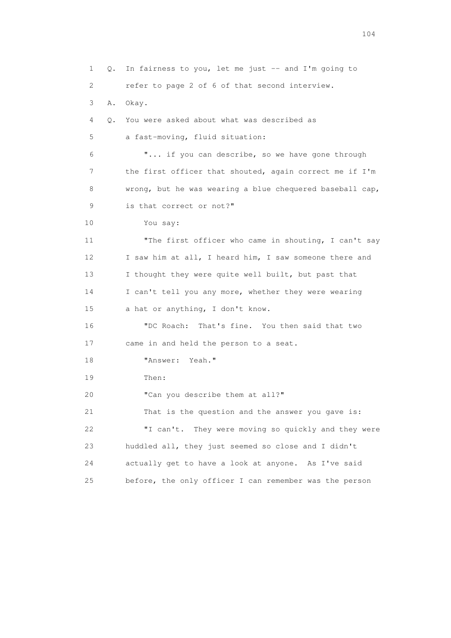1 Q. In fairness to you, let me just -- and I'm going to 2 refer to page 2 of 6 of that second interview. 3 A. Okay. 4 Q. You were asked about what was described as 5 a fast-moving, fluid situation: 6 "... if you can describe, so we have gone through 7 the first officer that shouted, again correct me if I'm 8 wrong, but he was wearing a blue chequered baseball cap, 9 is that correct or not?" 10 You say: 11 "The first officer who came in shouting, I can't say 12 I saw him at all, I heard him, I saw someone there and 13 I thought they were quite well built, but past that 14 I can't tell you any more, whether they were wearing 15 a hat or anything, I don't know. 16 "DC Roach: That's fine. You then said that two 17 came in and held the person to a seat. 18 "Answer: Yeah." 19 Then: 20 "Can you describe them at all?" 21 That is the question and the answer you gave is: 22 "I can't. They were moving so quickly and they were 23 huddled all, they just seemed so close and I didn't 24 actually get to have a look at anyone. As I've said 25 before, the only officer I can remember was the person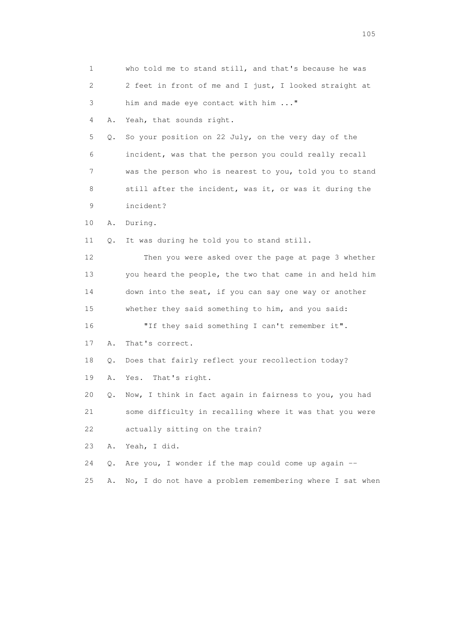| $\mathbf 1$               |    | who told me to stand still, and that's because he was    |
|---------------------------|----|----------------------------------------------------------|
| $\mathbf{2}^{\mathsf{I}}$ |    | 2 feet in front of me and I just, I looked straight at   |
| 3                         |    | him and made eye contact with him "                      |
| 4                         | Α. | Yeah, that sounds right.                                 |
| 5                         | Q. | So your position on 22 July, on the very day of the      |
| 6                         |    | incident, was that the person you could really recall    |
| 7                         |    | was the person who is nearest to you, told you to stand  |
| 8                         |    | still after the incident, was it, or was it during the   |
| 9                         |    | incident?                                                |
| 10                        | Α. | During.                                                  |
| 11                        | О. | It was during he told you to stand still.                |
| 12                        |    | Then you were asked over the page at page 3 whether      |
| 13                        |    | you heard the people, the two that came in and held him  |
| 14                        |    | down into the seat, if you can say one way or another    |
| 15                        |    | whether they said something to him, and you said:        |
| 16                        |    | "If they said something I can't remember it".            |
| 17                        | Α. | That's correct.                                          |
| 18                        | Q. | Does that fairly reflect your recollection today?        |
| 19                        | Α. | That's right.<br>Yes.                                    |
| 20                        | Q. | Now, I think in fact again in fairness to you, you had   |
| 21                        |    | some difficulty in recalling where it was that you were  |
| 22                        |    | actually sitting on the train?                           |
| 23                        | Α. | Yeah, I did.                                             |
| 24                        | Q. | Are you, I wonder if the map could come up again $-$     |
| 25                        | Α. | No, I do not have a problem remembering where I sat when |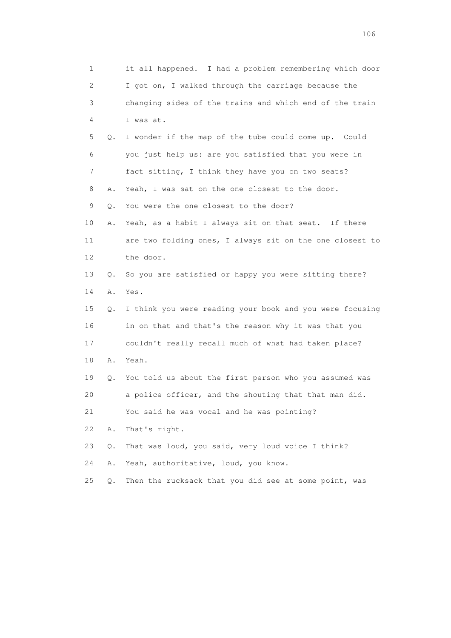1 it all happened. I had a problem remembering which door 2 I got on, I walked through the carriage because the 3 changing sides of the trains and which end of the train 4 I was at. 5 Q. I wonder if the map of the tube could come up. Could 6 you just help us: are you satisfied that you were in 7 fact sitting, I think they have you on two seats? 8 A. Yeah, I was sat on the one closest to the door. 9 Q. You were the one closest to the door? 10 A. Yeah, as a habit I always sit on that seat. If there 11 are two folding ones, I always sit on the one closest to 12 the door. 13 Q. So you are satisfied or happy you were sitting there? 14 A. Yes. 15 Q. I think you were reading your book and you were focusing 16 in on that and that's the reason why it was that you 17 couldn't really recall much of what had taken place? 18 A. Yeah. 19 Q. You told us about the first person who you assumed was 20 a police officer, and the shouting that that man did. 21 You said he was vocal and he was pointing? 22 A. That's right. 23 Q. That was loud, you said, very loud voice I think? 24 A. Yeah, authoritative, loud, you know. 25 Q. Then the rucksack that you did see at some point, was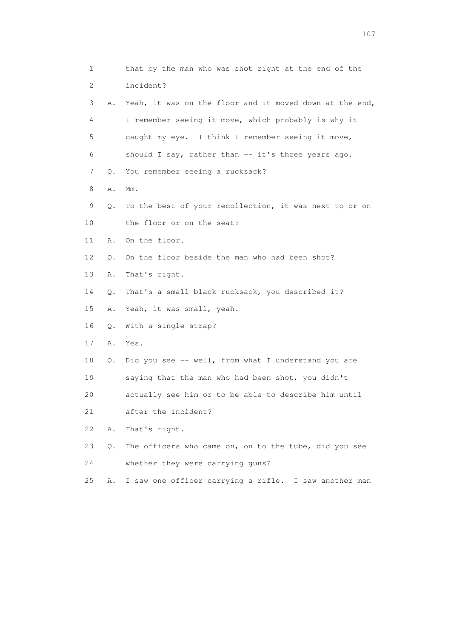| 1  |           | that by the man who was shot right at the end of the    |
|----|-----------|---------------------------------------------------------|
| 2  |           | incident?                                               |
| 3  | Α.        | Yeah, it was on the floor and it moved down at the end, |
| 4  |           | I remember seeing it move, which probably is why it     |
| 5  |           | caught my eye. I think I remember seeing it move,       |
| 6  |           | should I say, rather than -- it's three years ago.      |
| 7  | Q.        | You remember seeing a rucksack?                         |
| 8  | Α.        | $Mm$ .                                                  |
| 9  | Q.        | To the best of your recollection, it was next to or on  |
| 10 |           | the floor or on the seat?                               |
| 11 | Α.        | On the floor.                                           |
| 12 | $\circ$ . | On the floor beside the man who had been shot?          |
| 13 | Α.        | That's right.                                           |
| 14 | Q.        | That's a small black rucksack, you described it?        |
| 15 | Α.        | Yeah, it was small, yeah.                               |
| 16 | Q.        | With a single strap?                                    |
| 17 | Α.        | Yes.                                                    |
| 18 | Q.        | Did you see -- well, from what I understand you are     |
| 19 |           | saying that the man who had been shot, you didn't       |
| 20 |           | actually see him or to be able to describe him until    |
| 21 |           | after the incident?                                     |
| 22 | Α.        | That's right.                                           |
| 23 | О.        | The officers who came on, on to the tube, did you see   |
| 24 |           | whether they were carrying guns?                        |
| 25 | Α.        | I saw one officer carrying a rifle. I saw another man   |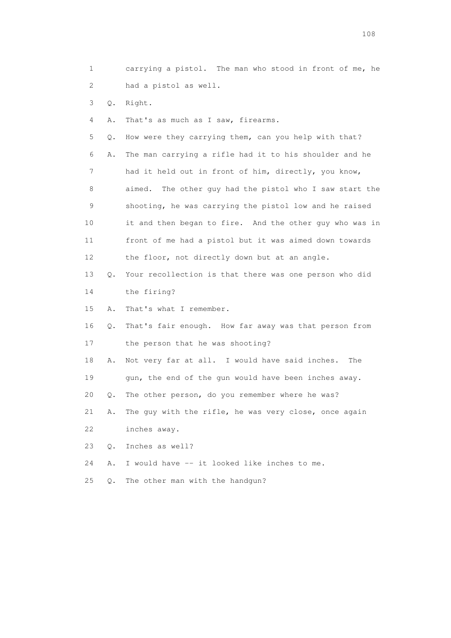1 carrying a pistol. The man who stood in front of me, he 2 had a pistol as well.

3 Q. Right.

4 A. That's as much as I saw, firearms.

 5 Q. How were they carrying them, can you help with that? 6 A. The man carrying a rifle had it to his shoulder and he 7 had it held out in front of him, directly, you know, 8 aimed. The other guy had the pistol who I saw start the 9 shooting, he was carrying the pistol low and he raised 10 it and then began to fire. And the other guy who was in 11 front of me had a pistol but it was aimed down towards 12 the floor, not directly down but at an angle.

 13 Q. Your recollection is that there was one person who did 14 the firing?

15 A. That's what I remember.

 16 Q. That's fair enough. How far away was that person from 17 the person that he was shooting?

 18 A. Not very far at all. I would have said inches. The 19 gun, the end of the gun would have been inches away.

20 Q. The other person, do you remember where he was?

 21 A. The guy with the rifle, he was very close, once again 22 inches away.

23 Q. Inches as well?

24 A. I would have -- it looked like inches to me.

25 Q. The other man with the handgun?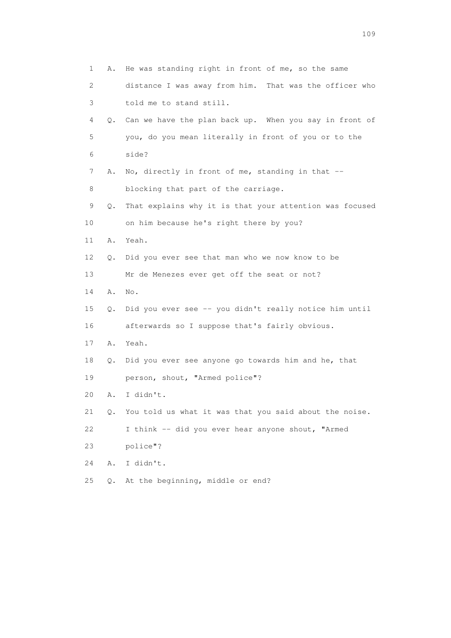| $\mathbf{1}$ | Α. | He was standing right in front of me, so the same         |
|--------------|----|-----------------------------------------------------------|
| 2            |    | distance I was away from him. That was the officer who    |
| 3            |    | told me to stand still.                                   |
| 4            |    | Q. Can we have the plan back up. When you say in front of |
| 5            |    | you, do you mean literally in front of you or to the      |
| 6            |    | side?                                                     |
| 7            | Α. | No, directly in front of me, standing in that --          |
| 8            |    | blocking that part of the carriage.                       |
| 9            | Q. | That explains why it is that your attention was focused   |
| 10           |    | on him because he's right there by you?                   |
| 11           | Α. | Yeah.                                                     |
| 12           | Q. | Did you ever see that man who we now know to be           |
| 13           |    | Mr de Menezes ever get off the seat or not?               |
| 14           | Α. | No.                                                       |
| 15           | Q. | Did you ever see -- you didn't really notice him until    |
| 16           |    | afterwards so I suppose that's fairly obvious.            |
| 17           | Α. | Yeah.                                                     |
| 18           | Q. | Did you ever see anyone go towards him and he, that       |
| 19           |    | person, shout, "Armed police"?                            |
| 20           | Α. | I didn't.                                                 |
| 21           | Q. | You told us what it was that you said about the noise.    |
| 22           |    | I think -- did you ever hear anyone shout, "Armed         |
| 23           |    | police"?                                                  |
| 24           | Α. | I didn't.                                                 |
| 25           | О. | At the beginning, middle or end?                          |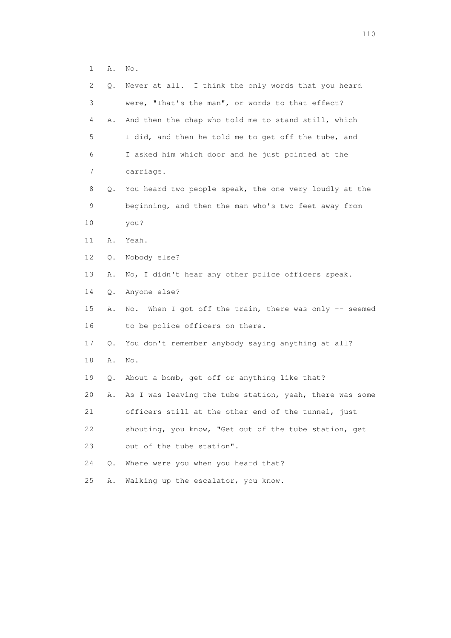|  | ٠<br><u>. .</u> | Νo<br>$\bullet$ |  |
|--|-----------------|-----------------|--|
|  |                 |                 |  |

| 2  | Q. | Never at all. I think the only words that you heard        |
|----|----|------------------------------------------------------------|
| 3  |    | were, "That's the man", or words to that effect?           |
| 4  | Α. | And then the chap who told me to stand still, which        |
| 5  |    | I did, and then he told me to get off the tube, and        |
| 6  |    | I asked him which door and he just pointed at the          |
| 7  |    | carriage.                                                  |
| 8  | Q. | You heard two people speak, the one very loudly at the     |
| 9  |    | beginning, and then the man who's two feet away from       |
| 10 |    | you?                                                       |
| 11 | Α. | Yeah.                                                      |
| 12 | Q. | Nobody else?                                               |
| 13 | Α. | No, I didn't hear any other police officers speak.         |
| 14 | Q. | Anyone else?                                               |
| 15 | Α. | When I got off the train, there was only $-$ seemed<br>No. |
| 16 |    | to be police officers on there.                            |
| 17 | Q. | You don't remember anybody saying anything at all?         |
| 18 | Α. | No.                                                        |
| 19 | Q. | About a bomb, get off or anything like that?               |
| 20 | Α. | As I was leaving the tube station, yeah, there was some    |
| 21 |    | officers still at the other end of the tunnel, just        |
| 22 |    | shouting, you know, "Get out of the tube station, get      |
| 23 |    | out of the tube station".                                  |
| 24 | О. | Where were you when you heard that?                        |
| 25 | Α. | Walking up the escalator, you know.                        |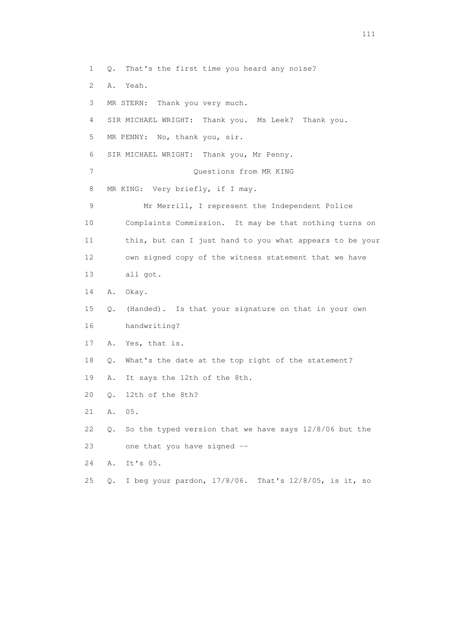1 Q. That's the first time you heard any noise? 2 A. Yeah. 3 MR STERN: Thank you very much. 4 SIR MICHAEL WRIGHT: Thank you. Ms Leek? Thank you. 5 MR PENNY: No, thank you, sir. 6 SIR MICHAEL WRIGHT: Thank you, Mr Penny. 7 Ouestions from MR KING 8 MR KING: Very briefly, if I may. 9 Mr Merrill, I represent the Independent Police 10 Complaints Commission. It may be that nothing turns on 11 this, but can I just hand to you what appears to be your 12 own signed copy of the witness statement that we have 13 all got. 14 A. Okay. 15 Q. (Handed). Is that your signature on that in your own 16 handwriting? 17 A. Yes, that is. 18 Q. What's the date at the top right of the statement? 19 A. It says the 12th of the 8th. 20 Q. 12th of the 8th? 21 A. 05. 22 Q. So the typed version that we have says 12/8/06 but the 23 one that you have signed -- 24 A. It's 05. 25 Q. I beg your pardon, 17/8/06. That's 12/8/05, is it, so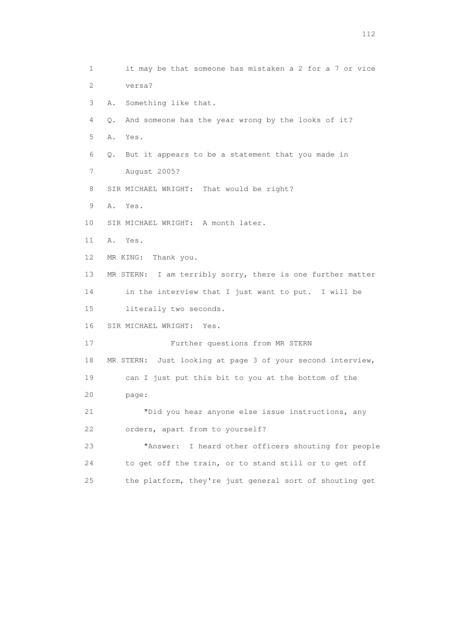1 it may be that someone has mistaken a 2 for a 7 or vice 2 versa? 3 A. Something like that. 4 Q. And someone has the year wrong by the looks of it? 5 A. Yes. 6 Q. But it appears to be a statement that you made in 7 August 2005? 8 SIR MICHAEL WRIGHT: That would be right? 9 A. Yes. 10 SIR MICHAEL WRIGHT: A month later. 11 A. Yes. 12 MR KING: Thank you. 13 MR STERN: I am terribly sorry, there is one further matter 14 in the interview that I just want to put. I will be 15 literally two seconds. 16 SIR MICHAEL WRIGHT: Yes. 17 Further questions from MR STERN 18 MR STERN: Just looking at page 3 of your second interview, 19 can I just put this bit to you at the bottom of the 20 page: 21 "Did you hear anyone else issue instructions, any 22 orders, apart from to yourself? 23 "Answer: I heard other officers shouting for people 24 to get off the train, or to stand still or to get off 25 the platform, they're just general sort of shouting get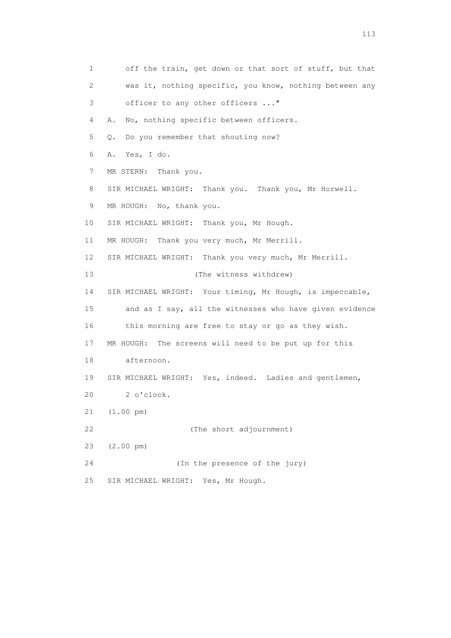1 off the train, get down or that sort of stuff, but that 2 was it, nothing specific, you know, nothing between any 3 officer to any other officers ..." 4 A. No, nothing specific between officers. 5 Q. Do you remember that shouting now? 6 A. Yes, I do. 7 MR STERN: Thank you. 8 SIR MICHAEL WRIGHT: Thank you. Thank you, Mr Horwell. 9 MR HOUGH: No, thank you. 10 SIR MICHAEL WRIGHT: Thank you, Mr Hough. 11 MR HOUGH: Thank you very much, Mr Merrill. 12 SIR MICHAEL WRIGHT: Thank you very much, Mr Merrill. 13 (The witness withdrew) 14 SIR MICHAEL WRIGHT: Your timing, Mr Hough, is impeccable, 15 and as I say, all the witnesses who have given evidence 16 this morning are free to stay or go as they wish. 17 MR HOUGH: The screens will need to be put up for this 18 afternoon. 19 SIR MICHAEL WRIGHT: Yes, indeed. Ladies and gentlemen, 20 2 o'clock. 21 (1.00 pm) 22 (The short adjournment) 23 (2.00 pm) 24 (In the presence of the jury) 25 SIR MICHAEL WRIGHT: Yes, Mr Hough.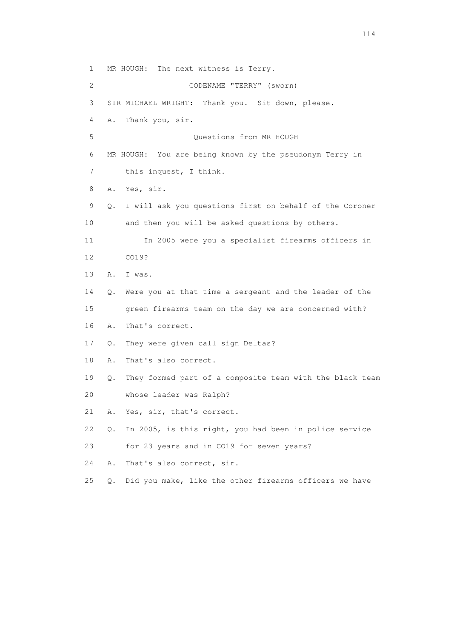1 MR HOUGH: The next witness is Terry. 2 CODENAME "TERRY" (sworn) 3 SIR MICHAEL WRIGHT: Thank you. Sit down, please. 4 A. Thank you, sir. 5 Questions from MR HOUGH 6 MR HOUGH: You are being known by the pseudonym Terry in 7 this inquest, I think. 8 A. Yes, sir. 9 Q. I will ask you questions first on behalf of the Coroner 10 and then you will be asked questions by others. 11 In 2005 were you a specialist firearms officers in 12 CO19? 13 A. I was. 14 Q. Were you at that time a sergeant and the leader of the 15 green firearms team on the day we are concerned with? 16 A. That's correct. 17 Q. They were given call sign Deltas? 18 A. That's also correct. 19 Q. They formed part of a composite team with the black team 20 whose leader was Ralph? 21 A. Yes, sir, that's correct. 22 Q. In 2005, is this right, you had been in police service 23 for 23 years and in CO19 for seven years? 24 A. That's also correct, sir. 25 Q. Did you make, like the other firearms officers we have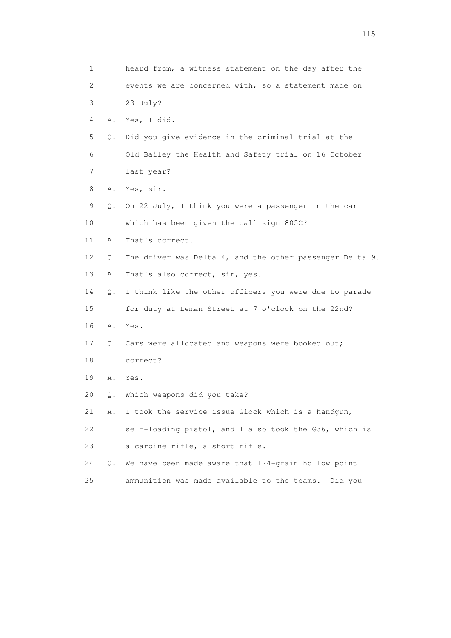| 1                         |       | heard from, a witness statement on the day after the           |
|---------------------------|-------|----------------------------------------------------------------|
| $\mathbf{2}^{\mathsf{I}}$ |       | events we are concerned with, so a statement made on           |
| 3                         |       | 23 July?                                                       |
| 4                         | Α.    | Yes, I did.                                                    |
| 5                         | Q.    | Did you give evidence in the criminal trial at the             |
| 6                         |       | Old Bailey the Health and Safety trial on 16 October           |
| 7                         |       | last year?                                                     |
| 8                         | Α.    | Yes, sir.                                                      |
| 9                         | Q.    | On 22 July, I think you were a passenger in the car            |
| 10                        |       | which has been given the call sign 805C?                       |
| 11                        | Α.    | That's correct.                                                |
| 12                        | Q.    | The driver was Delta $4$ , and the other passenger Delta $9$ . |
| 13                        | Α.    | That's also correct, sir, yes.                                 |
| 14                        | $Q$ . | I think like the other officers you were due to parade         |
| 15                        |       | for duty at Leman Street at 7 o'clock on the 22nd?             |
| 16                        | Α.    | Yes.                                                           |
| 17                        | Q.    | Cars were allocated and weapons were booked out;               |
| 18                        |       | correct?                                                       |
| 19                        | Α.    | Yes.                                                           |
| 20                        | Q.    | Which weapons did you take?                                    |
| 21                        | Α.    | I took the service issue Glock which is a handgun,             |
| 22                        |       | self-loading pistol, and I also took the G36, which is         |
| 23                        |       | a carbine rifle, a short rifle.                                |
| 24                        | О.    | We have been made aware that 124-grain hollow point            |
| 25                        |       | ammunition was made available to the teams.<br>Did you         |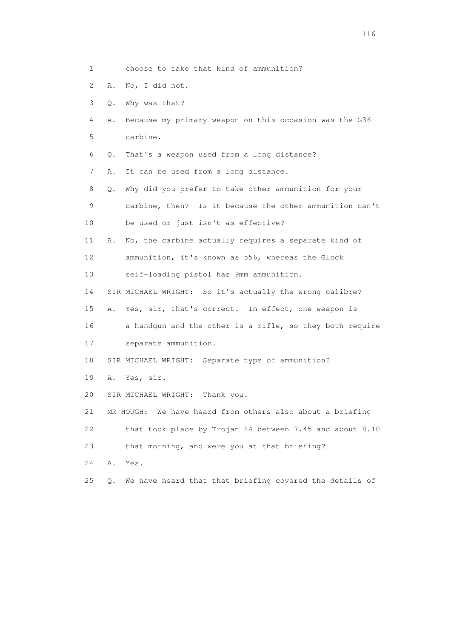- 1 choose to take that kind of ammunition?
- 2 A. No, I did not.
- 3 Q. Why was that?
- 4 A. Because my primary weapon on this occasion was the G36 5 carbine.
- 6 Q. That's a weapon used from a long distance?
- 7 A. It can be used from a long distance.
- 8 Q. Why did you prefer to take other ammunition for your 9 carbine, then? Is it because the other ammunition can't
- 10 be used or just isn't as effective?
- 11 A. No, the carbine actually requires a separate kind of
- 12 ammunition, it's known as 556, whereas the Glock
- 13 self-loading pistol has 9mm ammunition.
- 14 SIR MICHAEL WRIGHT: So it's actually the wrong calibre?
- 15 A. Yes, sir, that's correct. In effect, one weapon is
- 16 a handgun and the other is a rifle, so they both require
- 17 separate ammunition.
- 18 SIR MICHAEL WRIGHT: Separate type of ammunition?
- 19 A. Yes, sir.
- 20 SIR MICHAEL WRIGHT: Thank you.
- 21 MR HOUGH: We have heard from others also about a briefing 22 that took place by Trojan 84 between 7.45 and about 8.10
- 23 that morning, and were you at that briefing?
- 24 A. Yes.
- 25 Q. We have heard that that briefing covered the details of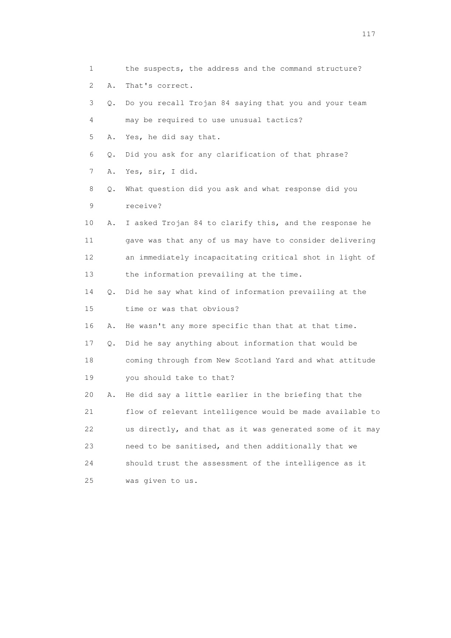| 1               |    | the suspects, the address and the command structure?     |
|-----------------|----|----------------------------------------------------------|
| 2               | Α. | That's correct.                                          |
| 3               | Q. | Do you recall Trojan 84 saying that you and your team    |
| 4               |    | may be required to use unusual tactics?                  |
| 5               | Α. | Yes, he did say that.                                    |
| 6               | Q. | Did you ask for any clarification of that phrase?        |
| 7               | Α. | Yes, sir, I did.                                         |
| 8               | Q. | What question did you ask and what response did you      |
| 9               |    | receive?                                                 |
| 10              | Α. | I asked Trojan 84 to clarify this, and the response he   |
| 11              |    | gave was that any of us may have to consider delivering  |
| 12 <sup>°</sup> |    | an immediately incapacitating critical shot in light of  |
| 13              |    | the information prevailing at the time.                  |
| 14              | Q. | Did he say what kind of information prevailing at the    |
| 15              |    | time or was that obvious?                                |
| 16              | Α. | He wasn't any more specific than that at that time.      |
| 17              | Q. | Did he say anything about information that would be      |
| 18              |    | coming through from New Scotland Yard and what attitude  |
| 19              |    | you should take to that?                                 |
| 20              |    | He did say a little earlier in the briefing that the     |
| 21              |    | flow of relevant intelligence would be made available to |
| 22              |    | us directly, and that as it was generated some of it may |
| 23              |    | need to be sanitised, and then additionally that we      |
| 24              |    | should trust the assessment of the intelligence as it    |
| 25              |    | was given to us.                                         |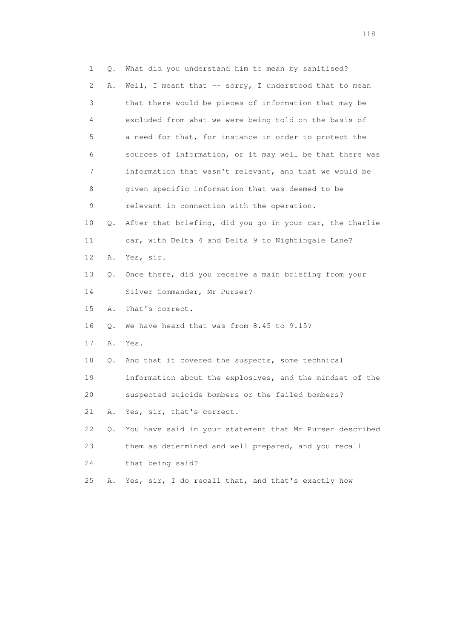1 Q. What did you understand him to mean by sanitised? 2 A. Well, I meant that -- sorry, I understood that to mean 3 that there would be pieces of information that may be 4 excluded from what we were being told on the basis of 5 a need for that, for instance in order to protect the 6 sources of information, or it may well be that there was 7 information that wasn't relevant, and that we would be 8 given specific information that was deemed to be 9 relevant in connection with the operation. 10 Q. After that briefing, did you go in your car, the Charlie 11 car, with Delta 4 and Delta 9 to Nightingale Lane? 12 A. Yes, sir. 13 Q. Once there, did you receive a main briefing from your 14 Silver Commander, Mr Purser? 15 A. That's correct. 16 Q. We have heard that was from 8.45 to 9.15? 17 A. Yes. 18 Q. And that it covered the suspects, some technical 19 information about the explosives, and the mindset of the 20 suspected suicide bombers or the failed bombers? 21 A. Yes, sir, that's correct. 22 Q. You have said in your statement that Mr Purser described 23 them as determined and well prepared, and you recall 24 that being said? 25 A. Yes, sir, I do recall that, and that's exactly how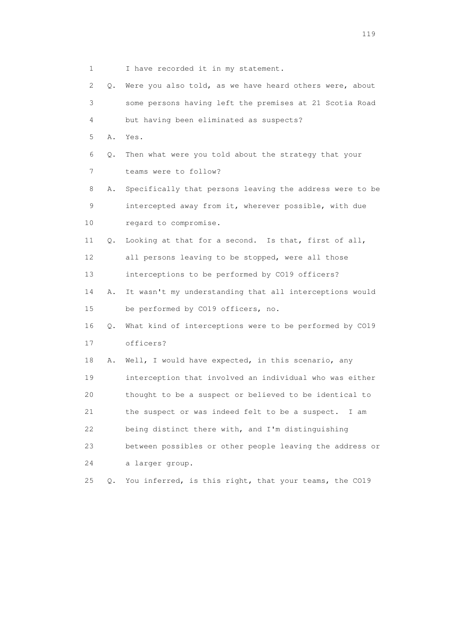1 I have recorded it in my statement. 2 Q. Were you also told, as we have heard others were, about 3 some persons having left the premises at 21 Scotia Road 4 but having been eliminated as suspects? 5 A. Yes. 6 Q. Then what were you told about the strategy that your 7 teams were to follow? 8 A. Specifically that persons leaving the address were to be 9 intercepted away from it, wherever possible, with due 10 regard to compromise. 11 Q. Looking at that for a second. Is that, first of all, 12 all persons leaving to be stopped, were all those 13 interceptions to be performed by CO19 officers? 14 A. It wasn't my understanding that all interceptions would 15 be performed by CO19 officers, no. 16 Q. What kind of interceptions were to be performed by CO19 17 officers? 18 A. Well, I would have expected, in this scenario, any 19 interception that involved an individual who was either 20 thought to be a suspect or believed to be identical to 21 the suspect or was indeed felt to be a suspect. I am 22 being distinct there with, and I'm distinguishing 23 between possibles or other people leaving the address or 24 a larger group. 25 Q. You inferred, is this right, that your teams, the CO19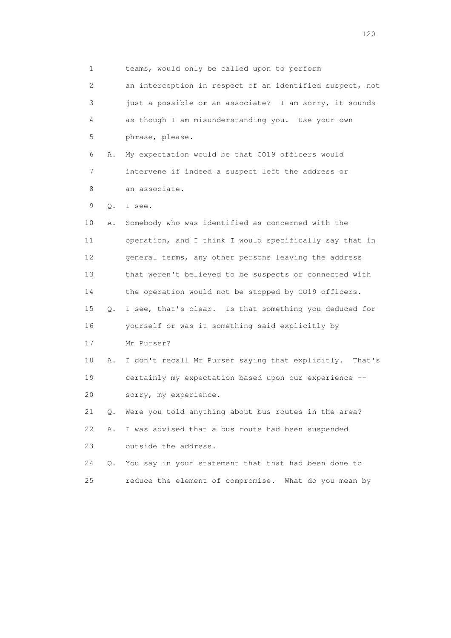1 teams, would only be called upon to perform 2 an interception in respect of an identified suspect, not 3 just a possible or an associate? I am sorry, it sounds 4 as though I am misunderstanding you. Use your own 5 phrase, please. 6 A. My expectation would be that CO19 officers would 7 intervene if indeed a suspect left the address or 8 an associate. 9 Q. I see. 10 A. Somebody who was identified as concerned with the 11 operation, and I think I would specifically say that in 12 general terms, any other persons leaving the address 13 that weren't believed to be suspects or connected with 14 the operation would not be stopped by CO19 officers. 15 Q. I see, that's clear. Is that something you deduced for 16 yourself or was it something said explicitly by 17 Mr Purser? 18 A. I don't recall Mr Purser saying that explicitly. That's 19 certainly my expectation based upon our experience -- 20 sorry, my experience. 21 Q. Were you told anything about bus routes in the area? 22 A. I was advised that a bus route had been suspended 23 outside the address. 24 Q. You say in your statement that that had been done to 25 reduce the element of compromise. What do you mean by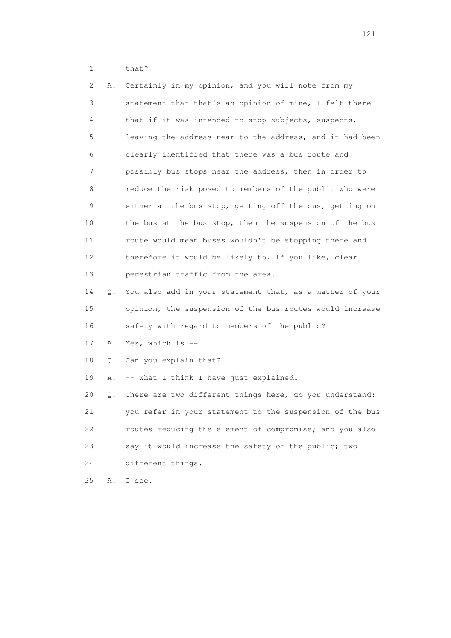1 that?

| 2  | Α. | Certainly in my opinion, and you will note from my       |
|----|----|----------------------------------------------------------|
| 3  |    | statement that that's an opinion of mine, I felt there   |
| 4  |    | that if it was intended to stop subjects, suspects,      |
| 5  |    | leaving the address near to the address, and it had been |
| 6  |    | clearly identified that there was a bus route and        |
| 7  |    | possibly bus stops near the address, then in order to    |
| 8  |    | reduce the risk posed to members of the public who were  |
| 9  |    | either at the bus stop, getting off the bus, getting on  |
| 10 |    | the bus at the bus stop, then the suspension of the bus  |
| 11 |    | route would mean buses wouldn't be stopping there and    |
| 12 |    | therefore it would be likely to, if you like, clear      |
| 13 |    | pedestrian traffic from the area.                        |
| 14 | Q. | You also add in your statement that, as a matter of your |
| 15 |    | opinion, the suspension of the bus routes would increase |
| 16 |    | safety with regard to members of the public?             |
| 17 | Α. | Yes, which is --                                         |
| 18 | Q. | Can you explain that?                                    |
| 19 | Α. | -- what I think I have just explained.                   |
| 20 | Q. | There are two different things here, do you understand:  |
| 21 |    | you refer in your statement to the suspension of the bus |
| 22 |    | routes reducing the element of compromise; and you also  |
| 23 |    | say it would increase the safety of the public; two      |
| 24 |    | different things.                                        |
| 25 | Α. | I see.                                                   |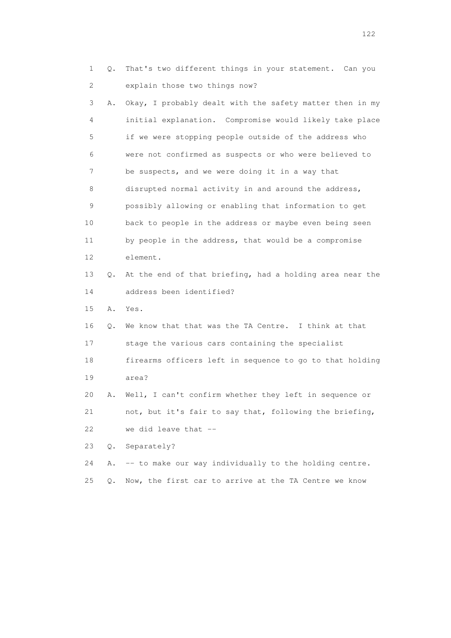1 Q. That's two different things in your statement. Can you 2 explain those two things now?

 3 A. Okay, I probably dealt with the safety matter then in my 4 initial explanation. Compromise would likely take place 5 if we were stopping people outside of the address who 6 were not confirmed as suspects or who were believed to 7 be suspects, and we were doing it in a way that 8 disrupted normal activity in and around the address, 9 possibly allowing or enabling that information to get 10 back to people in the address or maybe even being seen 11 by people in the address, that would be a compromise 12 element. 13 Q. At the end of that briefing, had a holding area near the 14 address been identified?

15 A. Yes.

 16 Q. We know that that was the TA Centre. I think at that 17 stage the various cars containing the specialist 18 firearms officers left in sequence to go to that holding

19 area?

 20 A. Well, I can't confirm whether they left in sequence or 21 not, but it's fair to say that, following the briefing, 22 we did leave that --

23 Q. Separately?

24 A. -- to make our way individually to the holding centre.

25 Q. Now, the first car to arrive at the TA Centre we know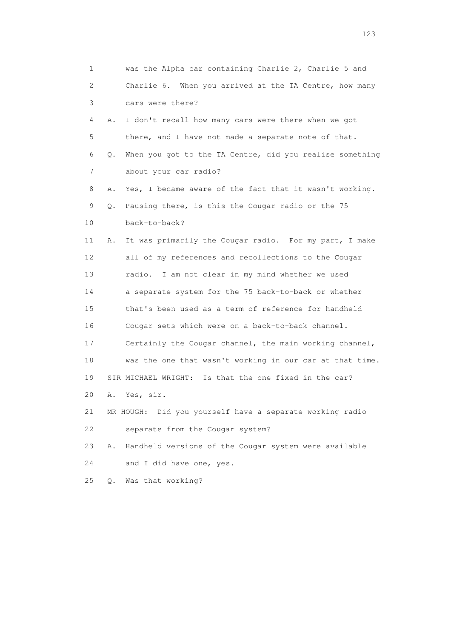| 1                         |    | was the Alpha car containing Charlie 2, Charlie 5 and    |
|---------------------------|----|----------------------------------------------------------|
| $\mathbf{2}^{\mathsf{I}}$ |    | Charlie 6. When you arrived at the TA Centre, how many   |
| 3                         |    | cars were there?                                         |
| 4                         | Α. | I don't recall how many cars were there when we got      |
| 5                         |    | there, and I have not made a separate note of that.      |
| 6                         | Q. | When you got to the TA Centre, did you realise something |
| 7                         |    | about your car radio?                                    |
| 8                         | Α. | Yes, I became aware of the fact that it wasn't working.  |
| 9                         | Q. | Pausing there, is this the Cougar radio or the 75        |
| 10                        |    | back-to-back?                                            |
| 11                        | Α. | It was primarily the Cougar radio. For my part, I make   |
| 12                        |    | all of my references and recollections to the Cougar     |
| 13                        |    | radio. I am not clear in my mind whether we used         |
| 14                        |    | a separate system for the 75 back-to-back or whether     |
| 15                        |    | that's been used as a term of reference for handheld     |
| 16                        |    | Cougar sets which were on a back-to-back channel.        |
| 17                        |    | Certainly the Cougar channel, the main working channel,  |
| 18                        |    | was the one that wasn't working in our car at that time. |
| 19                        |    | SIR MICHAEL WRIGHT: Is that the one fixed in the car?    |
| 20                        | Α. | Yes, sir.                                                |
| 21                        |    | MR HOUGH: Did you yourself have a separate working radio |
| 22                        |    | separate from the Cougar system?                         |
| 23                        | Α. | Handheld versions of the Cougar system were available    |
| 24                        |    | and I did have one, yes.                                 |
| 25                        | Q. | Was that working?                                        |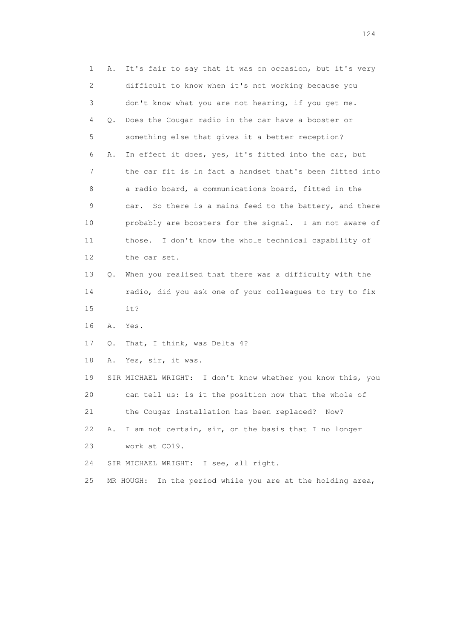1 A. It's fair to say that it was on occasion, but it's very 2 difficult to know when it's not working because you 3 don't know what you are not hearing, if you get me. 4 Q. Does the Cougar radio in the car have a booster or 5 something else that gives it a better reception? 6 A. In effect it does, yes, it's fitted into the car, but 7 the car fit is in fact a handset that's been fitted into 8 a radio board, a communications board, fitted in the 9 car. So there is a mains feed to the battery, and there 10 probably are boosters for the signal. I am not aware of 11 those. I don't know the whole technical capability of 12 the car set. 13 Q. When you realised that there was a difficulty with the 14 radio, did you ask one of your colleagues to try to fix 15 it? 16 A. Yes. 17 Q. That, I think, was Delta 4? 18 A. Yes, sir, it was. 19 SIR MICHAEL WRIGHT: I don't know whether you know this, you 20 can tell us: is it the position now that the whole of 21 the Cougar installation has been replaced? Now? 22 A. I am not certain, sir, on the basis that I no longer 23 work at CO19. 24 SIR MICHAEL WRIGHT: I see, all right. 25 MR HOUGH: In the period while you are at the holding area,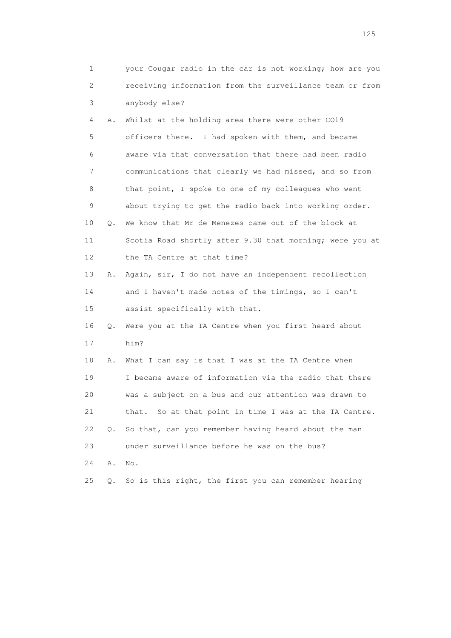|    | 1                         | your Cougar radio in the car is not working; how are you |
|----|---------------------------|----------------------------------------------------------|
|    | $\mathbf{2}^{\mathsf{I}}$ | receiving information from the surveillance team or from |
|    | 3                         | anybody else?                                            |
|    | 4<br>Α.                   | Whilst at the holding area there were other CO19         |
|    | 5                         | officers there. I had spoken with them, and became       |
|    | 6                         | aware via that conversation that there had been radio    |
|    | 7                         | communications that clearly we had missed, and so from   |
|    | 8                         | that point, I spoke to one of my colleagues who went     |
|    | 9                         | about trying to get the radio back into working order.   |
| 10 | Q.                        | We know that Mr de Menezes came out of the block at      |
| 11 |                           | Scotia Road shortly after 9.30 that morning; were you at |
| 12 |                           | the TA Centre at that time?                              |
| 13 | Α.                        | Again, sir, I do not have an independent recollection    |
| 14 |                           | and I haven't made notes of the timings, so I can't      |
| 15 |                           | assist specifically with that.                           |
| 16 | Q.                        | Were you at the TA Centre when you first heard about     |
| 17 |                           | him?                                                     |
| 18 | Α.                        | What I can say is that I was at the TA Centre when       |
| 19 |                           | I became aware of information via the radio that there   |
| 20 |                           | was a subject on a bus and our attention was drawn to    |
| 21 |                           | that. So at that point in time I was at the TA Centre.   |
| 22 | $\circ$ .                 | So that, can you remember having heard about the man     |
| 23 |                           | under surveillance before he was on the bus?             |
| 24 | Α.                        | No.                                                      |
| 25 | Q.                        | So is this right, the first you can remember hearing     |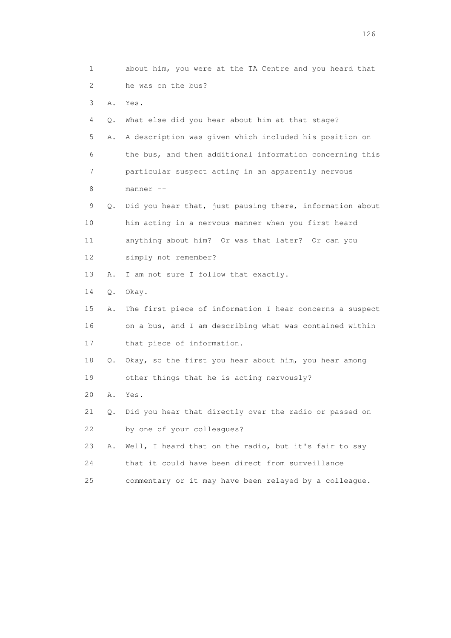1 about him, you were at the TA Centre and you heard that 2 he was on the bus? 3 A. Yes. 4 Q. What else did you hear about him at that stage? 5 A. A description was given which included his position on 6 the bus, and then additional information concerning this 7 particular suspect acting in an apparently nervous 8 manner -- 9 Q. Did you hear that, just pausing there, information about 10 him acting in a nervous manner when you first heard 11 anything about him? Or was that later? Or can you 12 simply not remember? 13 A. I am not sure I follow that exactly. 14 Q. Okay. 15 A. The first piece of information I hear concerns a suspect 16 on a bus, and I am describing what was contained within 17 that piece of information. 18 Q. Okay, so the first you hear about him, you hear among 19 other things that he is acting nervously? 20 A. Yes. 21 Q. Did you hear that directly over the radio or passed on 22 by one of your colleagues? 23 A. Well, I heard that on the radio, but it's fair to say 24 that it could have been direct from surveillance 25 commentary or it may have been relayed by a colleague.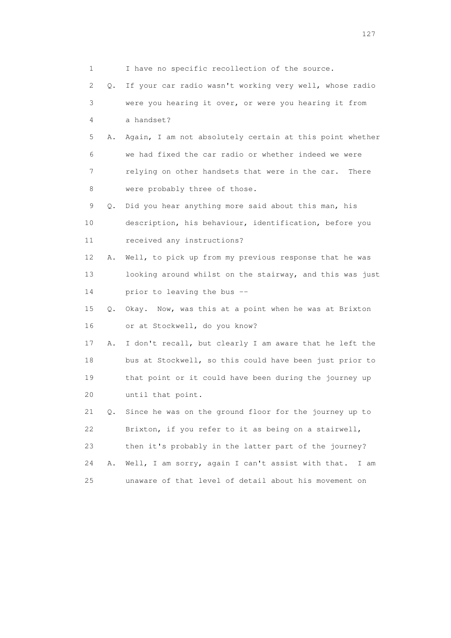1 I have no specific recollection of the source. 2 Q. If your car radio wasn't working very well, whose radio 3 were you hearing it over, or were you hearing it from 4 a handset? 5 A. Again, I am not absolutely certain at this point whether 6 we had fixed the car radio or whether indeed we were 7 relying on other handsets that were in the car. There 8 were probably three of those. 9 Q. Did you hear anything more said about this man, his 10 description, his behaviour, identification, before you 11 received any instructions? 12 A. Well, to pick up from my previous response that he was 13 looking around whilst on the stairway, and this was just 14 prior to leaving the bus -- 15 Q. Okay. Now, was this at a point when he was at Brixton 16 or at Stockwell, do you know? 17 A. I don't recall, but clearly I am aware that he left the 18 bus at Stockwell, so this could have been just prior to 19 that point or it could have been during the journey up 20 until that point. 21 Q. Since he was on the ground floor for the journey up to 22 Brixton, if you refer to it as being on a stairwell, 23 then it's probably in the latter part of the journey? 24 A. Well, I am sorry, again I can't assist with that. I am 25 unaware of that level of detail about his movement on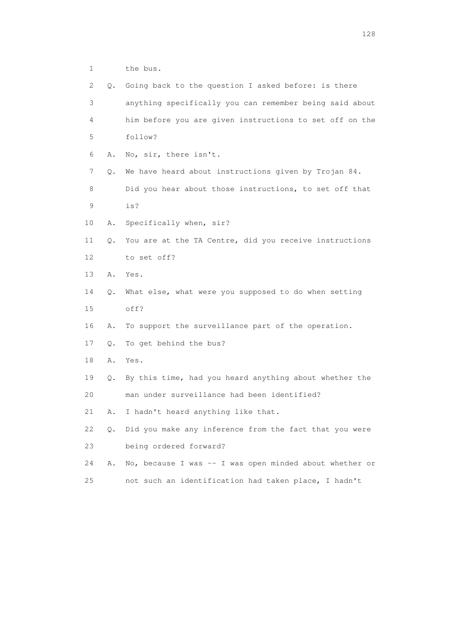1 the bus.

| 2           | 0.        | Going back to the question I asked before: is there     |
|-------------|-----------|---------------------------------------------------------|
| 3           |           | anything specifically you can remember being said about |
| 4           |           | him before you are given instructions to set off on the |
| 5           |           | follow?                                                 |
| 6           | Α.        | No, sir, there isn't.                                   |
| 7           | Q.        | We have heard about instructions given by Trojan 84.    |
| 8           |           | Did you hear about those instructions, to set off that  |
| $\mathsf 9$ |           | is?                                                     |
| 10          | Α.        | Specifically when, sir?                                 |
| 11          | Q.        | You are at the TA Centre, did you receive instructions  |
| 12          |           | to set off?                                             |
| 13          | Α.        | Yes.                                                    |
| 14          | Q.        | What else, what were you supposed to do when setting    |
| 15          |           | off?                                                    |
| 16          | Α.        | To support the surveillance part of the operation.      |
| 17          | Q.        | To get behind the bus?                                  |
| 18          | Α.        | Yes.                                                    |
| 19          | Q.        | By this time, had you heard anything about whether the  |
| 20          |           | man under surveillance had been identified?             |
| 21          | Α.        | I hadn't heard anything like that.                      |
| 22          | $\circ$ . | Did you make any inference from the fact that you were  |
| 23          |           | being ordered forward?                                  |
| 24          | Α.        | No, because I was -- I was open minded about whether or |
| 25          |           | not such an identification had taken place, I hadn't    |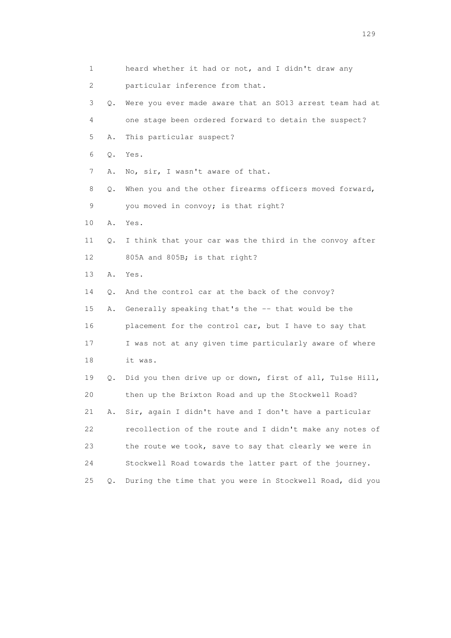| 1  |       | heard whether it had or not, and I didn't draw any       |
|----|-------|----------------------------------------------------------|
| 2  |       | particular inference from that.                          |
| 3  | Q.    | Were you ever made aware that an SO13 arrest team had at |
| 4  |       | one stage been ordered forward to detain the suspect?    |
| 5  | Α.    | This particular suspect?                                 |
| 6  | Q.    | Yes.                                                     |
| 7  | Α.    | No, sir, I wasn't aware of that.                         |
| 8  | Q.    | When you and the other firearms officers moved forward,  |
| 9  |       | you moved in convoy; is that right?                      |
| 10 | Α.    | Yes.                                                     |
| 11 | Q.    | I think that your car was the third in the convoy after  |
| 12 |       | 805A and 805B; is that right?                            |
| 13 | Α.    | Yes.                                                     |
| 14 | О.    | And the control car at the back of the convoy?           |
| 15 | Α.    | Generally speaking that's the -- that would be the       |
| 16 |       | placement for the control car, but I have to say that    |
| 17 |       | I was not at any given time particularly aware of where  |
| 18 |       | it was.                                                  |
| 19 | Q.    | Did you then drive up or down, first of all, Tulse Hill, |
| 20 |       | then up the Brixton Road and up the Stockwell Road?      |
| 21 | Α.    | Sir, again I didn't have and I don't have a particular   |
| 22 |       | recollection of the route and I didn't make any notes of |
| 23 |       | the route we took, save to say that clearly we were in   |
| 24 |       | Stockwell Road towards the latter part of the journey.   |
| 25 | $Q$ . | During the time that you were in Stockwell Road, did you |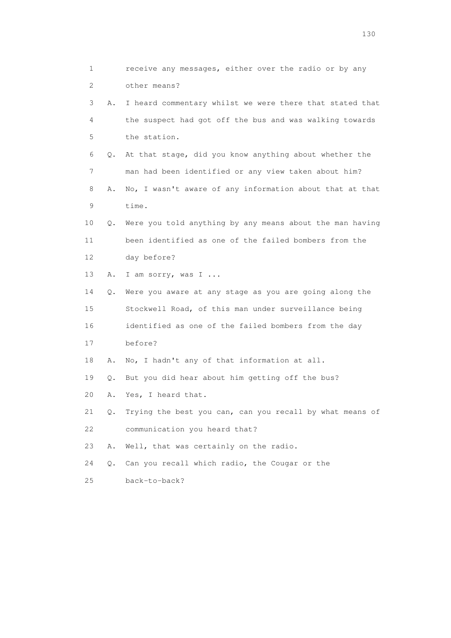1 receive any messages, either over the radio or by any 2 other means? 3 A. I heard commentary whilst we were there that stated that 4 the suspect had got off the bus and was walking towards 5 the station. 6 Q. At that stage, did you know anything about whether the 7 man had been identified or any view taken about him? 8 A. No, I wasn't aware of any information about that at that 9 time. 10 Q. Were you told anything by any means about the man having 11 been identified as one of the failed bombers from the 12 day before? 13 A. I am sorry, was I ... 14 Q. Were you aware at any stage as you are going along the 15 Stockwell Road, of this man under surveillance being 16 identified as one of the failed bombers from the day 17 before? 18 A. No, I hadn't any of that information at all. 19 Q. But you did hear about him getting off the bus? 20 A. Yes, I heard that. 21 Q. Trying the best you can, can you recall by what means of 22 communication you heard that? 23 A. Well, that was certainly on the radio. 24 Q. Can you recall which radio, the Cougar or the 25 back-to-back?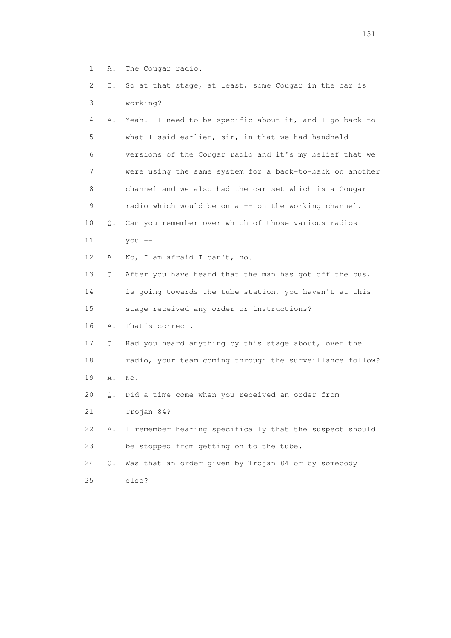- 1 A. The Cougar radio.
- 2 Q. So at that stage, at least, some Cougar in the car is 3 working?

| 4           | Α. | I need to be specific about it, and I go back to<br>Yeah. |
|-------------|----|-----------------------------------------------------------|
| 5           |    | what I said earlier, sir, in that we had handheld         |
| 6           |    | versions of the Cougar radio and it's my belief that we   |
| 7           |    | were using the same system for a back-to-back on another  |
| 8           |    | channel and we also had the car set which is a Cougar     |
| $\mathsf 9$ |    | radio which would be on a -- on the working channel.      |
| 10          | Q. | Can you remember over which of those various radios       |
| 11          |    | you $--$                                                  |
| 12          | Α. | No, I am afraid I can't, no.                              |
| 13          | Q. | After you have heard that the man has got off the bus,    |
| 14          |    | is going towards the tube station, you haven't at this    |
| 15          |    | stage received any order or instructions?                 |
| 16          | Α. | That's correct.                                           |
| 17          | Q. | Had you heard anything by this stage about, over the      |
| 18          |    | radio, your team coming through the surveillance follow?  |
| 19          | Α. | No.                                                       |
| 20          | Q. | Did a time come when you received an order from           |
| 21          |    | Trojan 84?                                                |
| 22          | Α. | I remember hearing specifically that the suspect should   |
| 23          |    | be stopped from getting on to the tube.                   |
| 24          | Q. | Was that an order given by Trojan 84 or by somebody       |
|             |    |                                                           |

25 else?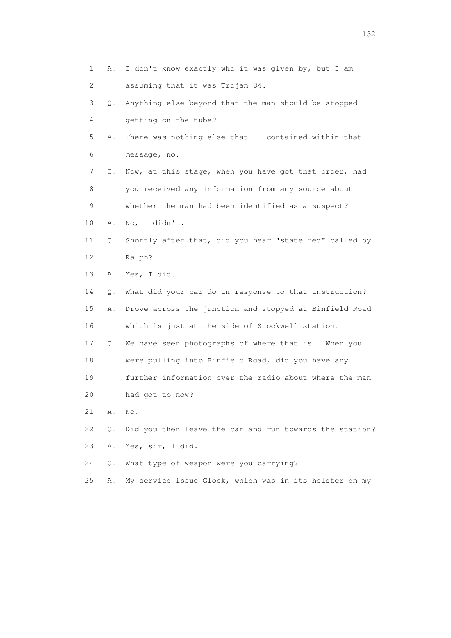1 A. I don't know exactly who it was given by, but I am 2 assuming that it was Trojan 84. 3 Q. Anything else beyond that the man should be stopped 4 getting on the tube? 5 A. There was nothing else that -- contained within that 6 message, no. 7 Q. Now, at this stage, when you have got that order, had 8 you received any information from any source about 9 whether the man had been identified as a suspect? 10 A. No, I didn't. 11 Q. Shortly after that, did you hear "state red" called by 12 Ralph? 13 A. Yes, I did. 14 Q. What did your car do in response to that instruction? 15 A. Drove across the junction and stopped at Binfield Road 16 which is just at the side of Stockwell station. 17 Q. We have seen photographs of where that is. When you 18 were pulling into Binfield Road, did you have any 19 further information over the radio about where the man 20 had got to now? 21 A. No. 22 Q. Did you then leave the car and run towards the station? 23 A. Yes, sir, I did. 24 Q. What type of weapon were you carrying? 25 A. My service issue Glock, which was in its holster on my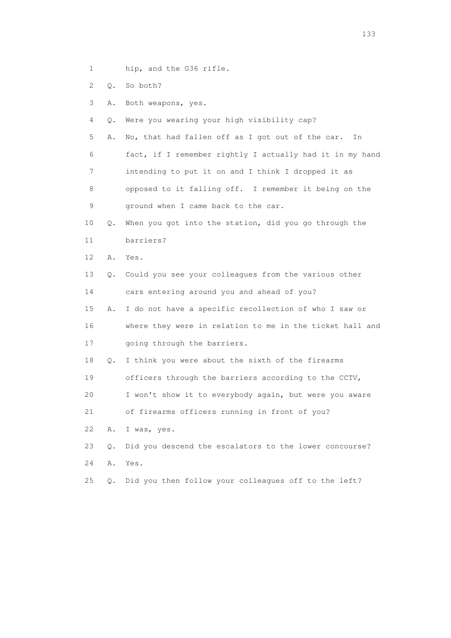- 1 hip, and the G36 rifle.
- 2 Q. So both?
- 3 A. Both weapons, yes.
- 4 Q. Were you wearing your high visibility cap?
- 5 A. No, that had fallen off as I got out of the car. In 6 fact, if I remember rightly I actually had it in my hand 7 intending to put it on and I think I dropped it as 8 opposed to it falling off. I remember it being on the
- 9 ground when I came back to the car.
- 10 Q. When you got into the station, did you go through the 11 barriers?
- 12 A. Yes.
- 13 Q. Could you see your colleagues from the various other 14 cars entering around you and ahead of you?
- 15 A. I do not have a specific recollection of who I saw or 16 where they were in relation to me in the ticket hall and
- 17 going through the barriers.
- 18 Q. I think you were about the sixth of the firearms
- 19 officers through the barriers according to the CCTV,
- 20 I won't show it to everybody again, but were you aware
- 21 of firearms officers running in front of you?
- 22 A. I was, yes.
- 23 Q. Did you descend the escalators to the lower concourse? 24 A. Yes.
- 25 Q. Did you then follow your colleagues off to the left?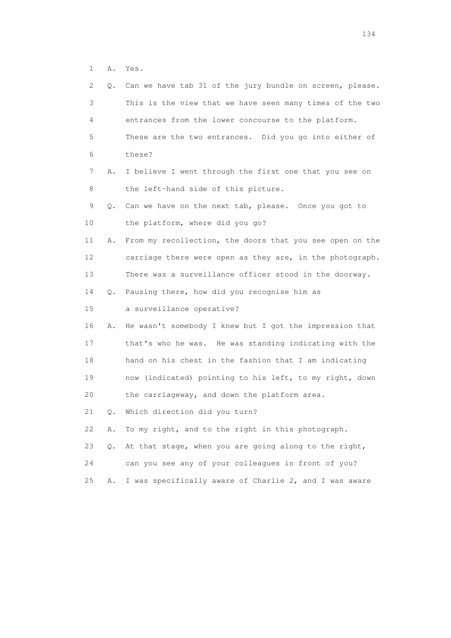1 A. Yes.

| 2. | Q. | Can we have tab 31 of the jury bundle on screen, please. |
|----|----|----------------------------------------------------------|
| 3  |    | This is the view that we have seen many times of the two |
| 4  |    | entrances from the lower concourse to the platform.      |
| 5  |    | These are the two entrances. Did you go into either of   |
| 6  |    | these?                                                   |
| 7  | Α. | I believe I went through the first one that you see on   |
| 8  |    | the left-hand side of this picture.                      |
| 9  | Q. | Can we have on the next tab, please. Once you got to     |
| 10 |    | the platform, where did you go?                          |
| 11 | Α. | From my recollection, the doors that you see open on the |
| 12 |    | carriage there were open as they are, in the photograph. |
| 13 |    | There was a surveillance officer stood in the doorway.   |
| 14 | Q. | Pausing there, how did you recognise him as              |
| 15 |    | a surveillance operative?                                |
| 16 | Α. | He wasn't somebody I knew but I got the impression that  |
| 17 |    | that's who he was. He was standing indicating with the   |
| 18 |    | hand on his chest in the fashion that I am indicating    |
| 19 |    | now (indicated) pointing to his left, to my right, down  |
| 20 |    | the carriageway, and down the platform area.             |
| 21 | Q. | Which direction did you turn?                            |
| 22 | Α. | To my right, and to the right in this photograph.        |
| 23 | Q. | At that stage, when you are going along to the right,    |
| 24 |    | can you see any of your colleagues in front of you?      |
| 25 | Α. | I was specifically aware of Charlie 2, and I was aware   |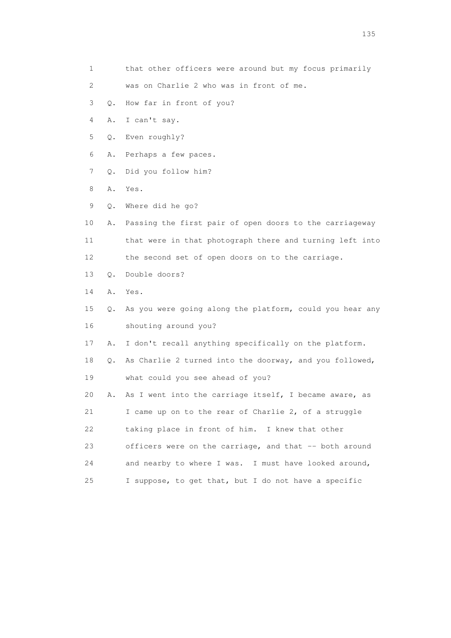- 1 that other officers were around but my focus primarily
- 2 was on Charlie 2 who was in front of me.
- 3 Q. How far in front of you?
- 4 A. I can't say.
- 5 Q. Even roughly?
- 6 A. Perhaps a few paces.
- 7 Q. Did you follow him?
- 8 A. Yes.
- 9 Q. Where did he go?
- 10 A. Passing the first pair of open doors to the carriageway 11 that were in that photograph there and turning left into 12 the second set of open doors on to the carriage.
- 13 Q. Double doors?
- 14 A. Yes.
- 15 Q. As you were going along the platform, could you hear any 16 shouting around you?
- 17 A. I don't recall anything specifically on the platform.
- 18 Q. As Charlie 2 turned into the doorway, and you followed, 19 what could you see ahead of you?
- 20 A. As I went into the carriage itself, I became aware, as 21 I came up on to the rear of Charlie 2, of a struggle 22 taking place in front of him. I knew that other 23 officers were on the carriage, and that -- both around 24 and nearby to where I was. I must have looked around, 25 I suppose, to get that, but I do not have a specific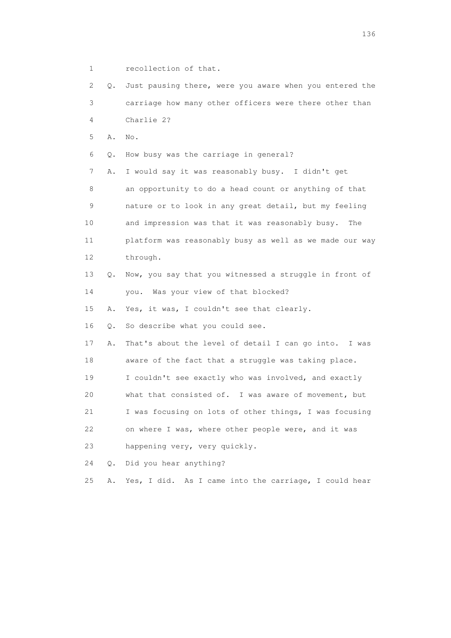1 recollection of that.

 2 Q. Just pausing there, were you aware when you entered the 3 carriage how many other officers were there other than 4 Charlie 2? 5 A. No. 6 Q. How busy was the carriage in general? 7 A. I would say it was reasonably busy. I didn't get 8 an opportunity to do a head count or anything of that 9 nature or to look in any great detail, but my feeling 10 and impression was that it was reasonably busy. The 11 platform was reasonably busy as well as we made our way 12 through. 13 Q. Now, you say that you witnessed a struggle in front of 14 you. Was your view of that blocked? 15 A. Yes, it was, I couldn't see that clearly. 16 Q. So describe what you could see. 17 A. That's about the level of detail I can go into. I was 18 aware of the fact that a struggle was taking place. 19 I couldn't see exactly who was involved, and exactly 20 what that consisted of. I was aware of movement, but 21 I was focusing on lots of other things, I was focusing 22 on where I was, where other people were, and it was 23 happening very, very quickly. 24 Q. Did you hear anything? 25 A. Yes, I did. As I came into the carriage, I could hear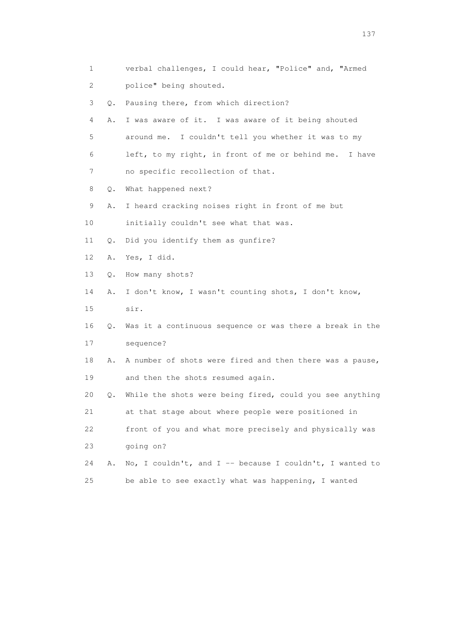| 1                         |           | verbal challenges, I could hear, "Police" and, "Armed    |
|---------------------------|-----------|----------------------------------------------------------|
| $\mathbf{2}^{\mathsf{I}}$ |           | police" being shouted.                                   |
| 3                         | Q.        | Pausing there, from which direction?                     |
| 4                         | Α.        | I was aware of it. I was aware of it being shouted       |
| 5                         |           | around me. I couldn't tell you whether it was to my      |
| 6                         |           | left, to my right, in front of me or behind me. I have   |
| 7                         |           | no specific recollection of that.                        |
| 8                         | Q.        | What happened next?                                      |
| 9                         | Α.        | I heard cracking noises right in front of me but         |
| 10                        |           | initially couldn't see what that was.                    |
| 11                        | $\circ$ . | Did you identify them as qunfire?                        |
| 12                        | Α.        | Yes, I did.                                              |
| 13                        | Q.        | How many shots?                                          |
| 14                        | Α.        | I don't know, I wasn't counting shots, I don't know,     |
| 15                        |           | sir.                                                     |
| 16                        | Q.        | Was it a continuous sequence or was there a break in the |
| 17                        |           | sequence?                                                |
| 18                        | Α.        | A number of shots were fired and then there was a pause, |
| 19                        |           | and then the shots resumed again.                        |
| 20                        | Q.        | While the shots were being fired, could you see anything |
| 21                        |           | at that stage about where people were positioned in      |
| 22                        |           | front of you and what more precisely and physically was  |
| 23                        |           | qoing on?                                                |
| 24                        | Α.        | No, I couldn't, and I -- because I couldn't, I wanted to |
| 25                        |           | be able to see exactly what was happening, I wanted      |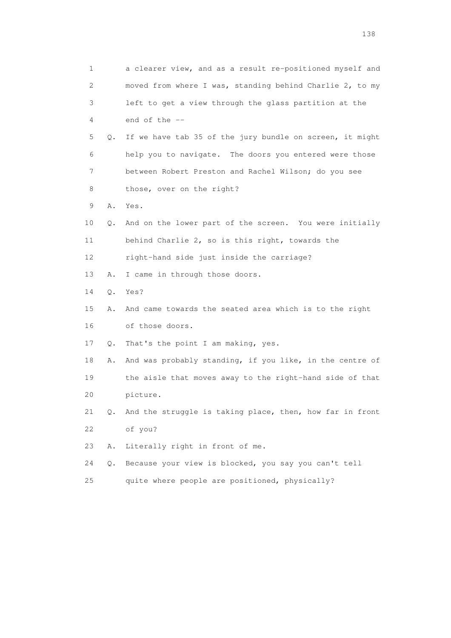|    | 1       | a clearer view, and as a result re-positioned myself and |
|----|---------|----------------------------------------------------------|
|    | 2       | moved from where I was, standing behind Charlie 2, to my |
|    | 3       | left to get a view through the glass partition at the    |
|    | 4       | end of the --                                            |
|    | 5<br>Q. | If we have tab 35 of the jury bundle on screen, it might |
|    | 6       | help you to navigate. The doors you entered were those   |
|    | 7       | between Robert Preston and Rachel Wilson; do you see     |
|    | 8       | those, over on the right?                                |
|    | 9<br>Α. | Yes.                                                     |
| 10 | Q.      | And on the lower part of the screen. You were initially  |
| 11 |         | behind Charlie 2, so is this right, towards the          |
| 12 |         | right-hand side just inside the carriage?                |
| 13 | Α.      | I came in through those doors.                           |
| 14 | $Q$ .   | Yes?                                                     |
| 15 | Α.      | And came towards the seated area which is to the right   |
| 16 |         | of those doors.                                          |
| 17 | Q.      | That's the point I am making, yes.                       |
| 18 | Α.      | And was probably standing, if you like, in the centre of |
| 19 |         | the aisle that moves away to the right-hand side of that |
| 20 |         | picture.                                                 |
| 21 | 0.      | And the struggle is taking place, then, how far in front |
| 22 |         | of you?                                                  |
| 23 | Α.      | Literally right in front of me.                          |
| 24 | $Q$ .   | Because your view is blocked, you say you can't tell     |
| 25 |         | quite where people are positioned, physically?           |

138 and 138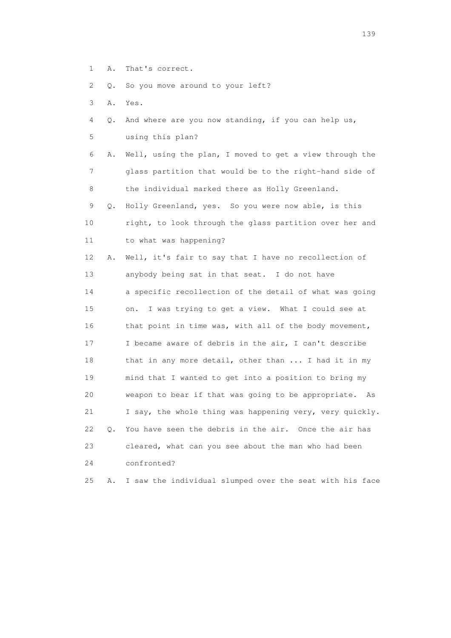1 A. That's correct.

2 Q. So you move around to your left?

- 3 A. Yes.
- 4 Q. And where are you now standing, if you can help us, 5 using this plan?
- 6 A. Well, using the plan, I moved to get a view through the 7 glass partition that would be to the right-hand side of 8 the individual marked there as Holly Greenland.
- 9 Q. Holly Greenland, yes. So you were now able, is this 10 right, to look through the glass partition over her and 11 to what was happening?
- 12 A. Well, it's fair to say that I have no recollection of 13 anybody being sat in that seat. I do not have 14 a specific recollection of the detail of what was going 15 on. I was trying to get a view. What I could see at 16 that point in time was, with all of the body movement, 17 I became aware of debris in the air, I can't describe 18 that in any more detail, other than ... I had it in my 19 mind that I wanted to get into a position to bring my 20 weapon to bear if that was going to be appropriate. As 21 I say, the whole thing was happening very, very quickly. 22 Q. You have seen the debris in the air. Once the air has 23 cleared, what can you see about the man who had been 24 confronted?

25 A. I saw the individual slumped over the seat with his face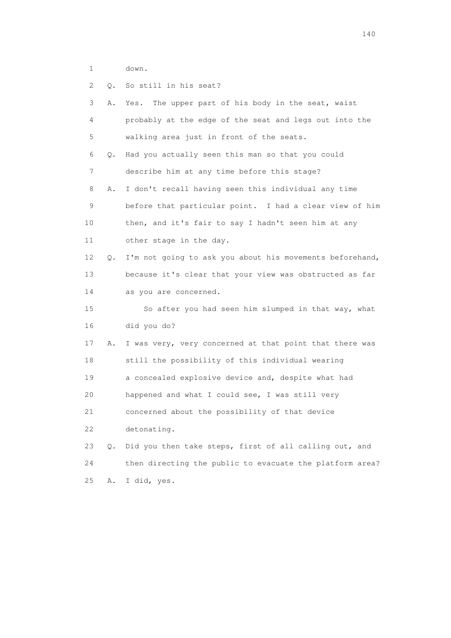- 1 down.
- 2 Q. So still in his seat?

| 3  | Α. | The upper part of his body in the seat, waist<br>Yes.    |
|----|----|----------------------------------------------------------|
| 4  |    | probably at the edge of the seat and legs out into the   |
| 5  |    | walking area just in front of the seats.                 |
| 6  | Q. | Had you actually seen this man so that you could         |
| 7  |    | describe him at any time before this stage?              |
| 8  | Α. | I don't recall having seen this individual any time      |
| 9  |    | before that particular point. I had a clear view of him  |
| 10 |    | then, and it's fair to say I hadn't seen him at any      |
| 11 |    | other stage in the day.                                  |
| 12 | Q. | I'm not going to ask you about his movements beforehand, |
| 13 |    | because it's clear that your view was obstructed as far  |
| 14 |    | as you are concerned.                                    |
| 15 |    | So after you had seen him slumped in that way, what      |
| 16 |    | did you do?                                              |
| 17 | Α. | I was very, very concerned at that point that there was  |
| 18 |    | still the possibility of this individual wearing         |
| 19 |    | a concealed explosive device and, despite what had       |
| 20 |    | happened and what I could see, I was still very          |
| 21 |    | concerned about the possibility of that device           |
| 22 |    | detonating.                                              |
| 23 | Q. | Did you then take steps, first of all calling out, and   |
| 24 |    | then directing the public to evacuate the platform area? |
| 25 | Α. | I did, yes.                                              |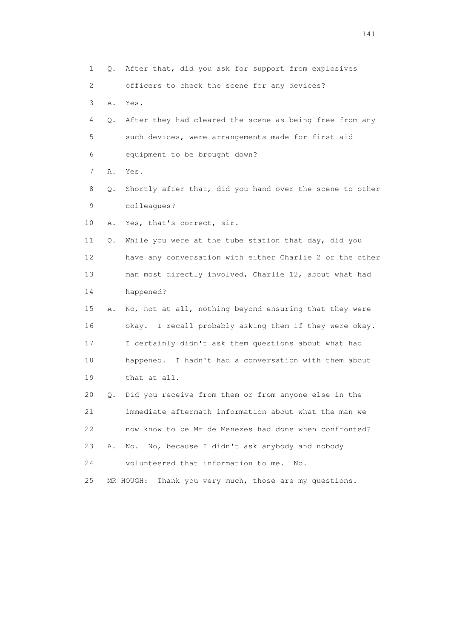1 Q. After that, did you ask for support from explosives 2 officers to check the scene for any devices? 3 A. Yes. 4 Q. After they had cleared the scene as being free from any 5 such devices, were arrangements made for first aid 6 equipment to be brought down? 7 A. Yes. 8 Q. Shortly after that, did you hand over the scene to other 9 colleagues? 10 A. Yes, that's correct, sir. 11 Q. While you were at the tube station that day, did you 12 have any conversation with either Charlie 2 or the other 13 man most directly involved, Charlie 12, about what had 14 happened? 15 A. No, not at all, nothing beyond ensuring that they were 16 okay. I recall probably asking them if they were okay. 17 I certainly didn't ask them questions about what had 18 happened. I hadn't had a conversation with them about 19 that at all. 20 Q. Did you receive from them or from anyone else in the 21 immediate aftermath information about what the man we 22 now know to be Mr de Menezes had done when confronted? 23 A. No. No, because I didn't ask anybody and nobody 24 volunteered that information to me. No. 25 MR HOUGH: Thank you very much, those are my questions.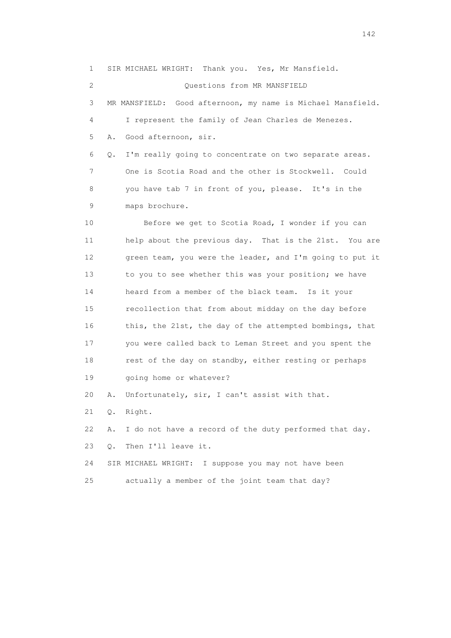1 SIR MICHAEL WRIGHT: Thank you. Yes, Mr Mansfield.

2 Questions from MR MANSFIELD

 3 MR MANSFIELD: Good afternoon, my name is Michael Mansfield. 4 I represent the family of Jean Charles de Menezes. 5 A. Good afternoon, sir. 6 Q. I'm really going to concentrate on two separate areas.

 7 One is Scotia Road and the other is Stockwell. Could 8 you have tab 7 in front of you, please. It's in the 9 maps brochure.

 10 Before we get to Scotia Road, I wonder if you can 11 help about the previous day. That is the 21st. You are 12 green team, you were the leader, and I'm going to put it 13 to you to see whether this was your position; we have 14 heard from a member of the black team. Is it your 15 recollection that from about midday on the day before 16 this, the 21st, the day of the attempted bombings, that 17 you were called back to Leman Street and you spent the 18 rest of the day on standby, either resting or perhaps 19 going home or whatever?

20 A. Unfortunately, sir, I can't assist with that.

21 Q. Right.

22 A. I do not have a record of the duty performed that day.

23 Q. Then I'll leave it.

 24 SIR MICHAEL WRIGHT: I suppose you may not have been 25 actually a member of the joint team that day?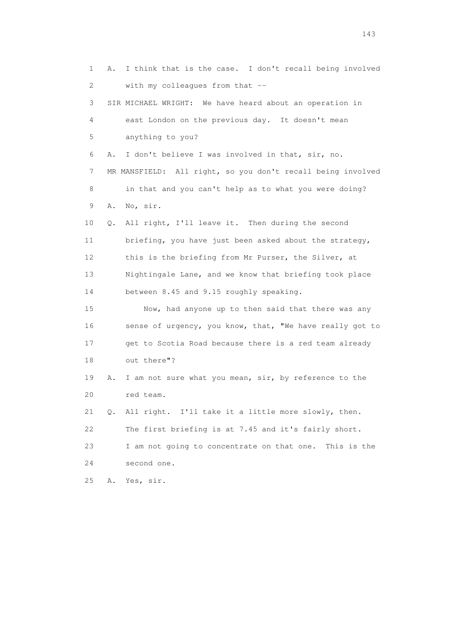1 A. I think that is the case. I don't recall being involved 2 with my colleagues from that -- 3 SIR MICHAEL WRIGHT: We have heard about an operation in 4 east London on the previous day. It doesn't mean 5 anything to you? 6 A. I don't believe I was involved in that, sir, no. 7 MR MANSFIELD: All right, so you don't recall being involved 8 in that and you can't help as to what you were doing? 9 A. No, sir. 10 Q. All right, I'll leave it. Then during the second 11 briefing, you have just been asked about the strategy, 12 this is the briefing from Mr Purser, the Silver, at 13 Nightingale Lane, and we know that briefing took place 14 between 8.45 and 9.15 roughly speaking. 15 Now, had anyone up to then said that there was any 16 sense of urgency, you know, that, "We have really got to 17 get to Scotia Road because there is a red team already 18 out there"? 19 A. I am not sure what you mean, sir, by reference to the 20 red team. 21 Q. All right. I'll take it a little more slowly, then. 22 The first briefing is at 7.45 and it's fairly short. 23 I am not going to concentrate on that one. This is the 24 second one. 25 A. Yes, sir.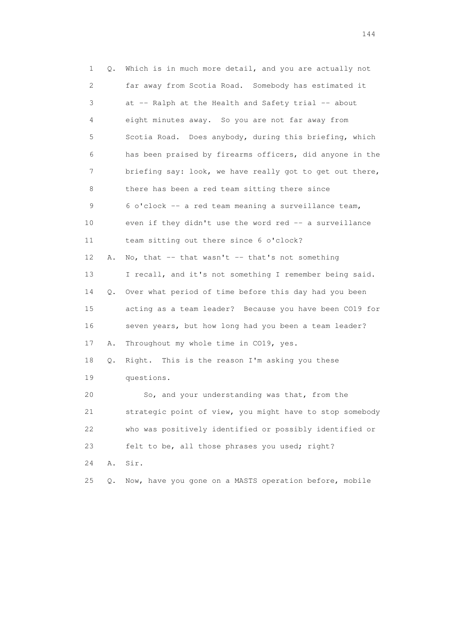| $\mathbf 1$ | Q. | Which is in much more detail, and you are actually not   |
|-------------|----|----------------------------------------------------------|
| 2           |    | far away from Scotia Road. Somebody has estimated it     |
| 3           |    | at -- Ralph at the Health and Safety trial -- about      |
| 4           |    | eight minutes away. So you are not far away from         |
| 5           |    | Scotia Road. Does anybody, during this briefing, which   |
| 6           |    | has been praised by firearms officers, did anyone in the |
| 7           |    | briefing say: look, we have really got to get out there, |
| 8           |    | there has been a red team sitting there since            |
| 9           |    | 6 o'clock -- a red team meaning a surveillance team,     |
| 10          |    | even if they didn't use the word red -- a surveillance   |
| 11          |    | team sitting out there since 6 o'clock?                  |
| 12          | Α. | No, that $-$ that wasn't $-$ that's not something        |
| 13          |    | I recall, and it's not something I remember being said.  |
| 14          | Q. | Over what period of time before this day had you been    |
| 15          |    | acting as a team leader? Because you have been CO19 for  |
| 16          |    | seven years, but how long had you been a team leader?    |
| 17          | Α. | Throughout my whole time in CO19, yes.                   |
| 18          | Q. | Right. This is the reason I'm asking you these           |
| 19          |    | questions.                                               |
| 20          |    | So, and your understanding was that, from the            |
| 21          |    | strategic point of view, you might have to stop somebody |
| 22          |    | who was positively identified or possibly identified or  |
| 23          |    | felt to be, all those phrases you used; right?           |
| 24          | Α. | Sir.                                                     |
| 25          | Q. | Now, have you gone on a MASTS operation before, mobile   |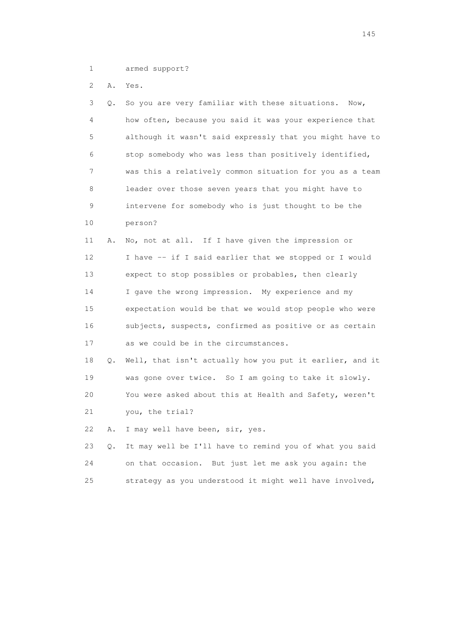1 armed support?

2 A. Yes.

| 3  | О. | So you are very familiar with these situations.<br>Now,  |
|----|----|----------------------------------------------------------|
| 4  |    | how often, because you said it was your experience that  |
| 5  |    | although it wasn't said expressly that you might have to |
| 6  |    | stop somebody who was less than positively identified,   |
| 7  |    | was this a relatively common situation for you as a team |
| 8  |    | leader over those seven years that you might have to     |
| 9  |    | intervene for somebody who is just thought to be the     |
| 10 |    | person?                                                  |
| 11 | Α. | No, not at all. If I have given the impression or        |
| 12 |    | I have -- if I said earlier that we stopped or I would   |
| 13 |    | expect to stop possibles or probables, then clearly      |
| 14 |    | I gave the wrong impression. My experience and my        |
| 15 |    | expectation would be that we would stop people who were  |
| 16 |    | subjects, suspects, confirmed as positive or as certain  |
| 17 |    | as we could be in the circumstances.                     |
| 18 | Q. | Well, that isn't actually how you put it earlier, and it |
| 19 |    | was gone over twice. So I am going to take it slowly.    |
| 20 |    | You were asked about this at Health and Safety, weren't  |
| 21 |    | you, the trial?                                          |
| 22 | Α. | I may well have been, sir, yes.                          |
| 23 | Q. | It may well be I'll have to remind you of what you said  |
| 24 |    | But just let me ask you again: the<br>on that occasion.  |

25 strategy as you understood it might well have involved,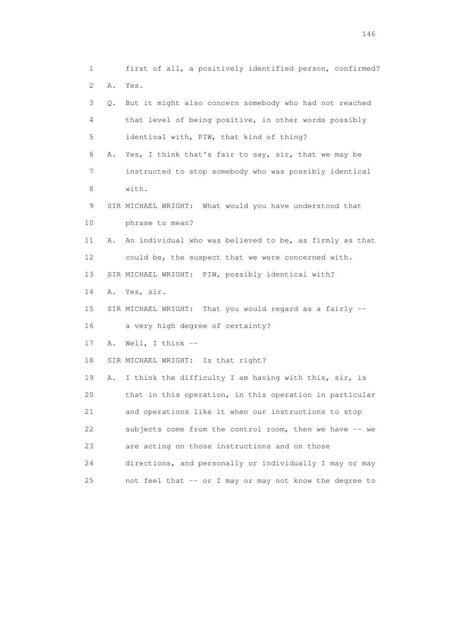1 first of all, a positively identified person, confirmed? 2 A. Yes. 3 Q. But it might also concern somebody who had not reached 4 that level of being positive, in other words possibly 5 identical with, PIW, that kind of thing? 6 A. Yes, I think that's fair to say, sir, that we may be 7 instructed to stop somebody who was possibly identical 8 with. 9 SIR MICHAEL WRIGHT: What would you have understood that 10 phrase to mean? 11 A. An individual who was believed to be, as firmly as that 12 could be, the suspect that we were concerned with. 13 SIR MICHAEL WRIGHT: PIW, possibly identical with? 14 A. Yes, sir. 15 SIR MICHAEL WRIGHT: That you would regard as a fairly -- 16 a very high degree of certainty? 17 A. Well, I think -- 18 SIR MICHAEL WRIGHT: Is that right? 19 A. I think the difficulty I am having with this, sir, is 20 that in this operation, in this operation in particular 21 and operations like it when our instructions to stop 22 subjects come from the control room, then we have -- we 23 are acting on those instructions and on those 24 directions, and personally or individually I may or may 25 not feel that -- or I may or may not know the degree to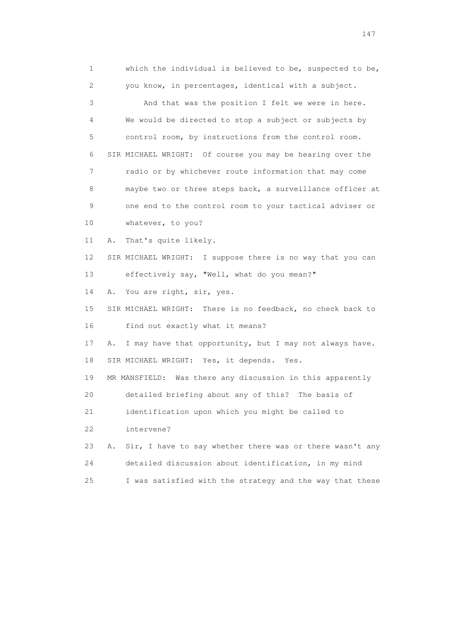1 which the individual is believed to be, suspected to be, 2 you know, in percentages, identical with a subject. 3 And that was the position I felt we were in here. 4 We would be directed to stop a subject or subjects by 5 control room, by instructions from the control room. 6 SIR MICHAEL WRIGHT: Of course you may be hearing over the 7 radio or by whichever route information that may come 8 maybe two or three steps back, a surveillance officer at 9 one end to the control room to your tactical adviser or 10 whatever, to you? 11 A. That's quite likely. 12 SIR MICHAEL WRIGHT: I suppose there is no way that you can 13 effectively say, "Well, what do you mean?" 14 A. You are right, sir, yes. 15 SIR MICHAEL WRIGHT: There is no feedback, no check back to 16 find out exactly what it means? 17 A. I may have that opportunity, but I may not always have. 18 SIR MICHAEL WRIGHT: Yes, it depends. Yes. 19 MR MANSFIELD: Was there any discussion in this apparently 20 detailed briefing about any of this? The basis of 21 identification upon which you might be called to 22 intervene? 23 A. Sir, I have to say whether there was or there wasn't any 24 detailed discussion about identification, in my mind 25 I was satisfied with the strategy and the way that these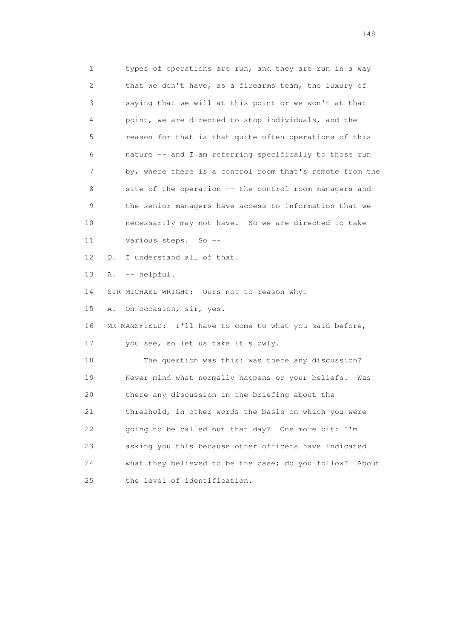1 types of operations are run, and they are run in a way 2 that we don't have, as a firearms team, the luxury of 3 saying that we will at this point or we won't at that 4 point, we are directed to stop individuals, and the 5 reason for that is that quite often operations of this 6 nature -- and I am referring specifically to those run 7 by, where there is a control room that's remote from the 8 site of the operation -- the control room managers and 9 the senior managers have access to information that we 10 necessarily may not have. So we are directed to take 11 various steps. So -- 12 Q. I understand all of that. 13 A. -- helpful. 14 SIR MICHAEL WRIGHT: Ours not to reason why. 15 A. On occasion, sir, yes. 16 MR MANSFIELD: I'll have to come to what you said before, 17 you see, so let us take it slowly. 18 The question was this: was there any discussion? 19 Never mind what normally happens or your beliefs. Was 20 there any discussion in the briefing about the 21 threshold, in other words the basis on which you were 22 going to be called out that day? One more bit: I'm 23 asking you this because other officers have indicated 24 what they believed to be the case; do you follow? About 25 the level of identification.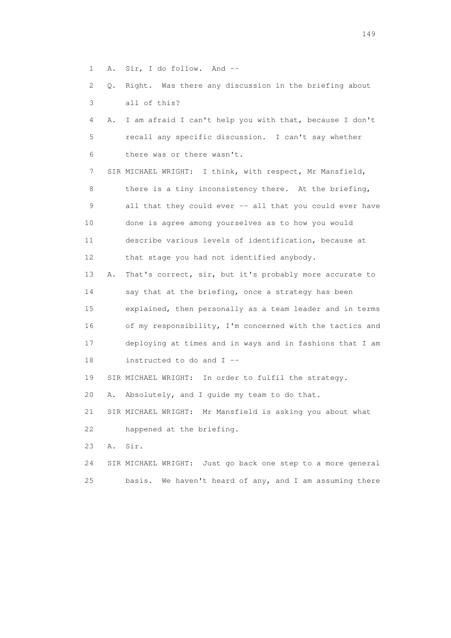- 1 A. Sir, I do follow. And --
- 2 Q. Right. Was there any discussion in the briefing about 3 all of this?
- 4 A. I am afraid I can't help you with that, because I don't 5 recall any specific discussion. I can't say whether 6 there was or there wasn't.

 7 SIR MICHAEL WRIGHT: I think, with respect, Mr Mansfield, 8 there is a tiny inconsistency there. At the briefing, 9 all that they could ever -- all that you could ever have 10 done is agree among yourselves as to how you would 11 describe various levels of identification, because at 12 that stage you had not identified anybody.

 13 A. That's correct, sir, but it's probably more accurate to 14 say that at the briefing, once a strategy has been 15 explained, then personally as a team leader and in terms 16 of my responsibility, I'm concerned with the tactics and 17 deploying at times and in ways and in fashions that I am 18 instructed to do and I --

19 SIR MICHAEL WRIGHT: In order to fulfil the strategy.

20 A. Absolutely, and I guide my team to do that.

 21 SIR MICHAEL WRIGHT: Mr Mansfield is asking you about what 22 happened at the briefing.

- 23 A. Sir.
- 24 SIR MICHAEL WRIGHT: Just go back one step to a more general 25 basis. We haven't heard of any, and I am assuming there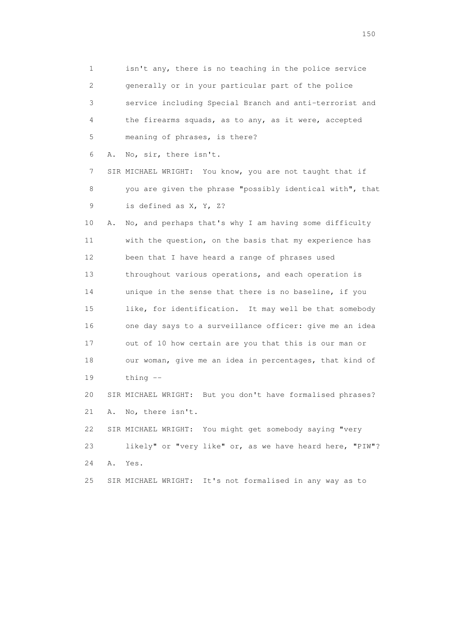1 isn't any, there is no teaching in the police service 2 generally or in your particular part of the police 3 service including Special Branch and anti-terrorist and 4 the firearms squads, as to any, as it were, accepted 5 meaning of phrases, is there? 6 A. No, sir, there isn't. 7 SIR MICHAEL WRIGHT: You know, you are not taught that if 8 you are given the phrase "possibly identical with", that 9 is defined as X, Y, Z? 10 A. No, and perhaps that's why I am having some difficulty 11 with the question, on the basis that my experience has 12 been that I have heard a range of phrases used 13 throughout various operations, and each operation is 14 unique in the sense that there is no baseline, if you 15 like, for identification. It may well be that somebody 16 one day says to a surveillance officer: give me an idea 17 out of 10 how certain are you that this is our man or 18 our woman, give me an idea in percentages, that kind of 19 thing -- 20 SIR MICHAEL WRIGHT: But you don't have formalised phrases? 21 A. No, there isn't. 22 SIR MICHAEL WRIGHT: You might get somebody saying "very 23 likely" or "very like" or, as we have heard here, "PIW"? 24 A. Yes. 25 SIR MICHAEL WRIGHT: It's not formalised in any way as to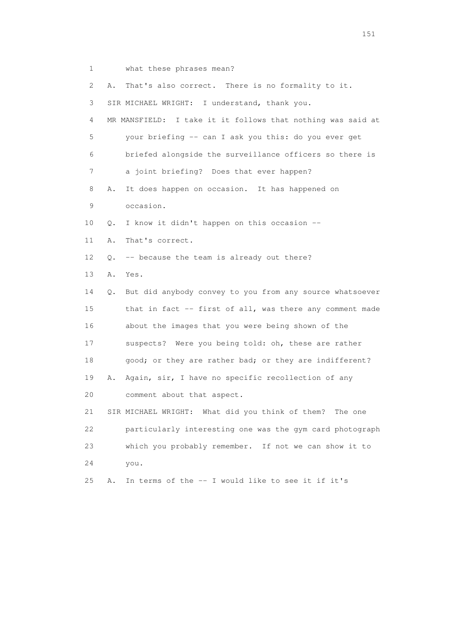1 what these phrases mean?

| 2               | Α. | That's also correct. There is no formality to it.           |
|-----------------|----|-------------------------------------------------------------|
| 3               |    | SIR MICHAEL WRIGHT: I understand, thank you.                |
| 4               |    | MR MANSFIELD: I take it it follows that nothing was said at |
| 5               |    | your briefing -- can I ask you this: do you ever get        |
| 6               |    | briefed alongside the surveillance officers so there is     |
| 7               |    | a joint briefing? Does that ever happen?                    |
| 8               | Α. | It does happen on occasion. It has happened on              |
| 9               |    | occasion.                                                   |
| 10              | Q. | I know it didn't happen on this occasion --                 |
| 11              | Α. | That's correct.                                             |
| 12              | Q. | -- because the team is already out there?                   |
| 13              | Α. | Yes.                                                        |
| 14              | О. | But did anybody convey to you from any source whatsoever    |
| 15              |    | that in fact -- first of all, was there any comment made    |
| 16              |    | about the images that you were being shown of the           |
| 17              |    | suspects? Were you being told: oh, these are rather         |
| 18              |    | good; or they are rather bad; or they are indifferent?      |
| 19              | Α. | Again, sir, I have no specific recollection of any          |
| 20 <sub>o</sub> |    | comment about that aspect.                                  |
| 21              |    | SIR MICHAEL WRIGHT: What did you think of them?<br>The one  |
| 22              |    | particularly interesting one was the gym card photograph    |
| 23              |    | which you probably remember. If not we can show it to       |
| 24              |    | you.                                                        |
| 25              | Α. | In terms of the -- I would like to see it if it's           |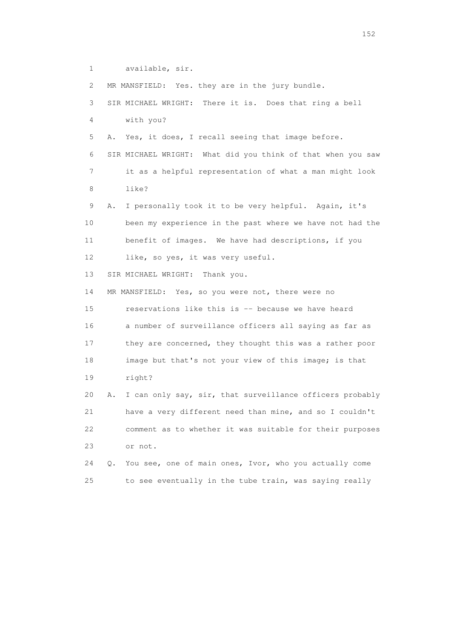1 available, sir.

2 MR MANSFIELD: Yes. they are in the jury bundle.

 3 SIR MICHAEL WRIGHT: There it is. Does that ring a bell 4 with you? 5 A. Yes, it does, I recall seeing that image before. 6 SIR MICHAEL WRIGHT: What did you think of that when you saw 7 it as a helpful representation of what a man might look 8 like? 9 A. I personally took it to be very helpful. Again, it's 10 been my experience in the past where we have not had the 11 benefit of images. We have had descriptions, if you 12 like, so yes, it was very useful. 13 SIR MICHAEL WRIGHT: Thank you. 14 MR MANSFIELD: Yes, so you were not, there were no 15 reservations like this is -- because we have heard 16 a number of surveillance officers all saying as far as 17 they are concerned, they thought this was a rather poor 18 image but that's not your view of this image; is that 19 right? 20 A. I can only say, sir, that surveillance officers probably 21 have a very different need than mine, and so I couldn't 22 comment as to whether it was suitable for their purposes 23 or not. 24 Q. You see, one of main ones, Ivor, who you actually come 25 to see eventually in the tube train, was saying really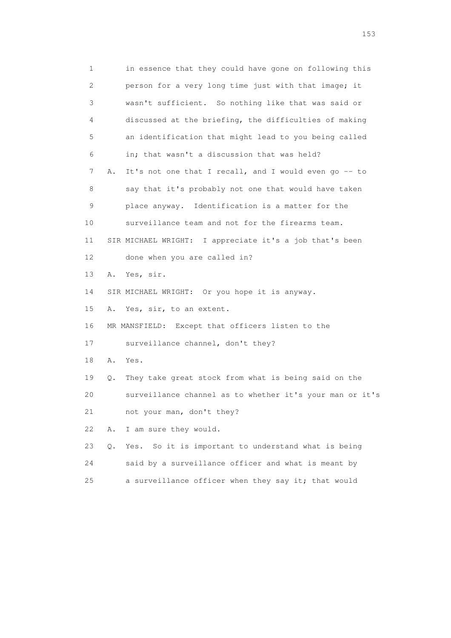1 in essence that they could have gone on following this 2 person for a very long time just with that image; it 3 wasn't sufficient. So nothing like that was said or 4 discussed at the briefing, the difficulties of making 5 an identification that might lead to you being called 6 in; that wasn't a discussion that was held? 7 A. It's not one that I recall, and I would even go -- to 8 say that it's probably not one that would have taken 9 place anyway. Identification is a matter for the 10 surveillance team and not for the firearms team. 11 SIR MICHAEL WRIGHT: I appreciate it's a job that's been 12 done when you are called in? 13 A. Yes, sir. 14 SIR MICHAEL WRIGHT: Or you hope it is anyway. 15 A. Yes, sir, to an extent. 16 MR MANSFIELD: Except that officers listen to the 17 surveillance channel, don't they? 18 A. Yes. 19 Q. They take great stock from what is being said on the 20 surveillance channel as to whether it's your man or it's 21 not your man, don't they? 22 A. I am sure they would. 23 Q. Yes. So it is important to understand what is being 24 said by a surveillance officer and what is meant by 25 a surveillance officer when they say it; that would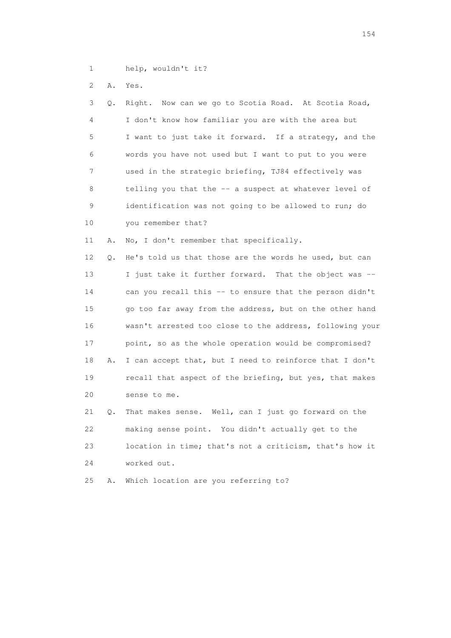1 help, wouldn't it?

2 A. Yes.

| 3               | Q. | Right. Now can we go to Scotia Road. At Scotia Road,     |
|-----------------|----|----------------------------------------------------------|
| 4               |    | I don't know how familiar you are with the area but      |
| 5               |    | I want to just take it forward. If a strategy, and the   |
| 6               |    | words you have not used but I want to put to you were    |
| 7               |    | used in the strategic briefing, TJ84 effectively was     |
| 8               |    | telling you that the -- a suspect at whatever level of   |
| 9               |    | identification was not going to be allowed to run; do    |
| 10              |    | you remember that?                                       |
| 11              | Α. | No, I don't remember that specifically.                  |
| 12 <sup>°</sup> | Q. | He's told us that those are the words he used, but can   |
| 13              |    | I just take it further forward. That the object was --   |
| 14              |    | can you recall this -- to ensure that the person didn't  |
| 15              |    | go too far away from the address, but on the other hand  |
| 16              |    | wasn't arrested too close to the address, following your |
| 17              |    | point, so as the whole operation would be compromised?   |
| 18              | Α. | I can accept that, but I need to reinforce that I don't  |
| 19              |    | recall that aspect of the briefing, but yes, that makes  |
| 20              |    | sense to me.                                             |
| 21              | Q. | That makes sense. Well, can I just go forward on the     |
| 22              |    | making sense point. You didn't actually get to the       |
| 23              |    | location in time; that's not a criticism, that's how it  |
| 24              |    | worked out.                                              |

25 A. Which location are you referring to?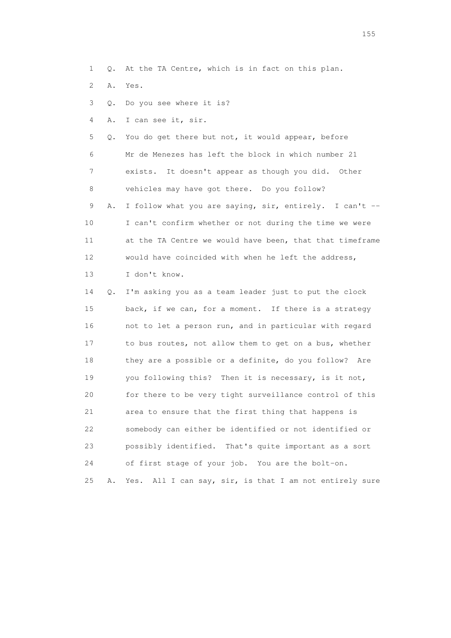1 Q. At the TA Centre, which is in fact on this plan.

2 A. Yes.

3 Q. Do you see where it is?

4 A. I can see it, sir.

 5 Q. You do get there but not, it would appear, before 6 Mr de Menezes has left the block in which number 21 7 exists. It doesn't appear as though you did. Other 8 vehicles may have got there. Do you follow?

9 A. I follow what you are saying, sir, entirely. I can't -- 10 I can't confirm whether or not during the time we were 11 at the TA Centre we would have been, that that timeframe 12 would have coincided with when he left the address, 13 I don't know.

 14 Q. I'm asking you as a team leader just to put the clock 15 back, if we can, for a moment. If there is a strategy 16 not to let a person run, and in particular with regard 17 to bus routes, not allow them to get on a bus, whether 18 they are a possible or a definite, do you follow? Are 19 you following this? Then it is necessary, is it not, 20 for there to be very tight surveillance control of this 21 area to ensure that the first thing that happens is 22 somebody can either be identified or not identified or 23 possibly identified. That's quite important as a sort 24 of first stage of your job. You are the bolt-on. 25 A. Yes. All I can say, sir, is that I am not entirely sure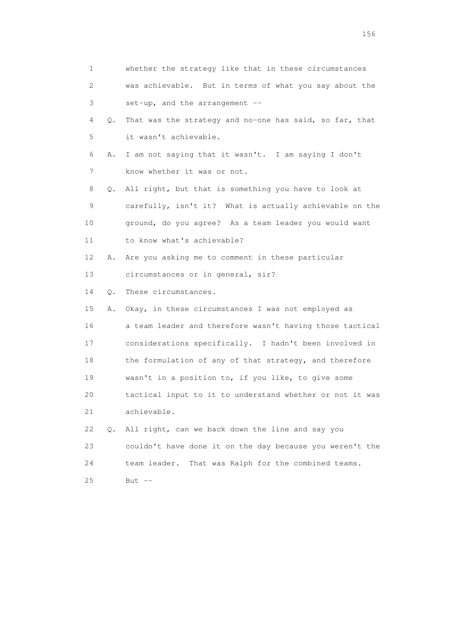| 1                         |    | whether the strategy like that in these circumstances    |
|---------------------------|----|----------------------------------------------------------|
| $\mathbf{2}^{\mathsf{I}}$ |    | was achievable. But in terms of what you say about the   |
| 3                         |    | set-up, and the arrangement $-$                          |
| 4                         | Q. | That was the strategy and no-one has said, so far, that  |
| 5                         |    | it wasn't achievable.                                    |
| 6                         | Α. | I am not saying that it wasn't. I am saying I don't      |
| 7                         |    | know whether it was or not.                              |
| 8                         | Q. | All right, but that is something you have to look at     |
| 9                         |    | carefully, isn't it? What is actually achievable on the  |
| 10                        |    | ground, do you agree? As a team leader you would want    |
| 11                        |    | to know what's achievable?                               |
| 12                        | Α. | Are you asking me to comment in these particular         |
| 13                        |    | circumstances or in general, sir?                        |
| 14                        | Q. | These circumstances.                                     |
| 15                        | Α. | Okay, in these circumstances I was not employed as       |
| 16                        |    | a team leader and therefore wasn't having those tactical |
| 17                        |    | considerations specifically. I hadn't been involved in   |
| 18                        |    | the formulation of any of that strategy, and therefore   |
| 19                        |    | wasn't in a position to, if you like, to give some       |
| 20                        |    | tactical input to it to understand whether or not it was |
| 21                        |    | achievable.                                              |
| 22                        | Q. | All right, can we back down the line and say you         |
| 23                        |    | couldn't have done it on the day because you weren't the |
| 24                        |    | team leader.<br>That was Ralph for the combined teams.   |
| 25                        |    | But $--$                                                 |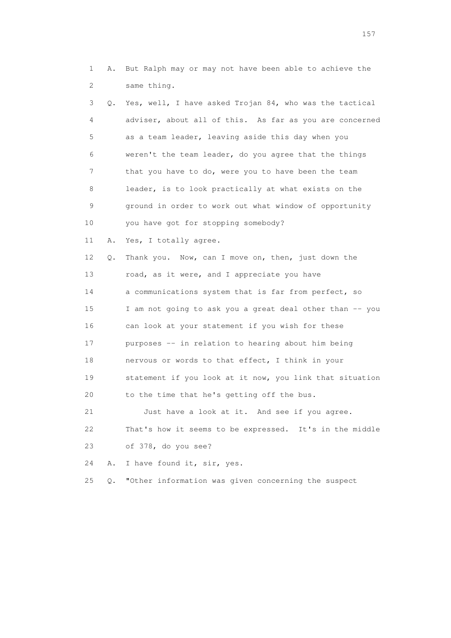1 A. But Ralph may or may not have been able to achieve the 2 same thing.

 3 Q. Yes, well, I have asked Trojan 84, who was the tactical 4 adviser, about all of this. As far as you are concerned 5 as a team leader, leaving aside this day when you 6 weren't the team leader, do you agree that the things 7 that you have to do, were you to have been the team 8 leader, is to look practically at what exists on the 9 ground in order to work out what window of opportunity 10 you have got for stopping somebody? 11 A. Yes, I totally agree. 12 Q. Thank you. Now, can I move on, then, just down the 13 road, as it were, and I appreciate you have 14 a communications system that is far from perfect, so 15 I am not going to ask you a great deal other than -- you 16 can look at your statement if you wish for these 17 purposes -- in relation to hearing about him being 18 nervous or words to that effect, I think in your 19 statement if you look at it now, you link that situation 20 to the time that he's getting off the bus. 21 Just have a look at it. And see if you agree. 22 That's how it seems to be expressed. It's in the middle

23 of 378, do you see?

24 A. I have found it, sir, yes.

25 Q. "Other information was given concerning the suspect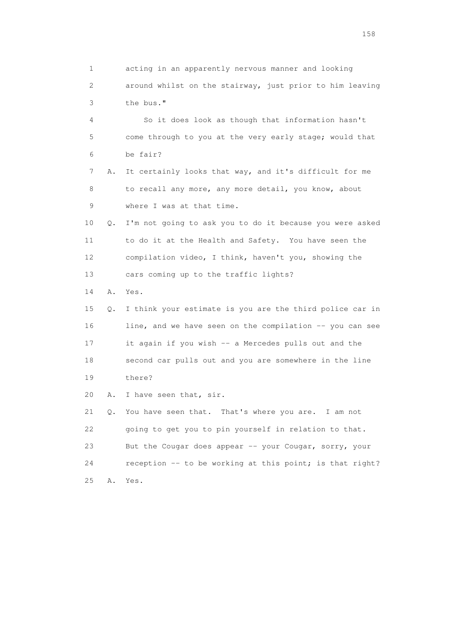1 acting in an apparently nervous manner and looking 2 around whilst on the stairway, just prior to him leaving 3 the bus."

 4 So it does look as though that information hasn't 5 come through to you at the very early stage; would that 6 be fair?

 7 A. It certainly looks that way, and it's difficult for me 8 to recall any more, any more detail, you know, about 9 where I was at that time.

 10 Q. I'm not going to ask you to do it because you were asked 11 to do it at the Health and Safety. You have seen the 12 compilation video, I think, haven't you, showing the 13 cars coming up to the traffic lights?

14 A. Yes.

 15 Q. I think your estimate is you are the third police car in 16 line, and we have seen on the compilation -- you can see 17 it again if you wish -- a Mercedes pulls out and the 18 second car pulls out and you are somewhere in the line 19 there?

20 A. I have seen that, sir.

 21 Q. You have seen that. That's where you are. I am not 22 going to get you to pin yourself in relation to that. 23 But the Cougar does appear -- your Cougar, sorry, your 24 reception -- to be working at this point; is that right? 25 A. Yes.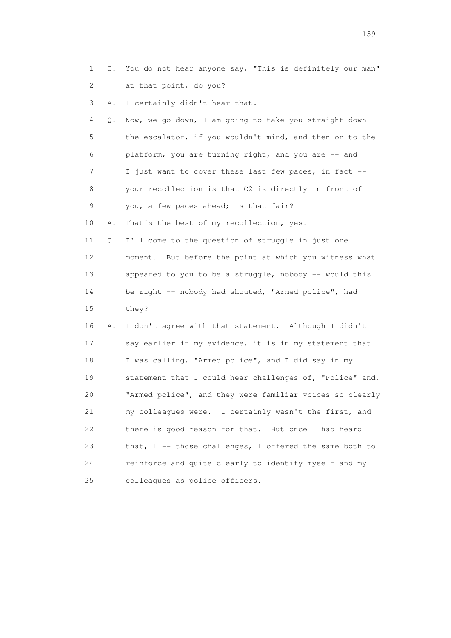|  | 1 Q. You do not hear anyone say, "This is definitely our man" |
|--|---------------------------------------------------------------|
|  | 2 at that point, do you?                                      |

3 A. I certainly didn't hear that.

| 4               | Q. | Now, we go down, I am going to take you straight down    |
|-----------------|----|----------------------------------------------------------|
| 5               |    | the escalator, if you wouldn't mind, and then on to the  |
| 6               |    | platform, you are turning right, and you are -- and      |
| 7               |    | I just want to cover these last few paces, in fact --    |
| 8               |    | your recollection is that C2 is directly in front of     |
| 9               |    | you, a few paces ahead; is that fair?                    |
| 10              | Α. | That's the best of my recollection, yes.                 |
| 11              | Q. | I'll come to the question of struggle in just one        |
| 12 <sup>°</sup> |    | moment. But before the point at which you witness what   |
| 13              |    | appeared to you to be a struggle, nobody -- would this   |
| 14              |    | be right -- nobody had shouted, "Armed police", had      |
| 15              |    | they?                                                    |
| 16              | Α. | I don't agree with that statement. Although I didn't     |
| 17              |    | say earlier in my evidence, it is in my statement that   |
| 18              |    | I was calling, "Armed police", and I did say in my       |
| 19              |    | statement that I could hear challenges of, "Police" and, |
| 20              |    | "Armed police", and they were familiar voices so clearly |
| 21              |    | my colleagues were. I certainly wasn't the first, and    |
| 22              |    | there is good reason for that. But once I had heard      |
| 23              |    | that, I -- those challenges, I offered the same both to  |
| 24              |    | reinforce and quite clearly to identify myself and my    |
| 25              |    | colleagues as police officers.                           |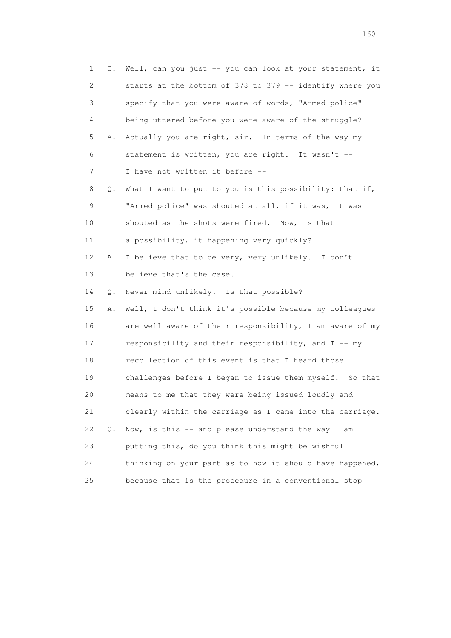1 Q. Well, can you just -- you can look at your statement, it 2 starts at the bottom of 378 to 379 -- identify where you 3 specify that you were aware of words, "Armed police" 4 being uttered before you were aware of the struggle? 5 A. Actually you are right, sir. In terms of the way my 6 statement is written, you are right. It wasn't -- 7 I have not written it before -- 8 Q. What I want to put to you is this possibility: that if, 9 "Armed police" was shouted at all, if it was, it was 10 shouted as the shots were fired. Now, is that 11 a possibility, it happening very quickly? 12 A. I believe that to be very, very unlikely. I don't 13 believe that's the case. 14 Q. Never mind unlikely. Is that possible? 15 A. Well, I don't think it's possible because my colleagues 16 are well aware of their responsibility, I am aware of my 17 responsibility and their responsibility, and I -- my 18 recollection of this event is that I heard those 19 challenges before I began to issue them myself. So that 20 means to me that they were being issued loudly and 21 clearly within the carriage as I came into the carriage. 22 Q. Now, is this -- and please understand the way I am 23 putting this, do you think this might be wishful 24 thinking on your part as to how it should have happened, 25 because that is the procedure in a conventional stop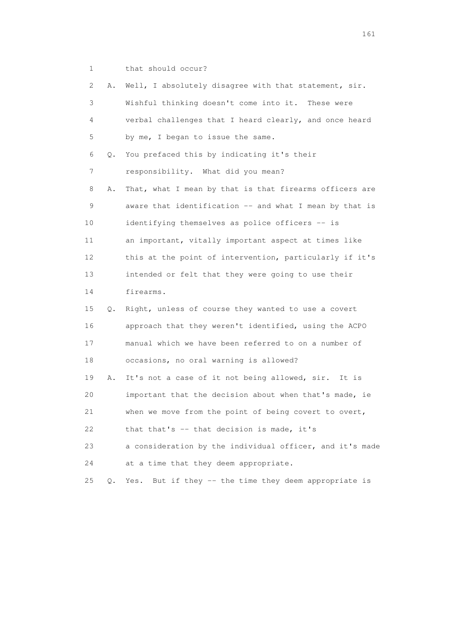1 that should occur?

| $\mathbf{2}^{\prime}$ | Α.    | Well, I absolutely disagree with that statement, sir.    |
|-----------------------|-------|----------------------------------------------------------|
| 3                     |       | Wishful thinking doesn't come into it. These were        |
| 4                     |       | verbal challenges that I heard clearly, and once heard   |
| 5                     |       | by me, I began to issue the same.                        |
| 6                     | Q.    | You prefaced this by indicating it's their               |
| 7                     |       | responsibility. What did you mean?                       |
| 8                     | Α.    | That, what I mean by that is that firearms officers are  |
| 9                     |       | aware that identification -- and what I mean by that is  |
| 10                    |       | identifying themselves as police officers -- is          |
| 11                    |       | an important, vitally important aspect at times like     |
| 12                    |       | this at the point of intervention, particularly if it's  |
| 13                    |       | intended or felt that they were going to use their       |
| 14                    |       | firearms.                                                |
| 15                    | Q.    | Right, unless of course they wanted to use a covert      |
| 16                    |       | approach that they weren't identified, using the ACPO    |
| 17                    |       | manual which we have been referred to on a number of     |
| 18                    |       | occasions, no oral warning is allowed?                   |
| 19                    | Α.    | It's not a case of it not being allowed, sir. It is      |
| 20                    |       | important that the decision about when that's made, ie   |
| 21                    |       | when we move from the point of being covert to overt,    |
| 22                    |       | that that's -- that decision is made, it's               |
| 23                    |       | a consideration by the individual officer, and it's made |
| 24                    |       | at a time that they deem appropriate.                    |
| 25                    | $Q$ . | But if they -- the time they deem appropriate is<br>Yes. |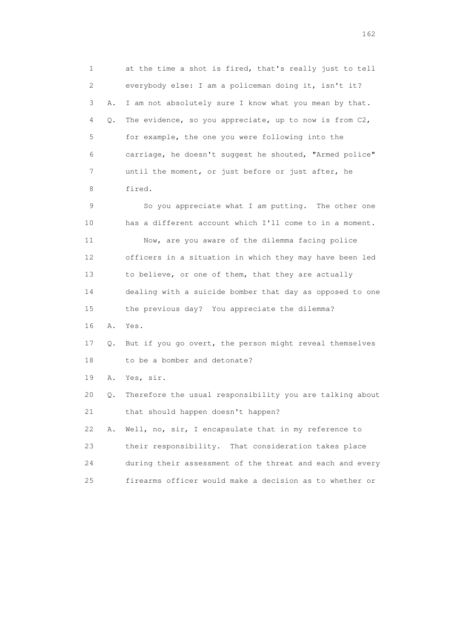1 at the time a shot is fired, that's really just to tell 2 everybody else: I am a policeman doing it, isn't it? 3 A. I am not absolutely sure I know what you mean by that. 4 Q. The evidence, so you appreciate, up to now is from C2, 5 for example, the one you were following into the 6 carriage, he doesn't suggest he shouted, "Armed police" 7 until the moment, or just before or just after, he 8 fired. 9 So you appreciate what I am putting. The other one 10 has a different account which I'll come to in a moment. 11 Now, are you aware of the dilemma facing police 12 officers in a situation in which they may have been led 13 to believe, or one of them, that they are actually 14 dealing with a suicide bomber that day as opposed to one 15 the previous day? You appreciate the dilemma? 16 A. Yes. 17 Q. But if you go overt, the person might reveal themselves 18 to be a bomber and detonate? 19 A. Yes, sir. 20 Q. Therefore the usual responsibility you are talking about 21 that should happen doesn't happen? 22 A. Well, no, sir, I encapsulate that in my reference to 23 their responsibility. That consideration takes place 24 during their assessment of the threat and each and every 25 firearms officer would make a decision as to whether or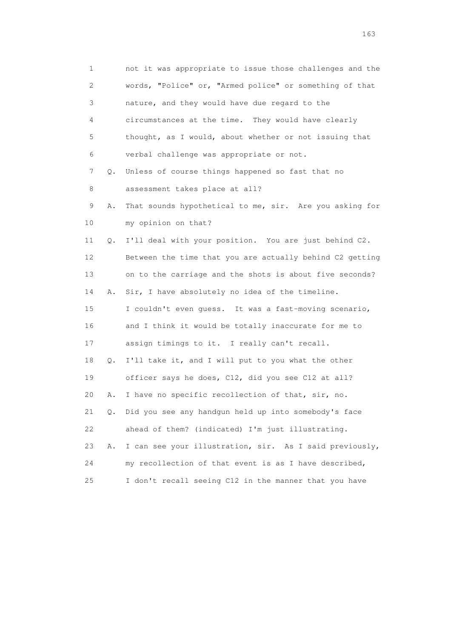1 not it was appropriate to issue those challenges and the 2 words, "Police" or, "Armed police" or something of that 3 nature, and they would have due regard to the 4 circumstances at the time. They would have clearly 5 thought, as I would, about whether or not issuing that 6 verbal challenge was appropriate or not. 7 Q. Unless of course things happened so fast that no 8 assessment takes place at all? 9 A. That sounds hypothetical to me, sir. Are you asking for 10 my opinion on that? 11 Q. I'll deal with your position. You are just behind C2. 12 Between the time that you are actually behind C2 getting 13 on to the carriage and the shots is about five seconds? 14 A. Sir, I have absolutely no idea of the timeline. 15 I couldn't even guess. It was a fast-moving scenario, 16 and I think it would be totally inaccurate for me to 17 assign timings to it. I really can't recall. 18 Q. I'll take it, and I will put to you what the other 19 officer says he does, C12, did you see C12 at all? 20 A. I have no specific recollection of that, sir, no. 21 Q. Did you see any handgun held up into somebody's face 22 ahead of them? (indicated) I'm just illustrating. 23 A. I can see your illustration, sir. As I said previously, 24 my recollection of that event is as I have described, 25 I don't recall seeing C12 in the manner that you have

<u>163</u>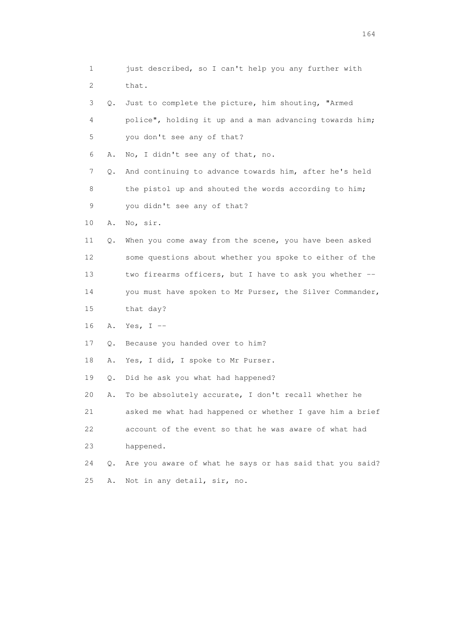| 1  |    | just described, so I can't help you any further with     |
|----|----|----------------------------------------------------------|
| 2  |    | that.                                                    |
| 3  | Q. | Just to complete the picture, him shouting, "Armed       |
| 4  |    | police", holding it up and a man advancing towards him;  |
| 5  |    | you don't see any of that?                               |
| 6  | Α. | No, I didn't see any of that, no.                        |
| 7  | Q. | And continuing to advance towards him, after he's held   |
| 8  |    | the pistol up and shouted the words according to him;    |
| 9  |    | you didn't see any of that?                              |
| 10 | Α. | No, sir.                                                 |
| 11 | Q. | When you come away from the scene, you have been asked   |
| 12 |    | some questions about whether you spoke to either of the  |
| 13 |    | two firearms officers, but I have to ask you whether --  |
| 14 |    | you must have spoken to Mr Purser, the Silver Commander, |
| 15 |    | that day?                                                |
| 16 | Α. | Yes, I $-$                                               |
| 17 | Q. | Because you handed over to him?                          |
| 18 | Α. | Yes, I did, I spoke to Mr Purser.                        |
| 19 | Q. | Did he ask you what had happened?                        |
| 20 | Α. | To be absolutely accurate, I don't recall whether he     |
| 21 |    | asked me what had happened or whether I gave him a brief |
| 22 |    | account of the event so that he was aware of what had    |
| 23 |    | happened.                                                |
| 24 | Q. | Are you aware of what he says or has said that you said? |
| 25 | Α. | Not in any detail, sir, no.                              |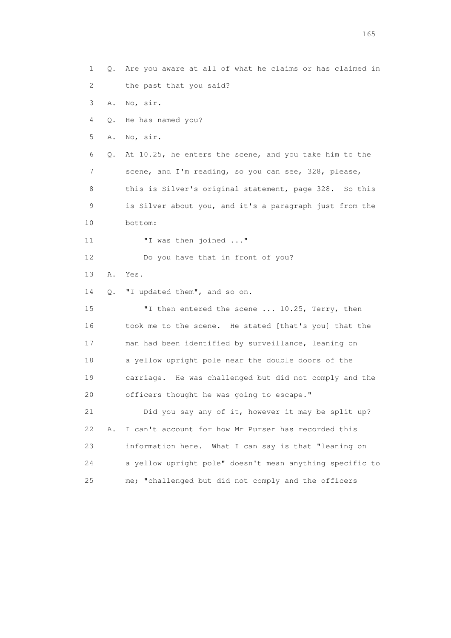1 Q. Are you aware at all of what he claims or has claimed in 2 the past that you said? 3 A. No, sir. 4 Q. He has named you? 5 A. No, sir. 6 Q. At 10.25, he enters the scene, and you take him to the 7 scene, and I'm reading, so you can see, 328, please, 8 this is Silver's original statement, page 328. So this 9 is Silver about you, and it's a paragraph just from the 10 bottom: 11 **"**I was then joined ..." 12 Do you have that in front of you? 13 A. Yes. 14 Q. "I updated them", and so on. 15 "I then entered the scene ... 10.25, Terry, then 16 took me to the scene. He stated [that's you] that the 17 man had been identified by surveillance, leaning on 18 a yellow upright pole near the double doors of the 19 carriage. He was challenged but did not comply and the 20 officers thought he was going to escape." 21 Did you say any of it, however it may be split up? 22 A. I can't account for how Mr Purser has recorded this 23 information here. What I can say is that "leaning on 24 a yellow upright pole" doesn't mean anything specific to 25 me; "challenged but did not comply and the officers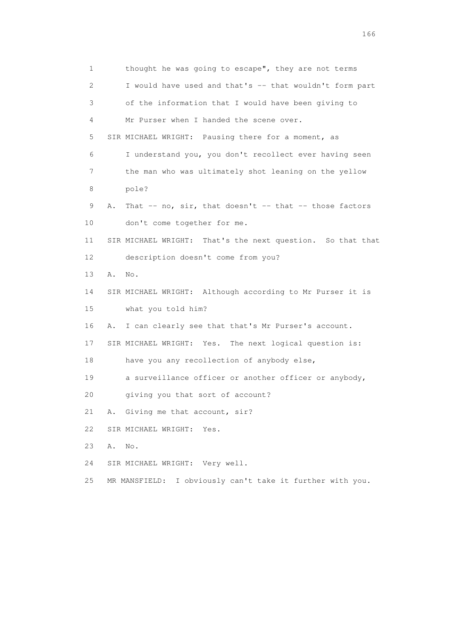1 thought he was going to escape", they are not terms 2 I would have used and that's -- that wouldn't form part 3 of the information that I would have been giving to 4 Mr Purser when I handed the scene over. 5 SIR MICHAEL WRIGHT: Pausing there for a moment, as 6 I understand you, you don't recollect ever having seen 7 the man who was ultimately shot leaning on the yellow 8 pole? 9 A. That -- no, sir, that doesn't -- that -- those factors 10 don't come together for me. 11 SIR MICHAEL WRIGHT: That's the next question. So that that 12 description doesn't come from you? 13 A. No. 14 SIR MICHAEL WRIGHT: Although according to Mr Purser it is 15 what you told him? 16 A. I can clearly see that that's Mr Purser's account. 17 SIR MICHAEL WRIGHT: Yes. The next logical question is: 18 have you any recollection of anybody else, 19 a surveillance officer or another officer or anybody, 20 giving you that sort of account? 21 A. Giving me that account, sir? 22 SIR MICHAEL WRIGHT: Yes. 23 A. No. 24 SIR MICHAEL WRIGHT: Very well. 25 MR MANSFIELD: I obviously can't take it further with you.

<u>166</u> **166**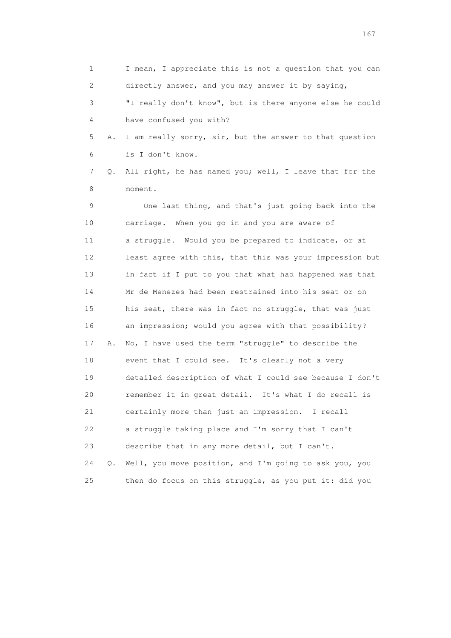1 I mean, I appreciate this is not a question that you can 2 directly answer, and you may answer it by saying, 3 "I really don't know", but is there anyone else he could 4 have confused you with? 5 A. I am really sorry, sir, but the answer to that question 6 is I don't know. 7 Q. All right, he has named you; well, I leave that for the 8 moment. 9 One last thing, and that's just going back into the 10 carriage. When you go in and you are aware of 11 a struggle. Would you be prepared to indicate, or at 12 least agree with this, that this was your impression but 13 in fact if I put to you that what had happened was that 14 Mr de Menezes had been restrained into his seat or on 15 his seat, there was in fact no struggle, that was just 16 an impression; would you agree with that possibility? 17 A. No, I have used the term "struggle" to describe the 18 event that I could see. It's clearly not a very 19 detailed description of what I could see because I don't 20 remember it in great detail. It's what I do recall is 21 certainly more than just an impression. I recall 22 a struggle taking place and I'm sorry that I can't 23 describe that in any more detail, but I can't. 24 Q. Well, you move position, and I'm going to ask you, you 25 then do focus on this struggle, as you put it: did you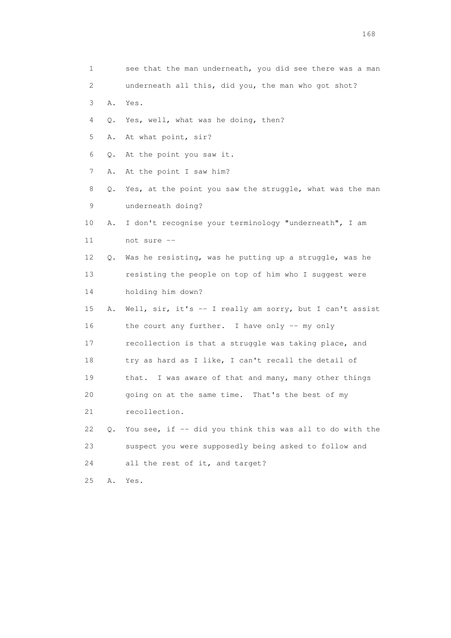| 1                         |    | see that the man underneath, you did see there was a man |
|---------------------------|----|----------------------------------------------------------|
| $\mathbf{2}^{\mathsf{I}}$ |    | underneath all this, did you, the man who got shot?      |
| 3                         | Α. | Yes.                                                     |
| 4                         | Q. | Yes, well, what was he doing, then?                      |
| 5                         | Α. | At what point, sir?                                      |
| 6                         | Q. | At the point you saw it.                                 |
| 7                         | Α. | At the point I saw him?                                  |
| 8                         | Q. | Yes, at the point you saw the struggle, what was the man |
| 9                         |    | underneath doing?                                        |
| 10                        | Α. | I don't recognise your terminology "underneath", I am    |
| 11                        |    | not sure --                                              |
| 12                        | Q. | Was he resisting, was he putting up a struggle, was he   |
| 13                        |    | resisting the people on top of him who I suggest were    |
| 14                        |    | holding him down?                                        |
| 15                        | Α. | Well, sir, it's -- I really am sorry, but I can't assist |
| 16                        |    | the court any further. I have only -- my only            |
| 17                        |    | recollection is that a struggle was taking place, and    |
| 18                        |    | try as hard as I like, I can't recall the detail of      |
| 19                        |    | that. I was aware of that and many, many other things    |
| 20                        |    | going on at the same time. That's the best of my         |
| 21                        |    | recollection.                                            |
| 22                        | Q. | You see, if -- did you think this was all to do with the |
| 23                        |    | suspect you were supposedly being asked to follow and    |
| 24                        |    | all the rest of it, and target?                          |
| 25                        | Α. | Yes.                                                     |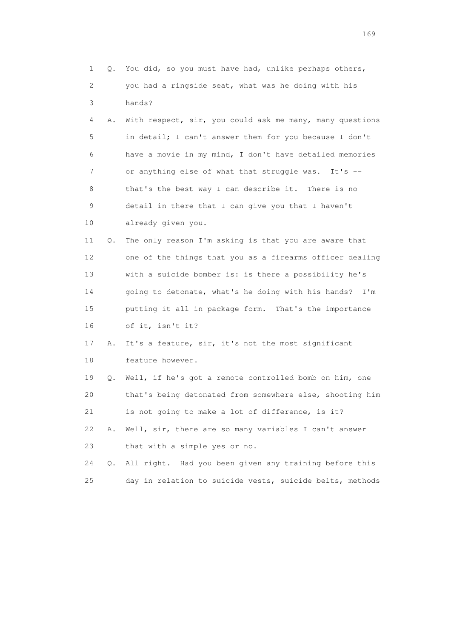| 1  | Q. | You did, so you must have had, unlike perhaps others,     |
|----|----|-----------------------------------------------------------|
| 2  |    | you had a ringside seat, what was he doing with his       |
| 3  |    | hands?                                                    |
| 4  | Α. | With respect, sir, you could ask me many, many questions  |
| 5  |    | in detail; I can't answer them for you because I don't    |
| 6  |    | have a movie in my mind, I don't have detailed memories   |
| 7  |    | or anything else of what that struggle was. It's --       |
| 8  |    | that's the best way I can describe it. There is no        |
| 9  |    | detail in there that I can give you that I haven't        |
| 10 |    | already given you.                                        |
| 11 | Q. | The only reason I'm asking is that you are aware that     |
| 12 |    | one of the things that you as a firearms officer dealing  |
| 13 |    | with a suicide bomber is: is there a possibility he's     |
| 14 |    | going to detonate, what's he doing with his hands?<br>I'm |
| 15 |    | putting it all in package form. That's the importance     |
| 16 |    | of it, isn't it?                                          |
| 17 | Α. | It's a feature, sir, it's not the most significant        |
| 18 |    | feature however.                                          |
| 19 | Q. | Well, if he's got a remote controlled bomb on him, one    |
| 20 |    | that's being detonated from somewhere else, shooting him  |
| 21 |    | is not going to make a lot of difference, is it?          |
| 22 | Α. | Well, sir, there are so many variables I can't answer     |
| 23 |    | that with a simple yes or no.                             |
| 24 | Q. | All right. Had you been given any training before this    |
| 25 |    | day in relation to suicide vests, suicide belts, methods  |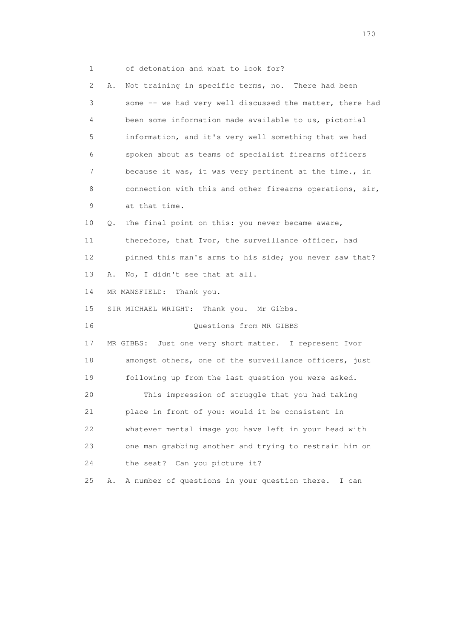1 of detonation and what to look for?

 2 A. Not training in specific terms, no. There had been 3 some -- we had very well discussed the matter, there had 4 been some information made available to us, pictorial 5 information, and it's very well something that we had 6 spoken about as teams of specialist firearms officers 7 because it was, it was very pertinent at the time., in 8 connection with this and other firearms operations,  $\sin$ , 9 at that time. 10 Q. The final point on this: you never became aware, 11 therefore, that Ivor, the surveillance officer, had 12 pinned this man's arms to his side; you never saw that? 13 A. No, I didn't see that at all. 14 MR MANSFIELD: Thank you. 15 SIR MICHAEL WRIGHT: Thank you. Mr Gibbs. 16 Questions from MR GIBBS 17 MR GIBBS: Just one very short matter. I represent Ivor 18 amongst others, one of the surveillance officers, just 19 following up from the last question you were asked. 20 This impression of struggle that you had taking 21 place in front of you: would it be consistent in 22 whatever mental image you have left in your head with 23 one man grabbing another and trying to restrain him on 24 the seat? Can you picture it? 25 A. A number of questions in your question there. I can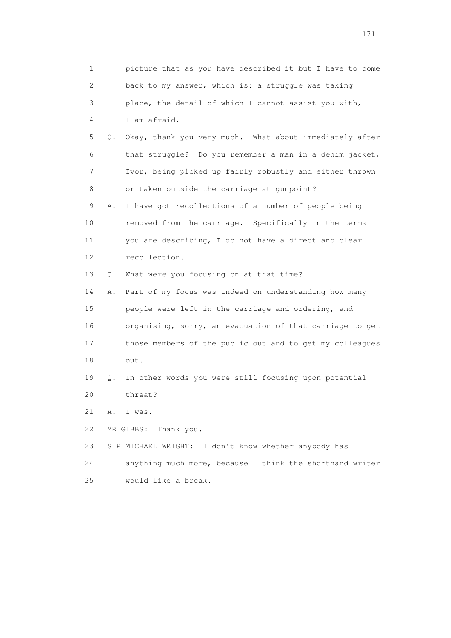1 picture that as you have described it but I have to come 2 back to my answer, which is: a struggle was taking 3 place, the detail of which I cannot assist you with, 4 I am afraid. 5 Q. Okay, thank you very much. What about immediately after 6 that struggle? Do you remember a man in a denim jacket, 7 Ivor, being picked up fairly robustly and either thrown 8 or taken outside the carriage at gunpoint? 9 A. I have got recollections of a number of people being 10 removed from the carriage. Specifically in the terms 11 you are describing, I do not have a direct and clear 12 recollection. 13 Q. What were you focusing on at that time? 14 A. Part of my focus was indeed on understanding how many 15 people were left in the carriage and ordering, and 16 organising, sorry, an evacuation of that carriage to get 17 those members of the public out and to get my colleagues 18 out. 19 Q. In other words you were still focusing upon potential 20 threat? 21 A. I was. 22 MR GIBBS: Thank you. 23 SIR MICHAEL WRIGHT: I don't know whether anybody has 24 anything much more, because I think the shorthand writer 25 would like a break.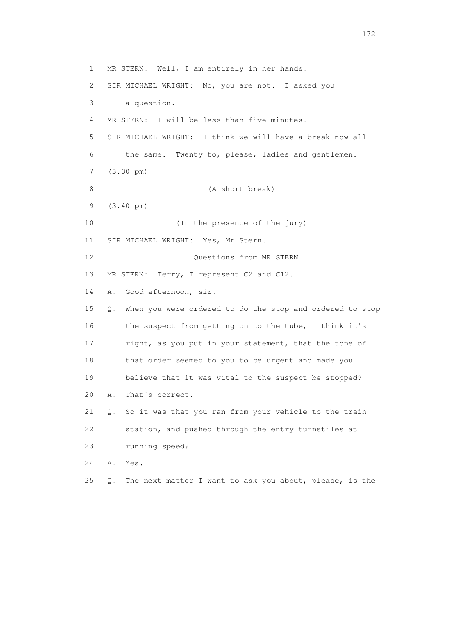1 MR STERN: Well, I am entirely in her hands. 2 SIR MICHAEL WRIGHT: No, you are not. I asked you 3 a question. 4 MR STERN: I will be less than five minutes. 5 SIR MICHAEL WRIGHT: I think we will have a break now all 6 the same. Twenty to, please, ladies and gentlemen. 7 (3.30 pm) 8 (A short break) 9 (3.40 pm) 10 (In the presence of the jury) 11 SIR MICHAEL WRIGHT: Yes, Mr Stern. 12 Questions from MR STERN 13 MR STERN: Terry, I represent C2 and C12. 14 A. Good afternoon, sir. 15 Q. When you were ordered to do the stop and ordered to stop 16 the suspect from getting on to the tube, I think it's 17 right, as you put in your statement, that the tone of 18 that order seemed to you to be urgent and made you 19 believe that it was vital to the suspect be stopped? 20 A. That's correct. 21 Q. So it was that you ran from your vehicle to the train 22 station, and pushed through the entry turnstiles at 23 running speed? 24 A. Yes. 25 Q. The next matter I want to ask you about, please, is the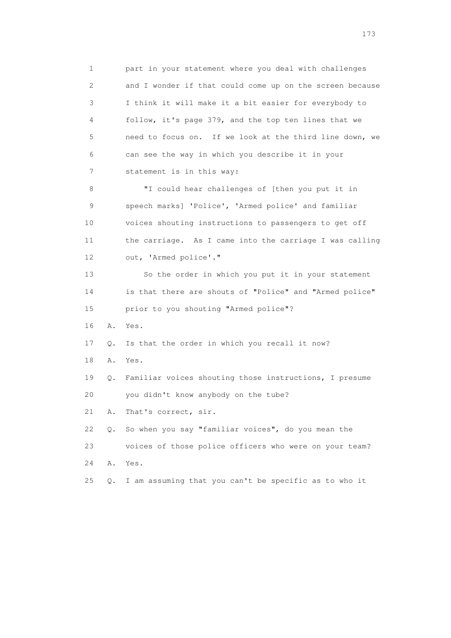1 part in your statement where you deal with challenges 2 and I wonder if that could come up on the screen because 3 I think it will make it a bit easier for everybody to 4 follow, it's page 379, and the top ten lines that we 5 need to focus on. If we look at the third line down, we 6 can see the way in which you describe it in your 7 statement is in this way: 8 "I could hear challenges of [then you put it in 9 speech marks] 'Police', 'Armed police' and familiar 10 voices shouting instructions to passengers to get off 11 the carriage. As I came into the carriage I was calling 12 out, 'Armed police'." 13 So the order in which you put it in your statement 14 is that there are shouts of "Police" and "Armed police" 15 prior to you shouting "Armed police"? 16 A. Yes. 17 Q. Is that the order in which you recall it now? 18 A. Yes. 19 Q. Familiar voices shouting those instructions, I presume 20 you didn't know anybody on the tube? 21 A. That's correct, sir. 22 Q. So when you say "familiar voices", do you mean the 23 voices of those police officers who were on your team? 24 A. Yes. 25 Q. I am assuming that you can't be specific as to who it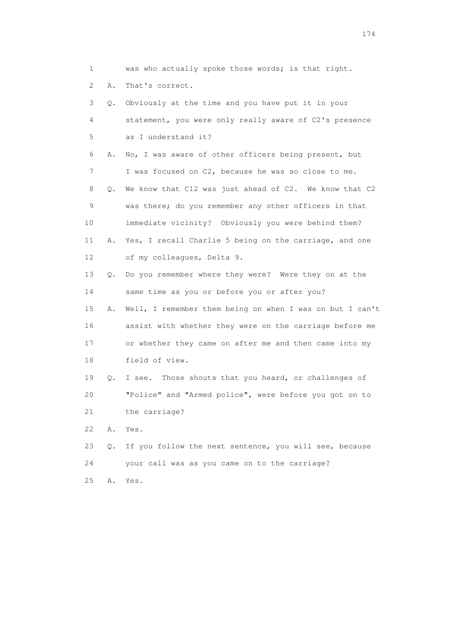1 was who actually spoke those words; is that right. 2 A. That's correct. 3 Q. Obviously at the time and you have put it in your 4 statement, you were only really aware of C2's presence 5 as I understand it? 6 A. No, I was aware of other officers being present, but 7 I was focused on C2, because he was so close to me. 8 Q. We know that C12 was just ahead of C2. We know that C2 9 was there; do you remember any other officers in that 10 immediate vicinity? Obviously you were behind them? 11 A. Yes, I recall Charlie 5 being on the carriage, and one 12 of my colleagues, Delta 9. 13 Q. Do you remember where they were? Were they on at the 14 same time as you or before you or after you? 15 A. Well, I remember them being on when I was on but I can't 16 assist with whether they were on the carriage before me 17 or whether they came on after me and then came into my 18 field of view.

 19 Q. I see. Those shouts that you heard, or challenges of 20 "Police" and "Armed police", were before you got on to 21 the carriage?

22 A. Yes.

 23 Q. If you follow the next sentence, you will see, because 24 your call was as you came on to the carriage?

25 A. Yes.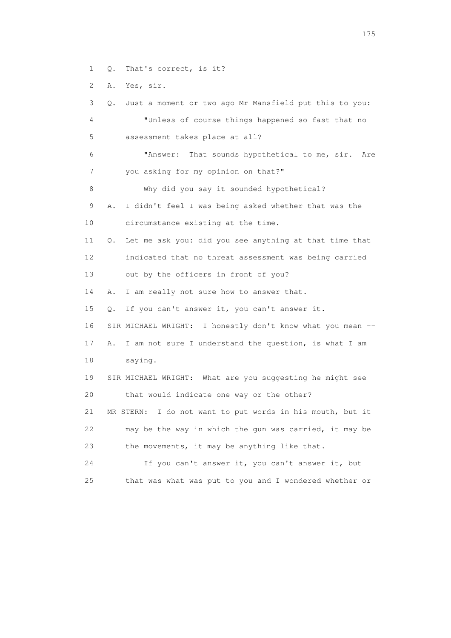1 Q. That's correct, is it?

2 A. Yes, sir.

 3 Q. Just a moment or two ago Mr Mansfield put this to you: 4 "Unless of course things happened so fast that no 5 assessment takes place at all? 6 "Answer: That sounds hypothetical to me, sir. Are 7 you asking for my opinion on that?" 8 Why did you say it sounded hypothetical? 9 A. I didn't feel I was being asked whether that was the 10 circumstance existing at the time. 11 Q. Let me ask you: did you see anything at that time that 12 indicated that no threat assessment was being carried 13 out by the officers in front of you? 14 A. I am really not sure how to answer that. 15 Q. If you can't answer it, you can't answer it. 16 SIR MICHAEL WRIGHT: I honestly don't know what you mean -- 17 A. I am not sure I understand the question, is what I am 18 saying. 19 SIR MICHAEL WRIGHT: What are you suggesting he might see 20 that would indicate one way or the other? 21 MR STERN: I do not want to put words in his mouth, but it 22 may be the way in which the gun was carried, it may be 23 the movements, it may be anything like that. 24 If you can't answer it, you can't answer it, but 25 that was what was put to you and I wondered whether or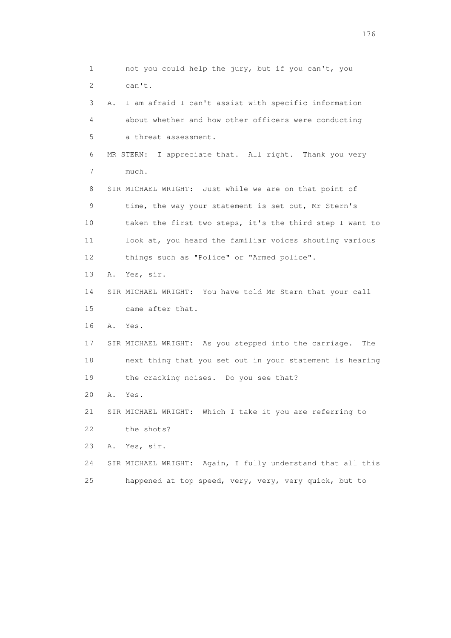1 not you could help the jury, but if you can't, you 2 can't. 3 A. I am afraid I can't assist with specific information 4 about whether and how other officers were conducting 5 a threat assessment. 6 MR STERN: I appreciate that. All right. Thank you very 7 much. 8 SIR MICHAEL WRIGHT: Just while we are on that point of 9 time, the way your statement is set out, Mr Stern's 10 taken the first two steps, it's the third step I want to 11 look at, you heard the familiar voices shouting various 12 things such as "Police" or "Armed police". 13 A. Yes, sir. 14 SIR MICHAEL WRIGHT: You have told Mr Stern that your call 15 came after that. 16 A. Yes. 17 SIR MICHAEL WRIGHT: As you stepped into the carriage. The 18 next thing that you set out in your statement is hearing 19 the cracking noises. Do you see that? 20 A. Yes. 21 SIR MICHAEL WRIGHT: Which I take it you are referring to 22 the shots? 23 A. Yes, sir. 24 SIR MICHAEL WRIGHT: Again, I fully understand that all this 25 happened at top speed, very, very, very quick, but to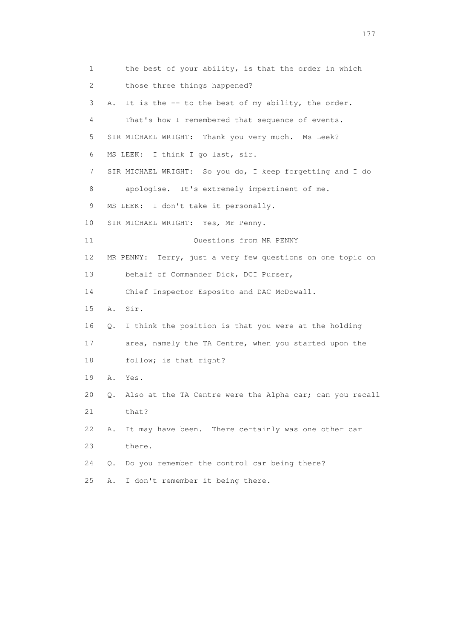1 the best of your ability, is that the order in which 2 those three things happened? 3 A. It is the -- to the best of my ability, the order. 4 That's how I remembered that sequence of events. 5 SIR MICHAEL WRIGHT: Thank you very much. Ms Leek? 6 MS LEEK: I think I go last, sir. 7 SIR MICHAEL WRIGHT: So you do, I keep forgetting and I do 8 apologise. It's extremely impertinent of me. 9 MS LEEK: I don't take it personally. 10 SIR MICHAEL WRIGHT: Yes, Mr Penny. 11 Ouestions from MR PENNY 12 MR PENNY: Terry, just a very few questions on one topic on 13 behalf of Commander Dick, DCI Purser, 14 Chief Inspector Esposito and DAC McDowall. 15 A. Sir. 16 Q. I think the position is that you were at the holding 17 area, namely the TA Centre, when you started upon the 18 follow; is that right? 19 A. Yes. 20 Q. Also at the TA Centre were the Alpha car; can you recall 21 that? 22 A. It may have been. There certainly was one other car 23 there. 24 Q. Do you remember the control car being there? 25 A. I don't remember it being there.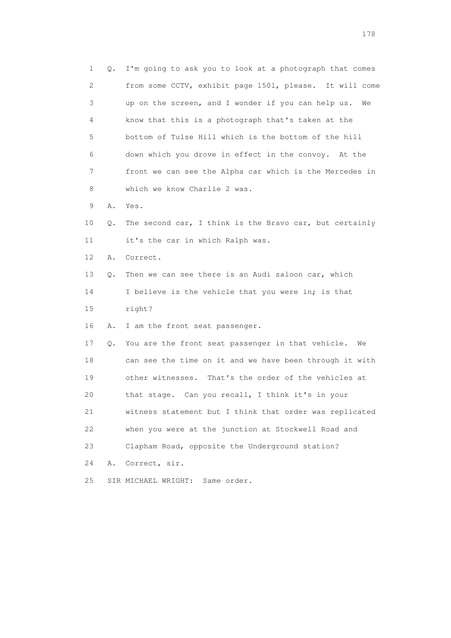1 Q. I'm going to ask you to look at a photograph that comes 2 from some CCTV, exhibit page 1501, please. It will come 3 up on the screen, and I wonder if you can help us. We 4 know that this is a photograph that's taken at the 5 bottom of Tulse Hill which is the bottom of the hill 6 down which you drove in effect in the convoy. At the 7 front we can see the Alpha car which is the Mercedes in 8 which we know Charlie 2 was. 9 A. Yes. 10 Q. The second car, I think is the Bravo car, but certainly 11 it's the car in which Ralph was. 12 A. Correct. 13 Q. Then we can see there is an Audi saloon car, which 14 I believe is the vehicle that you were in; is that 15 right? 16 A. I am the front seat passenger. 17 Q. You are the front seat passenger in that vehicle. We 18 can see the time on it and we have been through it with 19 other witnesses. That's the order of the vehicles at 20 that stage. Can you recall, I think it's in your 21 witness statement but I think that order was replicated 22 when you were at the junction at Stockwell Road and 23 Clapham Road, opposite the Underground station? 24 A. Correct, sir. 25 SIR MICHAEL WRIGHT: Same order.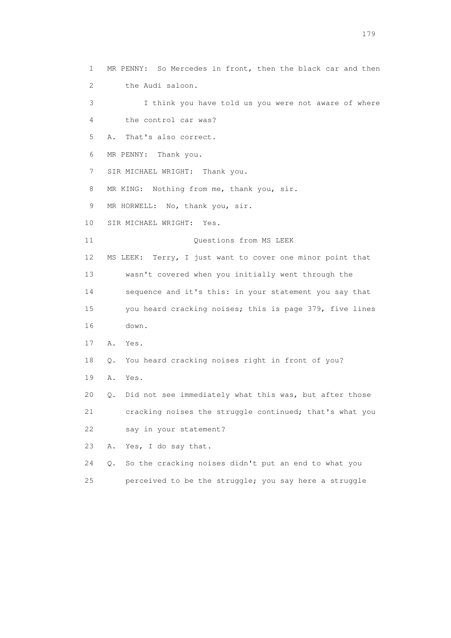1 MR PENNY: So Mercedes in front, then the black car and then 2 the Audi saloon. 3 I think you have told us you were not aware of where 4 the control car was? 5 A. That's also correct. 6 MR PENNY: Thank you. 7 SIR MICHAEL WRIGHT: Thank you. 8 MR KING: Nothing from me, thank you, sir. 9 MR HORWELL: No, thank you, sir. 10 SIR MICHAEL WRIGHT: Yes. 11 Ouestions from MS LEEK 12 MS LEEK: Terry, I just want to cover one minor point that 13 wasn't covered when you initially went through the 14 sequence and it's this: in your statement you say that 15 you heard cracking noises; this is page 379, five lines 16 down. 17 A. Yes. 18 Q. You heard cracking noises right in front of you? 19 A. Yes. 20 Q. Did not see immediately what this was, but after those 21 cracking noises the struggle continued; that's what you 22 say in your statement? 23 A. Yes, I do say that. 24 Q. So the cracking noises didn't put an end to what you

25 perceived to be the struggle; you say here a struggle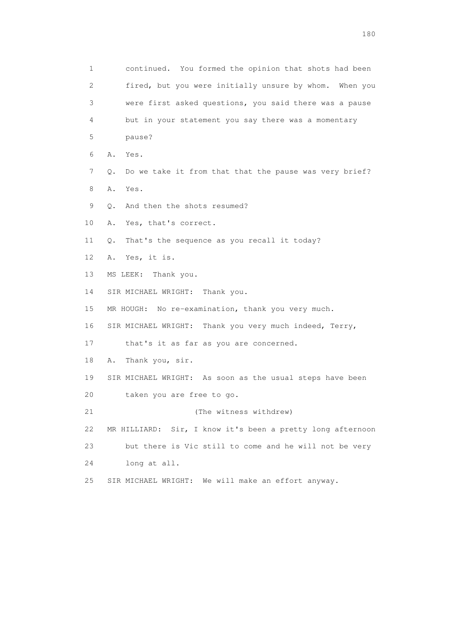1 continued. You formed the opinion that shots had been 2 fired, but you were initially unsure by whom. When you 3 were first asked questions, you said there was a pause 4 but in your statement you say there was a momentary 5 pause? 6 A. Yes. 7 Q. Do we take it from that that the pause was very brief? 8 A. Yes. 9 Q. And then the shots resumed? 10 A. Yes, that's correct. 11 Q. That's the sequence as you recall it today? 12 A. Yes, it is. 13 MS LEEK: Thank you. 14 SIR MICHAEL WRIGHT: Thank you. 15 MR HOUGH: No re-examination, thank you very much. 16 SIR MICHAEL WRIGHT: Thank you very much indeed, Terry, 17 that's it as far as you are concerned. 18 A. Thank you, sir. 19 SIR MICHAEL WRIGHT: As soon as the usual steps have been 20 taken you are free to go. 21 (The witness withdrew) 22 MR HILLIARD: Sir, I know it's been a pretty long afternoon 23 but there is Vic still to come and he will not be very 24 long at all. 25 SIR MICHAEL WRIGHT: We will make an effort anyway.

180 and 180 and 180 and 180 and 180 and 180 and 180 and 180 and 180 and 180 and 180 and 180 and 180 and 180 and 180 and 180 and 180 and 180 and 180 and 180 and 180 and 180 and 180 and 180 and 180 and 180 and 180 and 180 an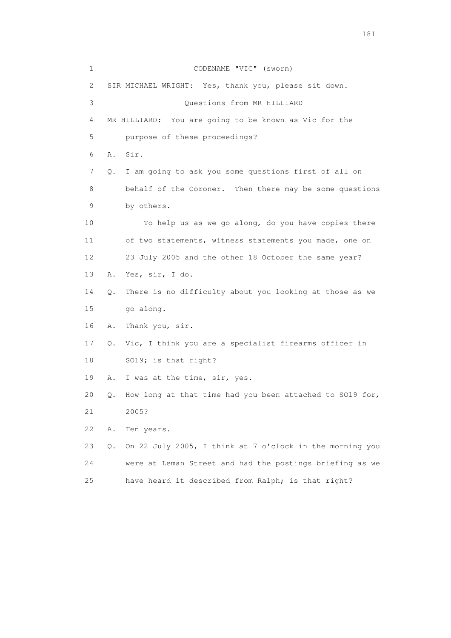1 CODENAME "VIC" (sworn) 2 SIR MICHAEL WRIGHT: Yes, thank you, please sit down. 3 Questions from MR HILLIARD 4 MR HILLIARD: You are going to be known as Vic for the 5 purpose of these proceedings? 6 A. Sir. 7 Q. I am going to ask you some questions first of all on 8 behalf of the Coroner. Then there may be some questions 9 by others. 10 To help us as we go along, do you have copies there 11 of two statements, witness statements you made, one on 12 23 July 2005 and the other 18 October the same year? 13 A. Yes, sir, I do. 14 Q. There is no difficulty about you looking at those as we 15 go along. 16 A. Thank you, sir. 17 Q. Vic, I think you are a specialist firearms officer in 18 SO19; is that right? 19 A. I was at the time, sir, yes. 20 Q. How long at that time had you been attached to SO19 for, 21 2005? 22 A. Ten years. 23 Q. On 22 July 2005, I think at 7 o'clock in the morning you 24 were at Leman Street and had the postings briefing as we 25 have heard it described from Ralph; is that right?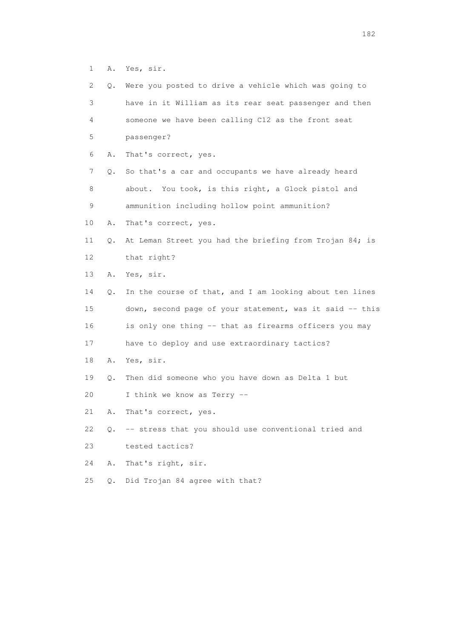1 A. Yes, sir.

| 2  | Q. | Were you posted to drive a vehicle which was going to    |
|----|----|----------------------------------------------------------|
| 3  |    | have in it William as its rear seat passenger and then   |
| 4  |    | someone we have been calling C12 as the front seat       |
| 5  |    | passenger?                                               |
| 6  | Α. | That's correct, yes.                                     |
| 7  | Q. | So that's a car and occupants we have already heard      |
| 8  |    | about. You took, is this right, a Glock pistol and       |
| 9  |    | ammunition including hollow point ammunition?            |
| 10 | Α. | That's correct, yes.                                     |
| 11 | Q. | At Leman Street you had the briefing from Trojan 84; is  |
| 12 |    | that right?                                              |
| 13 | Α. | Yes, sir.                                                |
| 14 | Q. | In the course of that, and I am looking about ten lines  |
| 15 |    | down, second page of your statement, was it said -- this |
| 16 |    | is only one thing -- that as firearms officers you may   |
| 17 |    | have to deploy and use extraordinary tactics?            |
| 18 | Α. | Yes, sir.                                                |
| 19 | Q. | Then did someone who you have down as Delta 1 but        |
| 20 |    | I think we know as Terry --                              |
| 21 | Α. | That's correct, yes.                                     |
| 22 | Q. | -- stress that you should use conventional tried and     |
| 23 |    | tested tactics?                                          |
| 24 | Α. | That's right, sir.                                       |
| 25 | Q. | Did Trojan 84 agree with that?                           |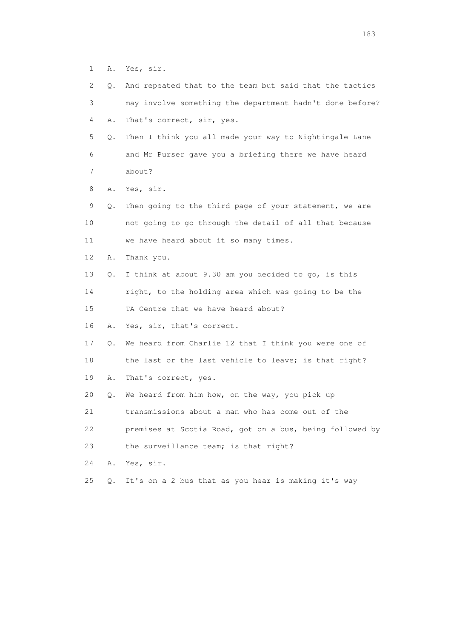1 A. Yes, sir.

| $\mathbf{2}^{\mathsf{I}}$ | Q. | And repeated that to the team but said that the tactics  |
|---------------------------|----|----------------------------------------------------------|
| 3                         |    | may involve something the department hadn't done before? |
| 4                         | Α. | That's correct, sir, yes.                                |
| 5                         | Q. | Then I think you all made your way to Nightingale Lane   |
| 6                         |    | and Mr Purser gave you a briefing there we have heard    |
| 7                         |    | about?                                                   |
| 8                         | Α. | Yes, sir.                                                |
| 9                         | Q. | Then going to the third page of your statement, we are   |
| 10                        |    | not going to go through the detail of all that because   |
| 11                        |    | we have heard about it so many times.                    |
| 12                        | Α. | Thank you.                                               |
| 13                        | Q. | I think at about 9.30 am you decided to go, is this      |
| 14                        |    | right, to the holding area which was going to be the     |
| 15                        |    | TA Centre that we have heard about?                      |
| 16                        | Α. | Yes, sir, that's correct.                                |
| 17                        | Q. | We heard from Charlie 12 that I think you were one of    |
| 18                        |    | the last or the last vehicle to leave; is that right?    |
| 19                        | Α. | That's correct, yes.                                     |
| 20                        | Q. | We heard from him how, on the way, you pick up           |
| 21                        |    | transmissions about a man who has come out of the        |
| 22                        |    | premises at Scotia Road, got on a bus, being followed by |
| 23                        |    | the surveillance team; is that right?                    |
| 24                        | Α. | Yes, sir.                                                |
| 25                        | Q. | It's on a 2 bus that as you hear is making it's way      |
|                           |    |                                                          |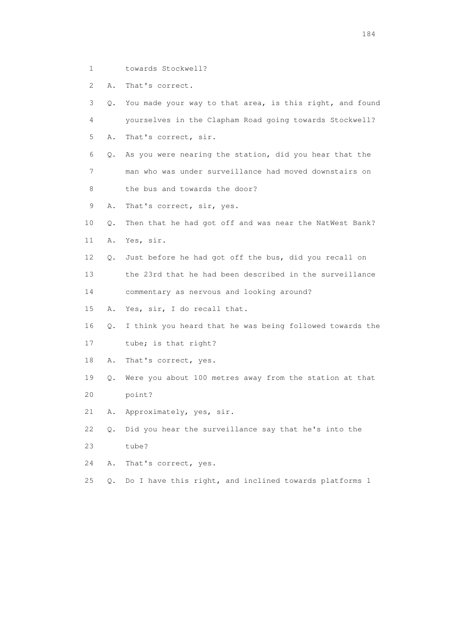1 towards Stockwell?

2 A. That's correct.

 3 Q. You made your way to that area, is this right, and found 4 yourselves in the Clapham Road going towards Stockwell? 5 A. That's correct, sir. 6 Q. As you were nearing the station, did you hear that the 7 man who was under surveillance had moved downstairs on 8 the bus and towards the door? 9 A. That's correct, sir, yes. 10 Q. Then that he had got off and was near the NatWest Bank? 11 A. Yes, sir. 12 Q. Just before he had got off the bus, did you recall on 13 the 23rd that he had been described in the surveillance 14 commentary as nervous and looking around? 15 A. Yes, sir, I do recall that. 16 Q. I think you heard that he was being followed towards the 17 tube; is that right? 18 A. That's correct, yes. 19 Q. Were you about 100 metres away from the station at that 20 point? 21 A. Approximately, yes, sir. 22 Q. Did you hear the surveillance say that he's into the 23 tube? 24 A. That's correct, yes. 25 Q. Do I have this right, and inclined towards platforms 1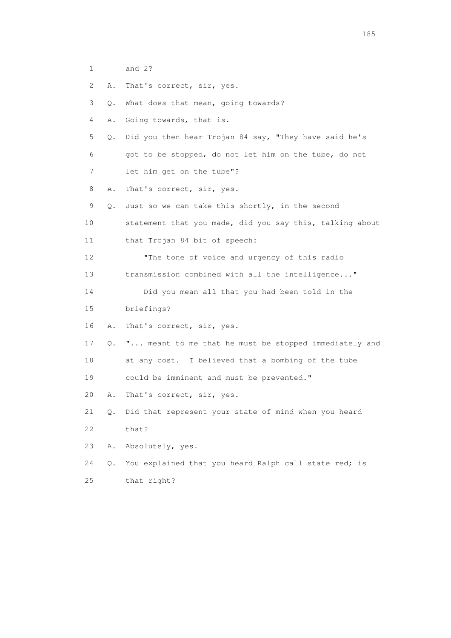- 1 and 2?
- 2 A. That's correct, sir, yes.

3 Q. What does that mean, going towards?

- 4 A. Going towards, that is.
- 5 Q. Did you then hear Trojan 84 say, "They have said he's
- 6 got to be stopped, do not let him on the tube, do not
- 7 let him get on the tube"?
- 8 A. That's correct, sir, yes.
- 9 Q. Just so we can take this shortly, in the second
- 10 statement that you made, did you say this, talking about 11 that Trojan 84 bit of speech:
- 12 "The tone of voice and urgency of this radio
- 13 transmission combined with all the intelligence..."
- 14 Did you mean all that you had been told in the
- 15 briefings?
- 16 A. That's correct, sir, yes.
- 17 Q. "... meant to me that he must be stopped immediately and 18 at any cost. I believed that a bombing of the tube
- 19 could be imminent and must be prevented."
- 20 A. That's correct, sir, yes.
- 21 Q. Did that represent your state of mind when you heard 22 that?
- 23 A. Absolutely, yes.
- 24 Q. You explained that you heard Ralph call state red; is 25 that right?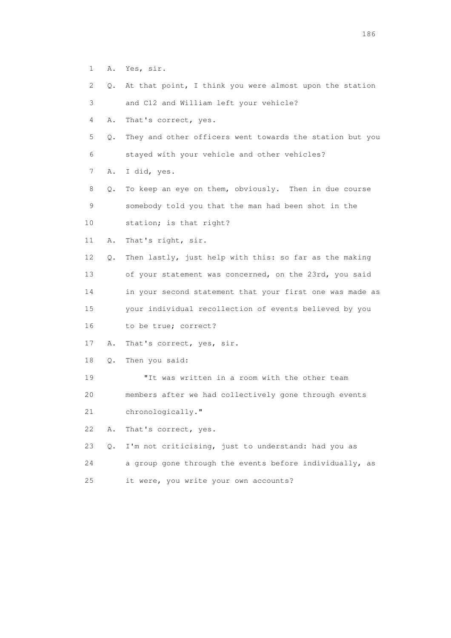- 1 A. Yes, sir.
- 2 Q. At that point, I think you were almost upon the station
- 3 and C12 and William left your vehicle?
- 4 A. That's correct, yes.
- 5 Q. They and other officers went towards the station but you 6 stayed with your vehicle and other vehicles?
- 7 A. I did, yes.
- 8 Q. To keep an eye on them, obviously. Then in due course 9 somebody told you that the man had been shot in the 10 station; is that right?
- 11 A. That's right, sir.
- 12 Q. Then lastly, just help with this: so far as the making 13 of your statement was concerned, on the 23rd, you said 14 in your second statement that your first one was made as 15 your individual recollection of events believed by you 16 to be true; correct?
- 
- 17 A. That's correct, yes, sir.
- 18 Q. Then you said:
- 19 "It was written in a room with the other team 20 members after we had collectively gone through events 21 chronologically."
- 
- 22 A. That's correct, yes.
- 23 Q. I'm not criticising, just to understand: had you as 24 a group gone through the events before individually, as 25 it were, you write your own accounts?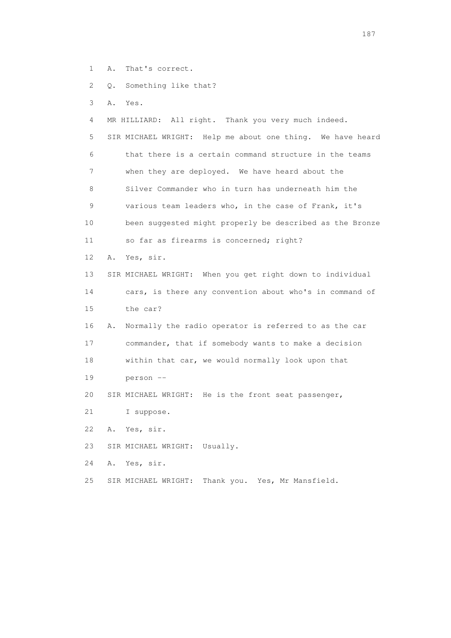- 1 A. That's correct.
- 2 Q. Something like that?
- 3 A. Yes.

 4 MR HILLIARD: All right. Thank you very much indeed. 5 SIR MICHAEL WRIGHT: Help me about one thing. We have heard 6 that there is a certain command structure in the teams 7 when they are deployed. We have heard about the 8 Silver Commander who in turn has underneath him the 9 various team leaders who, in the case of Frank, it's 10 been suggested might properly be described as the Bronze 11 so far as firearms is concerned; right? 12 A. Yes, sir. 13 SIR MICHAEL WRIGHT: When you get right down to individual 14 cars, is there any convention about who's in command of 15 the car? 16 A. Normally the radio operator is referred to as the car 17 commander, that if somebody wants to make a decision 18 within that car, we would normally look upon that 19 person -- 20 SIR MICHAEL WRIGHT: He is the front seat passenger, 21 I suppose. 22 A. Yes, sir. 23 SIR MICHAEL WRIGHT: Usually. 24 A. Yes, sir.

25 SIR MICHAEL WRIGHT: Thank you. Yes, Mr Mansfield.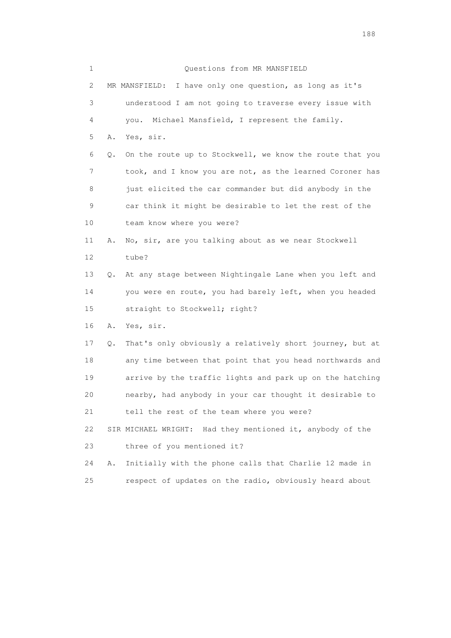| 1           |    | Questions from MR MANSFIELD                                  |
|-------------|----|--------------------------------------------------------------|
| 2           |    | I have only one question, as long as it's<br>MR MANSFIELD:   |
| 3           |    | understood I am not going to traverse every issue with       |
| 4           |    | Michael Mansfield, I represent the family.<br>vou.           |
| 5           | Α. | Yes, sir.                                                    |
| 6           | Q. | On the route up to Stockwell, we know the route that you     |
| 7           |    | took, and I know you are not, as the learned Coroner has     |
| 8           |    | just elicited the car commander but did anybody in the       |
| $\mathsf 9$ |    | car think it might be desirable to let the rest of the       |
| 10          |    | team know where you were?                                    |
| 11          | Α. | No, sir, are you talking about as we near Stockwell          |
| 12          |    | tube?                                                        |
| 13          | О. | At any stage between Nightingale Lane when you left and      |
| 14          |    | you were en route, you had barely left, when you headed      |
| 15          |    | straight to Stockwell; right?                                |
| 16          | Α. | Yes, sir.                                                    |
| 17          | Q. | That's only obviously a relatively short journey, but at     |
| 18          |    | any time between that point that you head northwards and     |
| 19          |    | arrive by the traffic lights and park up on the hatching     |
| 20          |    | nearby, had anybody in your car thought it desirable to      |
| 21          |    | tell the rest of the team where you were?                    |
| 22          |    | Had they mentioned it, anybody of the<br>SIR MICHAEL WRIGHT: |
| 23          |    | three of you mentioned it?                                   |
| 24          | Α. | Initially with the phone calls that Charlie 12 made in       |
| 25          |    | respect of updates on the radio, obviously heard about       |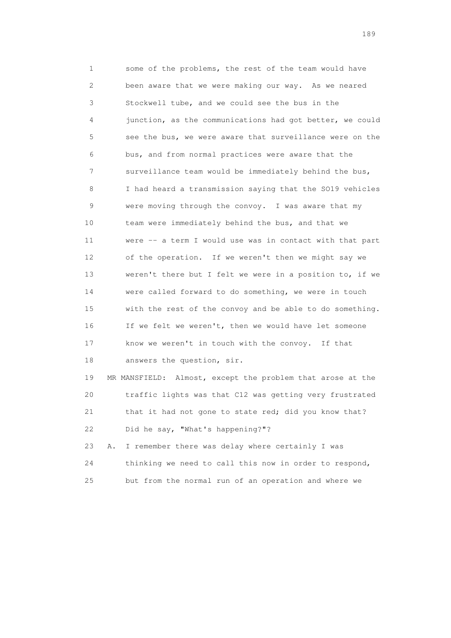1 some of the problems, the rest of the team would have 2 been aware that we were making our way. As we neared 3 Stockwell tube, and we could see the bus in the 4 junction, as the communications had got better, we could 5 see the bus, we were aware that surveillance were on the 6 bus, and from normal practices were aware that the 7 surveillance team would be immediately behind the bus, 8 I had heard a transmission saying that the SO19 vehicles 9 were moving through the convoy. I was aware that my 10 team were immediately behind the bus, and that we 11 were -- a term I would use was in contact with that part 12 of the operation. If we weren't then we might say we 13 weren't there but I felt we were in a position to, if we 14 were called forward to do something, we were in touch 15 with the rest of the convoy and be able to do something. 16 If we felt we weren't, then we would have let someone 17 know we weren't in touch with the convoy. If that 18 answers the question, sir.

 19 MR MANSFIELD: Almost, except the problem that arose at the 20 traffic lights was that C12 was getting very frustrated 21 that it had not gone to state red; did you know that? 22 Did he say, "What's happening?"?

 23 A. I remember there was delay where certainly I was 24 thinking we need to call this now in order to respond, 25 but from the normal run of an operation and where we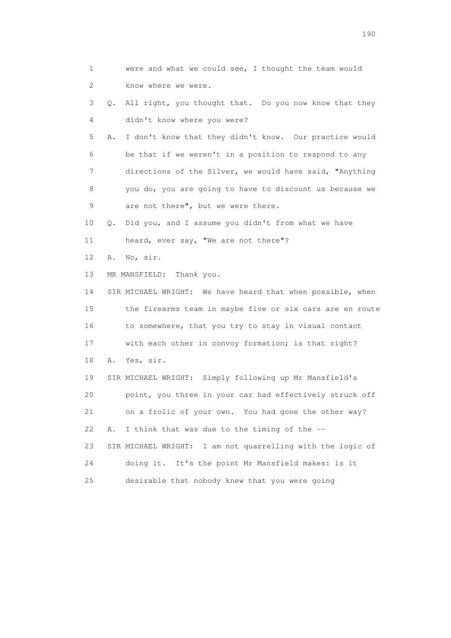1 were and what we could see, I thought the team would 2 know where we were. 3 Q. All right, you thought that. Do you now know that they 4 didn't know where you were? 5 A. I don't know that they didn't know. Our practice would 6 be that if we weren't in a position to respond to any 7 directions of the Silver, we would have said, "Anything 8 you do, you are going to have to discount us because we 9 are not there", but we were there. 10 Q. Did you, and I assume you didn't from what we have 11 heard, ever say, "We are not there"? 12 A. No, sir. 13 MR MANSFIELD: Thank you. 14 SIR MICHAEL WRIGHT: We have heard that when possible, when 15 the firearms team in maybe five or six cars are en route 16 to somewhere, that you try to stay in visual contact 17 with each other in convoy formation; is that right? 18 A. Yes, sir. 19 SIR MICHAEL WRIGHT: Simply following up Mr Mansfield's 20 point, you three in your car had effectively struck off 21 on a frolic of your own. You had gone the other way? 22 A. I think that was due to the timing of the -- 23 SIR MICHAEL WRIGHT: I am not quarrelling with the logic of 24 doing it. It's the point Mr Mansfield makes: is it 25 desirable that nobody knew that you were going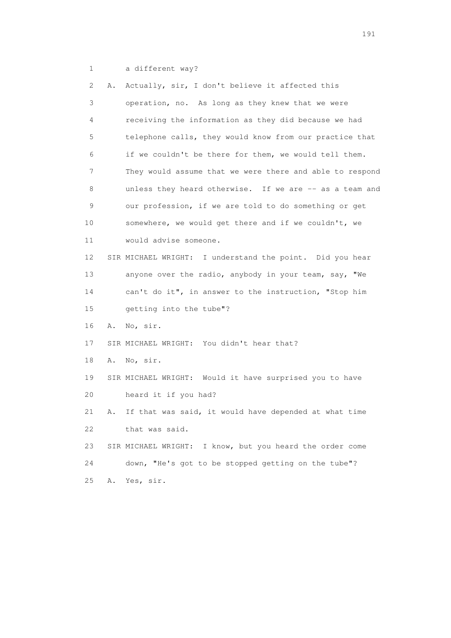1 a different way?

| 2. | Α. | Actually, sir, I don't believe it affected this          |
|----|----|----------------------------------------------------------|
| 3  |    | operation, no. As long as they knew that we were         |
| 4  |    | receiving the information as they did because we had     |
| 5  |    | telephone calls, they would know from our practice that  |
| 6  |    | if we couldn't be there for them, we would tell them.    |
| 7  |    | They would assume that we were there and able to respond |
| 8  |    | unless they heard otherwise. If we are -- as a team and  |
| 9  |    | our profession, if we are told to do something or get    |
| 10 |    | somewhere, we would get there and if we couldn't, we     |
| 11 |    | would advise someone.                                    |
| 12 |    | SIR MICHAEL WRIGHT: I understand the point. Did you hear |
| 13 |    | anyone over the radio, anybody in your team, say, "We    |
| 14 |    | can't do it", in answer to the instruction, "Stop him    |
| 15 |    | getting into the tube"?                                  |
| 16 | Α. | No, sir.                                                 |
| 17 |    | SIR MICHAEL WRIGHT: You didn't hear that?                |
| 18 | Α. | No, sir.                                                 |
| 19 |    | SIR MICHAEL WRIGHT: Would it have surprised you to have  |
| 20 |    | heard it if you had?                                     |
| 21 | Α. | If that was said, it would have depended at what time    |
| 22 |    | that was said.                                           |
| 23 |    | SIR MICHAEL WRIGHT: I know, but you heard the order come |
| 24 |    | down, "He's got to be stopped getting on the tube"?      |
| 25 | Α. | Yes, sir.                                                |
|    |    |                                                          |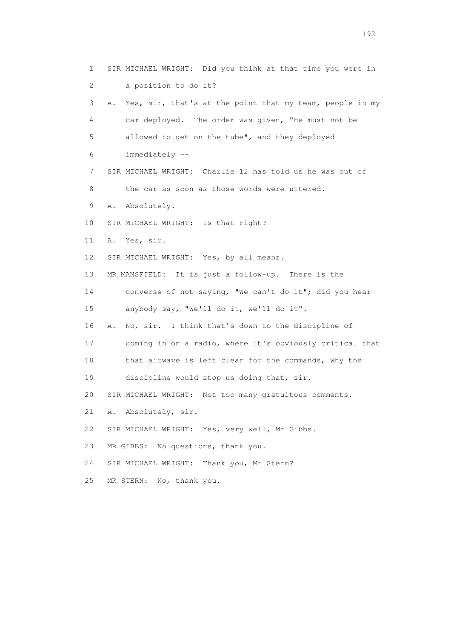1 SIR MICHAEL WRIGHT: Did you think at that time you were in 2 a position to do it? 3 A. Yes, sir, that's at the point that my team, people in my 4 car deployed. The order was given, "He must not be 5 allowed to get on the tube", and they deployed 6 immediately -- 7 SIR MICHAEL WRIGHT: Charlie 12 has told us he was out of 8 the car as soon as those words were uttered. 9 A. Absolutely. 10 SIR MICHAEL WRIGHT: Is that right? 11 A. Yes, sir. 12 SIR MICHAEL WRIGHT: Yes, by all means. 13 MR MANSFIELD: It is just a follow-up. There is the 14 converse of not saying, "We can't do it"; did you hear 15 anybody say, "We'll do it, we'll do it". 16 A. No, sir. I think that's down to the discipline of 17 coming in on a radio, where it's obviously critical that 18 that airwave is left clear for the commands, why the 19 discipline would stop us doing that, sir. 20 SIR MICHAEL WRIGHT: Not too many gratuitous comments. 21 A. Absolutely, sir. 22 SIR MICHAEL WRIGHT: Yes, very well, Mr Gibbs. 23 MR GIBBS: No questions, thank you. 24 SIR MICHAEL WRIGHT: Thank you, Mr Stern? 25 MR STERN: No, thank you.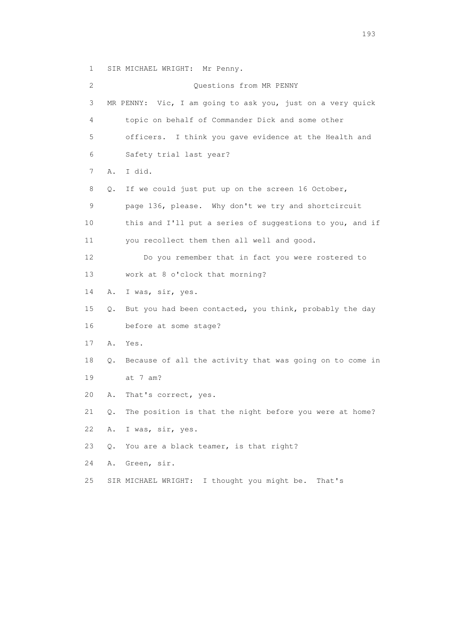1 SIR MICHAEL WRIGHT: Mr Penny.

 2 Questions from MR PENNY 3 MR PENNY: Vic, I am going to ask you, just on a very quick 4 topic on behalf of Commander Dick and some other 5 officers. I think you gave evidence at the Health and 6 Safety trial last year? 7 A. I did. 8 Q. If we could just put up on the screen 16 October, 9 page 136, please. Why don't we try and shortcircuit 10 this and I'll put a series of suggestions to you, and if 11 you recollect them then all well and good. 12 Do you remember that in fact you were rostered to 13 work at 8 o'clock that morning? 14 A. I was, sir, yes. 15 Q. But you had been contacted, you think, probably the day 16 before at some stage? 17 A. Yes. 18 Q. Because of all the activity that was going on to come in 19 at 7 am? 20 A. That's correct, yes. 21 Q. The position is that the night before you were at home? 22 A. I was, sir, yes. 23 Q. You are a black teamer, is that right? 24 A. Green, sir. 25 SIR MICHAEL WRIGHT: I thought you might be. That's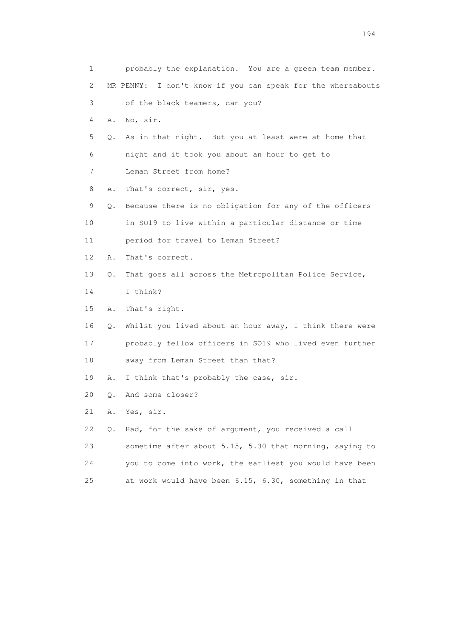| 1  |    | probably the explanation. You are a green team member.      |
|----|----|-------------------------------------------------------------|
| 2  |    | MR PENNY: I don't know if you can speak for the whereabouts |
| 3  |    | of the black teamers, can you?                              |
| 4  | Α. | No, sir.                                                    |
| 5  |    | Q. As in that night. But you at least were at home that     |
| 6  |    | night and it took you about an hour to get to               |
| 7  |    | Leman Street from home?                                     |
| 8  | Α. | That's correct, sir, yes.                                   |
| 9  |    | Q. Because there is no obligation for any of the officers   |
| 10 |    | in SO19 to live within a particular distance or time        |
| 11 |    | period for travel to Leman Street?                          |
| 12 | Α. | That's correct.                                             |
| 13 | Q. | That goes all across the Metropolitan Police Service,       |
| 14 |    | I think?                                                    |
| 15 | Α. | That's right.                                               |
| 16 | Q. | Whilst you lived about an hour away, I think there were     |
| 17 |    | probably fellow officers in SO19 who lived even further     |
| 18 |    | away from Leman Street than that?                           |
| 19 | Α. | I think that's probably the case, sir.                      |
| 20 | О. | And some closer?                                            |
| 21 | Α. | Yes, sir.                                                   |
| 22 | Q. | Had, for the sake of argument, you received a call          |
| 23 |    | sometime after about 5.15, 5.30 that morning, saying to     |
| 24 |    | you to come into work, the earliest you would have been     |
| 25 |    | at work would have been 6.15, 6.30, something in that       |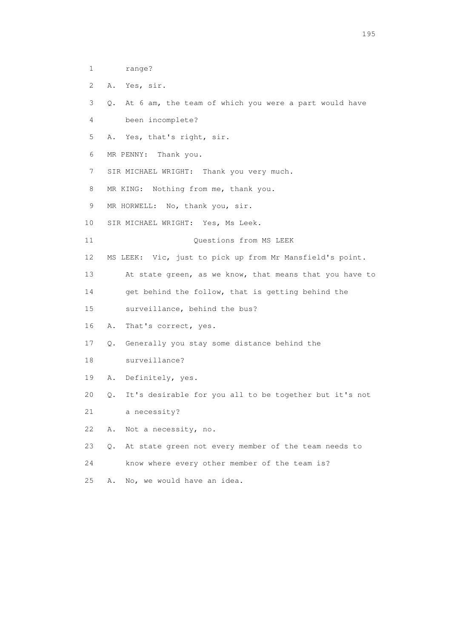- 1 range?
- 2 A. Yes, sir.
- 3 Q. At 6 am, the team of which you were a part would have
- 4 been incomplete?
- 5 A. Yes, that's right, sir.
- 6 MR PENNY: Thank you.
- 7 SIR MICHAEL WRIGHT: Thank you very much.
- 8 MR KING: Nothing from me, thank you.
- 9 MR HORWELL: No, thank you, sir.
- 10 SIR MICHAEL WRIGHT: Yes, Ms Leek.
- 11 Ouestions from MS LEEK
- 12 MS LEEK: Vic, just to pick up from Mr Mansfield's point.
- 13 At state green, as we know, that means that you have to
- 14 get behind the follow, that is getting behind the
- 15 surveillance, behind the bus?
- 16 A. That's correct, yes.
- 17 Q. Generally you stay some distance behind the
- 18 surveillance?
- 19 A. Definitely, yes.
- 20 Q. It's desirable for you all to be together but it's not
- 21 a necessity?
- 22 A. Not a necessity, no.
- 23 Q. At state green not every member of the team needs to
- 24 know where every other member of the team is?
- 25 A. No, we would have an idea.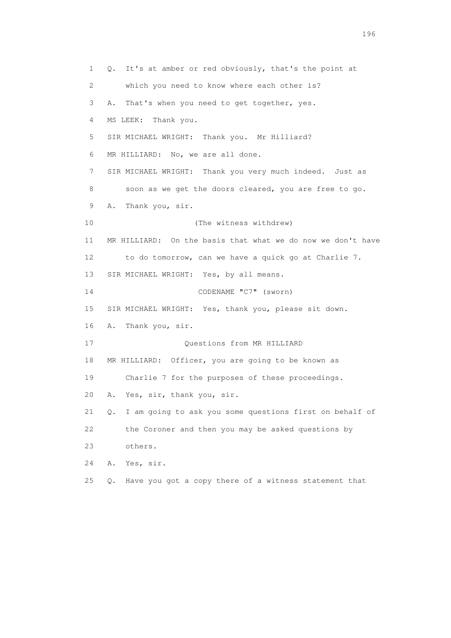1 Q. It's at amber or red obviously, that's the point at 2 which you need to know where each other is? 3 A. That's when you need to get together, yes. 4 MS LEEK: Thank you. 5 SIR MICHAEL WRIGHT: Thank you. Mr Hilliard? 6 MR HILLIARD: No, we are all done. 7 SIR MICHAEL WRIGHT: Thank you very much indeed. Just as 8 soon as we get the doors cleared, you are free to go. 9 A. Thank you, sir. 10 (The witness withdrew) 11 MR HILLIARD: On the basis that what we do now we don't have 12 to do tomorrow, can we have a quick go at Charlie 7. 13 SIR MICHAEL WRIGHT: Yes, by all means. 14 CODENAME "C7" (sworn) 15 SIR MICHAEL WRIGHT: Yes, thank you, please sit down. 16 A. Thank you, sir. 17 Ouestions from MR HILLIARD 18 MR HILLIARD: Officer, you are going to be known as 19 Charlie 7 for the purposes of these proceedings. 20 A. Yes, sir, thank you, sir. 21 Q. I am going to ask you some questions first on behalf of 22 the Coroner and then you may be asked questions by 23 others. 24 A. Yes, sir. 25 Q. Have you got a copy there of a witness statement that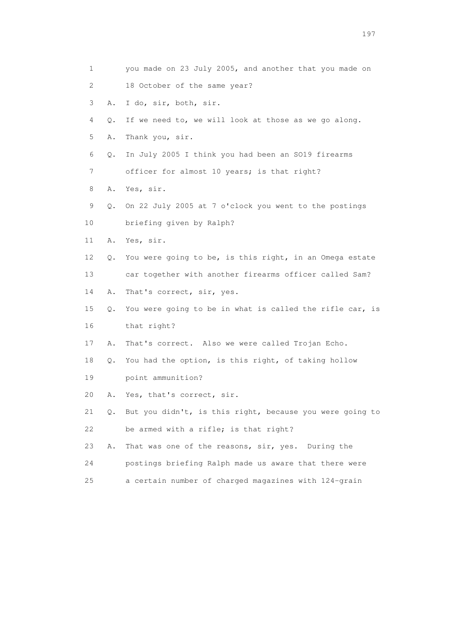1 you made on 23 July 2005, and another that you made on 2 18 October of the same year? 3 A. I do, sir, both, sir. 4 Q. If we need to, we will look at those as we go along. 5 A. Thank you, sir. 6 Q. In July 2005 I think you had been an SO19 firearms 7 officer for almost 10 years; is that right? 8 A. Yes, sir. 9 Q. On 22 July 2005 at 7 o'clock you went to the postings 10 briefing given by Ralph? 11 A. Yes, sir. 12 Q. You were going to be, is this right, in an Omega estate 13 car together with another firearms officer called Sam? 14 A. That's correct, sir, yes. 15 Q. You were going to be in what is called the rifle car, is 16 that right? 17 A. That's correct. Also we were called Trojan Echo. 18 Q. You had the option, is this right, of taking hollow 19 point ammunition? 20 A. Yes, that's correct, sir. 21 Q. But you didn't, is this right, because you were going to 22 be armed with a rifle; is that right? 23 A. That was one of the reasons, sir, yes. During the 24 postings briefing Ralph made us aware that there were 25 a certain number of charged magazines with 124-grain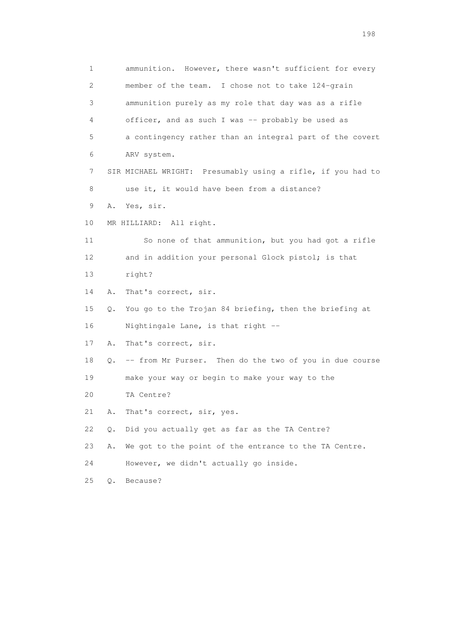1 ammunition. However, there wasn't sufficient for every 2 member of the team. I chose not to take 124-grain 3 ammunition purely as my role that day was as a rifle 4 officer, and as such I was -- probably be used as 5 a contingency rather than an integral part of the covert 6 ARV system. 7 SIR MICHAEL WRIGHT: Presumably using a rifle, if you had to 8 use it, it would have been from a distance? 9 A. Yes, sir. 10 MR HILLIARD: All right. 11 So none of that ammunition, but you had got a rifle 12 and in addition your personal Glock pistol; is that 13 right? 14 A. That's correct, sir. 15 Q. You go to the Trojan 84 briefing, then the briefing at 16 Nightingale Lane, is that right -- 17 A. That's correct, sir. 18 Q. -- from Mr Purser. Then do the two of you in due course 19 make your way or begin to make your way to the 20 TA Centre? 21 A. That's correct, sir, yes. 22 Q. Did you actually get as far as the TA Centre? 23 A. We got to the point of the entrance to the TA Centre. 24 However, we didn't actually go inside. 25 Q. Because?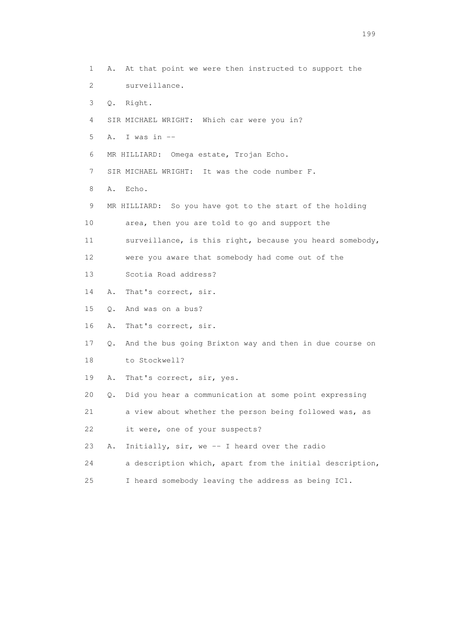1 A. At that point we were then instructed to support the 2 surveillance. 3 Q. Right. 4 SIR MICHAEL WRIGHT: Which car were you in? 5 A. I was in -- 6 MR HILLIARD: Omega estate, Trojan Echo. 7 SIR MICHAEL WRIGHT: It was the code number F. 8 A. Echo. 9 MR HILLIARD: So you have got to the start of the holding 10 area, then you are told to go and support the 11 surveillance, is this right, because you heard somebody, 12 were you aware that somebody had come out of the 13 Scotia Road address? 14 A. That's correct, sir. 15 Q. And was on a bus? 16 A. That's correct, sir. 17 Q. And the bus going Brixton way and then in due course on 18 to Stockwell? 19 A. That's correct, sir, yes. 20 Q. Did you hear a communication at some point expressing 21 a view about whether the person being followed was, as 22 it were, one of your suspects? 23 A. Initially, sir, we -- I heard over the radio 24 a description which, apart from the initial description, 25 I heard somebody leaving the address as being IC1.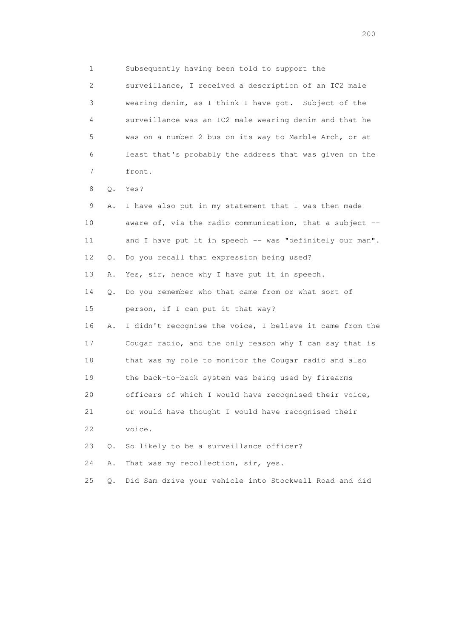1 Subsequently having been told to support the 2 surveillance, I received a description of an IC2 male 3 wearing denim, as I think I have got. Subject of the 4 surveillance was an IC2 male wearing denim and that he 5 was on a number 2 bus on its way to Marble Arch, or at 6 least that's probably the address that was given on the 7 front. 8 Q. Yes? 9 A. I have also put in my statement that I was then made 10 aware of, via the radio communication, that a subject -- 11 and I have put it in speech -- was "definitely our man". 12 Q. Do you recall that expression being used? 13 A. Yes, sir, hence why I have put it in speech. 14 Q. Do you remember who that came from or what sort of 15 person, if I can put it that way? 16 A. I didn't recognise the voice, I believe it came from the 17 Cougar radio, and the only reason why I can say that is 18 that was my role to monitor the Cougar radio and also 19 the back-to-back system was being used by firearms 20 officers of which I would have recognised their voice, 21 or would have thought I would have recognised their 22 voice. 23 Q. So likely to be a surveillance officer? 24 A. That was my recollection, sir, yes.

25 Q. Did Sam drive your vehicle into Stockwell Road and did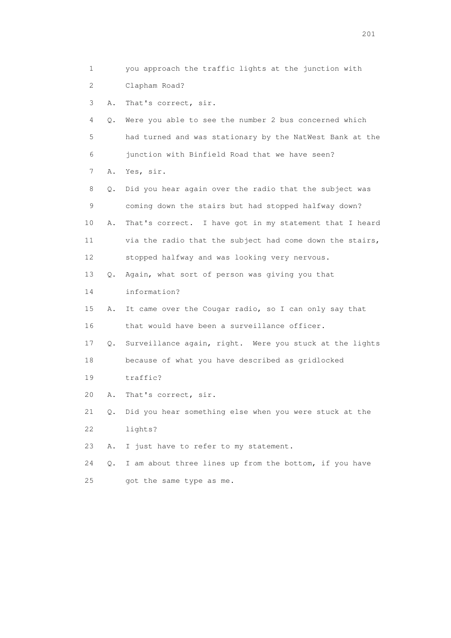1 you approach the traffic lights at the junction with 2 Clapham Road? 3 A. That's correct, sir. 4 Q. Were you able to see the number 2 bus concerned which 5 had turned and was stationary by the NatWest Bank at the 6 junction with Binfield Road that we have seen? 7 A. Yes, sir. 8 Q. Did you hear again over the radio that the subject was 9 coming down the stairs but had stopped halfway down? 10 A. That's correct. I have got in my statement that I heard 11 via the radio that the subject had come down the stairs, 12 stopped halfway and was looking very nervous. 13 Q. Again, what sort of person was giving you that 14 information? 15 A. It came over the Cougar radio, so I can only say that 16 that would have been a surveillance officer. 17 Q. Surveillance again, right. Were you stuck at the lights 18 because of what you have described as gridlocked 19 traffic? 20 A. That's correct, sir. 21 Q. Did you hear something else when you were stuck at the 22 lights? 23 A. I just have to refer to my statement. 24 Q. I am about three lines up from the bottom, if you have 25 got the same type as me.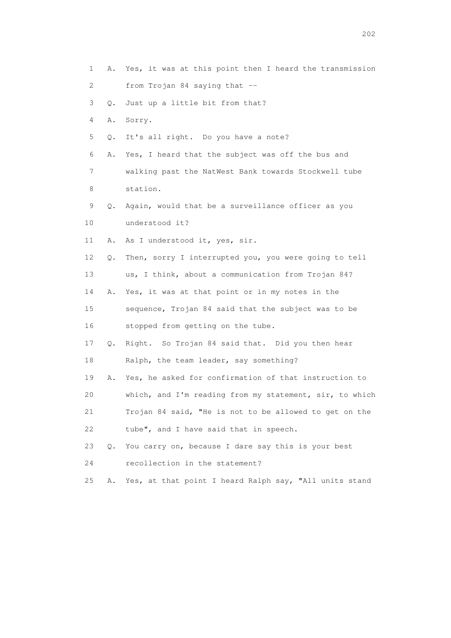| 1  | Α. | Yes, it was at this point then I heard the transmission |
|----|----|---------------------------------------------------------|
| 2  |    | from Trojan 84 saying that --                           |
| 3  | Q. | Just up a little bit from that?                         |
| 4  | Α. | Sorry.                                                  |
| 5  | Q. | It's all right. Do you have a note?                     |
| 6  | Α. | Yes, I heard that the subject was off the bus and       |
| 7  |    | walking past the NatWest Bank towards Stockwell tube    |
| 8  |    | station.                                                |
| 9  | Q. | Again, would that be a surveillance officer as you      |
| 10 |    | understood it?                                          |
| 11 | Α. | As I understood it, yes, sir.                           |
| 12 | Q. | Then, sorry I interrupted you, you were going to tell   |
| 13 |    | us, I think, about a communication from Trojan 84?      |
| 14 | Α. | Yes, it was at that point or in my notes in the         |
| 15 |    | sequence, Trojan 84 said that the subject was to be     |
| 16 |    | stopped from getting on the tube.                       |
| 17 | Q. | Right. So Trojan 84 said that. Did you then hear        |
| 18 |    | Ralph, the team leader, say something?                  |
| 19 | Α. | Yes, he asked for confirmation of that instruction to   |
| 20 |    | which, and I'm reading from my statement, sir, to which |
| 21 |    | Trojan 84 said, "He is not to be allowed to get on the  |
| 22 |    | tube", and I have said that in speech.                  |
| 23 | Q. | You carry on, because I dare say this is your best      |
| 24 |    | recollection in the statement?                          |
| 25 | Α. | Yes, at that point I heard Ralph say, "All units stand  |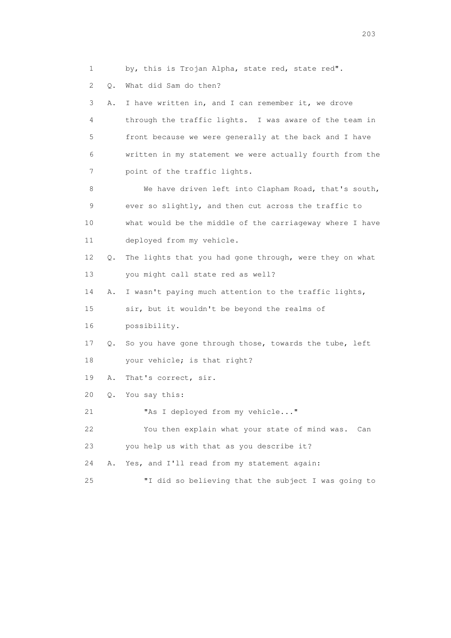1 by, this is Trojan Alpha, state red, state red".

2 Q. What did Sam do then?

 3 A. I have written in, and I can remember it, we drove 4 through the traffic lights. I was aware of the team in 5 front because we were generally at the back and I have 6 written in my statement we were actually fourth from the 7 point of the traffic lights. 8 We have driven left into Clapham Road, that's south, 9 ever so slightly, and then cut across the traffic to 10 what would be the middle of the carriageway where I have 11 deployed from my vehicle. 12 Q. The lights that you had gone through, were they on what 13 you might call state red as well? 14 A. I wasn't paying much attention to the traffic lights, 15 sir, but it wouldn't be beyond the realms of 16 possibility. 17 Q. So you have gone through those, towards the tube, left 18 your vehicle; is that right? 19 A. That's correct, sir. 20 Q. You say this: 21 "As I deployed from my vehicle..." 22 You then explain what your state of mind was. Can 23 you help us with that as you describe it? 24 A. Yes, and I'll read from my statement again: 25 "I did so believing that the subject I was going to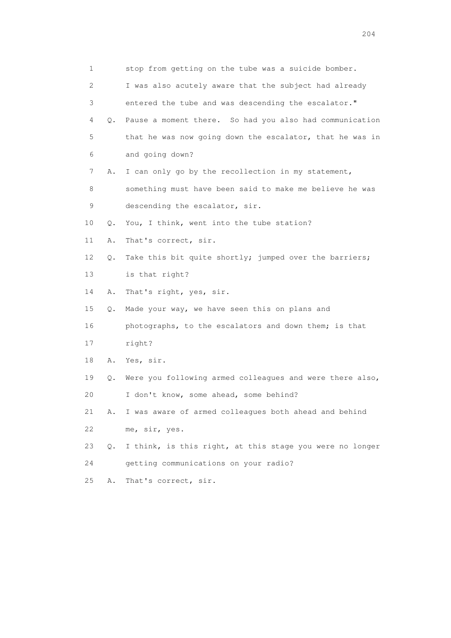| 1           |    | stop from getting on the tube was a suicide bomber.      |
|-------------|----|----------------------------------------------------------|
| 2           |    | I was also acutely aware that the subject had already    |
| 3           |    | entered the tube and was descending the escalator."      |
| 4           | 0. | Pause a moment there. So had you also had communication  |
| 5           |    | that he was now going down the escalator, that he was in |
| 6           |    | and going down?                                          |
| 7           | Α. | I can only go by the recollection in my statement,       |
| 8           |    | something must have been said to make me believe he was  |
| $\mathsf 9$ |    | descending the escalator, sir.                           |
| 10          | Q. | You, I think, went into the tube station?                |
| 11          | Α. | That's correct, sir.                                     |
| 12          | Q. | Take this bit quite shortly; jumped over the barriers;   |
| 13          |    | is that right?                                           |
| 14          | Α. | That's right, yes, sir.                                  |
| 15          | Q. | Made your way, we have seen this on plans and            |
| 16          |    | photographs, to the escalators and down them; is that    |
| 17          |    | right?                                                   |
| 18          |    | A. Yes, sir.                                             |
| 19          | Q. | Were you following armed colleagues and were there also, |
| 20          |    | I don't know, some ahead, some behind?                   |
| 21          | Α. | I was aware of armed colleagues both ahead and behind    |
| 22          |    | me, sir, yes.                                            |
| 23          | Q. | I think, is this right, at this stage you were no longer |
| 24          |    | getting communications on your radio?                    |
| 25          | Α. | That's correct, sir.                                     |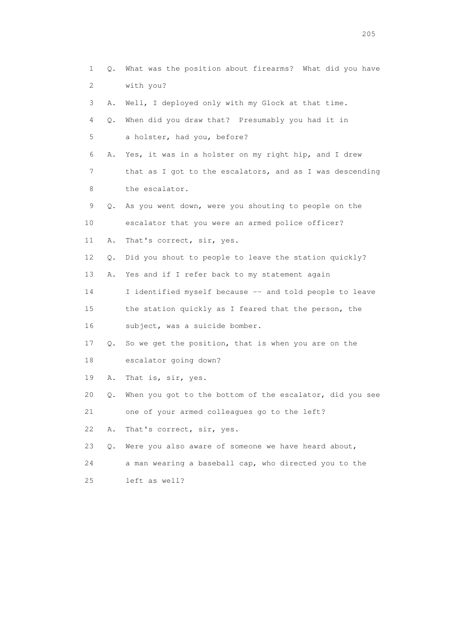| $\mathbf 1$               | Q.    | What was the position about firearms? What did you have  |
|---------------------------|-------|----------------------------------------------------------|
| $\mathbf{2}^{\mathsf{I}}$ |       | with you?                                                |
| 3                         | Α.    | Well, I deployed only with my Glock at that time.        |
| 4                         | Q.    | When did you draw that? Presumably you had it in         |
| 5                         |       | a holster, had you, before?                              |
| 6                         | Α.    | Yes, it was in a holster on my right hip, and I drew     |
| 7                         |       | that as I got to the escalators, and as I was descending |
| 8                         |       | the escalator.                                           |
| 9                         | Q.    | As you went down, were you shouting to people on the     |
| 10                        |       | escalator that you were an armed police officer?         |
| 11                        | Α.    | That's correct, sir, yes.                                |
| 12                        | Q.    | Did you shout to people to leave the station quickly?    |
| 13                        | Α.    | Yes and if I refer back to my statement again            |
| 14                        |       | I identified myself because -- and told people to leave  |
| 15                        |       | the station quickly as I feared that the person, the     |
| 16                        |       | subject, was a suicide bomber.                           |
| 17                        | Q.    | So we get the position, that is when you are on the      |
| 18                        |       | escalator going down?                                    |
| 19                        | Α.    | That is, sir, yes.                                       |
| 20                        | Q.    | When you got to the bottom of the escalator, did you see |
| 21                        |       | one of your armed colleagues go to the left?             |
| 22                        | Α.    | That's correct, sir, yes.                                |
| 23                        | $Q$ . | Were you also aware of someone we have heard about,      |
| 24                        |       | a man wearing a baseball cap, who directed you to the    |
| 25                        |       | left as well?                                            |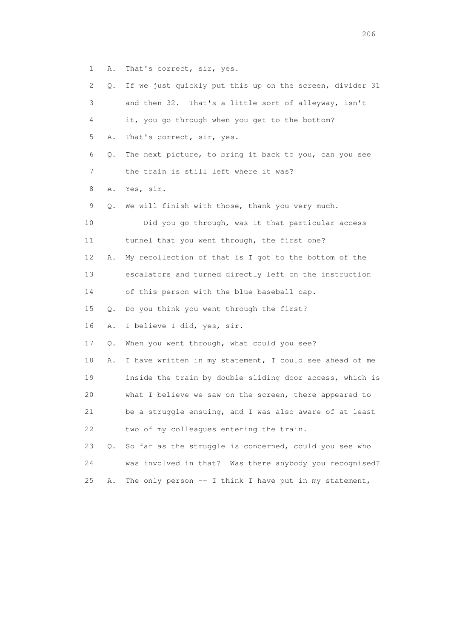1 A. That's correct, sir, yes.

| 2  | Q. | If we just quickly put this up on the screen, divider 31 |
|----|----|----------------------------------------------------------|
| 3  |    | and then 32. That's a little sort of alleyway, isn't     |
| 4  |    | it, you go through when you get to the bottom?           |
| 5  | Α. | That's correct, sir, yes.                                |
| 6  | Q. | The next picture, to bring it back to you, can you see   |
| 7  |    | the train is still left where it was?                    |
| 8  | Α. | Yes, sir.                                                |
| 9  | Q. | We will finish with those, thank you very much.          |
| 10 |    | Did you go through, was it that particular access        |
| 11 |    | tunnel that you went through, the first one?             |
| 12 | Α. | My recollection of that is I got to the bottom of the    |
| 13 |    | escalators and turned directly left on the instruction   |
| 14 |    | of this person with the blue baseball cap.               |
| 15 | Q. | Do you think you went through the first?                 |
| 16 | Α. | I believe I did, yes, sir.                               |
| 17 | Q. | When you went through, what could you see?               |
| 18 | Α. | I have written in my statement, I could see ahead of me  |
| 19 |    | inside the train by double sliding door access, which is |
| 20 |    | what I believe we saw on the screen, there appeared to   |
| 21 |    | be a struggle ensuing, and I was also aware of at least  |
| 22 |    | two of my colleagues entering the train.                 |
| 23 | Q. | So far as the struggle is concerned, could you see who   |
| 24 |    | was involved in that? Was there anybody you recognised?  |
| 25 | Α. | The only person $-$ I think I have put in my statement,  |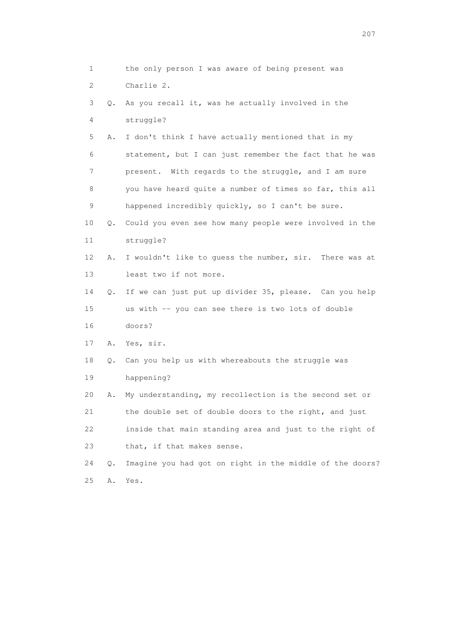1 the only person I was aware of being present was 2 Charlie 2. 3 Q. As you recall it, was he actually involved in the 4 struggle? 5 A. I don't think I have actually mentioned that in my 6 statement, but I can just remember the fact that he was 7 present. With regards to the struggle, and I am sure 8 you have heard quite a number of times so far, this all 9 happened incredibly quickly, so I can't be sure. 10 Q. Could you even see how many people were involved in the 11 struggle? 12 A. I wouldn't like to guess the number, sir. There was at 13 least two if not more. 14 Q. If we can just put up divider 35, please. Can you help 15 us with -- you can see there is two lots of double 16 doors? 17 A. Yes, sir. 18 Q. Can you help us with whereabouts the struggle was 19 happening? 20 A. My understanding, my recollection is the second set or 21 the double set of double doors to the right, and just 22 inside that main standing area and just to the right of 23 that, if that makes sense. 24 Q. Imagine you had got on right in the middle of the doors? 25 A. Yes.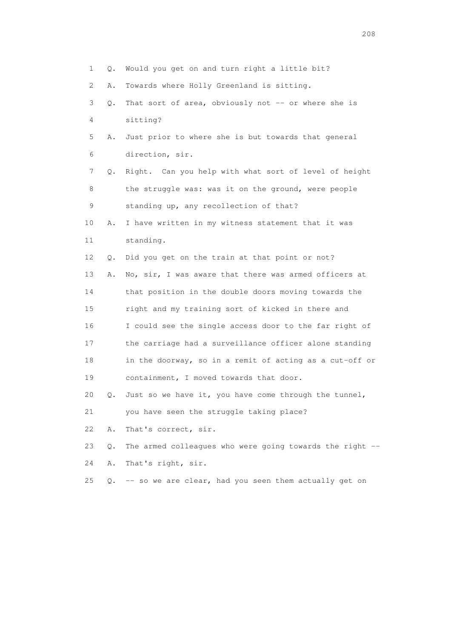1 Q. Would you get on and turn right a little bit? 2 A. Towards where Holly Greenland is sitting. 3 Q. That sort of area, obviously not -- or where she is 4 sitting? 5 A. Just prior to where she is but towards that general 6 direction, sir. 7 Q. Right. Can you help with what sort of level of height 8 the struggle was: was it on the ground, were people 9 standing up, any recollection of that? 10 A. I have written in my witness statement that it was 11 standing. 12 Q. Did you get on the train at that point or not? 13 A. No, sir, I was aware that there was armed officers at 14 that position in the double doors moving towards the 15 right and my training sort of kicked in there and 16 I could see the single access door to the far right of 17 the carriage had a surveillance officer alone standing 18 in the doorway, so in a remit of acting as a cut-off or 19 containment, I moved towards that door. 20 Q. Just so we have it, you have come through the tunnel, 21 you have seen the struggle taking place? 22 A. That's correct, sir. 23 Q. The armed colleagues who were going towards the right -- 24 A. That's right, sir. 25 Q. -- so we are clear, had you seen them actually get on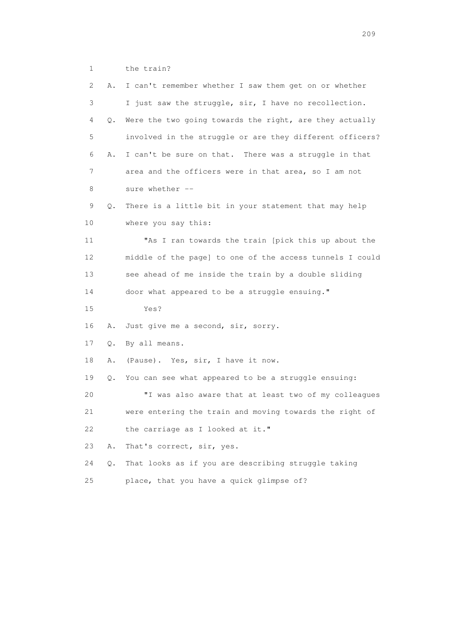1 the train?

| 2  | Α.    | I can't remember whether I saw them get on or whether    |
|----|-------|----------------------------------------------------------|
| 3  |       | I just saw the struggle, sir, I have no recollection.    |
| 4  | Q.    | Were the two going towards the right, are they actually  |
| 5  |       | involved in the struggle or are they different officers? |
| 6  | Α.    | I can't be sure on that. There was a struggle in that    |
| 7  |       | area and the officers were in that area, so I am not     |
| 8  |       | sure whether --                                          |
| 9  | Q.    | There is a little bit in your statement that may help    |
| 10 |       | where you say this:                                      |
| 11 |       | "As I ran towards the train [pick this up about the      |
| 12 |       | middle of the page] to one of the access tunnels I could |
| 13 |       | see ahead of me inside the train by a double sliding     |
| 14 |       | door what appeared to be a struggle ensuing."            |
| 15 |       | Yes?                                                     |
| 16 | Α.    | Just give me a second, sir, sorry.                       |
| 17 | Q.    | By all means.                                            |
| 18 | Α.    | (Pause). Yes, sir, I have it now.                        |
| 19 | Q.    | You can see what appeared to be a struggle ensuing:      |
| 20 |       | "I was also aware that at least two of my colleagues     |
| 21 |       | were entering the train and moving towards the right of  |
| 22 |       | the carriage as I looked at it."                         |
| 23 | Α.    | That's correct, sir, yes.                                |
| 24 | $Q$ . | That looks as if you are describing struggle taking      |
| 25 |       | place, that you have a quick glimpse of?                 |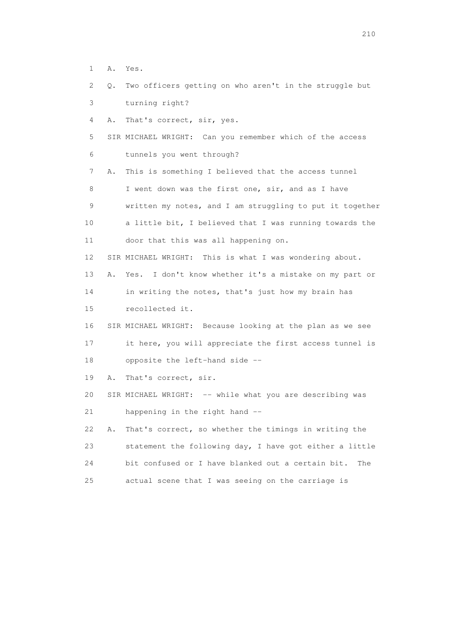- 1 A. Yes.
- 2 Q. Two officers getting on who aren't in the struggle but 3 turning right?

4 A. That's correct, sir, yes.

 5 SIR MICHAEL WRIGHT: Can you remember which of the access 6 tunnels you went through?

 7 A. This is something I believed that the access tunnel 8 I went down was the first one, sir, and as I have 9 written my notes, and I am struggling to put it together 10 a little bit, I believed that I was running towards the 11 door that this was all happening on.

12 SIR MICHAEL WRIGHT: This is what I was wondering about.

13 A. Yes. I don't know whether it's a mistake on my part or

14 in writing the notes, that's just how my brain has

15 recollected it.

 16 SIR MICHAEL WRIGHT: Because looking at the plan as we see 17 it here, you will appreciate the first access tunnel is

18 opposite the left-hand side --

19 A. That's correct, sir.

20 SIR MICHAEL WRIGHT: -- while what you are describing was 21 happening in the right hand --

 22 A. That's correct, so whether the timings in writing the 23 statement the following day, I have got either a little 24 bit confused or I have blanked out a certain bit. The 25 actual scene that I was seeing on the carriage is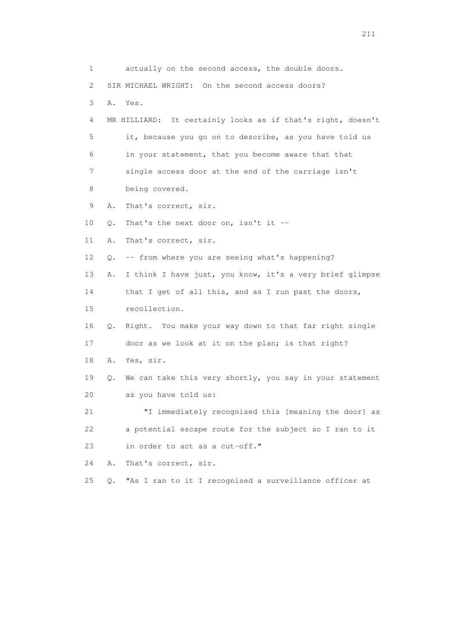1 actually on the second access, the double doors. 2 SIR MICHAEL WRIGHT: On the second access doors? 3 A. Yes. 4 MR HILLIARD: It certainly looks as if that's right, doesn't 5 it, because you go on to describe, as you have told us 6 in your statement, that you become aware that that 7 single access door at the end of the carriage isn't 8 being covered. 9 A. That's correct, sir. 10  $Q$ . That's the next door on, isn't it  $-$  11 A. That's correct, sir. 12 Q. -- from where you are seeing what's happening? 13 A. I think I have just, you know, it's a very brief glimpse 14 that I get of all this, and as I run past the doors, 15 recollection. 16 Q. Right. You make your way down to that far right single 17 door as we look at it on the plan; is that right? 18 A. Yes, sir. 19 Q. We can take this very shortly, you say in your statement 20 as you have told us: 21 "I immediately recognised this [meaning the door] as 22 a potential escape route for the subject so I ran to it 23 in order to act as a cut-off." 24 A. That's correct, sir. 25 Q. "As I ran to it I recognised a surveillance officer at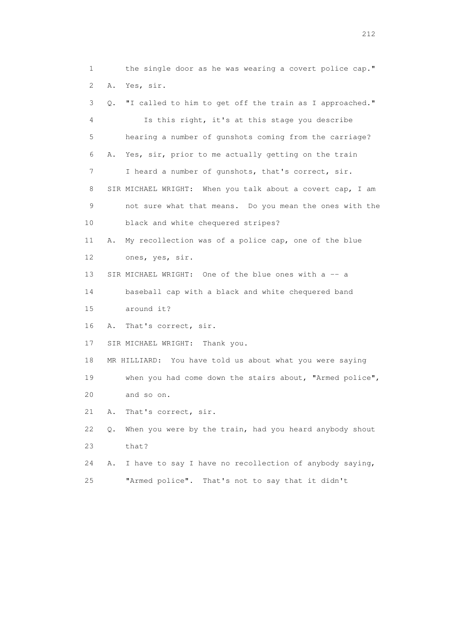1 the single door as he was wearing a covert police cap." 2 A. Yes, sir. 3 Q. "I called to him to get off the train as I approached." 4 Is this right, it's at this stage you describe 5 hearing a number of gunshots coming from the carriage? 6 A. Yes, sir, prior to me actually getting on the train 7 I heard a number of gunshots, that's correct, sir. 8 SIR MICHAEL WRIGHT: When you talk about a covert cap, I am 9 not sure what that means. Do you mean the ones with the 10 black and white chequered stripes? 11 A. My recollection was of a police cap, one of the blue 12 ones, yes, sir. 13 SIR MICHAEL WRIGHT: One of the blue ones with a -- a 14 baseball cap with a black and white chequered band 15 around it? 16 A. That's correct, sir. 17 SIR MICHAEL WRIGHT: Thank you. 18 MR HILLIARD: You have told us about what you were saying 19 when you had come down the stairs about, "Armed police", 20 and so on. 21 A. That's correct, sir. 22 Q. When you were by the train, had you heard anybody shout 23 that? 24 A. I have to say I have no recollection of anybody saying, 25 "Armed police". That's not to say that it didn't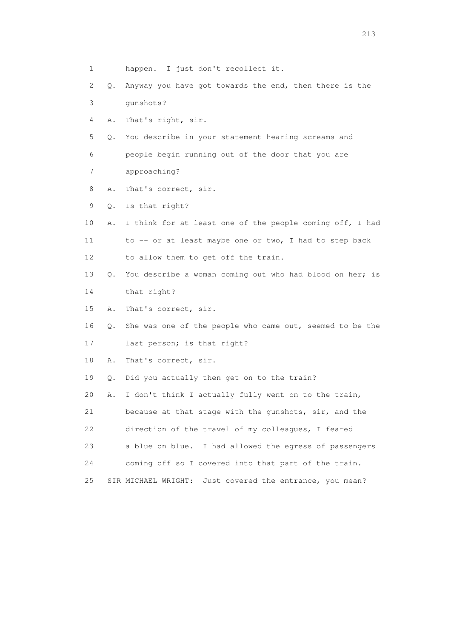1 happen. I just don't recollect it. 2 Q. Anyway you have got towards the end, then there is the 3 gunshots? 4 A. That's right, sir. 5 Q. You describe in your statement hearing screams and 6 people begin running out of the door that you are 7 approaching? 8 A. That's correct, sir. 9 Q. Is that right? 10 A. I think for at least one of the people coming off, I had 11 to -- or at least maybe one or two, I had to step back 12 to allow them to get off the train. 13 Q. You describe a woman coming out who had blood on her; is 14 that right? 15 A. That's correct, sir. 16 Q. She was one of the people who came out, seemed to be the 17 last person; is that right? 18 A. That's correct, sir. 19 Q. Did you actually then get on to the train? 20 A. I don't think I actually fully went on to the train, 21 because at that stage with the gunshots, sir, and the 22 direction of the travel of my colleagues, I feared 23 a blue on blue. I had allowed the egress of passengers 24 coming off so I covered into that part of the train. 25 SIR MICHAEL WRIGHT: Just covered the entrance, you mean?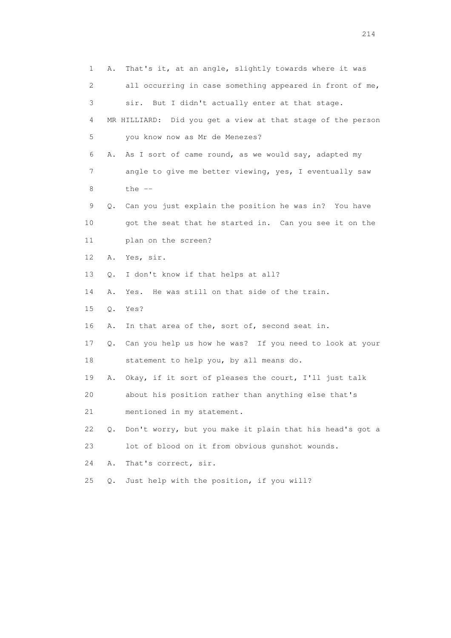|    | $\mathbf 1$ | That's it, at an angle, slightly towards where it was<br>Α.    |
|----|-------------|----------------------------------------------------------------|
|    | 2           | all occurring in case something appeared in front of me,       |
|    | 3           | sir. But I didn't actually enter at that stage.                |
|    | 4           | MR HILLIARD: Did you get a view at that stage of the person    |
|    | 5           | you know now as Mr de Menezes?                                 |
|    | 6           | As I sort of came round, as we would say, adapted my<br>Α.     |
|    | 7           | angle to give me better viewing, yes, I eventually saw         |
|    | 8           | the $--$                                                       |
|    | 9           | Can you just explain the position he was in? You have<br>Q.    |
| 10 |             | got the seat that he started in. Can you see it on the         |
| 11 |             | plan on the screen?                                            |
| 12 |             | Yes, sir.<br>Α.                                                |
| 13 |             | I don't know if that helps at all?<br>Q.                       |
| 14 |             | Yes. He was still on that side of the train.<br>Α.             |
| 15 |             | Yes?<br>Q.                                                     |
| 16 |             | In that area of the, sort of, second seat in.<br>Α.            |
| 17 |             | Can you help us how he was? If you need to look at your<br>Q.  |
| 18 |             | statement to help you, by all means do.                        |
| 19 |             | Okay, if it sort of pleases the court, I'll just talk<br>Α.    |
| 20 |             | about his position rather than anything else that's            |
| 21 |             | mentioned in my statement.                                     |
| 22 |             | Don't worry, but you make it plain that his head's got a<br>Q. |
| 23 |             | lot of blood on it from obvious gunshot wounds.                |
| 24 |             | Α.<br>That's correct, sir.                                     |
| 25 |             | Just help with the position, if you will?<br>$Q$ .             |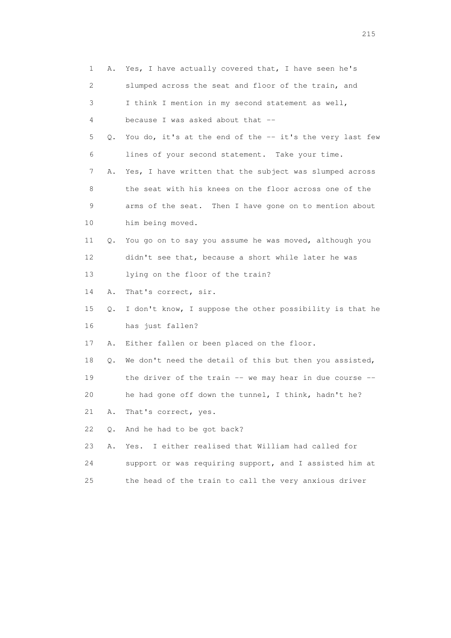|    | 1                         | A. Yes, I have actually covered that, I have seen he's   |
|----|---------------------------|----------------------------------------------------------|
|    | $\mathbf{2}^{\mathsf{I}}$ | slumped across the seat and floor of the train, and      |
|    | 3                         | I think I mention in my second statement as well,        |
|    | 4                         | because I was asked about that --                        |
|    | 5<br>Q.                   | You do, it's at the end of the -- it's the very last few |
|    | 6                         | lines of your second statement. Take your time.          |
|    | 7<br>Α.                   | Yes, I have written that the subject was slumped across  |
|    | 8                         | the seat with his knees on the floor across one of the   |
|    | 9                         | arms of the seat. Then I have gone on to mention about   |
| 10 |                           | him being moved.                                         |
| 11 | Q.                        | You go on to say you assume he was moved, although you   |
| 12 |                           | didn't see that, because a short while later he was      |
| 13 |                           | lying on the floor of the train?                         |
| 14 | Α.                        | That's correct, sir.                                     |
| 15 | Q.                        | I don't know, I suppose the other possibility is that he |
| 16 |                           | has just fallen?                                         |
| 17 | Α.                        | Either fallen or been placed on the floor.               |
| 18 | Q.                        | We don't need the detail of this but then you assisted,  |
| 19 |                           | the driver of the train -- we may hear in due course --  |
| 20 |                           | he had gone off down the tunnel, I think, hadn't he?     |
| 21 | Α.                        | That's correct, yes.                                     |
| 22 | $Q$ .                     | And he had to be got back?                               |
| 23 | Α.                        | I either realised that William had called for<br>Yes.    |
| 24 |                           | support or was requiring support, and I assisted him at  |
| 25 |                           | the head of the train to call the very anxious driver    |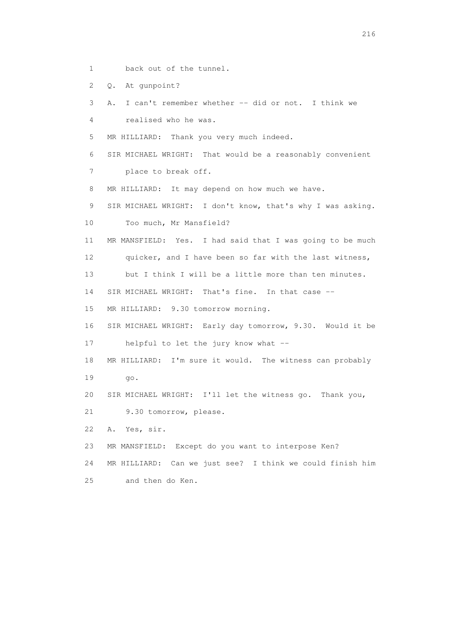- 1 back out of the tunnel.
- 2 Q. At gunpoint?

```
 3 A. I can't remember whether -- did or not. I think we
```
4 realised who he was.

5 MR HILLIARD: Thank you very much indeed.

6 SIR MICHAEL WRIGHT: That would be a reasonably convenient

7 place to break off.

8 MR HILLIARD: It may depend on how much we have.

9 SIR MICHAEL WRIGHT: I don't know, that's why I was asking.

10 Too much, Mr Mansfield?

 11 MR MANSFIELD: Yes. I had said that I was going to be much 12 quicker, and I have been so far with the last witness,

13 but I think I will be a little more than ten minutes.

14 SIR MICHAEL WRIGHT: That's fine. In that case --

15 MR HILLIARD: 9.30 tomorrow morning.

16 SIR MICHAEL WRIGHT: Early day tomorrow, 9.30. Would it be

17 helpful to let the jury know what --

- 18 MR HILLIARD: I'm sure it would. The witness can probably
- 19 go.

20 SIR MICHAEL WRIGHT: I'll let the witness go. Thank you,

21 9.30 tomorrow, please.

22 A. Yes, sir.

23 MR MANSFIELD: Except do you want to interpose Ken?

24 MR HILLIARD: Can we just see? I think we could finish him

25 and then do Ken.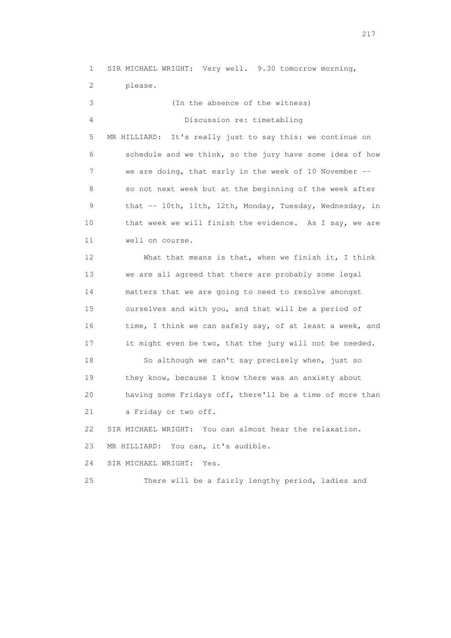1 SIR MICHAEL WRIGHT: Very well. 9.30 tomorrow morning, 2 please. 3 (In the absence of the witness) 4 Discussion re: timetabling 5 MR HILLIARD: It's really just to say this: we continue on 6 schedule and we think, so the jury have some idea of how 7 we are doing, that early in the week of 10 November -- 8 so not next week but at the beginning of the week after 9 that -- 10th, 11th, 12th, Monday, Tuesday, Wednesday, in 10 that week we will finish the evidence. As I say, we are 11 well on course. 12 What that means is that, when we finish it, I think 13 we are all agreed that there are probably some legal 14 matters that we are going to need to resolve amongst 15 ourselves and with you, and that will be a period of 16 time, I think we can safely say, of at least a week, and 17 it might even be two, that the jury will not be needed. 18 So although we can't say precisely when, just so 19 they know, because I know there was an anxiety about 20 having some Fridays off, there'll be a time of more than 21 a Friday or two off. 22 SIR MICHAEL WRIGHT: You can almost hear the relaxation. 23 MR HILLIARD: You can, it's audible. 24 SIR MICHAEL WRIGHT: Yes. 25 There will be a fairly lengthy period, ladies and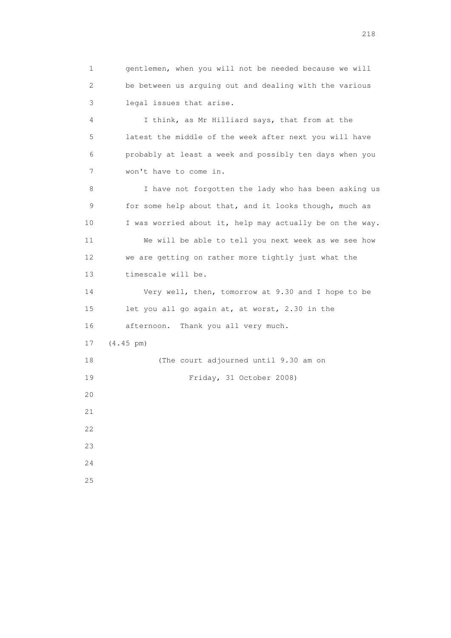1 gentlemen, when you will not be needed because we will 2 be between us arguing out and dealing with the various 3 legal issues that arise. 4 I think, as Mr Hilliard says, that from at the 5 latest the middle of the week after next you will have 6 probably at least a week and possibly ten days when you 7 won't have to come in. 8 I have not forgotten the lady who has been asking us 9 for some help about that, and it looks though, much as 10 I was worried about it, help may actually be on the way. 11 We will be able to tell you next week as we see how 12 we are getting on rather more tightly just what the 13 timescale will be. 14 Very well, then, tomorrow at 9.30 and I hope to be 15 let you all go again at, at worst, 2.30 in the 16 afternoon. Thank you all very much. 17 (4.45 pm) 18 (The court adjourned until 9.30 am on 19 Friday, 31 October 2008) 20 21  $22$  23 24 25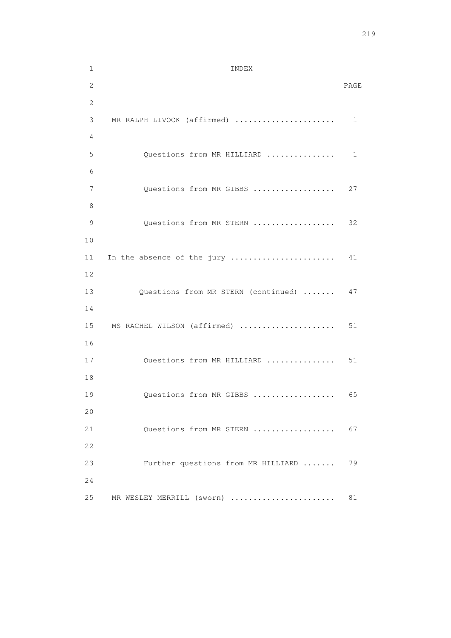1 INDEX 2 PAGE 2 3 MR RALPH LIVOCK (affirmed) ...................... 1 4 5 Questions from MR HILLIARD ................ 1 6 7 Questions from MR GIBBS .................. 27 8 9 Questions from MR STERN .................. 32 10 11 In the absence of the jury .......................... 41 12 13 Questions from MR STERN (continued) ....... 47 14 15 MS RACHEL WILSON (affirmed) ..................... 51 16 17 Questions from MR HILLIARD ................. 51 18 19 Questions from MR GIBBS ..................... 65 20 21 Questions from MR STERN ................... 67 22 23 Further questions from MR HILLIARD ....... 79 24 25 MR WESLEY MERRILL (sworn) .......................... 81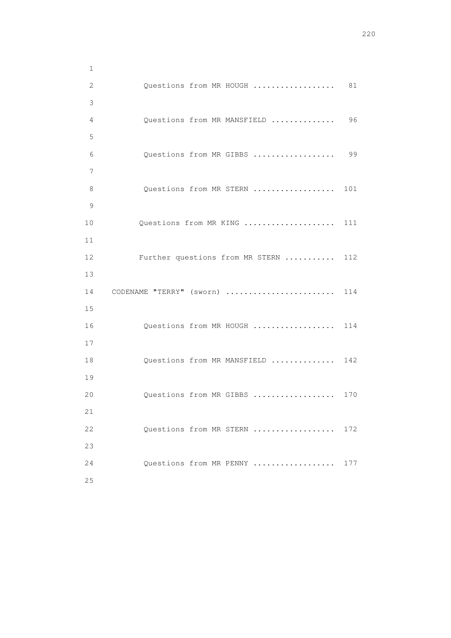| $\mathbf{1}$ |                                 |     |
|--------------|---------------------------------|-----|
| $\mathbf{2}$ | Questions from MR HOUGH         | 81  |
| 3            |                                 |     |
| 4            | Questions from MR MANSFIELD     | 96  |
| 5            |                                 |     |
| 6            | Questions from MR GIBBS         | 99  |
| 7            |                                 |     |
| 8            | Questions from MR STERN         | 101 |
| 9            |                                 |     |
| 10           | Questions from MR KING          | 111 |
| 11           |                                 |     |
| 12           | Further questions from MR STERN | 112 |
| 13           |                                 |     |
| 14           | CODENAME "TERRY" (sworn)        | 114 |
| 15           |                                 |     |
| 16           | Questions from MR HOUGH         | 114 |
| 17           |                                 |     |
| 18           | Questions from MR MANSFIELD     | 142 |
| 19           |                                 |     |
| 20           | Questions from MR GIBBS         | 170 |
| 21           |                                 |     |
| 22           | Questions from MR STERN         | 172 |
| 23           |                                 |     |
| 24           | Ouestions from MR PENNY         | 177 |
| 25           |                                 |     |